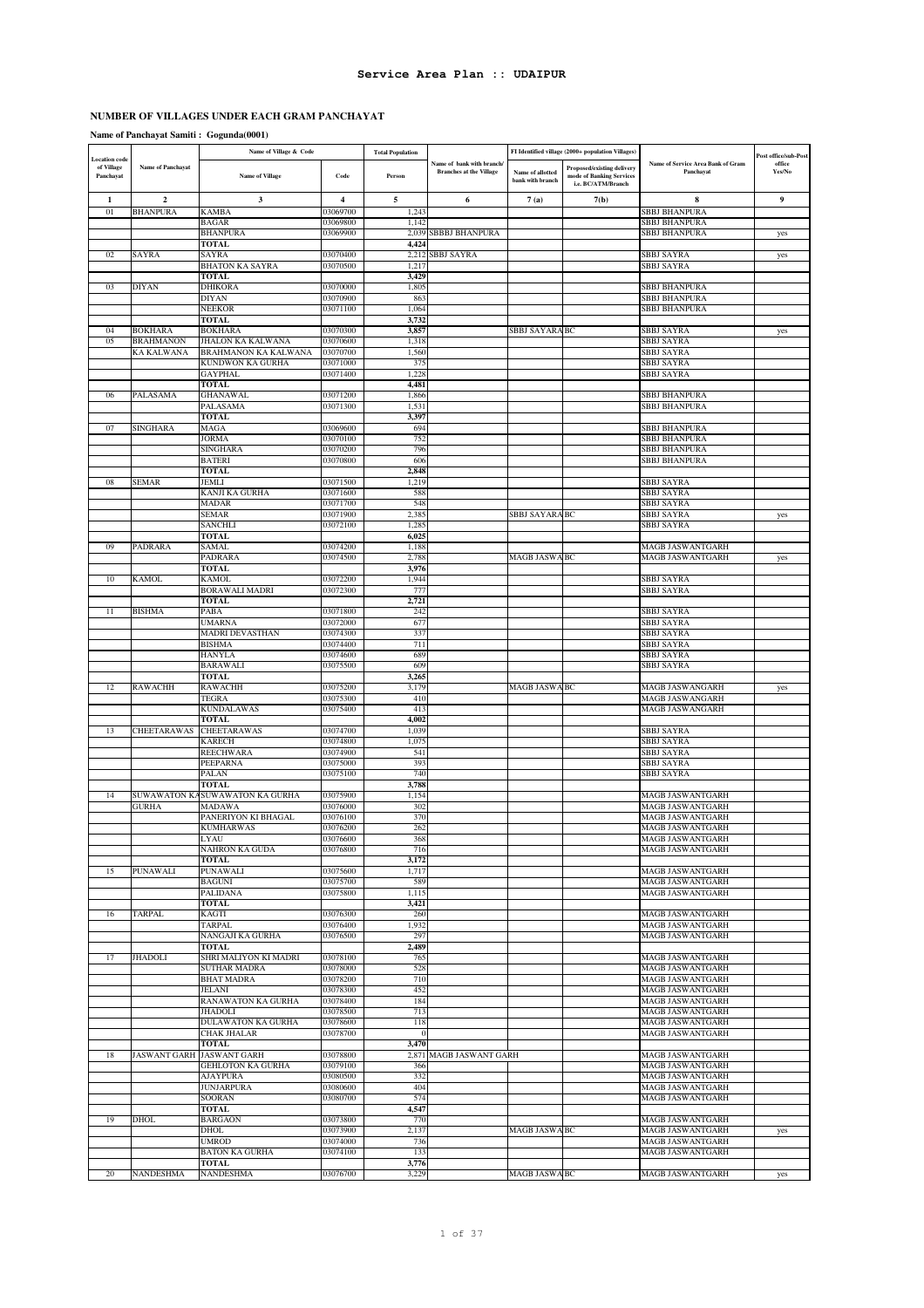## **NUMBER OF VILLAGES UNDER EACH GRAM PANCHAYAT**

**Name of Panchayat Samiti : Gogunda(0001)**

| <b>Location</b> code    |                          | Name of Village & Code                          |                         | <b>Total Population</b> |                                                             |                                      | FI Identified village (2000+ population Villages)                                   |                                                    | Post office/sub-Post |
|-------------------------|--------------------------|-------------------------------------------------|-------------------------|-------------------------|-------------------------------------------------------------|--------------------------------------|-------------------------------------------------------------------------------------|----------------------------------------------------|----------------------|
| of Village<br>Panchayat | <b>Name of Panchayat</b> | <b>Name of Village</b>                          | Code                    | Person                  | Name of bank with branch/<br><b>Branches at the Village</b> | Name of allotted<br>bank with branch | <b>Proposed/existing delivery</b><br>mode of Banking Services<br>i.e. BC/ATM/Branch | Name of Service Area Bank of Gram<br>Panchayat     | office<br>Yes/No     |
| 1                       | $\mathbf 2$              | 3                                               | $\overline{\mathbf{4}}$ | 5                       | 6                                                           | 7(a)                                 | 7(b)                                                                                | 8                                                  | 9                    |
| 01                      | <b>BHANPURA</b>          | <b>KAMBA</b>                                    | 03069700                | 1,243                   |                                                             |                                      |                                                                                     | <b>SBBJ BHANPURA</b>                               |                      |
|                         |                          | <b>BAGAR</b><br><b>BHANPURA</b>                 | 03069800<br>03069900    | 1,142<br>2,039          | <b>SBBBJ BHANPURA</b>                                       |                                      |                                                                                     | SBBJ BHANPURA<br><b>SBBJ BHANPURA</b>              | yes                  |
|                         |                          | TOTAL                                           |                         | 4,424                   |                                                             |                                      |                                                                                     |                                                    |                      |
| 02                      | <b>SAYRA</b>             | SAYRA                                           | 03070400                | 2.212                   | <b>SBBJ SAYRA</b>                                           |                                      |                                                                                     | <b>SBBJ SAYRA</b>                                  | yes                  |
|                         |                          | BHATON KA SAYRA                                 | 03070500                | 1,217                   |                                                             |                                      |                                                                                     | <b>SBBJ SAYRA</b>                                  |                      |
| 03                      | <b>DIYAN</b>             | TOTAL<br><b>DHIKORA</b>                         | 03070000                | 3,429<br>1,805          |                                                             |                                      |                                                                                     | <b>SBBJ BHANPURA</b>                               |                      |
|                         |                          | DIYAN                                           | 03070900                | 863                     |                                                             |                                      |                                                                                     | <b>SBBJ BHANPURA</b>                               |                      |
|                         |                          | NEEKOR                                          | 03071100                | 1,064                   |                                                             |                                      |                                                                                     | <b>SBBJ BHANPURA</b>                               |                      |
|                         | <b>BOKHARA</b>           | TOTAL<br><b>BOKHARA</b>                         |                         | 3,732<br>3,857          |                                                             |                                      |                                                                                     |                                                    |                      |
| 04<br>05                | <b>BRAHMANON</b>         | JHALON KA KALWANA                               | 03070300<br>03070600    | 1,318                   |                                                             | SBBJ SAYARA BC                       |                                                                                     | <b>SBBJ SAYRA</b><br><b>SBBJ SAYRA</b>             | yes                  |
|                         | KA KALWANA               | BRAHMANON KA KALWANA                            | 03070700                | 1,560                   |                                                             |                                      |                                                                                     | <b>SBBJ SAYRA</b>                                  |                      |
|                         |                          | KUNDWON KA GURHA                                | 03071000                | 375                     |                                                             |                                      |                                                                                     | <b>SBBJ SAYRA</b>                                  |                      |
|                         |                          | GAYPHAL<br>TOTAL                                | 03071400                | 1,228<br>4,481          |                                                             |                                      |                                                                                     | <b>SBBJ SAYRA</b>                                  |                      |
| 06                      | PALASAMA                 | <b>GHANAWAL</b>                                 | 03071200                | 1,866                   |                                                             |                                      |                                                                                     | <b>SBBJ BHANPURA</b>                               |                      |
|                         |                          | PALASAMA                                        | 03071300                | 1,531                   |                                                             |                                      |                                                                                     | <b>SBBJ BHANPURA</b>                               |                      |
|                         |                          | <b>TOTAL</b>                                    |                         | 3,397                   |                                                             |                                      |                                                                                     |                                                    |                      |
| 07                      | <b>SINGHARA</b>          | MAGA<br>JORMA                                   | 03069600<br>03070100    | 694<br>752              |                                                             |                                      |                                                                                     | <b>SBBJ BHANPURA</b><br><b>SBBJ BHANPURA</b>       |                      |
|                         |                          | SINGHARA                                        | 03070200                | 796                     |                                                             |                                      |                                                                                     | <b>SBBJ BHANPURA</b>                               |                      |
|                         |                          | BATERI                                          | 03070800                | 606                     |                                                             |                                      |                                                                                     | <b>SBBJ BHANPURA</b>                               |                      |
|                         |                          | <b>TOTAL</b><br>JEMLI                           |                         | 2,848<br>1,219          |                                                             |                                      |                                                                                     |                                                    |                      |
| 08                      | <b>SEMAR</b>             | KANJI KA GURHA                                  | 03071500<br>03071600    | 588                     |                                                             |                                      |                                                                                     | SBBJ SAYRA<br><b>SBBJ SAYRA</b>                    |                      |
|                         |                          | MADAR                                           | 03071700                | 548                     |                                                             |                                      |                                                                                     | <b>SBBJ SAYRA</b>                                  |                      |
|                         |                          | SEMAR                                           | 03071900                | 2,385                   |                                                             | SBBJ SAYARA BC                       |                                                                                     | <b>SBBJ SAYRA</b>                                  | yes                  |
|                         |                          | <b>SANCHLI</b><br><b>TOTAL</b>                  | 03072100                | 1,285<br>6,025          |                                                             |                                      |                                                                                     | <b>SBBJ SAYRA</b>                                  |                      |
| 09                      | PADRARA                  | SAMAL                                           | 03074200                | 1,188                   |                                                             |                                      |                                                                                     | <b>MAGB JASWANTGARH</b>                            |                      |
|                         |                          | PADRARA                                         | 03074500                | 2,788                   |                                                             | <b>MAGB JASWA BC</b>                 |                                                                                     | <b>MAGB JASWANTGARH</b>                            | yes                  |
|                         |                          | TOTAL                                           |                         | 3,976                   |                                                             |                                      |                                                                                     |                                                    |                      |
| 10                      | <b>KAMOL</b>             | <b>KAMOL</b><br>BORAWALI MADRI                  | 03072200<br>03072300    | 1,944<br>777            |                                                             |                                      |                                                                                     | <b>SBBJ SAYRA</b><br><b>SBBJ SAYRA</b>             |                      |
|                         |                          | TOTAL                                           |                         | 2,721                   |                                                             |                                      |                                                                                     |                                                    |                      |
| 11                      | <b>BISHMA</b>            | PABA                                            | 03071800                | 242                     |                                                             |                                      |                                                                                     | <b>SBBJ SAYRA</b>                                  |                      |
|                         |                          | <b>UMARNA</b><br>MADRI DEVASTHAN                | 03072000<br>03074300    | 677<br>337              |                                                             |                                      |                                                                                     | <b>SBBJ SAYRA</b><br><b>SBBJ SAYRA</b>             |                      |
|                         |                          | <b>BISHMA</b>                                   | 03074400                | 711                     |                                                             |                                      |                                                                                     | <b>SBBJ SAYRA</b>                                  |                      |
|                         |                          | <b>HANYLA</b>                                   | 03074600                | 689                     |                                                             |                                      |                                                                                     | <b>SBBJ SAYRA</b>                                  |                      |
|                         |                          | <b>BARAWALI</b>                                 | 03075500                | 609                     |                                                             |                                      |                                                                                     | <b>SBBJ SAYRA</b>                                  |                      |
| 12                      | <b>RAWACHH</b>           | TOTAL<br><b>RAWACHH</b>                         | 03075200                | 3,265<br>3,179          |                                                             | <b>MAGB JASWA BC</b>                 |                                                                                     | MAGB JASWANGARH                                    | yes                  |
|                         |                          | TEGRA                                           | 03075300                | 410                     |                                                             |                                      |                                                                                     | <b>MAGB JASWANGARH</b>                             |                      |
|                         |                          | <b>KUNDALAWAS</b>                               | 03075400                | 413                     |                                                             |                                      |                                                                                     | MAGB JASWANGARH                                    |                      |
|                         |                          | TOTAL                                           |                         | 4,002                   |                                                             |                                      |                                                                                     |                                                    |                      |
| 13                      | CHEETARAWAS              | CHEETARAWAS<br>KARECH                           | 03074700<br>03074800    | 1,039<br>1,075          |                                                             |                                      |                                                                                     | <b>SBBJ SAYRA</b><br><b>SBBJ SAYRA</b>             |                      |
|                         |                          | <b>REECHWARA</b>                                | 03074900                | 541                     |                                                             |                                      |                                                                                     | <b>SBBJ SAYRA</b>                                  |                      |
|                         |                          | PEEPARNA                                        | 03075000                | 393                     |                                                             |                                      |                                                                                     | <b>SBBJ SAYRA</b>                                  |                      |
|                         |                          | PALAN                                           | 03075100                | 740<br>3,788            |                                                             |                                      |                                                                                     | <b>SBBJ SAYRA</b>                                  |                      |
| 14                      | <b>SUWAWATON KA</b>      | <b>TOTAL</b><br>SUWAWATON KA GURHA              | 03075900                | 1,154                   |                                                             |                                      |                                                                                     | <b>MAGB JASWANTGARH</b>                            |                      |
|                         | <b>GURHA</b>             | MADAWA                                          | 03076000                | 302                     |                                                             |                                      |                                                                                     | <b>MAGB JASWANTGARH</b>                            |                      |
|                         |                          | PANERIYON KI BHAGAL                             | 03076100                | 370                     |                                                             |                                      |                                                                                     | MAGB JASWANTGARH                                   |                      |
|                         |                          | <b>KUMHARWAS</b><br><b>LYAU</b>                 | 03076200<br>03076600    | 262<br>368              |                                                             |                                      |                                                                                     | <b>MAGB JASWANTGARH</b><br>MAGB JASWANTGARH        |                      |
|                         |                          | NAHRON KA GUDA                                  | 03076800                | 716                     |                                                             |                                      |                                                                                     | <b>MAGB JASWANTGARH</b>                            |                      |
|                         |                          | <b>TOTAL</b>                                    |                         | 3,172                   |                                                             |                                      |                                                                                     |                                                    |                      |
| 15                      | <b>PUNAWALI</b>          | <b>PUNAWALI</b><br><b>BAGUNI</b>                | 03075600<br>03075700    | 1,717<br>589            |                                                             |                                      |                                                                                     | <b>MAGB JASWANTGARH</b><br><b>MAGB JASWANTGARH</b> |                      |
|                         |                          | <b>PALIDANA</b>                                 | 03075800                | 1,115                   |                                                             |                                      |                                                                                     | <b>MAGB JASWANTGARH</b>                            |                      |
|                         |                          | TOTAL                                           |                         | 3,421                   |                                                             |                                      |                                                                                     |                                                    |                      |
| 16                      | <b>TARPAL</b>            | KAGTI                                           | 03076300                | 260                     |                                                             |                                      |                                                                                     | <b>MAGB JASWANTGARH</b>                            |                      |
|                         |                          | TARPAL<br>NANGAJI KA GURHA                      | 03076400<br>03076500    | 1,932<br>297            |                                                             |                                      |                                                                                     | <b>MAGB JASWANTGARH</b><br>MAGB JASWANTGARH        |                      |
|                         |                          | TOTAL                                           |                         | 2,489                   |                                                             |                                      |                                                                                     |                                                    |                      |
| 17                      | <b>JHADOLI</b>           | SHRI MALIYON KI MADRI                           | 03078100                | 765                     |                                                             |                                      |                                                                                     | MAGB JASWANTGARH                                   |                      |
|                         |                          | <b>SUTHAR MADRA</b><br><b>BHAT MADRA</b>        | 03078000<br>03078200    | 528<br>710              |                                                             |                                      |                                                                                     | <b>MAGB JASWANTGARH</b><br><b>MAGB JASWANTGARH</b> |                      |
|                         |                          | <b>JELANI</b>                                   | 03078300                | 452                     |                                                             |                                      |                                                                                     | MAGB JASWANTGARH                                   |                      |
|                         |                          | RANAWATON KA GURHA                              | 03078400                | 184                     |                                                             |                                      |                                                                                     | <b>MAGB JASWANTGARH</b>                            |                      |
|                         |                          | JHADOLI                                         | 03078500                | 713                     |                                                             |                                      |                                                                                     | MAGB JASWANTGARH                                   |                      |
|                         |                          | <b>DULAWATON KA GURHA</b><br><b>CHAK JHALAR</b> | 03078600<br>03078700    | 118<br>-0               |                                                             |                                      |                                                                                     | MAGB JASWANTGARH<br><b>MAGB JASWANTGARH</b>        |                      |
|                         |                          | TOTAL                                           |                         | 3,470                   |                                                             |                                      |                                                                                     |                                                    |                      |
| 18                      | <b>JASWANT GARH</b>      | <b>JASWANT GARH</b>                             | 03078800                | 2,871                   | <b>MAGB JASWANT GARH</b>                                    |                                      |                                                                                     | MAGB JASWANTGARH                                   |                      |
|                         |                          | GEHLOTON KA GURHA                               | 03079100                | 366                     |                                                             |                                      |                                                                                     | <b>MAGB JASWANTGARH</b>                            |                      |
|                         |                          | <b>AJAYPURA</b><br><b>JUNJARPURA</b>            | 03080500<br>03080600    | 332<br>404              |                                                             |                                      |                                                                                     | <b>MAGB JASWANTGARH</b><br>MAGB JASWANTGARH        |                      |
|                         |                          | <b>SOORAN</b>                                   | 03080700                | 574                     |                                                             |                                      |                                                                                     | <b>MAGB JASWANTGARH</b>                            |                      |
|                         |                          | TOTAL                                           |                         | 4,547                   |                                                             |                                      |                                                                                     |                                                    |                      |
| 19                      | DHOL                     | <b>BARGAON</b><br><b>DHOL</b>                   | 03073800<br>03073900    | 770<br>2,137            |                                                             | MAGB JASWA BC                        |                                                                                     | <b>MAGB JASWANTGARH</b><br><b>MAGB JASWANTGARH</b> | yes                  |
|                         |                          | <b>UMROD</b>                                    | 03074000                | 736                     |                                                             |                                      |                                                                                     | <b>MAGB JASWANTGARH</b>                            |                      |
|                         |                          | <b>BATON KA GURHA</b>                           | 03074100                | 133                     |                                                             |                                      |                                                                                     | <b>MAGB JASWANTGARH</b>                            |                      |
|                         |                          | TOTAL                                           |                         | 3,776                   |                                                             |                                      |                                                                                     |                                                    |                      |
| 20                      | <b>NANDESHMA</b>         | <b>NANDESHMA</b>                                | 03076700                | 3,229                   |                                                             | MAGB JASWA BC                        |                                                                                     | <b>MAGB JASWANTGARH</b>                            | yes                  |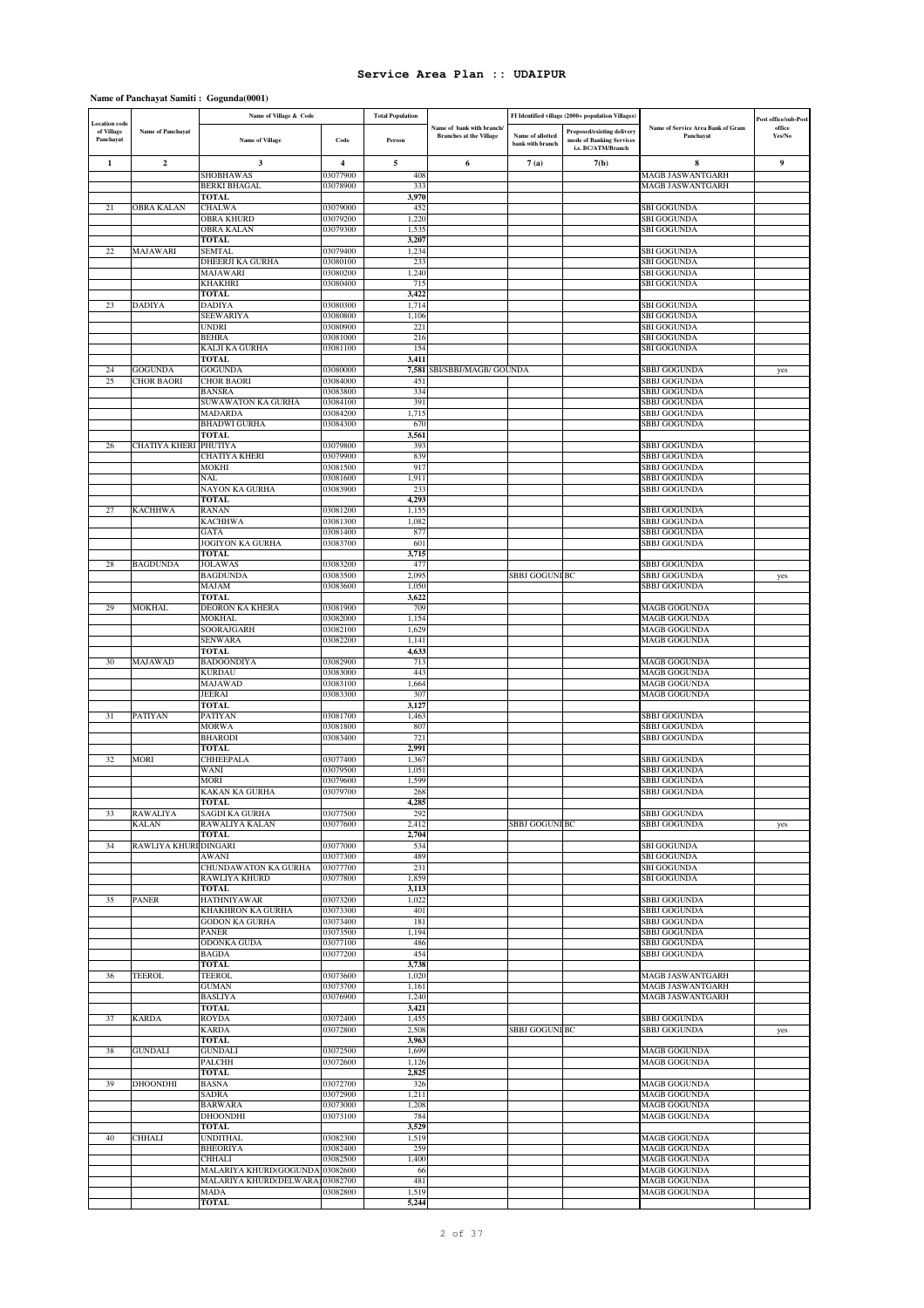## **Name of Panchayat Samiti : Gogunda(0001)**

|                                                 |                                     | Name of Village & Code                         |                      | <b>Total Population</b> |                                                             |                                      | FI Identified village (2000+ population Villages)                            |                                                | Post office/sub-Post |
|-------------------------------------------------|-------------------------------------|------------------------------------------------|----------------------|-------------------------|-------------------------------------------------------------|--------------------------------------|------------------------------------------------------------------------------|------------------------------------------------|----------------------|
| <b>Location</b> code<br>of Village<br>Panchayat | <b>Name of Panchayat</b>            | <b>Name of Village</b>                         | Code                 | Person                  | Name of bank with branch/<br><b>Branches at the Village</b> | Name of allotted<br>bank with branch | Proposed/existing delivery<br>mode of Banking Services<br>i.e. BC/ATM/Branch | Name of Service Area Bank of Gram<br>Panchavat | office<br>Yes/No     |
| 1                                               | $\overline{\mathbf{2}}$             | 3                                              | $\overline{4}$       | 5                       | 6                                                           | 7(a)                                 | 7(b)                                                                         | 8                                              | 9                    |
|                                                 |                                     | <b>SHOBHAWAS</b>                               | 03077900             | 408                     |                                                             |                                      |                                                                              | <b>MAGB JASWANTGARH</b>                        |                      |
|                                                 |                                     | <b>BERKI BHAGAL</b><br><b>TOTAL</b>            | 03078900             | 333<br>3,970            |                                                             |                                      |                                                                              | <b>MAGB JASWANTGARH</b>                        |                      |
| 21                                              | <b>OBRA KALAN</b>                   | <b>CHALWA</b>                                  | 03079000             | 452                     |                                                             |                                      |                                                                              | <b>SBI GOGUNDA</b>                             |                      |
|                                                 |                                     | <b>OBRA KHURD</b>                              | 03079200             | 1,220                   |                                                             |                                      |                                                                              | <b>SBI GOGUNDA</b>                             |                      |
|                                                 |                                     | <b>OBRA KALAN</b><br><b>TOTAL</b>              | 03079300             | 1,535<br>3,207          |                                                             |                                      |                                                                              | <b>SBI GOGUNDA</b>                             |                      |
| 22                                              | <b>MAJAWARI</b>                     | <b>SEMTAL</b>                                  | 03079400             | 1,234                   |                                                             |                                      |                                                                              | <b>SBI GOGUNDA</b>                             |                      |
|                                                 |                                     | DHEERJI KA GURHA                               | 03080100             | 233                     |                                                             |                                      |                                                                              | <b>SBI GOGUNDA</b>                             |                      |
|                                                 |                                     | <b>MAJAWARI</b><br><b>KHAKHRI</b>              | 03080200<br>03080400 | 1,240<br>715            |                                                             |                                      |                                                                              | <b>SBI GOGUNDA</b><br><b>SBI GOGUNDA</b>       |                      |
|                                                 |                                     | TOTAL                                          |                      | 3,422                   |                                                             |                                      |                                                                              |                                                |                      |
| 23                                              | <b>DADIYA</b>                       | <b>DADIYA</b>                                  | 03080300             | 1,714                   |                                                             |                                      |                                                                              | <b>SBI GOGUNDA</b>                             |                      |
|                                                 |                                     | <b>SEEWARIYA</b><br>UNDRI                      | 03080800<br>03080900 | 1,106<br>221            |                                                             |                                      |                                                                              | <b>SBI GOGUNDA</b><br><b>SBI GOGUNDA</b>       |                      |
|                                                 |                                     | <b>BEHRA</b>                                   | 03081000             | 216                     |                                                             |                                      |                                                                              | <b>SBI GOGUNDA</b>                             |                      |
|                                                 |                                     | KALJI KA GURHA                                 | 03081100             | 154                     |                                                             |                                      |                                                                              | <b>SBI GOGUNDA</b>                             |                      |
|                                                 |                                     | <b>TOTAL</b>                                   |                      | 3,411                   |                                                             |                                      |                                                                              |                                                |                      |
| 24<br>25                                        | <b>GOGUNDA</b><br><b>CHOR BAORI</b> | <b>GOGUNDA</b><br><b>CHOR BAORI</b>            | 03080000<br>03084000 | 451                     | 7,581 SBI/SBBJ/MAGB/ GOUNDA                                 |                                      |                                                                              | <b>SBBJ GOGUNDA</b><br>SBBJ GOGUNDA            | yes                  |
|                                                 |                                     | <b>BANSRA</b>                                  | 03083800             | 334                     |                                                             |                                      |                                                                              | <b>SBBJ GOGUNDA</b>                            |                      |
|                                                 |                                     | SUWAWATON KA GURHA                             | 03084100             | 391                     |                                                             |                                      |                                                                              | <b>SBBJ GOGUNDA</b>                            |                      |
|                                                 |                                     | <b>MADARDA</b><br><b>BHADWI GURHA</b>          | 03084200<br>03084300 | 1,715<br>670            |                                                             |                                      |                                                                              | SBBJ GOGUNDA<br><b>SBBJ GOGUNDA</b>            |                      |
|                                                 |                                     | <b>TOTAL</b>                                   |                      | 3,561                   |                                                             |                                      |                                                                              |                                                |                      |
| 26                                              | <b>CHATIYA KHERI</b>                | <b>PHUTIYA</b>                                 | 03079800             | 393                     |                                                             |                                      |                                                                              | <b>SBBJ GOGUNDA</b>                            |                      |
|                                                 |                                     | CHATIYA KHERI                                  | 03079900             | 839                     |                                                             |                                      |                                                                              | <b>SBBJ GOGUNDA</b>                            |                      |
|                                                 |                                     | MOKHI<br>NAL                                   | 03081500<br>03081600 | 917<br>1,911            |                                                             |                                      |                                                                              | <b>SBBJ GOGUNDA</b><br><b>SBBJ GOGUNDA</b>     |                      |
|                                                 |                                     | NAYON KA GURHA                                 | 03083900             | 233                     |                                                             |                                      |                                                                              | <b>SBBJ GOGUNDA</b>                            |                      |
|                                                 |                                     | <b>TOTAL</b>                                   |                      | 4,293                   |                                                             |                                      |                                                                              |                                                |                      |
| 27                                              | <b>KACHHWA</b>                      | <b>RANAN</b><br><b>KACHHWA</b>                 | 03081200<br>03081300 | 1,155<br>1,082          |                                                             |                                      |                                                                              | SBBJ GOGUNDA<br><b>SBBJ GOGUNDA</b>            |                      |
|                                                 |                                     | <b>GATA</b>                                    | 03081400             | 877                     |                                                             |                                      |                                                                              | SBBJ GOGUNDA                                   |                      |
|                                                 |                                     | JOGIYON KA GURHA                               | 03083700             | 601                     |                                                             |                                      |                                                                              | SBBJ GOGUNDA                                   |                      |
|                                                 |                                     | <b>TOTAL</b>                                   |                      | 3,715                   |                                                             |                                      |                                                                              |                                                |                      |
| 28                                              | <b>BAGDUNDA</b>                     | <b>JOLAWAS</b><br><b>BAGDUNDA</b>              | 03083200<br>03083500 | 477<br>2,095            |                                                             | <b>SBBJ GOGUNI BC</b>                |                                                                              | SBBJ GOGUNDA<br><b>SBBJ GOGUNDA</b>            | yes                  |
|                                                 |                                     | <b>MAJAM</b>                                   | 03083600             | 1,050                   |                                                             |                                      |                                                                              | <b>SBBJ GOGUNDA</b>                            |                      |
|                                                 |                                     | <b>TOTAL</b>                                   |                      | 3,622                   |                                                             |                                      |                                                                              |                                                |                      |
| 29                                              | <b>MOKHAL</b>                       | DEORON KA KHERA<br><b>MOKHAL</b>               | 03081900<br>03082000 | 709<br>1,154            |                                                             |                                      |                                                                              | MAGB GOGUNDA<br><b>MAGB GOGUNDA</b>            |                      |
|                                                 |                                     | SOORAJGARH                                     | 03082100             | 1,629                   |                                                             |                                      |                                                                              | <b>MAGB GOGUNDA</b>                            |                      |
|                                                 |                                     | <b>SENWARA</b>                                 | 03082200             | 1,141                   |                                                             |                                      |                                                                              | <b>MAGB GOGUNDA</b>                            |                      |
|                                                 |                                     | TOTAL                                          |                      | 4,633                   |                                                             |                                      |                                                                              | <b>MAGB GOGUNDA</b>                            |                      |
| 30                                              | <b>MAJAWAD</b>                      | <b>BADOONDIYA</b><br><b>KURDAU</b>             | 03082900<br>03083000 | 713<br>443              |                                                             |                                      |                                                                              | <b>MAGB GOGUNDA</b>                            |                      |
|                                                 |                                     | <b>MAJAWAD</b>                                 | 03083100             | 1,664                   |                                                             |                                      |                                                                              | <b>MAGB GOGUNDA</b>                            |                      |
|                                                 |                                     | JEERAI                                         | 03083300             | 307                     |                                                             |                                      |                                                                              | <b>MAGB GOGUNDA</b>                            |                      |
| 31                                              | <b>PATIYAN</b>                      | <b>TOTAL</b><br><b>PATIYAN</b>                 | 03081700             | 3,127<br>1,463          |                                                             |                                      |                                                                              | <b>SBBJ GOGUNDA</b>                            |                      |
|                                                 |                                     | <b>MORWA</b>                                   | 03081800             | 807                     |                                                             |                                      |                                                                              | <b>SBBJ GOGUNDA</b>                            |                      |
|                                                 |                                     | <b>BHARODI</b>                                 | 03083400             | 721                     |                                                             |                                      |                                                                              | SBBJ GOGUNDA                                   |                      |
|                                                 |                                     | <b>TOTAL</b>                                   | 03077400             | 2,991<br>1,367          |                                                             |                                      |                                                                              | <b>SBBJ GOGUNDA</b>                            |                      |
| 32                                              | <b>MORI</b>                         | CHHEEPALA<br>WANI                              | 03079500             | 1,051                   |                                                             |                                      |                                                                              | <b>SBBJ GOGUNDA</b>                            |                      |
|                                                 |                                     | MORI                                           | 03079600             | 1,599                   |                                                             |                                      |                                                                              | SBBJ GOGUNDA                                   |                      |
|                                                 |                                     | <b>KAKAN KA GURHA</b>                          | 03079700             | 268                     |                                                             |                                      |                                                                              | SBBJ GOGUNDA                                   |                      |
| 33                                              | <b>RAWALIYA</b>                     | TOTAL<br>SAGDI KA GURHA                        | 03077500             | 4,285<br>292            |                                                             |                                      |                                                                              | SBBJ GOGUNDA                                   |                      |
|                                                 | KALAN                               | RAWALIYA KALAN                                 | 03077600             | 2,412                   |                                                             | SBBJ GOGUNI BC                       |                                                                              | SBBJ GOGUNDA                                   | yes                  |
|                                                 |                                     | TOTAL                                          |                      | 2,704                   |                                                             |                                      |                                                                              |                                                |                      |
| 34                                              | RAWLIYA KHURI DINGARI               |                                                | 03077000<br>03077300 | 534                     |                                                             |                                      |                                                                              | <b>SBI GOGUNDA</b>                             |                      |
|                                                 |                                     | AWANI<br>CHUNDAWATON KA GURHA                  | 03077700             | 489<br>231              |                                                             |                                      |                                                                              | <b>SBI GOGUNDA</b><br><b>SBI GOGUNDA</b>       |                      |
|                                                 |                                     | <b>RAWLIYA KHURD</b>                           | 03077800             | 1,859                   |                                                             |                                      |                                                                              | <b>SBI GOGUNDA</b>                             |                      |
|                                                 |                                     | <b>TOTAL</b>                                   |                      | 3,113                   |                                                             |                                      |                                                                              |                                                |                      |
| 35                                              | PANER                               | <b>HATHNIYAWAR</b><br><b>KHAKHRON KA GURHA</b> | 03073200<br>03073300 | 1,022<br>401            |                                                             |                                      |                                                                              | <b>SBBJ GOGUNDA</b><br><b>SBBJ GOGUNDA</b>     |                      |
|                                                 |                                     | <b>GODON KA GURHA</b>                          | 03073400             | 181                     |                                                             |                                      |                                                                              | <b>SBBJ GOGUNDA</b>                            |                      |
|                                                 |                                     | <b>PANER</b>                                   | 03073500             | 1,194                   |                                                             |                                      |                                                                              | SBBJ GOGUNDA                                   |                      |
|                                                 |                                     | ODONKA GUDA<br><b>BAGDA</b>                    | 03077100<br>03077200 | 486<br>454              |                                                             |                                      |                                                                              | SBBJ GOGUNDA<br>SBBJ GOGUNDA                   |                      |
|                                                 |                                     | <b>TOTAL</b>                                   |                      | 3,738                   |                                                             |                                      |                                                                              |                                                |                      |
| 36                                              | <b>TEEROL</b>                       | <b>TEEROL</b>                                  | 03073600             | 1,020                   |                                                             |                                      |                                                                              | <b>MAGB JASWANTGARH</b>                        |                      |
|                                                 |                                     | <b>GUMAN</b><br><b>BASLIYA</b>                 | 03073700             | 1,161<br>1,240          |                                                             |                                      |                                                                              | MAGB JASWANTGARH                               |                      |
|                                                 |                                     | TOTAL                                          | 03076900             | 3,421                   |                                                             |                                      |                                                                              | MAGB JASWANTGARH                               |                      |
| 37                                              | KARDA                               | <b>ROYDA</b>                                   | 03072400             | 1,455                   |                                                             |                                      |                                                                              | SBBJ GOGUNDA                                   |                      |
|                                                 |                                     | <b>KARDA</b>                                   | 03072800             | 2,508                   |                                                             | SBBJ GOGUNI BC                       |                                                                              | <b>SBBJ GOGUNDA</b>                            | yes                  |
| 38                                              | <b>GUNDALI</b>                      | TOTAL<br><b>GUNDALI</b>                        | 03072500             | 3,963<br>1,699          |                                                             |                                      |                                                                              | MAGB GOGUNDA                                   |                      |
|                                                 |                                     | PALCHH                                         | 03072600             | 1,126                   |                                                             |                                      |                                                                              | MAGB GOGUNDA                                   |                      |
|                                                 |                                     | <b>TOTAL</b>                                   |                      | 2,825                   |                                                             |                                      |                                                                              |                                                |                      |
| 39                                              | <b>DHOONDHI</b>                     | <b>BASNA</b>                                   | 03072700             | 326                     |                                                             |                                      |                                                                              | <b>MAGB GOGUNDA</b>                            |                      |
|                                                 |                                     | SADRA<br><b>BARWARA</b>                        | 03072900<br>03073000 | 1,211<br>1,208          |                                                             |                                      |                                                                              | MAGB GOGUNDA<br>MAGB GOGUNDA                   |                      |
|                                                 |                                     | <b>DHOONDHI</b>                                | 03073100             | 784                     |                                                             |                                      |                                                                              | MAGB GOGUNDA                                   |                      |
|                                                 |                                     | TOTAL                                          |                      | 3,529                   |                                                             |                                      |                                                                              |                                                |                      |
| 40                                              | <b>CHHALI</b>                       | <b>UNDITHAL</b><br><b>BHEORIYA</b>             | 03082300<br>03082400 | 1,519<br>259            |                                                             |                                      |                                                                              | <b>MAGB GOGUNDA</b><br><b>MAGB GOGUNDA</b>     |                      |
|                                                 |                                     | <b>CHHALI</b>                                  | 03082500             | 1,400                   |                                                             |                                      |                                                                              | <b>MAGB GOGUNDA</b>                            |                      |
|                                                 |                                     | MALARIYA KHURD(GOGUNDA)                        | 03082600             | 66                      |                                                             |                                      |                                                                              | <b>MAGB GOGUNDA</b>                            |                      |
|                                                 |                                     | MALARIYA KHURD(DELWARA)<br><b>MADA</b>         | 03082700<br>03082800 | 481<br>1,519            |                                                             |                                      |                                                                              | <b>MAGB GOGUNDA</b><br><b>MAGB GOGUNDA</b>     |                      |
|                                                 |                                     | <b>TOTAL</b>                                   |                      | 5,244                   |                                                             |                                      |                                                                              |                                                |                      |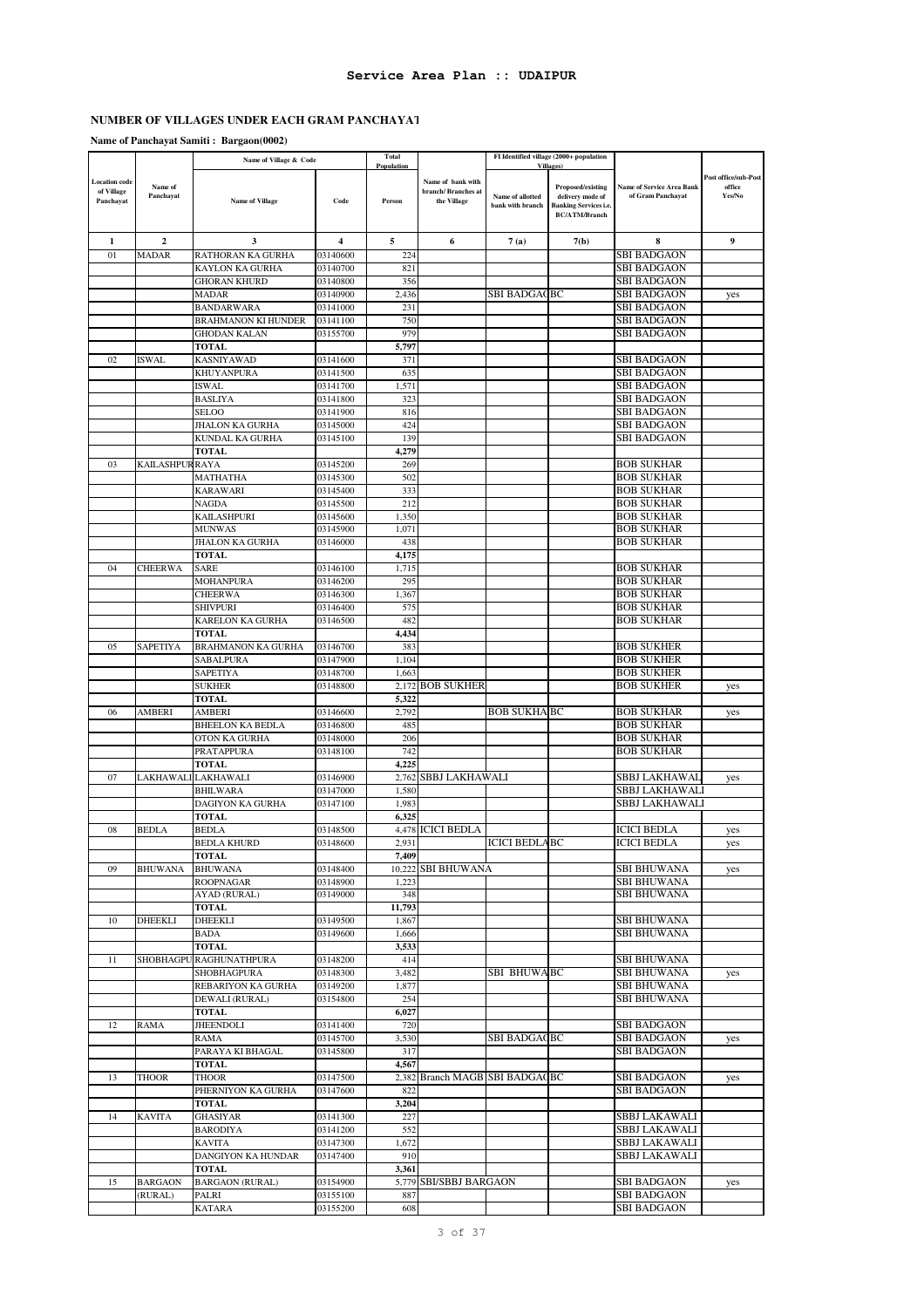# **NUMBER OF VILLAGES UNDER EACH GRAM PANCHAYAT**

**Name of Panchayat Samiti : Bargaon(0002)**

|               |                        | Name of Village & Code                        |                      | Total<br>Population |                                |                      | FI Identified village (2000+ population<br><b>Villages</b> ) |                                                       |                      |
|---------------|------------------------|-----------------------------------------------|----------------------|---------------------|--------------------------------|----------------------|--------------------------------------------------------------|-------------------------------------------------------|----------------------|
| Location code |                        |                                               |                      |                     | Name of bank with              |                      |                                                              |                                                       | Post office/sub-Post |
| of Village    | Name of<br>Panchayat   |                                               |                      |                     | branch/Branches at             | Name of allotted     | Proposed/existing<br>delivery mode of                        | <b>Name of Service Area Bank</b><br>of Gram Panchayat | office<br>Yes/No     |
| Panchayat     |                        | Name of Village                               | Code                 | Person              | the Village                    | bank with branch     | <b>Banking Services i.e.</b>                                 |                                                       |                      |
|               |                        |                                               |                      |                     |                                |                      | <b>BC/ATM/Branch</b>                                         |                                                       |                      |
|               |                        |                                               |                      |                     |                                |                      |                                                              |                                                       |                      |
| 1             | $\boldsymbol{2}$       | 3                                             | 4                    | 5                   | 6                              | 7(a)                 | 7(b)                                                         | 8                                                     | 9                    |
| 01            | <b>MADAR</b>           | RATHORAN KA GURHA                             | 03140600             | 224                 |                                |                      |                                                              | <b>SBI BADGAON</b>                                    |                      |
|               |                        | <b>KAYLON KA GURHA</b><br><b>GHORAN KHURD</b> | 03140700             | 821<br>356          |                                |                      |                                                              | <b>SBI BADGAON</b><br><b>SBI BADGAON</b>              |                      |
|               |                        | MADAR                                         | 03140800<br>03140900 | 2,436               |                                | SBI BADGAQBC         |                                                              | SBI BADGAON                                           |                      |
|               |                        | <b>BANDARWARA</b>                             | 03141000             | 231                 |                                |                      |                                                              | SBI BADGAON                                           | yes                  |
|               |                        | <b>BRAHMANON KI HUNDER</b>                    | 03141100             | 750                 |                                |                      |                                                              | <b>SBI BADGAON</b>                                    |                      |
|               |                        | <b>GHODAN KALAN</b>                           | 03155700             | 979                 |                                |                      |                                                              | SBI BADGAON                                           |                      |
|               |                        | <b>TOTAL</b>                                  |                      | 5,797               |                                |                      |                                                              |                                                       |                      |
| 02            | ISWAL                  | <b>KASNIYAWAD</b>                             | 03141600             | 371                 |                                |                      |                                                              | SBI BADGAON                                           |                      |
|               |                        | <b>KHUYANPURA</b>                             | 03141500             | 635                 |                                |                      |                                                              | <b>SBI BADGAON</b>                                    |                      |
|               |                        | <b>ISWAL</b>                                  | 03141700             | 1,571               |                                |                      |                                                              | SBI BADGAON                                           |                      |
|               |                        | <b>BASLIYA</b>                                | 03141800             | 323                 |                                |                      |                                                              | SBI BADGAON                                           |                      |
|               |                        | <b>SELOO</b>                                  | 03141900             | 816                 |                                |                      |                                                              | <b>SBI BADGAON</b>                                    |                      |
|               |                        | JHALON KA GURHA                               | 03145000             | 424                 |                                |                      |                                                              | SBI BADGAON                                           |                      |
|               |                        | KUNDAL KA GURHA                               | 03145100             | 139                 |                                |                      |                                                              | SBI BADGAON                                           |                      |
|               |                        | <b>TOTAL</b>                                  |                      | 4,279               |                                |                      |                                                              |                                                       |                      |
| 03            | <b>KAILASHPUR RAYA</b> |                                               | 03145200             | 269                 |                                |                      |                                                              | BOB SUKHAR                                            |                      |
|               |                        | <b>MATHATHA</b>                               | 03145300             | 502                 |                                |                      |                                                              | BOB SUKHAR                                            |                      |
|               |                        | <b>KARAWARI</b>                               | 03145400             | 333                 |                                |                      |                                                              | <b>BOB SUKHAR</b>                                     |                      |
|               |                        | <b>NAGDA</b>                                  | 03145500             | 212                 |                                |                      |                                                              | <b>BOB SUKHAR</b>                                     |                      |
|               |                        | <b>KAILASHPURI</b>                            | 03145600             | 1,350               |                                |                      |                                                              | <b>BOB SUKHAR</b>                                     |                      |
|               |                        | <b>MUNWAS</b>                                 | 03145900             | 1,071               |                                |                      |                                                              | <b>BOB SUKHAR</b>                                     |                      |
|               |                        | <b>JHALON KA GURHA</b><br><b>TOTAL</b>        | 03146000             | 438<br>4,175        |                                |                      |                                                              | <b>BOB SUKHAR</b>                                     |                      |
| 04            |                        | SARE                                          | 03146100             | 1,715               |                                |                      |                                                              | <b>BOB SUKHAR</b>                                     |                      |
|               | CHEERWA                | <b>MOHANPURA</b>                              | 03146200             | 295                 |                                |                      |                                                              | <b>BOB SUKHAR</b>                                     |                      |
|               |                        | <b>CHEERWA</b>                                | 03146300             | 1,367               |                                |                      |                                                              | BOB SUKHAR                                            |                      |
|               |                        | <b>SHIVPURI</b>                               | 03146400             | 575                 |                                |                      |                                                              | BOB SUKHAR                                            |                      |
|               |                        | KARELON KA GURHA                              | 03146500             | 482                 |                                |                      |                                                              | BOB SUKHAR                                            |                      |
|               |                        | <b>TOTAL</b>                                  |                      | 4,434               |                                |                      |                                                              |                                                       |                      |
| 05            | <b>SAPETIYA</b>        | <b>BRAHMANON KA GURHA</b>                     | 03146700             | 383                 |                                |                      |                                                              | <b>BOB SUKHER</b>                                     |                      |
|               |                        | SABALPURA                                     | 03147900             | 1,104               |                                |                      |                                                              | <b>BOB SUKHER</b>                                     |                      |
|               |                        | <b>SAPETIYA</b>                               | 03148700             | 1,663               |                                |                      |                                                              | <b>BOB SUKHER</b>                                     |                      |
|               |                        | <b>SUKHER</b>                                 | 03148800             |                     | 2,172 BOB SUKHER               |                      |                                                              | BOB SUKHER                                            | yes                  |
|               |                        | <b>TOTAL</b>                                  |                      | 5,322               |                                |                      |                                                              |                                                       |                      |
| 06            | <b>AMBERI</b>          | <b>AMBERI</b>                                 | 03146600             | 2,792               |                                | <b>BOB SUKHA BC</b>  |                                                              | <b>BOB SUKHAR</b>                                     | yes                  |
|               |                        | <b>BHEELON KA BEDLA</b>                       | 03146800             | 485                 |                                |                      |                                                              | <b>BOB SUKHAR</b>                                     |                      |
|               |                        | OTON KA GURHA                                 | 03148000             | 206                 |                                |                      |                                                              | BOB SUKHAR                                            |                      |
|               |                        | PRATAPPURA                                    | 03148100             | 742                 |                                |                      |                                                              | BOB SUKHAR                                            |                      |
|               |                        | <b>TOTAL</b>                                  |                      | 4,225               |                                |                      |                                                              |                                                       |                      |
| 07            |                        | LAKHAWALI LAKHAWALI                           | 03146900             |                     | 2,762 SBBJ LAKHAWALI           |                      |                                                              | SBBJ LAKHAWAL                                         | yes                  |
|               |                        | <b>BHILWARA</b>                               | 03147000             | 1,580               |                                |                      |                                                              | SBBJ LAKHAWALI                                        |                      |
|               |                        | DAGIYON KA GURHA                              | 03147100             | 1,983               |                                |                      |                                                              | SBBJ LAKHAWALI                                        |                      |
|               | <b>BEDLA</b>           | <b>TOTAL</b>                                  |                      | 6,325               |                                |                      |                                                              |                                                       |                      |
| 08            |                        | <b>BEDLA</b><br><b>BEDLA KHURD</b>            | 03148500             | 2,931               | 4,478 ICICI BEDLA              | <b>ICICI BEDLABC</b> |                                                              | ICICI BEDLA<br><b>ICICI BEDLA</b>                     | yes                  |
|               |                        | TOTAL                                         | 03148600             | 7,409               |                                |                      |                                                              |                                                       | yes                  |
| 09            | <b>BHUWANA</b>         | <b>BHUWANA</b>                                | 03148400             |                     | 10,222 SBI BHUWANA             |                      |                                                              | <b>SBI BHUWANA</b>                                    | yes                  |
|               |                        | <b>ROOPNAGAR</b>                              | 03148900             | 1,223               |                                |                      |                                                              | SBI BHUWANA                                           |                      |
|               |                        | AYAD (RURAL)                                  | 03149000             | 348                 |                                |                      |                                                              | <b>SBI BHUWANA</b>                                    |                      |
|               |                        | <b>TOTAL</b>                                  |                      | 11,793              |                                |                      |                                                              |                                                       |                      |
| 10            | DHEEKLI                | <b>DHEEKLI</b>                                | 03149500             | 1,867               |                                |                      |                                                              | SBI BHUWANA                                           |                      |
|               |                        | <b>BADA</b>                                   | 03149600             | 1,666               |                                |                      |                                                              | <b>SBI BHUWANA</b>                                    |                      |
|               |                        | <b>TOTAL</b>                                  |                      | 3,533               |                                |                      |                                                              |                                                       |                      |
| 11            |                        | SHOBHAGPU RAGHUNATHPURA                       | 03148200             | 414                 |                                |                      |                                                              | SBI BHUWANA                                           |                      |
|               |                        | SHOBHAGPURA                                   | 03148300             | 3,482               |                                | SBI BHUWABC          |                                                              | <b>SBI BHUWANA</b>                                    | yes                  |
|               |                        | REBARIYON KA GURHA                            | 03149200             | 1,877               |                                |                      |                                                              | SBI BHUWANA                                           |                      |
|               |                        | DEWALI (RURAL)                                | 03154800             | 254                 |                                |                      |                                                              | SBI BHUWANA                                           |                      |
|               |                        | <b>TOTAL</b>                                  |                      | 6,027               |                                |                      |                                                              |                                                       |                      |
| 12            | <b>RAMA</b>            | <b>JHEENDOLI</b>                              | 03141400             | 720                 |                                |                      |                                                              | <b>SBI BADGAON</b>                                    |                      |
|               |                        | RAMA                                          | 03145700             | 3,530               |                                | <b>SBI BADGACBC</b>  |                                                              | <b>SBI BADGAON</b>                                    | yes                  |
|               |                        | PARAYA KI BHAGAL                              | 03145800             | 317                 |                                |                      |                                                              | <b>SBI BADGAON</b>                                    |                      |
|               |                        | <b>TOTAL</b>                                  |                      | 4,567               |                                |                      |                                                              |                                                       |                      |
| 13            | <b>THOOR</b>           | <b>THOOR</b>                                  | 03147500             |                     | 2,382 Branch MAGB SBI BADGACBC |                      |                                                              | SBI BADGAON                                           | yes                  |
|               |                        | PHERNIYON KA GURHA<br><b>TOTAL</b>            | 03147600             | 822                 |                                |                      |                                                              | SBI BADGAON                                           |                      |
| 14            | <b>KAVITA</b>          | <b>GHASIYAR</b>                               | 03141300             | 3,204<br>227        |                                |                      |                                                              | SBBJ LAKAWALI                                         |                      |
|               |                        | <b>BARODIYA</b>                               | 03141200             | 552                 |                                |                      |                                                              | SBBJ LAKAWALI                                         |                      |
|               |                        | <b>KAVITA</b>                                 | 03147300             | 1,672               |                                |                      |                                                              | SBBJ LAKAWALI                                         |                      |
|               |                        | DANGIYON KA HUNDAR                            | 03147400             | 910                 |                                |                      |                                                              | SBBJ LAKAWALI                                         |                      |
|               |                        | <b>TOTAL</b>                                  |                      | 3,361               |                                |                      |                                                              |                                                       |                      |
| 15            | <b>BARGAON</b>         | <b>BARGAON</b> (RURAL)                        | 03154900             |                     | 5,779 SBI/SBBJ BARGAON         |                      |                                                              | SBI BADGAON                                           | yes                  |
|               | (RURAL)                | PALRI                                         | 03155100             | 887                 |                                |                      |                                                              | <b>SBI BADGAON</b>                                    |                      |
|               |                        | <b>KATARA</b>                                 | 03155200             | 608                 |                                |                      |                                                              | SBI BADGAON                                           |                      |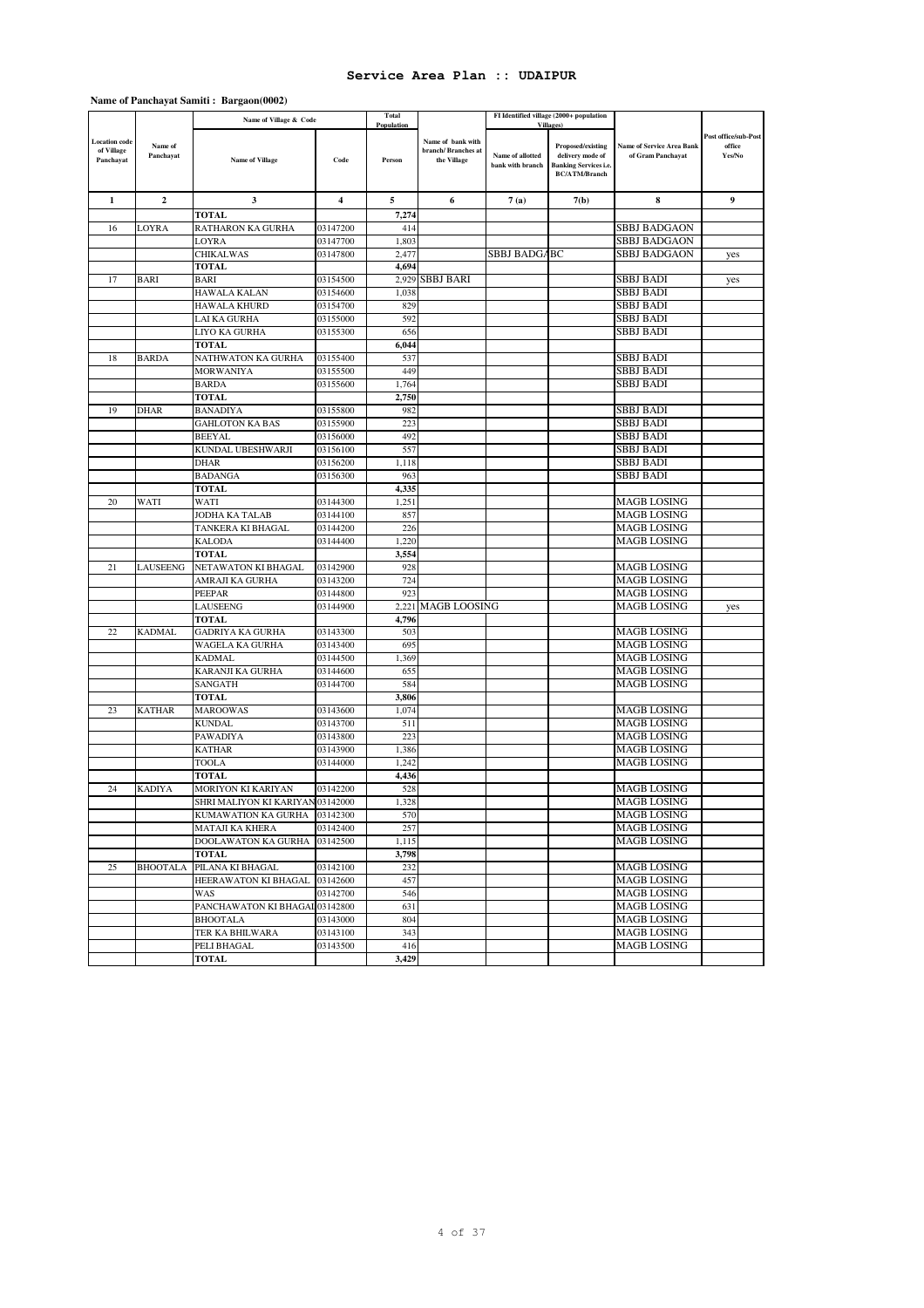### **Name of Panchayat Samiti : Bargaon(0002)**

|                                                 |                      | Name of Village & Code           |                      | Total                |                                                        |                                      | FI Identified village (2000+ population                                                                            |                                                       |                                          |
|-------------------------------------------------|----------------------|----------------------------------|----------------------|----------------------|--------------------------------------------------------|--------------------------------------|--------------------------------------------------------------------------------------------------------------------|-------------------------------------------------------|------------------------------------------|
| <b>Location</b> code<br>of Village<br>Panchayat | Name of<br>Panchayat | Name of Village                  | Code                 | Population<br>Person | Name of bank with<br>branch/Branches at<br>the Village | Name of allotted<br>bank with branch | <b>Villages</b> )<br>Proposed/existing<br>delivery mode of<br><b>Banking Services i.e.</b><br><b>BC/ATM/Branch</b> | <b>Name of Service Area Bank</b><br>of Gram Panchayat | Post office/sub-Post<br>office<br>Yes/No |
| 1                                               | $\boldsymbol{2}$     | 3                                | $\overline{4}$       | 5                    | 6                                                      | 7(a)                                 | 7(b)                                                                                                               | 8                                                     | 9                                        |
|                                                 |                      | <b>TOTAL</b>                     |                      | 7,274                |                                                        |                                      |                                                                                                                    |                                                       |                                          |
| 16                                              | LOYRA                | RATHARON KA GURHA                | 03147200             | 414                  |                                                        |                                      |                                                                                                                    | <b>SBBJ BADGAON</b>                                   |                                          |
|                                                 |                      | LOYRA                            | 03147700             | 1,803                |                                                        |                                      |                                                                                                                    | <b>SBBJ BADGAON</b>                                   |                                          |
|                                                 |                      | <b>CHIKALWAS</b>                 | 03147800             | 2,477                |                                                        | SBBJ BADGABC                         |                                                                                                                    | SBBJ BADGAON                                          | yes                                      |
|                                                 |                      | <b>TOTAL</b>                     |                      | 4,694                |                                                        |                                      |                                                                                                                    |                                                       |                                          |
| 17                                              | <b>BARI</b>          | <b>BARI</b>                      | 03154500             |                      | 2,929 SBBJ BARI                                        |                                      |                                                                                                                    | <b>SBBJ BADI</b>                                      | yes                                      |
|                                                 |                      | <b>HAWALA KALAN</b>              | 03154600             | 1,038                |                                                        |                                      |                                                                                                                    | <b>SBBJ BADI</b>                                      |                                          |
|                                                 |                      | <b>HAWALA KHURD</b>              | 03154700             | 829                  |                                                        |                                      |                                                                                                                    | <b>SBBJ BADI</b>                                      |                                          |
|                                                 |                      | LAI KA GURHA                     | 03155000             | 592                  |                                                        |                                      |                                                                                                                    | SBBJ BADI                                             |                                          |
|                                                 |                      | LIYO KA GURHA                    | 03155300             | 656                  |                                                        |                                      |                                                                                                                    | <b>SBBJ BADI</b>                                      |                                          |
|                                                 |                      | TOTAL                            |                      | 6,044                |                                                        |                                      |                                                                                                                    |                                                       |                                          |
| 18                                              | <b>BARDA</b>         | NATHWATON KA GURHA               | 03155400             | 537                  |                                                        |                                      |                                                                                                                    | SBBJ BADI                                             |                                          |
|                                                 |                      | <b>MORWANIYA</b>                 | 03155500             | 449                  |                                                        |                                      |                                                                                                                    | SBBJ BADI                                             |                                          |
|                                                 |                      | <b>BARDA</b>                     | 03155600             | 1,764                |                                                        |                                      |                                                                                                                    | SBBJ BADI                                             |                                          |
|                                                 |                      | <b>TOTAL</b>                     |                      | 2,750                |                                                        |                                      |                                                                                                                    |                                                       |                                          |
| 19                                              | <b>DHAR</b>          | <b>BANADIYA</b>                  | 03155800             | 982                  |                                                        |                                      |                                                                                                                    | <b>SBBJ BADI</b>                                      |                                          |
|                                                 |                      | <b>GAHLOTON KA BAS</b>           | 03155900             | 223                  |                                                        |                                      |                                                                                                                    | <b>SBBJ BADI</b>                                      |                                          |
|                                                 |                      | <b>BEEYAL</b>                    | 03156000             | 492                  |                                                        |                                      |                                                                                                                    | <b>SBBJ BADI</b>                                      |                                          |
|                                                 |                      | KUNDAL UBESHWARJI                | 03156100             | 557                  |                                                        |                                      |                                                                                                                    | SBBJ BADI                                             |                                          |
|                                                 |                      | <b>DHAR</b>                      | 03156200             | 1,118                |                                                        |                                      |                                                                                                                    | <b>SBBJ BADI</b>                                      |                                          |
|                                                 |                      | <b>BADANGA</b>                   | 03156300             | 963                  |                                                        |                                      |                                                                                                                    | <b>SBBJ BADI</b>                                      |                                          |
|                                                 |                      | <b>TOTAL</b>                     |                      | 4,335                |                                                        |                                      |                                                                                                                    |                                                       |                                          |
| 20                                              | WATI                 | WATI                             | 03144300             | 1,251                |                                                        |                                      |                                                                                                                    | MAGB LOSING                                           |                                          |
|                                                 |                      | JODHA KA TALAB                   | 03144100             | 857                  |                                                        |                                      |                                                                                                                    | MAGB LOSING                                           |                                          |
|                                                 |                      | TANKERA KI BHAGAL                | 03144200             | 226                  |                                                        |                                      |                                                                                                                    | <b>MAGB LOSING</b>                                    |                                          |
|                                                 |                      | <b>KALODA</b>                    | 03144400             | 1,220                |                                                        |                                      |                                                                                                                    | <b>MAGB LOSING</b>                                    |                                          |
|                                                 |                      | <b>TOTAL</b>                     |                      | 3,554                |                                                        |                                      |                                                                                                                    |                                                       |                                          |
| 21                                              | <b>LAUSEENG</b>      | NETAWATON KI BHAGAL              | 03142900             | 928                  |                                                        |                                      |                                                                                                                    | MAGB LOSING                                           |                                          |
|                                                 |                      | AMRAJI KA GURHA<br>PEEPAR        | 03143200<br>03144800 | 724<br>923           |                                                        |                                      |                                                                                                                    | MAGB LOSING<br><b>MAGB LOSING</b>                     |                                          |
|                                                 |                      | LAUSEENG                         | 03144900             | 2,221                | <b>MAGB LOOSING</b>                                    |                                      |                                                                                                                    | <b>MAGB LOSING</b>                                    |                                          |
|                                                 |                      | <b>TOTAL</b>                     |                      | 4,796                |                                                        |                                      |                                                                                                                    |                                                       | yes                                      |
| 22                                              | <b>KADMAL</b>        | <b>GADRIYA KA GURHA</b>          | 03143300             | 503                  |                                                        |                                      |                                                                                                                    | MAGB LOSING                                           |                                          |
|                                                 |                      | WAGELA KA GURHA                  | 03143400             | 695                  |                                                        |                                      |                                                                                                                    | MAGB LOSING                                           |                                          |
|                                                 |                      | <b>KADMAL</b>                    | 03144500             | 1,369                |                                                        |                                      |                                                                                                                    | <b>MAGB LOSING</b>                                    |                                          |
|                                                 |                      | KARANJI KA GURHA                 | 03144600             | 655                  |                                                        |                                      |                                                                                                                    | <b>MAGB LOSING</b>                                    |                                          |
|                                                 |                      | SANGATH                          | 03144700             | 584                  |                                                        |                                      |                                                                                                                    | <b>MAGB LOSING</b>                                    |                                          |
|                                                 |                      | <b>TOTAL</b>                     |                      | 3,806                |                                                        |                                      |                                                                                                                    |                                                       |                                          |
| 23                                              | <b>KATHAR</b>        | <b>MAROOWAS</b>                  | 03143600             | 1,074                |                                                        |                                      |                                                                                                                    | <b>MAGB LOSING</b>                                    |                                          |
|                                                 |                      | <b>KUNDAL</b>                    | 03143700             | 511                  |                                                        |                                      |                                                                                                                    | <b>MAGB LOSING</b>                                    |                                          |
|                                                 |                      | <b>PAWADIYA</b>                  | 03143800             | 223                  |                                                        |                                      |                                                                                                                    | <b>MAGB LOSING</b>                                    |                                          |
|                                                 |                      | <b>KATHAR</b>                    | 03143900             | 1,386                |                                                        |                                      |                                                                                                                    | MAGB LOSING                                           |                                          |
|                                                 |                      | <b>TOOLA</b>                     | 03144000             | 1,242                |                                                        |                                      |                                                                                                                    | <b>MAGB LOSING</b>                                    |                                          |
|                                                 |                      | TOTAL                            |                      | 4,436                |                                                        |                                      |                                                                                                                    |                                                       |                                          |
| 24                                              | <b>KADIYA</b>        | <b>MORIYON KI KARIYAN</b>        | 03142200             | 528                  |                                                        |                                      |                                                                                                                    | <b>MAGB LOSING</b>                                    |                                          |
|                                                 |                      | SHRI MALIYON KI KARIYAN 03142000 |                      | 1,328                |                                                        |                                      |                                                                                                                    | <b>MAGB LOSING</b>                                    |                                          |
|                                                 |                      | KUMAWATION KA GURHA 03142300     |                      | 570                  |                                                        |                                      |                                                                                                                    | MAGB LOSING                                           |                                          |
|                                                 |                      | MATAJI KA KHERA                  | 03142400             | 257                  |                                                        |                                      |                                                                                                                    | <b>MAGB LOSING</b>                                    |                                          |
|                                                 |                      | DOOLAWATON KA GURHA              | 03142500             | 1,115                |                                                        |                                      |                                                                                                                    | <b>MAGB LOSING</b>                                    |                                          |
|                                                 |                      | <b>TOTAL</b>                     |                      | 3,798                |                                                        |                                      |                                                                                                                    |                                                       |                                          |
| 25                                              | <b>BHOOTALA</b>      | PILANA KI BHAGAL                 | 03142100             | 232                  |                                                        |                                      |                                                                                                                    | <b>MAGB LOSING</b>                                    |                                          |
|                                                 |                      | HEERAWATON KI BHAGAL 03142600    |                      | 457                  |                                                        |                                      |                                                                                                                    | <b>MAGB LOSING</b>                                    |                                          |
|                                                 |                      | WAS                              | 03142700             | 546                  |                                                        |                                      |                                                                                                                    | <b>MAGB LOSING</b>                                    |                                          |
|                                                 |                      | PANCHAWATON KI BHAGAL 03142800   |                      | 631                  |                                                        |                                      |                                                                                                                    | <b>MAGB LOSING</b>                                    |                                          |
|                                                 |                      | <b>BHOOTALA</b>                  | 03143000             | 804                  |                                                        |                                      |                                                                                                                    | <b>MAGB LOSING</b>                                    |                                          |
|                                                 |                      | TER KA BHILWARA                  | 03143100             | 343                  |                                                        |                                      |                                                                                                                    | <b>MAGB LOSING</b>                                    |                                          |
|                                                 |                      | PELI BHAGAL                      | 03143500             | 416                  |                                                        |                                      |                                                                                                                    | <b>MAGB LOSING</b>                                    |                                          |
|                                                 |                      | <b>TOTAL</b>                     |                      | 3,429                |                                                        |                                      |                                                                                                                    |                                                       |                                          |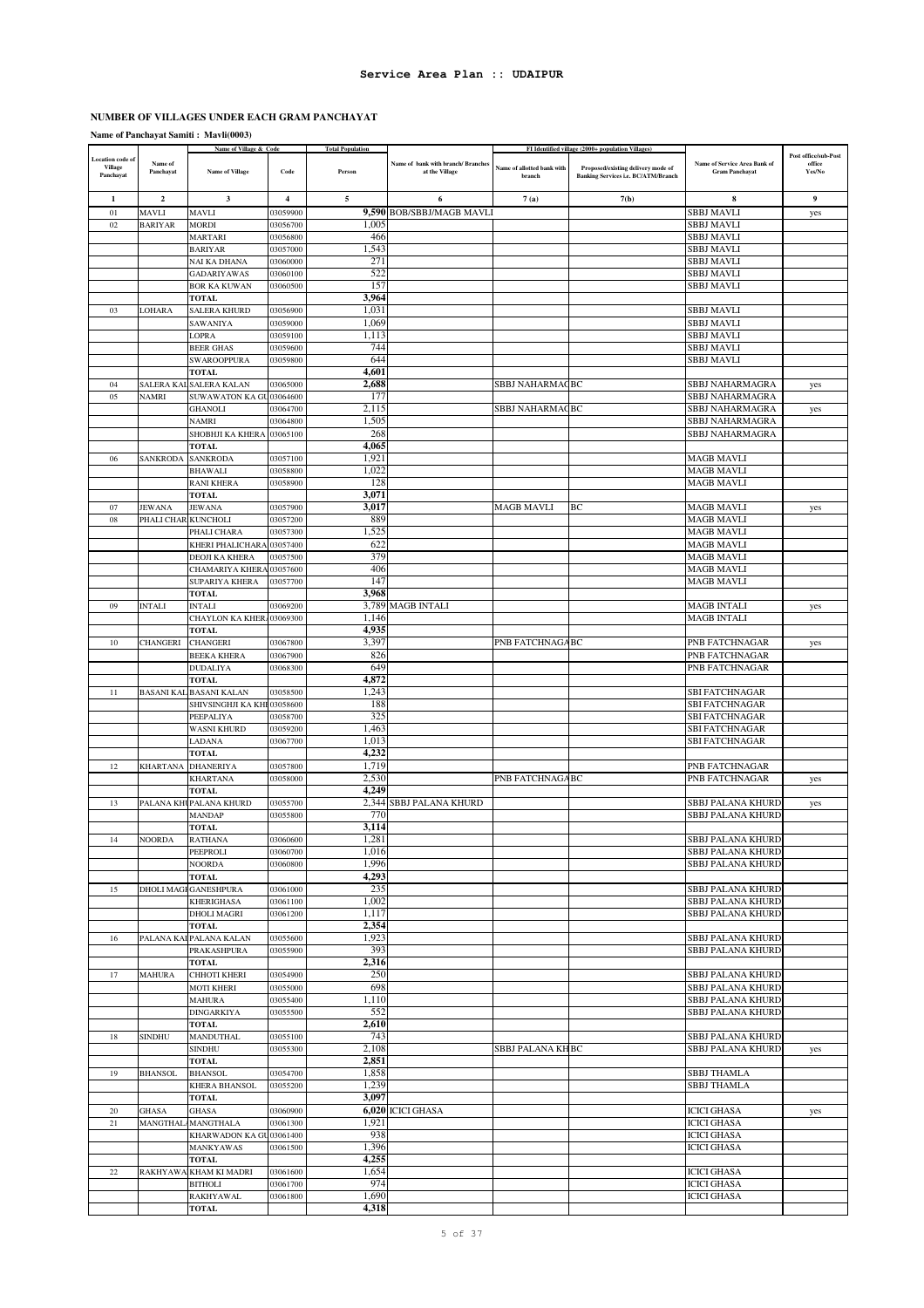#### **NUMBER OF VILLAGES UNDER EACH GRAM PANCHAYAT**

**Name of Panchayat Samiti : Mavli(0003)**

| <b>Location</b> code of<br><b>Village</b><br>Panchayat | Name of<br>Panchayat            | Name of Village & Code<br><b>Name of Village</b> | Code                 | <b>Total Population</b><br>Person | Name of bank with branch/ Branches<br>at the Village | Name of allotted bank with<br>branch | FI Identified village (2000+ population Villages)<br>Proposed/existing delivery mode of<br><b>Banking Services i.e. BC/ATM/Branch</b> | Name of Service Area Bank of<br><b>Gram Panchayat</b> | Post office/sub-Post<br>office<br>Yes/No |
|--------------------------------------------------------|---------------------------------|--------------------------------------------------|----------------------|-----------------------------------|------------------------------------------------------|--------------------------------------|---------------------------------------------------------------------------------------------------------------------------------------|-------------------------------------------------------|------------------------------------------|
| -1                                                     | $\overline{2}$                  | 3                                                | 4                    | 5                                 | 6                                                    | 7(a)                                 | 7(b)                                                                                                                                  | 8                                                     | 9                                        |
| 01                                                     | MAVLI                           | <b>MAVLI</b>                                     | 03059900             |                                   | 9,590 BOB/SBBJ/MAGB MAVLI                            |                                      |                                                                                                                                       | <b>SBBJ MAVLI</b>                                     | yes                                      |
| 02                                                     | <b>BARIYAR</b>                  | <b>MORDI</b>                                     | 03056700             | 1.005                             |                                                      |                                      |                                                                                                                                       | <b>SBBJ MAVLI</b>                                     |                                          |
|                                                        |                                 | <b>MARTARI</b>                                   | 03056800             | 466                               |                                                      |                                      |                                                                                                                                       | SBBJ MAVLI                                            |                                          |
|                                                        |                                 | <b>BARIYAR</b>                                   | 03057000             | 1,543                             |                                                      |                                      |                                                                                                                                       | SBBJ MAVLI                                            |                                          |
|                                                        |                                 | NAI KA DHANA<br><b>GADARIYAWAS</b>               | 03060000<br>03060100 | 271<br>522                        |                                                      |                                      |                                                                                                                                       | SBBJ MAVLI<br><b>SBBJ MAVLI</b>                       |                                          |
|                                                        |                                 | <b>BOR KA KUWAN</b>                              | 03060500             | 157                               |                                                      |                                      |                                                                                                                                       | SBBJ MAVLI                                            |                                          |
|                                                        |                                 | TOTAL                                            |                      | 3,964                             |                                                      |                                      |                                                                                                                                       |                                                       |                                          |
| 03                                                     | LOHARA                          | <b>SALERA KHURD</b>                              | 03056900             | 1,031                             |                                                      |                                      |                                                                                                                                       | <b>SBBJ MAVLI</b>                                     |                                          |
|                                                        |                                 | SAWANIYA                                         | 03059000             | 1,069                             |                                                      |                                      |                                                                                                                                       | <b>SBBJ MAVLI</b>                                     |                                          |
|                                                        |                                 | <b>LOPRA</b>                                     | 03059100             | 1,113                             |                                                      |                                      |                                                                                                                                       | SBBJ MAVLI                                            |                                          |
|                                                        |                                 | <b>BEER GHAS</b>                                 | 03059600             | 744                               |                                                      |                                      |                                                                                                                                       | SBBJ MAVLI                                            |                                          |
|                                                        |                                 | <b>SWAROOPPURA</b><br><b>TOTAL</b>               | 03059800             | 644<br>4,601                      |                                                      |                                      |                                                                                                                                       | <b>SBBJ MAVLI</b>                                     |                                          |
| 04                                                     |                                 | SALERA KAL SALERA KALAN                          | 03065000             | 2,688                             |                                                      | SBBJ NAHARMACBC                      |                                                                                                                                       | SBBJ NAHARMAGRA                                       | yes                                      |
| 05                                                     | NAMRI                           | SUWAWATON KA GU03064600                          |                      | 177                               |                                                      |                                      |                                                                                                                                       | SBBJ NAHARMAGRA                                       |                                          |
|                                                        |                                 | <b>GHANOLI</b>                                   | 03064700             | 2,115                             |                                                      | SBBJ NAHARMAC BC                     |                                                                                                                                       | SBBJ NAHARMAGRA                                       | yes                                      |
|                                                        |                                 | <b>NAMRI</b>                                     | 03064800             | 1,505                             |                                                      |                                      |                                                                                                                                       | SBBJ NAHARMAGRA                                       |                                          |
|                                                        |                                 | SHOBHJI KA KHERA                                 | 03065100             | 268                               |                                                      |                                      |                                                                                                                                       | SBBJ NAHARMAGRA                                       |                                          |
|                                                        |                                 | TOTAL                                            |                      | 4,065                             |                                                      |                                      |                                                                                                                                       |                                                       |                                          |
| 06                                                     | SANKRODA                        | <b>SANKRODA</b><br><b>BHAWALI</b>                | 03057100<br>03058800 | 1,921<br>1,022                    |                                                      |                                      |                                                                                                                                       | <b>MAGB MAVLI</b><br><b>MAGB MAVLI</b>                |                                          |
|                                                        |                                 | <b>RANI KHERA</b>                                | 03058900             | 128                               |                                                      |                                      |                                                                                                                                       | <b>MAGB MAVLI</b>                                     |                                          |
|                                                        |                                 | TOTAL                                            |                      | 3,071                             |                                                      |                                      |                                                                                                                                       |                                                       |                                          |
| 07                                                     | <b>JEWANA</b>                   | <b>JEWANA</b>                                    | 03057900             | 3,017                             |                                                      | <b>MAGB MAVLI</b>                    | BC                                                                                                                                    | <b>MAGB MAVLI</b>                                     | yes                                      |
| 08                                                     | PHALI CHAR KUNCHOLI             |                                                  | 03057200             | 889                               |                                                      |                                      |                                                                                                                                       | <b>MAGB MAVLI</b>                                     |                                          |
|                                                        |                                 | PHALI CHARA                                      | 03057300             | 1,525                             |                                                      |                                      |                                                                                                                                       | <b>MAGB MAVLI</b>                                     |                                          |
|                                                        |                                 | KHERI PHALICHARA                                 | 03057400             | 622<br>379                        |                                                      |                                      |                                                                                                                                       | <b>MAGB MAVLI</b><br><b>MAGB MAVLI</b>                |                                          |
|                                                        |                                 | DEOJI KA KHERA<br>CHAMARIYA KHERA                | 03057500<br>03057600 | 406                               |                                                      |                                      |                                                                                                                                       | <b>MAGB MAVLI</b>                                     |                                          |
|                                                        |                                 | SUPARIYA KHERA                                   | 03057700             | 147                               |                                                      |                                      |                                                                                                                                       | <b>MAGB MAVLI</b>                                     |                                          |
|                                                        |                                 | <b>TOTAL</b>                                     |                      | 3,968                             |                                                      |                                      |                                                                                                                                       |                                                       |                                          |
| 09                                                     | <b>INTALI</b>                   | <b>INTALI</b>                                    | 03069200             |                                   | 3,789 MAGB INTALI                                    |                                      |                                                                                                                                       | <b>MAGB INTALI</b>                                    | yes                                      |
|                                                        |                                 | CHAYLON KA KHER                                  | 403069300            | 1,146                             |                                                      |                                      |                                                                                                                                       | <b>MAGB INTALI</b>                                    |                                          |
|                                                        |                                 | <b>TOTAL</b>                                     |                      | 4,935                             |                                                      |                                      |                                                                                                                                       |                                                       |                                          |
| 10                                                     | <b>CHANGERI</b>                 | <b>CHANGERI</b>                                  | 03067800             | 3,397<br>826                      |                                                      | PNB FATCHNAGABC                      |                                                                                                                                       | PNB FATCHNAGAR                                        | yes                                      |
|                                                        |                                 | <b>BEEKA KHERA</b><br><b>DUDALIYA</b>            | 03067900<br>03068300 | 649                               |                                                      |                                      |                                                                                                                                       | PNB FATCHNAGAR<br>PNB FATCHNAGAR                      |                                          |
|                                                        |                                 | <b>TOTAL</b>                                     |                      | 4,872                             |                                                      |                                      |                                                                                                                                       |                                                       |                                          |
| 11                                                     |                                 | <b>BASANI KAL BASANI KALAN</b>                   | 03058500             | 1,243                             |                                                      |                                      |                                                                                                                                       | <b>SBI FATCHNAGAR</b>                                 |                                          |
|                                                        |                                 | SHIVSINGHJI KA KHI 03058600                      |                      | 188                               |                                                      |                                      |                                                                                                                                       | <b>SBI FATCHNAGAR</b>                                 |                                          |
|                                                        |                                 | PEEPALIYA                                        | 03058700             | 325                               |                                                      |                                      |                                                                                                                                       | <b>SBI FATCHNAGAR</b>                                 |                                          |
|                                                        |                                 | <b>WASNI KHURD</b>                               | 03059200             | 1,463<br>1,013                    |                                                      |                                      |                                                                                                                                       | <b>SBI FATCHNAGAR</b>                                 |                                          |
|                                                        |                                 | LADANA<br><b>TOTAL</b>                           | 03067700             | 4,232                             |                                                      |                                      |                                                                                                                                       | <b>SBI FATCHNAGAR</b>                                 |                                          |
| 12                                                     |                                 | KHARTANA DHANERIYA                               | 03057800             | 1,719                             |                                                      |                                      |                                                                                                                                       | PNB FATCHNAGAR                                        |                                          |
|                                                        |                                 | <b>KHARTANA</b>                                  | 03058000             | 2,530                             |                                                      | PNB FATCHNAGABC                      |                                                                                                                                       | PNB FATCHNAGAR                                        | yes                                      |
|                                                        |                                 | <b>TOTAL</b>                                     |                      | 4,249                             |                                                      |                                      |                                                                                                                                       |                                                       |                                          |
| 13                                                     |                                 | PALANA KHUPALANA KHURD                           | 03055700             | 2,344                             | <b>SBBJ PALANA KHURD</b>                             |                                      |                                                                                                                                       | SBBJ PALANA KHURD                                     | yes                                      |
|                                                        |                                 | <b>MANDAP</b>                                    | 03055800             | 770                               |                                                      |                                      |                                                                                                                                       | SBBJ PALANA KHURD                                     |                                          |
| 14                                                     | <b>NOORDA</b>                   | <b>TOTAL</b><br><b>RATHANA</b>                   | 03060600             | 3,114<br>1,281                    |                                                      |                                      |                                                                                                                                       | SBBJ PALANA KHURD                                     |                                          |
|                                                        |                                 | PEEPROLI                                         | 03060700             | 1,016                             |                                                      |                                      |                                                                                                                                       | SBBJ PALANA KHURD                                     |                                          |
|                                                        |                                 | <b>NOORDA</b>                                    | 03060800             | 1,996                             |                                                      |                                      |                                                                                                                                       | SBBJ PALANA KHURD                                     |                                          |
|                                                        |                                 | <b>TOTAL</b>                                     |                      | 4,293                             |                                                      |                                      |                                                                                                                                       |                                                       |                                          |
| 15                                                     |                                 | DHOLI MAGFGANESHPURA                             | 03061000             | 235                               |                                                      |                                      |                                                                                                                                       | <b>SBBJ PALANA KHURD</b>                              |                                          |
|                                                        |                                 | <b>KHERIGHASA</b>                                | 03061100             | 1,002                             |                                                      |                                      |                                                                                                                                       | SBBJ PALANA KHURD                                     |                                          |
|                                                        |                                 | <b>DHOLI MAGRI</b><br><b>TOTAL</b>               | 03061200             | 1,117<br>2,354                    |                                                      |                                      |                                                                                                                                       | SBBJ PALANA KHURD                                     |                                          |
| 16                                                     |                                 | PALANA KAI PALANA KALAN                          | 03055600             | 1,923                             |                                                      |                                      |                                                                                                                                       | SBBJ PALANA KHURD                                     |                                          |
|                                                        |                                 | PRAKASHPURA                                      | 03055900             | 393                               |                                                      |                                      |                                                                                                                                       | SBBJ PALANA KHURD                                     |                                          |
|                                                        |                                 | <b>TOTAL</b>                                     |                      | 2,316                             |                                                      |                                      |                                                                                                                                       |                                                       |                                          |
| 17                                                     | <b>MAHURA</b>                   | <b>CHHOTI KHERI</b>                              | 03054900             | 250                               |                                                      |                                      |                                                                                                                                       | SBBJ PALANA KHURD                                     |                                          |
|                                                        |                                 | <b>MOTI KHERI</b>                                | 03055000             | 698                               |                                                      |                                      |                                                                                                                                       | SBBJ PALANA KHURD                                     |                                          |
|                                                        |                                 | <b>MAHURA</b><br><b>DINGARKIYA</b>               | 03055400             | 1,110<br>552                      |                                                      |                                      |                                                                                                                                       | SBBJ PALANA KHURD<br>SBBJ PALANA KHURD                |                                          |
|                                                        |                                 | <b>TOTAL</b>                                     | 03055500             | 2,610                             |                                                      |                                      |                                                                                                                                       |                                                       |                                          |
| 18                                                     | <b>SINDHU</b>                   | <b>MANDUTHAL</b>                                 | 03055100             | 743                               |                                                      |                                      |                                                                                                                                       | SBBJ PALANA KHURD                                     |                                          |
|                                                        |                                 | <b>SINDHU</b>                                    | 03055300             | 2,108                             |                                                      | SBBJ PALANA KH BC                    |                                                                                                                                       | SBBJ PALANA KHURD                                     | yes                                      |
|                                                        |                                 | <b>TOTAL</b>                                     |                      | 2,851                             |                                                      |                                      |                                                                                                                                       |                                                       |                                          |
| 19                                                     | <b>BHANSOL</b>                  | <b>BHANSOL</b>                                   | 03054700             | 1,858                             |                                                      |                                      |                                                                                                                                       | <b>SBBJ THAMLA</b>                                    |                                          |
|                                                        |                                 | KHERA BHANSOL                                    | 03055200             | 1,239                             |                                                      |                                      |                                                                                                                                       | <b>SBBJ THAMLA</b>                                    |                                          |
|                                                        |                                 | <b>TOTAL</b>                                     |                      | 3,097                             | 6,020 ICICI GHASA                                    |                                      |                                                                                                                                       | <b>ICICI GHASA</b>                                    |                                          |
| 20<br>21                                               | <b>GHASA</b><br><b>MANGTHAL</b> | <b>GHASA</b><br><b>MANGTHALA</b>                 | 03060900<br>03061300 | 1,921                             |                                                      |                                      |                                                                                                                                       | <b>ICICI GHASA</b>                                    | yes                                      |
|                                                        |                                 | KHARWADON KA GU03061400                          |                      | 938                               |                                                      |                                      |                                                                                                                                       | <b>ICICI GHASA</b>                                    |                                          |
|                                                        |                                 | MANKYAWAS                                        | 03061500             | 1,396                             |                                                      |                                      |                                                                                                                                       | <b>ICICI GHASA</b>                                    |                                          |
|                                                        |                                 | <b>TOTAL</b>                                     |                      | 4,255                             |                                                      |                                      |                                                                                                                                       |                                                       |                                          |
| 22                                                     |                                 | RAKHYAWA KHAM KI MADRI                           | 03061600             | 1,654                             |                                                      |                                      |                                                                                                                                       | <b>ICICI GHASA</b>                                    |                                          |
|                                                        |                                 | <b>BITHOLI</b>                                   | 03061700             | 974                               |                                                      |                                      |                                                                                                                                       | <b>ICICI GHASA</b>                                    |                                          |
|                                                        |                                 | <b>RAKHYAWAL</b><br><b>TOTAL</b>                 | 03061800             | 1,690<br>4,318                    |                                                      |                                      |                                                                                                                                       | <b>ICICI GHASA</b>                                    |                                          |
|                                                        |                                 |                                                  |                      |                                   |                                                      |                                      |                                                                                                                                       |                                                       |                                          |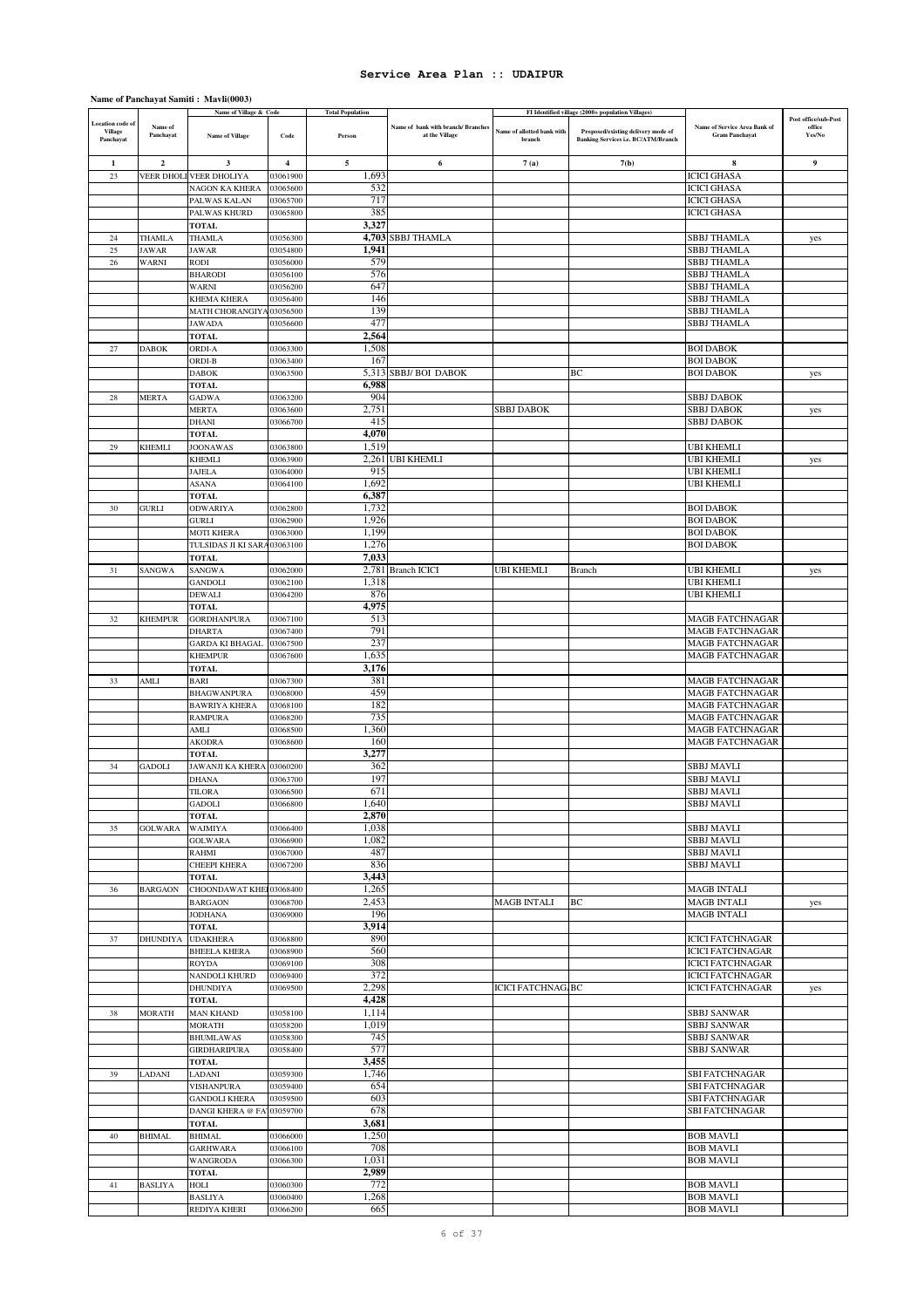### **Name of Panchayat Samiti : Mavli(0003)**

|                                           |                 | Name of Village & Code                   |                         | <b>Total Population</b> |                                    |                            | FI Identified village (2000+ population Villages) |                                                    | Post office/sub-Post |
|-------------------------------------------|-----------------|------------------------------------------|-------------------------|-------------------------|------------------------------------|----------------------------|---------------------------------------------------|----------------------------------------------------|----------------------|
| <b>Location</b> code of<br><b>Village</b> | Name of         |                                          |                         |                         | Name of bank with branch/ Branches | Name of allotted bank with | Proposed/existing delivery mode of                | Name of Service Area Bank of                       | office               |
| Panchayat                                 | Panchayat       | <b>Name of Village</b>                   | Code                    | Person                  | at the Village                     | branch                     | <b>Banking Services i.e. BC/ATM/Branch</b>        | <b>Gram Panchayat</b>                              | Yes/No               |
|                                           |                 |                                          |                         |                         |                                    |                            |                                                   |                                                    |                      |
| 1                                         | $\overline{2}$  | 3                                        | $\overline{\mathbf{4}}$ | 5                       | 6                                  | 7(a)                       | 7(b)                                              | 8                                                  | $\boldsymbol{9}$     |
| 23                                        |                 | VEER DHOLI VEER DHOLIYA                  | 03061900                | 1,693                   |                                    |                            |                                                   | <b>ICICI GHASA</b>                                 |                      |
|                                           |                 | <b>NAGON KA KHERA</b>                    | 03065600                | 532                     |                                    |                            |                                                   | <b>ICICI GHASA</b>                                 |                      |
|                                           |                 | PALWAS KALAN                             | 03065700                | 717                     |                                    |                            |                                                   | <b>ICICI GHASA</b>                                 |                      |
|                                           |                 | PALWAS KHURD                             | 03065800                | 385                     |                                    |                            |                                                   | <b>ICICI GHASA</b>                                 |                      |
|                                           |                 | TOTAL                                    |                         | 3,327                   |                                    |                            |                                                   |                                                    |                      |
| 24                                        | THAMLA          | THAMLA                                   | 03056300                |                         | 4,703 SBBJ THAMLA                  |                            |                                                   | <b>SBBJ THAMLA</b>                                 | yes                  |
| 25                                        | <b>JAWAR</b>    | <b>JAWAR</b>                             | 03054800                | 1,941                   |                                    |                            |                                                   | <b>SBBJ THAMLA</b>                                 |                      |
| 26                                        | WARNI           | RODI<br><b>BHARODI</b>                   | 03056000<br>03056100    | 579<br>576              |                                    |                            |                                                   | <b>SBBJ THAMLA</b><br><b>SBBJ THAMLA</b>           |                      |
|                                           |                 | WARNI                                    | 03056200                | 647                     |                                    |                            |                                                   | <b>SBBJ THAMLA</b>                                 |                      |
|                                           |                 | KHEMA KHERA                              | 03056400                | 146                     |                                    |                            |                                                   | <b>SBBJ THAMLA</b>                                 |                      |
|                                           |                 | MATH CHORANGIYA 03056500                 |                         | 139                     |                                    |                            |                                                   | <b>SBBJ THAMLA</b>                                 |                      |
|                                           |                 | <b>JAWADA</b>                            | 03056600                | 477                     |                                    |                            |                                                   | <b>SBBJ THAMLA</b>                                 |                      |
|                                           |                 | <b>TOTAL</b>                             |                         | 2,564                   |                                    |                            |                                                   |                                                    |                      |
| 27                                        | <b>DABOK</b>    | ORDI-A                                   | 03063300                | 1,508                   |                                    |                            |                                                   | <b>BOI DABOK</b>                                   |                      |
|                                           |                 | ORDI-B                                   | 03063400                | 167                     |                                    |                            |                                                   | <b>BOI DABOK</b>                                   |                      |
|                                           |                 | <b>DABOK</b>                             | 03063500                | 5,313                   | <b>SBBJ/BOI DABOK</b>              |                            | ВC                                                | <b>BOI DABOK</b>                                   | yes                  |
|                                           |                 | <b>TOTAL</b>                             |                         | 6,988                   |                                    |                            |                                                   |                                                    |                      |
| 28                                        | <b>MERTA</b>    | <b>GADWA</b>                             | 03063200                | 904                     |                                    |                            |                                                   | SBBJ DABOK                                         |                      |
|                                           |                 | <b>MERTA</b>                             | 03063600                | 2,751                   |                                    | <b>SBBJ DABOK</b>          |                                                   | <b>SBBJ DABOK</b>                                  | yes                  |
|                                           |                 | DHANI                                    | 03066700                | 415                     |                                    |                            |                                                   | <b>SBBJ DABOK</b>                                  |                      |
|                                           |                 | TOTAL                                    |                         | 4,070                   |                                    |                            |                                                   |                                                    |                      |
| 29                                        | <b>KHEMLI</b>   | <b>JOONAWAS</b>                          | 03063800                | 1,519                   | 2,261 UBI KHEMLI                   |                            |                                                   | <b>UBI KHEMLI</b>                                  |                      |
|                                           |                 | KHEMLI<br>JAJELA                         | 03063900<br>03064000    | 915                     |                                    |                            |                                                   | <b>UBI KHEMLI</b><br><b>UBI KHEMLI</b>             | yes                  |
|                                           |                 | <b>ASANA</b>                             | 03064100                | 1,692                   |                                    |                            |                                                   | <b>UBI KHEMLI</b>                                  |                      |
|                                           |                 | <b>TOTAL</b>                             |                         | 6,387                   |                                    |                            |                                                   |                                                    |                      |
| 30                                        | <b>GURLI</b>    | <b>ODWARIYA</b>                          | 03062800                | 1,732                   |                                    |                            |                                                   | <b>BOI DABOK</b>                                   |                      |
|                                           |                 | <b>GURLI</b>                             | 03062900                | 1,926                   |                                    |                            |                                                   | <b>BOI DABOK</b>                                   |                      |
|                                           |                 | <b>MOTI KHERA</b>                        | 03063000                | 1,199                   |                                    |                            |                                                   | <b>BOI DABOK</b>                                   |                      |
|                                           |                 | TULSIDAS JI KI SARA 03063100             |                         | 1,276                   |                                    |                            |                                                   | <b>BOI DABOK</b>                                   |                      |
|                                           |                 | <b>TOTAL</b>                             |                         | 7,033                   |                                    |                            |                                                   |                                                    |                      |
| 31                                        | SANGWA          | <b>SANGWA</b>                            | 03062000                |                         | 2,781 Branch ICICI                 | <b>UBI KHEMLI</b>          | Branch                                            | <b>UBI KHEMLI</b>                                  | yes                  |
|                                           |                 | GANDOLI                                  | 03062100                | 1,318                   |                                    |                            |                                                   | <b>UBI KHEMLI</b>                                  |                      |
|                                           |                 | <b>DEWALI</b>                            | 03064200                | 876                     |                                    |                            |                                                   | <b>UBI KHEMLI</b>                                  |                      |
|                                           |                 | <b>TOTAL</b>                             |                         | 4,975                   |                                    |                            |                                                   |                                                    |                      |
| 32                                        | <b>KHEMPUR</b>  | <b>GORDHANPURA</b>                       | 03067100                | 513                     |                                    |                            |                                                   | <b>MAGB FATCHNAGAR</b>                             |                      |
|                                           |                 | <b>DHARTA</b>                            | 03067400                | 791<br>237              |                                    |                            |                                                   | <b>MAGB FATCHNAGAR</b>                             |                      |
|                                           |                 | <b>GARDA KI BHAGAL</b><br><b>KHEMPUR</b> | 03067500<br>03067600    | 1,635                   |                                    |                            |                                                   | <b>MAGB FATCHNAGAR</b><br><b>MAGB FATCHNAGAR</b>   |                      |
|                                           |                 | <b>TOTAL</b>                             |                         | 3,176                   |                                    |                            |                                                   |                                                    |                      |
| 33                                        | AMLI            | BARI                                     | 03067300                | 381                     |                                    |                            |                                                   | <b>MAGB FATCHNAGAR</b>                             |                      |
|                                           |                 | <b>BHAGWANPURA</b>                       | 03068000                | 459                     |                                    |                            |                                                   | <b>MAGB FATCHNAGAR</b>                             |                      |
|                                           |                 | <b>BAWRIYA KHERA</b>                     | 03068100                | 182                     |                                    |                            |                                                   | <b>MAGB FATCHNAGAR</b>                             |                      |
|                                           |                 | <b>RAMPURA</b>                           | 03068200                | 735                     |                                    |                            |                                                   | <b>MAGB FATCHNAGAR</b>                             |                      |
|                                           |                 | AMLI                                     | 03068500                | 1,360                   |                                    |                            |                                                   | <b>MAGB FATCHNAGAR</b>                             |                      |
|                                           |                 | AKODRA                                   | 03068600                | 160                     |                                    |                            |                                                   | <b>MAGB FATCHNAGAR</b>                             |                      |
|                                           |                 | <b>TOTAL</b>                             |                         | 3,277                   |                                    |                            |                                                   |                                                    |                      |
| 34                                        | <b>GADOLI</b>   | <b>JAWANJI KA KHERA</b>                  | 03060200                | 362                     |                                    |                            |                                                   | <b>SBBJ MAVLI</b>                                  |                      |
|                                           |                 | <b>DHANA</b>                             | 03063700                | 197                     |                                    |                            |                                                   | SBBJ MAVLI                                         |                      |
|                                           |                 | TILORA<br><b>GADOLI</b>                  | 03066500<br>03066800    | 671<br>1,640            |                                    |                            |                                                   | <b>SBBJ MAVLI</b><br><b>SBBJ MAVLI</b>             |                      |
|                                           |                 | <b>TOTAL</b>                             |                         | 2,870                   |                                    |                            |                                                   |                                                    |                      |
| 35                                        | <b>GOLWARA</b>  | <b>WAJMIYA</b>                           | 03066400                | 1,038                   |                                    |                            |                                                   | <b>SBBJ MAVLI</b>                                  |                      |
|                                           |                 | <b>GOLWARA</b>                           | 03066900                | 1,082                   |                                    |                            |                                                   | <b>SBBJ MAVLI</b>                                  |                      |
|                                           |                 | RAHMI                                    | 03067000                | 487                     |                                    |                            |                                                   | <b>SBBJ MAVLI</b>                                  |                      |
|                                           |                 | CHEEPI KHERA                             | 03067200                | 836                     |                                    |                            |                                                   | <b>SBBJ MAVLI</b>                                  |                      |
|                                           |                 | <b>TOTAL</b>                             |                         | 3,443                   |                                    |                            |                                                   |                                                    |                      |
| 36                                        | <b>BARGAON</b>  | CHOONDAWAT KHEI 03068400                 |                         | 1,265                   |                                    |                            |                                                   | <b>MAGB INTALI</b>                                 |                      |
|                                           |                 | <b>BARGAON</b>                           | 03068700                | 2,453                   |                                    | <b>MAGB INTALI</b>         | ВC                                                | <b>MAGB INTALI</b>                                 | yes                  |
|                                           |                 | <b>JODHANA</b>                           | 03069000                | 196                     |                                    |                            |                                                   | <b>MAGB INTALI</b>                                 |                      |
|                                           |                 | <b>TOTAL</b>                             |                         | 3,914                   |                                    |                            |                                                   |                                                    |                      |
| 37                                        | <b>DHUNDIYA</b> | <b>UDAKHERA</b>                          | 03068800                | 890                     |                                    |                            |                                                   | <b>ICICI FATCHNAGAR</b>                            |                      |
|                                           |                 | <b>BHEELA KHERA</b><br><b>ROYDA</b>      | 03068900<br>03069100    | 560<br>308              |                                    |                            |                                                   | <b>ICICI FATCHNAGAR</b><br><b>ICICI FATCHNAGAR</b> |                      |
|                                           |                 | NANDOLI KHURD                            | 03069400                | 372                     |                                    |                            |                                                   | <b>ICICI FATCHNAGAR</b>                            |                      |
|                                           |                 | <b>DHUNDIYA</b>                          | 03069500                | 2,298                   |                                    | <b>ICICI FATCHNAG BC</b>   |                                                   | <b>ICICI FATCHNAGAR</b>                            | yes                  |
|                                           |                 | <b>TOTAL</b>                             |                         | 4,428                   |                                    |                            |                                                   |                                                    |                      |
| 38                                        | <b>MORATH</b>   | <b>MAN KHAND</b>                         | 03058100                | 1,114                   |                                    |                            |                                                   | <b>SBBJ SANWAR</b>                                 |                      |
|                                           |                 | <b>MORATH</b>                            | 03058200                | 1,019                   |                                    |                            |                                                   | <b>SBBJ SANWAR</b>                                 |                      |
|                                           |                 | <b>BHUMLAWAS</b>                         | 03058300                | 745                     |                                    |                            |                                                   | <b>SBBJ SANWAR</b>                                 |                      |
|                                           |                 | GIRDHARIPURA                             | 03058400                | 577                     |                                    |                            |                                                   | <b>SBBJ SANWAR</b>                                 |                      |
|                                           |                 | <b>TOTAL</b>                             |                         | 3,455                   |                                    |                            |                                                   |                                                    |                      |
| 39                                        | LADANI          | LADANI                                   | 03059300                | 1,746                   |                                    |                            |                                                   | <b>SBI FATCHNAGAR</b>                              |                      |
|                                           |                 | <b>VISHANPURA</b>                        | 03059400                | 654                     |                                    |                            |                                                   | <b>SBI FATCHNAGAR</b>                              |                      |
|                                           |                 | <b>GANDOLI KHERA</b>                     | 03059500                | 603                     |                                    |                            |                                                   | <b>SBI FATCHNAGAR</b>                              |                      |
|                                           |                 | DANGI KHERA @ FA103059700                |                         | 678                     |                                    |                            |                                                   | <b>SBI FATCHNAGAR</b>                              |                      |
| 40                                        | <b>BHIMAL</b>   | <b>TOTAL</b><br><b>BHIMAL</b>            | 03066000                | 3,681<br>1,250          |                                    |                            |                                                   | <b>BOB MAVLI</b>                                   |                      |
|                                           |                 | <b>GARHWARA</b>                          | 03066100                | 708                     |                                    |                            |                                                   | <b>BOB MAVLI</b>                                   |                      |
|                                           |                 | <b>WANGRODA</b>                          | 03066300                | 1,031                   |                                    |                            |                                                   | <b>BOB MAVLI</b>                                   |                      |
|                                           |                 | <b>TOTAL</b>                             |                         | 2,989                   |                                    |                            |                                                   |                                                    |                      |
| 41                                        | <b>BASLIYA</b>  | HOLI                                     | 03060300                | 772                     |                                    |                            |                                                   | <b>BOB MAVLI</b>                                   |                      |
|                                           |                 | <b>BASLIYA</b>                           | 03060400                | 1,268                   |                                    |                            |                                                   | <b>BOB MAVLI</b>                                   |                      |
|                                           |                 | REDIYA KHERI                             | 03066200                | 665                     |                                    |                            |                                                   | <b>BOB MAVLI</b>                                   |                      |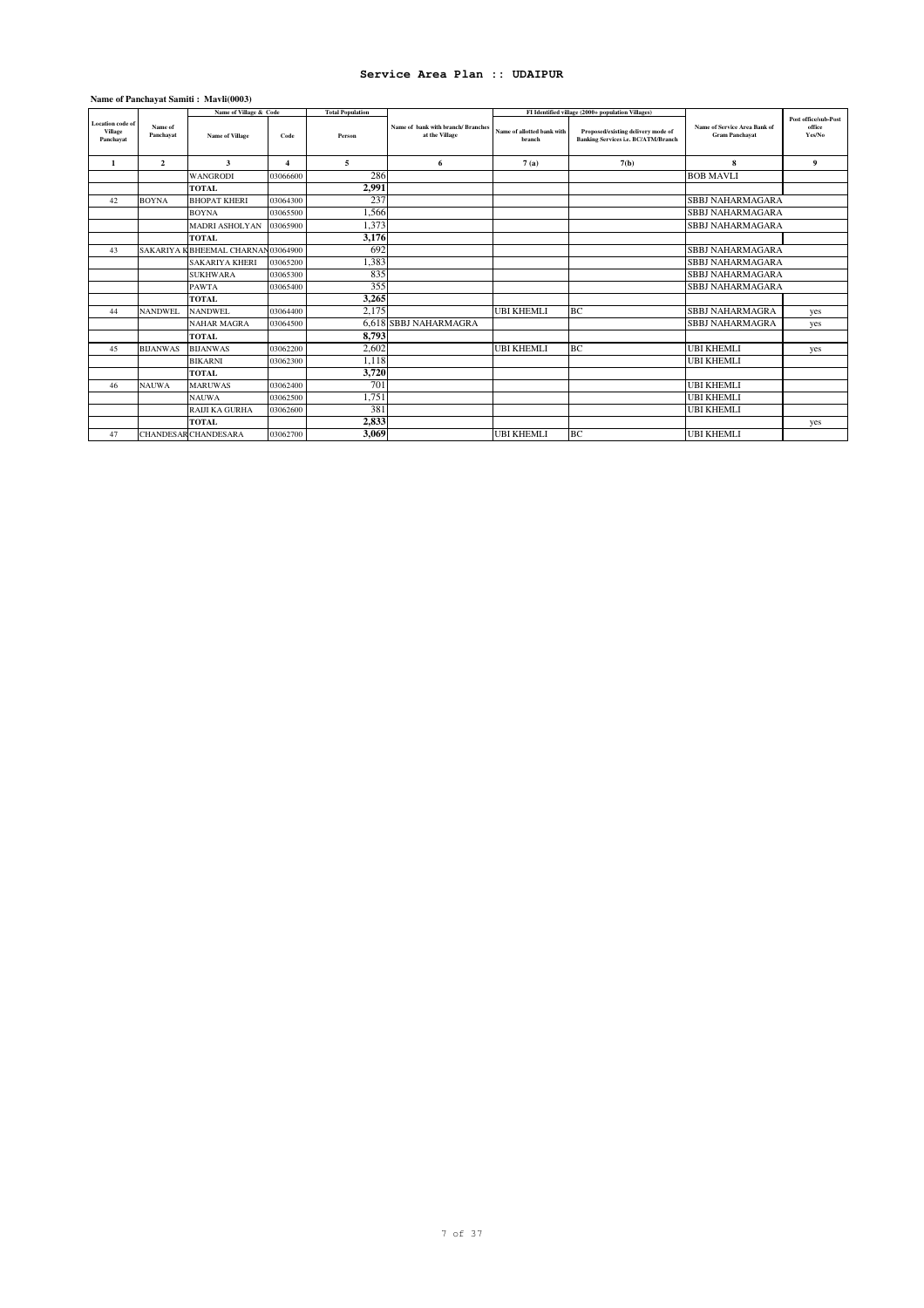### **Name of Panchayat Samiti : Mavli(0003)**

|                                          |                      | Name of Village & Code            |                       | <b>Total Population</b> |                                                     |                                      | FI Identified village (2000+ population Villages)                                |                                                       |                                          |
|------------------------------------------|----------------------|-----------------------------------|-----------------------|-------------------------|-----------------------------------------------------|--------------------------------------|----------------------------------------------------------------------------------|-------------------------------------------------------|------------------------------------------|
| Location code of<br>Village<br>Panchavat | Name of<br>Panchayat | <b>Name of Village</b>            | Code                  | Person                  | Name of bank with branch/Branches<br>at the Village | Name of allotted bank with<br>hranch | Proposed/existing delivery mode of<br><b>Banking Services i.e. BC/ATM/Branch</b> | Name of Service Area Bank of<br><b>Gram Panchayat</b> | Post office/sub-Post<br>office<br>Yes/No |
| 1                                        | $\mathbf{2}$         | 3                                 | $\boldsymbol{\Delta}$ | 5                       | 6                                                   | 7(a)                                 | 7(b)                                                                             | 8                                                     | $\boldsymbol{9}$                         |
|                                          |                      | <b>WANGRODI</b>                   | 03066600              | 286                     |                                                     |                                      |                                                                                  | <b>BOB MAVLI</b>                                      |                                          |
|                                          |                      | <b>TOTAL</b>                      |                       | 2.991                   |                                                     |                                      |                                                                                  |                                                       |                                          |
| 42                                       | <b>BOYNA</b>         | <b>BHOPAT KHERI</b>               | 03064300              | 237                     |                                                     |                                      |                                                                                  | <b>SBBJ NAHARMAGARA</b>                               |                                          |
|                                          |                      | <b>BOYNA</b>                      | 03065500              | 1,566                   |                                                     |                                      |                                                                                  | <b>SBBJ NAHARMAGARA</b>                               |                                          |
|                                          |                      | <b>MADRI ASHOLYAN</b>             | 03065900              | 1,373                   |                                                     |                                      |                                                                                  | <b>SBBJ NAHARMAGARA</b>                               |                                          |
|                                          |                      | <b>TOTAL</b>                      |                       | 3,176                   |                                                     |                                      |                                                                                  |                                                       |                                          |
| 43                                       |                      | SAKARIYA KBHEEMAL CHARNAN03064900 |                       | 692                     |                                                     |                                      |                                                                                  | <b>SBBJ NAHARMAGARA</b>                               |                                          |
|                                          |                      | <b>SAKARIYA KHERI</b>             | 03065200              | 1,383                   |                                                     |                                      |                                                                                  | <b>SBBJ NAHARMAGARA</b>                               |                                          |
|                                          |                      | <b>SUKHWARA</b>                   | 03065300              | 835                     |                                                     |                                      |                                                                                  | <b>SBBJ NAHARMAGARA</b>                               |                                          |
|                                          |                      | <b>PAWTA</b>                      | 03065400              | 355                     |                                                     |                                      |                                                                                  | <b>SBBJ NAHARMAGARA</b>                               |                                          |
|                                          |                      | <b>TOTAL</b>                      |                       | 3,265                   |                                                     |                                      |                                                                                  |                                                       |                                          |
| 44                                       | <b>NANDWEL</b>       | NANDWEL.                          | 03064400              | 2,175                   |                                                     | <b>UBI KHEMLI</b>                    | <b>BC</b>                                                                        | <b>SBBJ NAHARMAGRA</b>                                | yes                                      |
|                                          |                      | <b>NAHAR MAGRA</b>                | 03064500              |                         | 6.618 SBBJ NAHARMAGRA                               |                                      |                                                                                  | <b>SBBJ NAHARMAGRA</b>                                | yes                                      |
|                                          |                      | <b>TOTAL</b>                      |                       | 8,793                   |                                                     |                                      |                                                                                  |                                                       |                                          |
| 45                                       | <b>BIJANWAS</b>      | <b>BIJANWAS</b>                   | 03062200              | 2.602                   |                                                     | <b>UBI KHEMLI</b>                    | BC                                                                               | <b>UBI KHEMLI</b>                                     | yes                                      |
|                                          |                      | <b>BIKARNI</b>                    | 03062300              | 1,118                   |                                                     |                                      |                                                                                  | <b>UBI KHEMLI</b>                                     |                                          |
|                                          |                      | <b>TOTAL</b>                      |                       | 3,720                   |                                                     |                                      |                                                                                  |                                                       |                                          |
| 46                                       | <b>NAUWA</b>         | <b>MARUWAS</b>                    | 03062400              | 701                     |                                                     |                                      |                                                                                  | <b>UBI KHEMLI</b>                                     |                                          |
|                                          |                      | <b>NAUWA</b>                      | 03062500              | 1,751                   |                                                     |                                      |                                                                                  | <b>UBI KHEMLI</b>                                     |                                          |
|                                          |                      | RAIJI KA GURHA                    | 03062600              | 381                     |                                                     |                                      |                                                                                  | <b>UBI KHEMLI</b>                                     |                                          |
|                                          |                      | <b>TOTAL</b>                      |                       | 2,833                   |                                                     |                                      |                                                                                  |                                                       | yes                                      |
| 47                                       |                      | <b>CHANDESAR CHANDESARA</b>       | 03062700              | 3,069                   |                                                     | <b>UBI KHEMLI</b>                    | BC                                                                               | <b>UBI KHEMLI</b>                                     |                                          |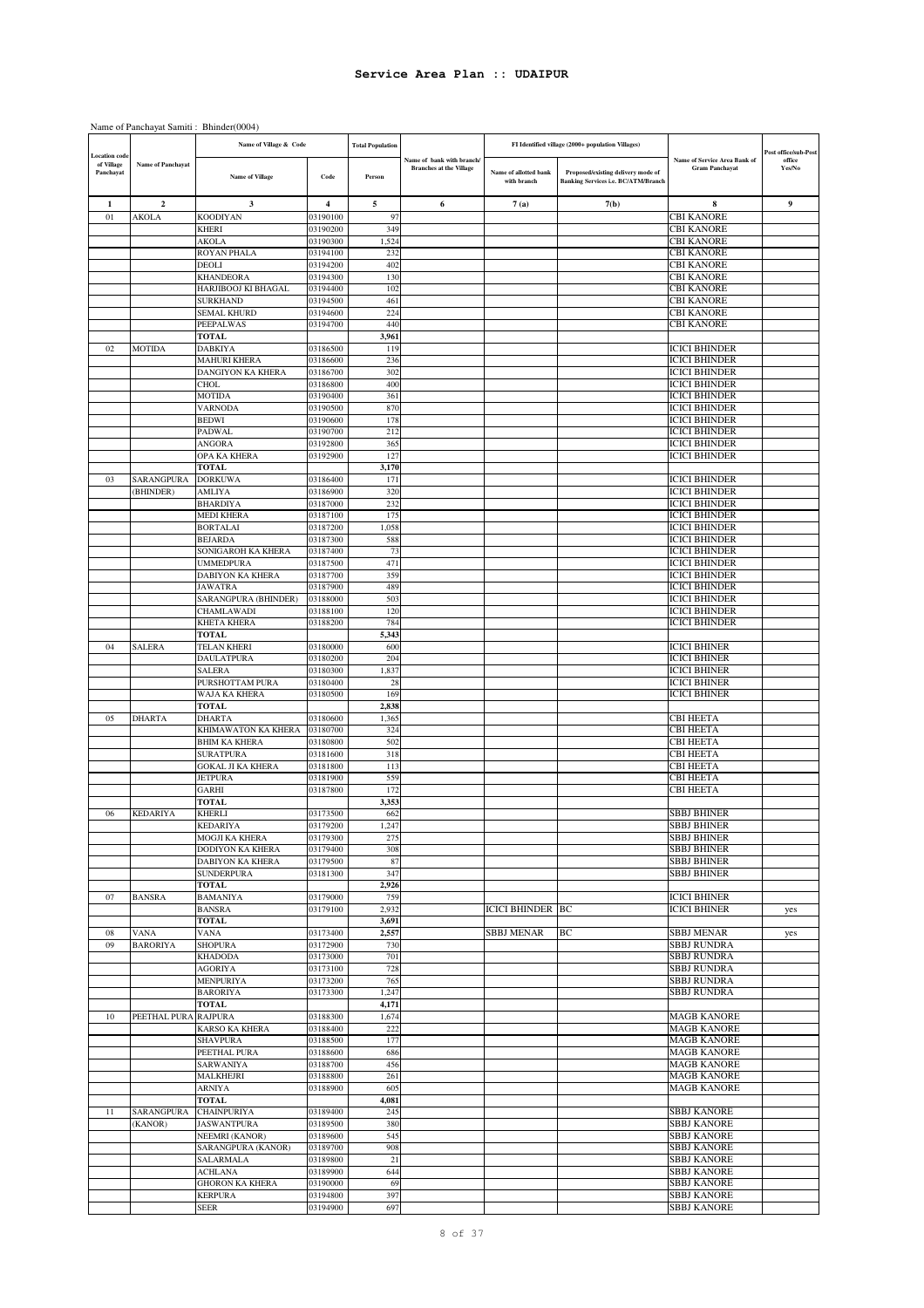### Name of Panchayat Samiti : Bhinder(0004)

|                                         |                          | Name of Village & Code                   |                      | <b>Total Population</b> |                                                            |                                      | FI Identified village (2000+ population Villages)                                |                                                              | Post office/sub-Post |
|-----------------------------------------|--------------------------|------------------------------------------|----------------------|-------------------------|------------------------------------------------------------|--------------------------------------|----------------------------------------------------------------------------------|--------------------------------------------------------------|----------------------|
| ocation code<br>of Village<br>Panchayat | <b>Name of Panchavat</b> | <b>Name of Village</b>                   | Code                 | Person                  | Name of bank with branch<br><b>Branches at the Village</b> | Name of allotted bank<br>with branch | Proposed/existing delivery mode of<br><b>Banking Services i.e. BC/ATM/Branch</b> | <b>Name of Service Area Bank of</b><br><b>Gram Panchayat</b> | office<br>Yes/No     |
| 1                                       | 2                        | 3                                        | 4                    | 5                       | 6                                                          | 7(a)                                 | 7(b)                                                                             | 8                                                            | 9                    |
| 01                                      | AKOLA                    | <b>KOODIYAN</b>                          | 03190100             | 97                      |                                                            |                                      |                                                                                  | CBI KANORE                                                   |                      |
|                                         |                          | <b>KHERI</b>                             | 03190200<br>03190300 | 349                     |                                                            |                                      |                                                                                  | CBI KANORE<br>CBI KANORE                                     |                      |
|                                         |                          | AKOLA<br>ROYAN PHALA                     | 03194100             | 1,524<br>232            |                                                            |                                      |                                                                                  | CBI KANORE                                                   |                      |
|                                         |                          | DEOLI                                    | 03194200             | 402                     |                                                            |                                      |                                                                                  | CBI KANORE                                                   |                      |
|                                         |                          | KHANDEORA                                | 03194300             | 130                     |                                                            |                                      |                                                                                  | <b>CBI KANORE</b>                                            |                      |
|                                         |                          | HARJIBOOJ KI BHAGAL                      | 03194400             | 102                     |                                                            |                                      |                                                                                  | CBI KANORE                                                   |                      |
|                                         |                          | <b>SURKHAND</b>                          | 03194500             | 461                     |                                                            |                                      |                                                                                  | CBI KANORE                                                   |                      |
|                                         |                          | <b>SEMAL KHURD</b>                       | 03194600<br>03194700 | 224<br>440              |                                                            |                                      |                                                                                  | CBI KANORE<br><b>CBI KANORE</b>                              |                      |
|                                         |                          | PEEPALWAS<br>TOTAL                       |                      | 3,961                   |                                                            |                                      |                                                                                  |                                                              |                      |
| 02                                      | MOTIDA                   | <b>DABKIYA</b>                           | 03186500             | 119                     |                                                            |                                      |                                                                                  | <b>ICICI BHINDER</b>                                         |                      |
|                                         |                          | <b>MAHURI KHERA</b>                      | 03186600             | 236                     |                                                            |                                      |                                                                                  | <b>ICICI BHINDER</b>                                         |                      |
|                                         |                          | DANGIYON KA KHERA                        | 03186700             | 302                     |                                                            |                                      |                                                                                  | <b>ICICI BHINDER</b>                                         |                      |
|                                         |                          | <b>CHOL</b>                              | 03186800             | 400                     |                                                            |                                      |                                                                                  | <b>ICICI BHINDER</b>                                         |                      |
|                                         |                          | <b>MOTIDA</b><br><b>VARNODA</b>          | 03190400             | 361<br>870              |                                                            |                                      |                                                                                  | <b>ICICI BHINDER</b><br><b>ICICI BHINDER</b>                 |                      |
|                                         |                          | <b>BEDWI</b>                             | 03190500<br>03190600 | 178                     |                                                            |                                      |                                                                                  | <b>ICICI BHINDER</b>                                         |                      |
|                                         |                          | PADWAL                                   | 03190700             | 212                     |                                                            |                                      |                                                                                  | <b>ICICI BHINDER</b>                                         |                      |
|                                         |                          | <b>ANGORA</b>                            | 03192800             | 365                     |                                                            |                                      |                                                                                  | <b>ICICI BHINDER</b>                                         |                      |
|                                         |                          | OPA KA KHERA                             | 03192900             | 127                     |                                                            |                                      |                                                                                  | <b>ICICI BHINDER</b>                                         |                      |
|                                         |                          | TOTAL                                    |                      | 3,170                   |                                                            |                                      |                                                                                  |                                                              |                      |
| 03                                      | SARANGPURA               | <b>DORKUWA</b>                           | 03186400             | 171                     |                                                            |                                      |                                                                                  | <b>ICICI BHINDER</b>                                         |                      |
|                                         | <b>BHINDER</b> )         | <b>AMLIYA</b><br><b>BHARDIYA</b>         | 03186900<br>03187000 | 320<br>232              |                                                            |                                      |                                                                                  | <b>ICICI BHINDER</b><br><b>ICICI BHINDER</b>                 |                      |
|                                         |                          | <b>MEDI KHERA</b>                        | 03187100             | 175                     |                                                            |                                      |                                                                                  | <b>ICICI BHINDER</b>                                         |                      |
|                                         |                          | <b>BORTALAI</b>                          | 03187200             | 1,058                   |                                                            |                                      |                                                                                  | <b>ICICI BHINDER</b>                                         |                      |
|                                         |                          | <b>BEJARDA</b>                           | 03187300             | 588                     |                                                            |                                      |                                                                                  | <b>ICICI BHINDER</b>                                         |                      |
|                                         |                          | SONIGAROH KA KHERA                       | 03187400             | 73                      |                                                            |                                      |                                                                                  | <b>ICICI BHINDER</b>                                         |                      |
|                                         |                          | <b>UMMEDPURA</b>                         | 03187500             | 471                     |                                                            |                                      |                                                                                  | <b>ICICI BHINDER</b>                                         |                      |
|                                         |                          | DABIYON KA KHERA<br><b>JAWATRA</b>       | 03187700<br>03187900 | 359<br>489              |                                                            |                                      |                                                                                  | <b>ICICI BHINDER</b><br><b>ICICI BHINDER</b>                 |                      |
|                                         |                          | SARANGPURA (BHINDER)                     | 03188000             | 503                     |                                                            |                                      |                                                                                  | <b>ICICI BHINDER</b>                                         |                      |
|                                         |                          | CHAMLAWADI                               | 03188100             | 120                     |                                                            |                                      |                                                                                  | <b>ICICI BHINDER</b>                                         |                      |
|                                         |                          | <b>KHETA KHERA</b>                       | 03188200             | 784                     |                                                            |                                      |                                                                                  | <b>ICICI BHINDER</b>                                         |                      |
|                                         |                          | TOTAL                                    |                      | 5,343                   |                                                            |                                      |                                                                                  |                                                              |                      |
| 04                                      | SALERA                   | <b>TELAN KHERI</b>                       | 03180000             | 600                     |                                                            |                                      |                                                                                  | <b>ICICI BHINER</b>                                          |                      |
|                                         |                          | <b>DAULATPURA</b><br><b>SALERA</b>       | 03180200<br>03180300 | 204<br>1,837            |                                                            |                                      |                                                                                  | <b>ICICI BHINER</b><br><b>ICICI BHINER</b>                   |                      |
|                                         |                          | PURSHOTTAM PURA                          | 03180400             | 28                      |                                                            |                                      |                                                                                  | <b>ICICI BHINER</b>                                          |                      |
|                                         |                          | WAJA KA KHERA                            | 03180500             | 169                     |                                                            |                                      |                                                                                  | ICICI BHINER                                                 |                      |
|                                         |                          | <b>TOTAL</b>                             |                      | 2,838                   |                                                            |                                      |                                                                                  |                                                              |                      |
| 05                                      | <b>DHARTA</b>            | <b>DHARTA</b>                            | 03180600             | 1,365                   |                                                            |                                      |                                                                                  | CBI HEETA                                                    |                      |
|                                         |                          | KHIMAWATON KA KHERA                      | 03180700             | 324                     |                                                            |                                      |                                                                                  | СВІ НЕЕТА                                                    |                      |
|                                         |                          | <b>BHIM KA KHERA</b><br><b>SURATPURA</b> | 03180800<br>03181600 | 502<br>318              |                                                            |                                      |                                                                                  | <b>CBI HEETA</b><br>CBI HEETA                                |                      |
|                                         |                          | <b>GOKAL JI KA KHERA</b>                 | 03181800             | 113                     |                                                            |                                      |                                                                                  | CBI HEETA                                                    |                      |
|                                         |                          | <b>JETPURA</b>                           | 03181900             | 559                     |                                                            |                                      |                                                                                  | СВІ НЕЕТА                                                    |                      |
|                                         |                          | GARHI                                    | 03187800             | 172                     |                                                            |                                      |                                                                                  | СВІ НЕЕТА                                                    |                      |
|                                         |                          | TOTAL                                    |                      | 3,353                   |                                                            |                                      |                                                                                  |                                                              |                      |
| 06                                      | <b>KEDARIYA</b>          | <b>KHERLI</b>                            | 03173500             | 662                     |                                                            |                                      |                                                                                  | <b>SBBJ BHINER</b>                                           |                      |
|                                         |                          | <b>KEDARIYA</b>                          | 03179200             | 1,247                   |                                                            |                                      |                                                                                  | <b>SBBJ BHINER</b>                                           |                      |
|                                         |                          | MOGJI KA KHERA<br>DODIYON KA KHERA       | 03179300<br>03179400 | 275<br>308              |                                                            |                                      |                                                                                  | <b>SBBJ BHINER</b><br><b>SBBJ BHINER</b>                     |                      |
|                                         |                          | <b>DABIYON KA KHERA</b>                  | 03179500             | 87                      |                                                            |                                      |                                                                                  | <b>SBBJ BHINER</b>                                           |                      |
|                                         |                          | <b>SUNDERPURA</b>                        | 03181300             | 347                     |                                                            |                                      |                                                                                  | SBBJ BHINER                                                  |                      |
|                                         |                          | TOTAL                                    |                      | 2,926                   |                                                            |                                      |                                                                                  |                                                              |                      |
| 07                                      | <b>BANSRA</b>            | <b>BAMANIYA</b>                          | 03179000             | 759                     |                                                            |                                      |                                                                                  | <b>ICICI BHINER</b>                                          |                      |
|                                         |                          | <b>BANSRA</b>                            | 03179100             | 2,932                   |                                                            | <b>ICICI BHINDER BC</b>              |                                                                                  | <b>ICICI BHINER</b>                                          | yes                  |
| 08                                      | VANA                     | <b>TOTAL</b><br><b>VANA</b>              | 03173400             | 3,691<br>2,557          |                                                            | <b>SBBJ MENAR</b>                    | BC                                                                               | <b>SBBJ MENAR</b>                                            | yes                  |
| 09                                      | <b>BARORIYA</b>          | <b>SHOPURA</b>                           | 03172900             | 730                     |                                                            |                                      |                                                                                  | <b>SBBJ RUNDRA</b>                                           |                      |
|                                         |                          | <b>KHADODA</b>                           | 03173000             | 701                     |                                                            |                                      |                                                                                  | <b>SBBJ RUNDRA</b>                                           |                      |
|                                         |                          | <b>AGORIYA</b>                           | 03173100             | 728                     |                                                            |                                      |                                                                                  | <b>SBBJ RUNDRA</b>                                           |                      |
|                                         |                          | <b>MENPURIYA</b>                         | 03173200             | 765                     |                                                            |                                      |                                                                                  | <b>SBBJ RUNDRA</b>                                           |                      |
|                                         |                          | <b>BARORIYA</b>                          | 03173300             | 1,247                   |                                                            |                                      |                                                                                  | <b>SBBJ RUNDRA</b>                                           |                      |
| 10                                      | PEETHAL PURA RAJPURA     | <b>TOTAL</b>                             | 03188300             | 4,171<br>1,674          |                                                            |                                      |                                                                                  | <b>MAGB KANORE</b>                                           |                      |
|                                         |                          | KARSO KA KHERA                           | 03188400             | 222                     |                                                            |                                      |                                                                                  | <b>MAGB KANORE</b>                                           |                      |
|                                         |                          | <b>SHAVPURA</b>                          | 03188500             | 177                     |                                                            |                                      |                                                                                  | <b>MAGB KANORE</b>                                           |                      |
|                                         |                          | PEETHAL PURA                             | 03188600             | 686                     |                                                            |                                      |                                                                                  | <b>MAGB KANORE</b>                                           |                      |
|                                         |                          | SARWANIYA                                | 03188700             | 456                     |                                                            |                                      |                                                                                  | <b>MAGB KANORE</b>                                           |                      |
|                                         |                          | MALKHEJRI                                | 03188800             | 261                     |                                                            |                                      |                                                                                  | <b>MAGB KANORE</b>                                           |                      |
|                                         |                          | <b>ARNIYA</b>                            | 03188900             | 605                     |                                                            |                                      |                                                                                  | <b>MAGB KANORE</b>                                           |                      |
|                                         |                          | TOTAL                                    |                      | 4,081                   |                                                            |                                      |                                                                                  | <b>SBBJ KANORE</b>                                           |                      |
| 11                                      | SARANGPURA<br>KANOR)     | <b>CHAINPURIYA</b><br><b>JASWANTPURA</b> | 03189400<br>03189500 | 245<br>380              |                                                            |                                      |                                                                                  | <b>SBBJ KANORE</b>                                           |                      |
|                                         |                          | NEEMRI (KANOR)                           | 03189600             | 545                     |                                                            |                                      |                                                                                  | <b>SBBJ KANORE</b>                                           |                      |
|                                         |                          | SARANGPURA (KANOR)                       | 03189700             | 908                     |                                                            |                                      |                                                                                  | <b>SBBJ KANORE</b>                                           |                      |
|                                         |                          | SALARMALA                                | 03189800             | 21                      |                                                            |                                      |                                                                                  | <b>SBBJ KANORE</b>                                           |                      |
|                                         |                          | <b>ACHLANA</b>                           | 03189900             | 644                     |                                                            |                                      |                                                                                  | <b>SBBJ KANORE</b>                                           |                      |
|                                         |                          | <b>GHORON KA KHERA</b>                   | 03190000             | 69                      |                                                            |                                      |                                                                                  | <b>SBBJ KANORE</b>                                           |                      |
|                                         |                          | <b>KERPURA</b><br><b>SEER</b>            | 03194800             | 397<br>697              |                                                            |                                      |                                                                                  | <b>SBBJ KANORE</b><br><b>SBBJ KANORE</b>                     |                      |
|                                         |                          |                                          | 03194900             |                         |                                                            |                                      |                                                                                  |                                                              |                      |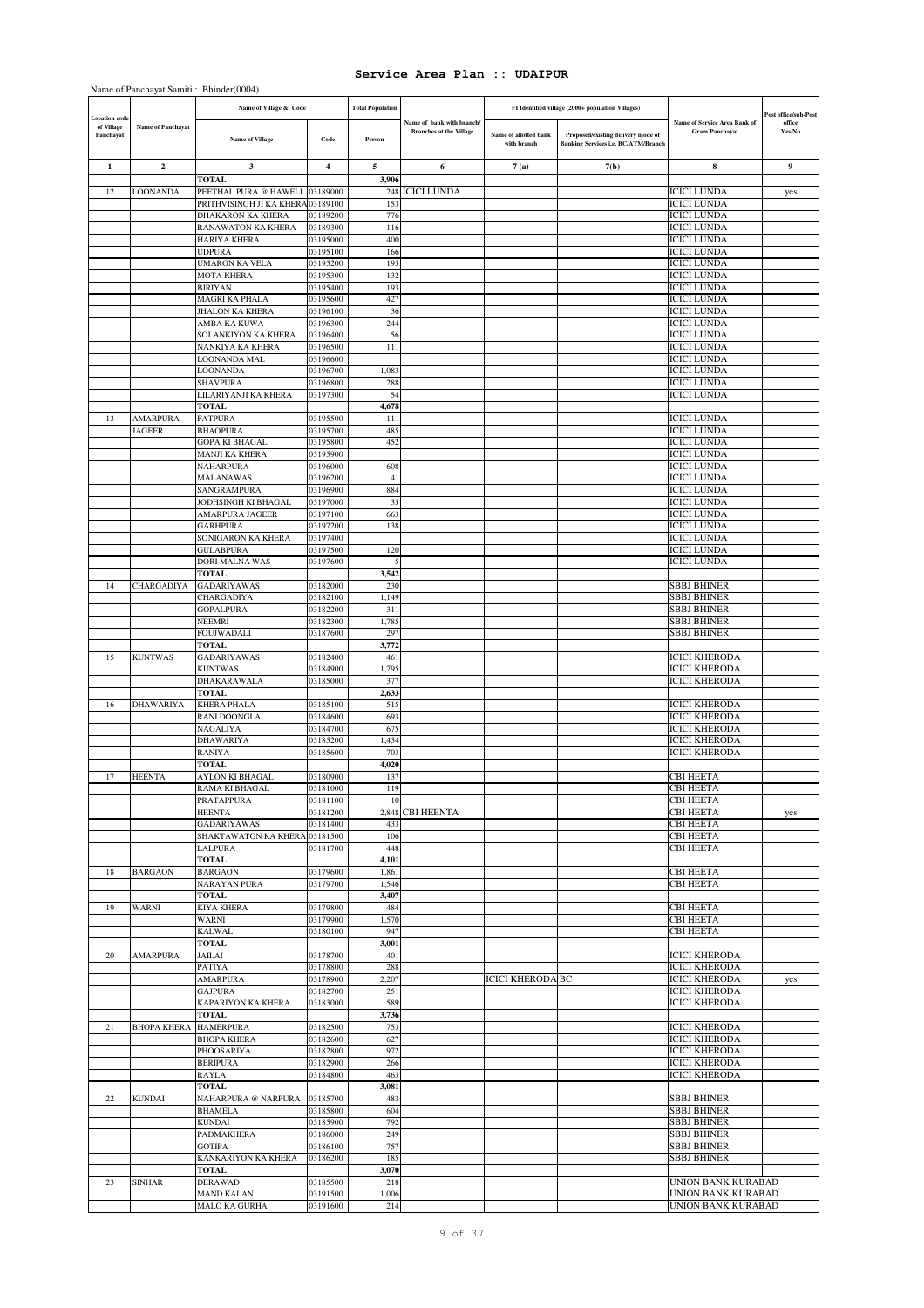|                         |                    | Name of Panchayat Samiti: Bhinder(0004)             |                      |                         |                                |                                      |                                                                                  |                                              |                                |
|-------------------------|--------------------|-----------------------------------------------------|----------------------|-------------------------|--------------------------------|--------------------------------------|----------------------------------------------------------------------------------|----------------------------------------------|--------------------------------|
| ocation code            |                    | Name of Village & Code                              |                      | <b>Total Population</b> | Name of bank with branch/      |                                      | FI Identified village (2000+ population Villages)                                | Name of Service Area Bank of                 | Post office/sub-Post<br>office |
| of Village<br>Panchayat | Name of Panchayat  | <b>Name of Village</b>                              | Code                 | Person                  | <b>Branches at the Village</b> | Name of allotted bank<br>with branch | Proposed/existing delivery mode of<br><b>Banking Services i.e. BC/ATM/Branch</b> | <b>Gram Panchayat</b>                        | Yes/No                         |
| 1                       | $\mathbf{2}$       | 3                                                   | 4                    | 5                       | 6                              | 7(a)                                 | 7(b)                                                                             | 8                                            | 9                              |
| 12                      | LOONANDA           | <b>TOTAL</b><br>PEETHAL PURA @ HAWELI 03189000      |                      | 3,906                   | 248 ICICI LUNDA                |                                      |                                                                                  | <b>ICICI LUNDA</b>                           |                                |
|                         |                    | PRITHVISINGH JI KA KHERA 03189100                   |                      | 153                     |                                |                                      |                                                                                  | <b>ICICI LUNDA</b>                           | yes                            |
|                         |                    | DHAKARON KA KHERA                                   | 03189200             | 776                     |                                |                                      |                                                                                  | <b>ICICI LUNDA</b>                           |                                |
|                         |                    | RANAWATON KA KHERA                                  | 03189300             | 116                     |                                |                                      |                                                                                  | <b>ICICI LUNDA</b>                           |                                |
|                         |                    | HARIYA KHERA<br><b>UDPURA</b>                       | 03195000             | 400                     |                                |                                      |                                                                                  | <b>ICICI LUNDA</b><br><b>ICICI LUNDA</b>     |                                |
|                         |                    | UMARON KA VELA                                      | 03195100<br>03195200 | 166<br>195              |                                |                                      |                                                                                  | <b>ICICI LUNDA</b>                           |                                |
|                         |                    | MOTA KHERA                                          | 03195300             | 132                     |                                |                                      |                                                                                  | <b>ICICI LUNDA</b>                           |                                |
|                         |                    | <b>BIRIYAN</b>                                      | 03195400             | 193                     |                                |                                      |                                                                                  | <b>ICICI LUNDA</b>                           |                                |
|                         |                    | MAGRI KA PHALA                                      | 03195600             | 427                     |                                |                                      |                                                                                  | <b>ICICI LUNDA</b>                           |                                |
|                         |                    | JHALON KA KHERA                                     | 03196100             | 36                      |                                |                                      |                                                                                  | <b>ICICI LUNDA</b>                           |                                |
|                         |                    | AMBA KA KUWA<br>SOLANKIYON KA KHERA                 | 03196300<br>03196400 | 244<br>56               |                                |                                      |                                                                                  | <b>ICICI LUNDA</b><br><b>ICICI LUNDA</b>     |                                |
|                         |                    | NANKIYA KA KHERA                                    | 03196500             | 111                     |                                |                                      |                                                                                  | <b>ICICI LUNDA</b>                           |                                |
|                         |                    | LOONANDA MAL                                        | 03196600             |                         |                                |                                      |                                                                                  | <b>ICICI LUNDA</b>                           |                                |
|                         |                    | LOONANDA                                            | 03196700             | 1,083                   |                                |                                      |                                                                                  | <b>ICICI LUNDA</b>                           |                                |
|                         |                    | SHAVPURA                                            | 03196800             | 288                     |                                |                                      |                                                                                  | <b>ICICI LUNDA</b>                           |                                |
|                         |                    | LILARIYANJI KA KHERA<br>TOTAL                       | 03197300             | 54<br>4,678             |                                |                                      |                                                                                  | <b>ICICI LUNDA</b>                           |                                |
| 13                      | <b>AMARPURA</b>    | <b>FATPURA</b>                                      | 03195500             | 111                     |                                |                                      |                                                                                  | <b>ICICI LUNDA</b>                           |                                |
|                         | <b>JAGEER</b>      | <b>BHAOPURA</b>                                     | 03195700             | 485                     |                                |                                      |                                                                                  | <b>ICICI LUNDA</b>                           |                                |
|                         |                    | <b>GOPA KI BHAGAL</b>                               | 03195800             | 452                     |                                |                                      |                                                                                  | <b>ICICI LUNDA</b>                           |                                |
|                         |                    | MANJI KA KHERA                                      | 03195900             |                         |                                |                                      |                                                                                  | <b>ICICI LUNDA</b>                           |                                |
|                         |                    | NAHARPURA<br>MALANAWAS                              | 03196000<br>03196200 | 608<br>41               |                                |                                      |                                                                                  | <b>ICICI LUNDA</b><br><b>ICICI LUNDA</b>     |                                |
|                         |                    | SANGRAMPURA                                         | 03196900             | 884                     |                                |                                      |                                                                                  | <b>ICICI LUNDA</b>                           |                                |
|                         |                    | JODHSINGH KI BHAGAL                                 | 03197000             | 35                      |                                |                                      |                                                                                  | <b>ICICI LUNDA</b>                           |                                |
|                         |                    | AMARPURA JAGEER                                     | 03197100             | 663                     |                                |                                      |                                                                                  | <b>ICICI LUNDA</b>                           |                                |
|                         |                    | <b>GARHPURA</b>                                     | 03197200             | 138                     |                                |                                      |                                                                                  | <b>ICICI LUNDA</b>                           |                                |
|                         |                    | SONIGARON KA KHERA<br><b>GULABPURA</b>              | 03197400<br>03197500 | 120                     |                                |                                      |                                                                                  | <b>ICICI LUNDA</b><br><b>ICICI LUNDA</b>     |                                |
|                         |                    | DORI MALNA WAS                                      | 03197600             | 5                       |                                |                                      |                                                                                  | <b>ICICI LUNDA</b>                           |                                |
|                         |                    | <b>TOTAL</b>                                        |                      | 3,542                   |                                |                                      |                                                                                  |                                              |                                |
| 14                      | CHARGADIYA         | <b>GADARIYAWAS</b>                                  | 03182000             | 230                     |                                |                                      |                                                                                  | <b>SBBJ BHINER</b>                           |                                |
|                         |                    | CHARGADIYA                                          | 03182100             | 1,149                   |                                |                                      |                                                                                  | SBBJ BHINER                                  |                                |
|                         |                    | <b>GOPALPURA</b><br>NEEMRI                          | 03182200<br>03182300 | 311<br>1,785            |                                |                                      |                                                                                  | <b>SBBJ BHINER</b><br><b>SBBJ BHINER</b>     |                                |
|                         |                    | FOUJWADALI                                          | 03187600             | 297                     |                                |                                      |                                                                                  | <b>SBBJ BHINER</b>                           |                                |
|                         |                    | TOTAL                                               |                      | 3,772                   |                                |                                      |                                                                                  |                                              |                                |
| 15                      | <b>KUNTWAS</b>     | <b>GADARIYAWAS</b>                                  | 03182400             | 461                     |                                |                                      |                                                                                  | <b>ICICI KHERODA</b>                         |                                |
|                         |                    | KUNTWAS                                             | 03184900             | 1,795                   |                                |                                      |                                                                                  | <b>ICICI KHERODA</b>                         |                                |
|                         |                    | DHAKARAWALA<br><b>TOTAL</b>                         | 03185000             | 377<br>2,633            |                                |                                      |                                                                                  | <b>ICICI KHERODA</b>                         |                                |
| 16                      | <b>DHAWARIYA</b>   | <b>KHERA PHALA</b>                                  | 03185100             | 515                     |                                |                                      |                                                                                  | <b>ICICI KHERODA</b>                         |                                |
|                         |                    | RANI DOONGLA                                        | 03184600             | 693                     |                                |                                      |                                                                                  | <b>ICICI KHERODA</b>                         |                                |
|                         |                    | <b>NAGALIYA</b>                                     | 03184700             | 675                     |                                |                                      |                                                                                  | <b>ICICI KHERODA</b>                         |                                |
|                         |                    | DHAWARIYA                                           | 03185200             | 1,434                   |                                |                                      |                                                                                  | <b>ICICI KHERODA</b>                         |                                |
|                         |                    | RANIYA<br><b>TOTAL</b>                              | 03185600             | 703<br>4,020            |                                |                                      |                                                                                  | <b>ICICI KHERODA</b>                         |                                |
| 17                      | <b>HEENTA</b>      | AYLON KI BHAGAL                                     | 03180900             | 137                     |                                |                                      |                                                                                  | <b>CBI HEETA</b>                             |                                |
|                         |                    | RAMA KI BHAGAL                                      | 03181000             | 119                     |                                |                                      |                                                                                  | <b>CBI HEETA</b>                             |                                |
|                         |                    | PRATAPPURA                                          | 03181100             | 10                      |                                |                                      |                                                                                  | <b>CBI HEETA</b>                             |                                |
|                         |                    | <b>HEENTA</b>                                       | 03181200             |                         | 2,848 CBI HEENTA               |                                      |                                                                                  | <b>CBI HEETA</b>                             | yes                            |
|                         |                    | <b>GADARIYAWAS</b><br>SHAKTAWATON KA KHERA 03181500 | 03181400             | 433<br>106              |                                |                                      |                                                                                  | <b>CBI HEETA</b><br><b>CBI HEETA</b>         |                                |
|                         |                    | <b>LALPURA</b>                                      | 03181700             | 448                     |                                |                                      |                                                                                  | CBI HEETA                                    |                                |
|                         |                    | <b>TOTAL</b>                                        |                      | 4,101                   |                                |                                      |                                                                                  |                                              |                                |
| 18                      | <b>BARGAON</b>     | <b>BARGAON</b>                                      | 03179600             | 1,861                   |                                |                                      |                                                                                  | CBI HEETA                                    |                                |
|                         |                    | <b>NARAYAN PURA</b>                                 | 03179700             | 1,546                   |                                |                                      |                                                                                  | <b>CBI HEETA</b>                             |                                |
| 19                      | <b>WARNI</b>       | <b>TOTAL</b><br><b>KIYA KHERA</b>                   | 03179800             | 3,407<br>484            |                                |                                      |                                                                                  | <b>CBI HEETA</b>                             |                                |
|                         |                    | WARNI                                               | 03179900             | 1,570                   |                                |                                      |                                                                                  | <b>CBI HEETA</b>                             |                                |
|                         |                    | <b>KALWAL</b>                                       | 03180100             | 947                     |                                |                                      |                                                                                  | CBI HEETA                                    |                                |
|                         |                    | TOTAL                                               |                      | 3,001                   |                                |                                      |                                                                                  |                                              |                                |
| 20                      | <b>AMARPURA</b>    | JAILAI                                              | 03178700             | 401                     |                                |                                      |                                                                                  | <b>ICICI KHERODA</b>                         |                                |
|                         |                    | PATIYA                                              | 03178800             | 288                     |                                |                                      |                                                                                  | <b>ICICI KHERODA</b><br><b>ICICI KHERODA</b> |                                |
|                         |                    | <b>AMARPURA</b><br><b>GAJPURA</b>                   | 03178900<br>03182700 | 2,207<br>251            |                                | <b>ICICI KHERODA BC</b>              |                                                                                  | <b>ICICI KHERODA</b>                         | yes                            |
|                         |                    | KAPARIYON KA KHERA                                  | 03183000             | 589                     |                                |                                      |                                                                                  | <b>ICICI KHERODA</b>                         |                                |
|                         |                    | <b>TOTAL</b>                                        |                      | 3,736                   |                                |                                      |                                                                                  |                                              |                                |
| 21                      | <b>BHOPA KHERA</b> | <b>HAMERPURA</b>                                    | 03182500             | 753                     |                                |                                      |                                                                                  | <b>ICICI KHERODA</b>                         |                                |
|                         |                    | <b>BHOPA KHERA</b>                                  | 03182600             | 627                     |                                |                                      |                                                                                  | <b>ICICI KHERODA</b>                         |                                |
|                         |                    | PHOOSARIYA<br><b>BERIPURA</b>                       | 03182800<br>03182900 | 972<br>266              |                                |                                      |                                                                                  | <b>ICICI KHERODA</b><br><b>ICICI KHERODA</b> |                                |
|                         |                    | RAYLA                                               | 03184800             | 463                     |                                |                                      |                                                                                  | <b>ICICI KHERODA</b>                         |                                |
|                         |                    | TOTAL                                               |                      | 3,081                   |                                |                                      |                                                                                  |                                              |                                |
| 22                      | <b>KUNDAI</b>      | NAHARPURA @ NARPURA                                 | 03185700             | 483                     |                                |                                      |                                                                                  | SBBJ BHINER                                  |                                |
|                         |                    | <b>BHAMELA</b>                                      | 03185800             | 604                     |                                |                                      |                                                                                  | <b>SBBJ BHINER</b>                           |                                |
|                         |                    | KUNDAI                                              | 03185900             | 792                     |                                |                                      |                                                                                  | <b>SBBJ BHINER</b>                           |                                |
|                         |                    | PADMAKHERA<br><b>GOTIPA</b>                         | 03186000<br>03186100 | 249<br>757              |                                |                                      |                                                                                  | <b>SBBJ BHINER</b><br>SBBJ BHINER            |                                |
|                         |                    | KANKARIYON KA KHERA                                 | 03186200             | 185                     |                                |                                      |                                                                                  | SBBJ BHINER                                  |                                |
|                         |                    | TOTAL                                               |                      | 3,070                   |                                |                                      |                                                                                  |                                              |                                |
| 23                      | <b>SINHAR</b>      | DERAWAD                                             | 03185500             | 218                     |                                |                                      |                                                                                  | UNION BANK KURABAD                           |                                |
|                         |                    | <b>MAND KALAN</b>                                   | 03191500             | 1,006                   |                                |                                      |                                                                                  | UNION BANK KURABAD                           |                                |
|                         |                    | MALO KA GURHA                                       | 03191600             | 214                     |                                |                                      |                                                                                  | UNION BANK KURABAD                           |                                |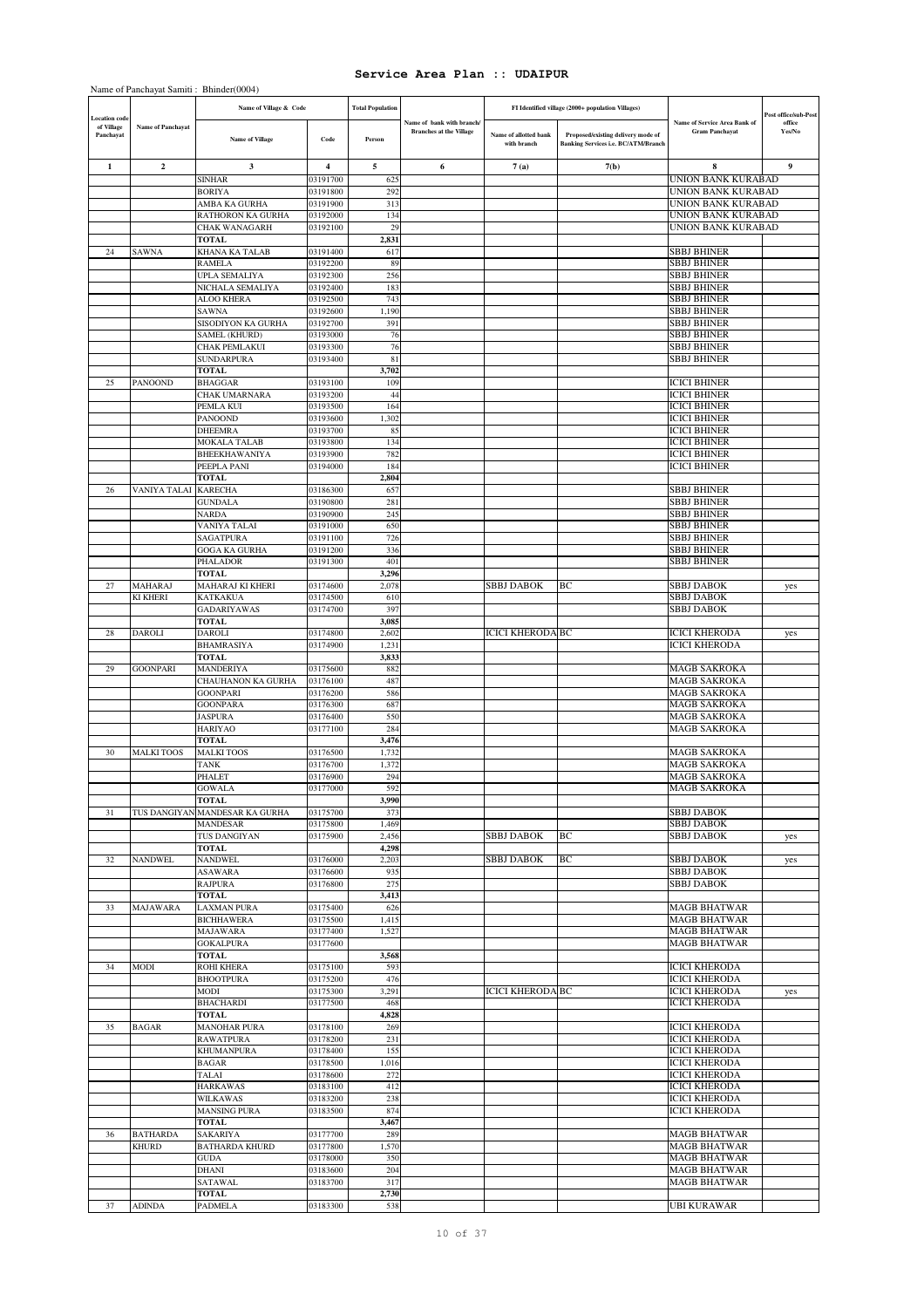|                                                 |                          | Name of Panchayat Samiti: Bhinder(0004)<br>Name of Village & Code |                      | <b>Total Population</b> |                                                             |                                      | FI Identified village (2000+ population Villages)                                |                                                              |                                          |
|-------------------------------------------------|--------------------------|-------------------------------------------------------------------|----------------------|-------------------------|-------------------------------------------------------------|--------------------------------------|----------------------------------------------------------------------------------|--------------------------------------------------------------|------------------------------------------|
| <b>Location</b> code<br>of Village<br>Panchayat | <b>Name of Panchayat</b> | <b>Name of Village</b>                                            | Code                 | Person                  | Name of bank with branch/<br><b>Branches at the Village</b> | Name of allotted bank<br>with branch | Proposed/existing delivery mode of<br><b>Banking Services i.e. BC/ATM/Branch</b> | <b>Name of Service Area Bank of</b><br><b>Gram Panchayat</b> | Post office/sub-Post<br>office<br>Yes/No |
| 1                                               | $\overline{2}$           | 3                                                                 | $\overline{4}$       | 5                       | 6                                                           | 7(a)                                 | 7(b)                                                                             | 8                                                            | 9                                        |
|                                                 |                          | <b>SINHAR</b>                                                     | 03191700             | 625                     |                                                             |                                      |                                                                                  | UNION BANK KURABAD                                           |                                          |
|                                                 |                          | <b>BORIYA</b><br>AMBA KA GURHA                                    | 03191800             | 292<br>313              |                                                             |                                      |                                                                                  | <b>UNION BANK KURABAD</b><br>UNION BANK KURABAD              |                                          |
|                                                 |                          | RATHORON KA GURHA                                                 | 03191900<br>03192000 | 134                     |                                                             |                                      |                                                                                  | UNION BANK KURABAD                                           |                                          |
|                                                 |                          | <b>CHAK WANAGARH</b>                                              | 03192100             | 29                      |                                                             |                                      |                                                                                  | UNION BANK KURABAD                                           |                                          |
|                                                 |                          | <b>TOTAL</b>                                                      |                      | 2,831                   |                                                             |                                      |                                                                                  |                                                              |                                          |
| 24                                              | <b>SAWNA</b>             | KHANA KA TALAB                                                    | 03191400             | 617                     |                                                             |                                      |                                                                                  | <b>SBBJ BHINER</b>                                           |                                          |
|                                                 |                          | <b>RAMELA</b><br><b>UPLA SEMALIYA</b>                             | 03192200<br>03192300 | 89<br>256               |                                                             |                                      |                                                                                  | <b>SBBJ BHINER</b><br><b>SBBJ BHINER</b>                     |                                          |
|                                                 |                          | NICHALA SEMALIYA                                                  | 03192400             | 183                     |                                                             |                                      |                                                                                  | SBBJ BHINER                                                  |                                          |
|                                                 |                          | <b>ALOO KHERA</b>                                                 | 03192500             | 743                     |                                                             |                                      |                                                                                  | <b>SBBJ BHINER</b>                                           |                                          |
|                                                 |                          | <b>SAWNA</b>                                                      | 03192600             | 1,190                   |                                                             |                                      |                                                                                  | <b>SBBJ BHINER</b>                                           |                                          |
|                                                 |                          | SISODIYON KA GURHA                                                | 03192700             | 391                     |                                                             |                                      |                                                                                  | <b>SBBJ BHINER</b>                                           |                                          |
|                                                 |                          | <b>SAMEL (KHURD)</b><br>CHAK PEMLAKUI                             | 03193000<br>03193300 | 76<br>76                |                                                             |                                      |                                                                                  | <b>SBBJ BHINER</b><br><b>SBBJ BHINER</b>                     |                                          |
|                                                 |                          | <b>SUNDARPURA</b>                                                 | 03193400             | 81                      |                                                             |                                      |                                                                                  | <b>SBBJ BHINER</b>                                           |                                          |
|                                                 |                          | <b>TOTAL</b>                                                      |                      | 3,702                   |                                                             |                                      |                                                                                  |                                                              |                                          |
| 25                                              | PANOOND                  | <b>BHAGGAR</b>                                                    | 03193100             | 109                     |                                                             |                                      |                                                                                  | <b>ICICI BHINER</b>                                          |                                          |
|                                                 |                          | <b>CHAK UMARNARA</b>                                              | 03193200             | 44                      |                                                             |                                      |                                                                                  | <b>ICICI BHINER</b>                                          |                                          |
|                                                 |                          | PEMLA KUI<br>PANOOND                                              | 03193500<br>03193600 | 164<br>1,302            |                                                             |                                      |                                                                                  | <b>ICICI BHINER</b><br><b>ICICI BHINER</b>                   |                                          |
|                                                 |                          | <b>DHEEMRA</b>                                                    | 03193700             | 85                      |                                                             |                                      |                                                                                  | <b>ICICI BHINER</b>                                          |                                          |
|                                                 |                          | <b>MOKALA TALAB</b>                                               | 03193800             | 134                     |                                                             |                                      |                                                                                  | <b>ICICI BHINER</b>                                          |                                          |
|                                                 |                          | BHEEKHAWANIYA                                                     | 03193900             | 782                     |                                                             |                                      |                                                                                  | <b>ICICI BHINER</b>                                          |                                          |
|                                                 |                          | PEEPLA PANI<br><b>TOTAL</b>                                       | 03194000             | 184<br>2,804            |                                                             |                                      |                                                                                  | <b>ICICI BHINER</b>                                          |                                          |
| 26                                              | VANIYA TALAI             | <b>KARECHA</b>                                                    | 03186300             | 657                     |                                                             |                                      |                                                                                  | <b>SBBJ BHINER</b>                                           |                                          |
|                                                 |                          | <b>GUNDALA</b>                                                    | 03190800             | 281                     |                                                             |                                      |                                                                                  | <b>SBBJ BHINER</b>                                           |                                          |
|                                                 |                          | <b>NARDA</b>                                                      | 03190900             | 245                     |                                                             |                                      |                                                                                  | <b>SBBJ BHINER</b>                                           |                                          |
|                                                 |                          | VANIYA TALAI                                                      | 03191000             | 650                     |                                                             |                                      |                                                                                  | <b>SBBJ BHINER</b>                                           |                                          |
|                                                 |                          | <b>SAGATPURA</b>                                                  | 03191100             | 726                     |                                                             |                                      |                                                                                  | <b>SBBJ BHINER</b>                                           |                                          |
|                                                 |                          | <b>GOGA KA GURHA</b><br><b>PHALADOR</b>                           | 03191200<br>03191300 | 336<br>401              |                                                             |                                      |                                                                                  | <b>SBBJ BHINER</b><br>SBBJ BHINER                            |                                          |
|                                                 |                          | <b>TOTAL</b>                                                      |                      | 3,296                   |                                                             |                                      |                                                                                  |                                                              |                                          |
| 27                                              | MAHARAJ                  | MAHARAJ KI KHERI                                                  | 03174600             | 2,078                   |                                                             | <b>SBBJ DABOK</b>                    | BС                                                                               | <b>SBBJ DABOK</b>                                            | yes                                      |
|                                                 | KI KHERI                 | <b>KATKAKUA</b>                                                   | 03174500             | 610                     |                                                             |                                      |                                                                                  | <b>SBBJ DABOK</b>                                            |                                          |
|                                                 |                          | <b>GADARIYAWAS</b><br><b>TOTAL</b>                                | 03174700             | 397<br>3,085            |                                                             |                                      |                                                                                  | <b>SBBJ DABOK</b>                                            |                                          |
| 28                                              | DAROLI                   | <b>DAROLI</b>                                                     | 03174800             | 2,602                   |                                                             | <b>ICICI KHERODA BC</b>              |                                                                                  | <b>ICICI KHERODA</b>                                         | yes                                      |
|                                                 |                          | <b>BHAMRASIYA</b>                                                 | 03174900             | 1,231                   |                                                             |                                      |                                                                                  | <b>ICICI KHERODA</b>                                         |                                          |
|                                                 |                          | <b>TOTAL</b>                                                      |                      | 3,833                   |                                                             |                                      |                                                                                  |                                                              |                                          |
| 29                                              | <b>GOONPARI</b>          | <b>MANDERIYA</b>                                                  | 03175600             | 882                     |                                                             |                                      |                                                                                  | <b>MAGB SAKROKA</b>                                          |                                          |
|                                                 |                          | CHAUHANON KA GURHA<br><b>GOONPARI</b>                             | 03176100<br>03176200 | 487<br>586              |                                                             |                                      |                                                                                  | <b>MAGB SAKROKA</b><br>MAGB SAKROKA                          |                                          |
|                                                 |                          | <b>GOONPARA</b>                                                   | 03176300             | 687                     |                                                             |                                      |                                                                                  | <b>MAGB SAKROKA</b>                                          |                                          |
|                                                 |                          | <b>JASPURA</b>                                                    | 03176400             | 550                     |                                                             |                                      |                                                                                  | <b>MAGB SAKROKA</b>                                          |                                          |
|                                                 |                          | <b>HARIYAO</b>                                                    | 03177100             | 284                     |                                                             |                                      |                                                                                  | <b>MAGB SAKROKA</b>                                          |                                          |
|                                                 |                          | <b>TOTAL</b>                                                      |                      | 3,476                   |                                                             |                                      |                                                                                  |                                                              |                                          |
| 30                                              | <b>MALKI TOOS</b>        | <b>MALKI TOOS</b><br><b>TANK</b>                                  | 03176500<br>03176700 | 1,732<br>1,372          |                                                             |                                      |                                                                                  | MAGB SAKROKA<br><b>MAGB SAKROKA</b>                          |                                          |
|                                                 |                          | PHALET                                                            | 03176900             | 294                     |                                                             |                                      |                                                                                  | MAGB SAKROKA                                                 |                                          |
|                                                 |                          | <b>GOWALA</b>                                                     | 03177000             | 592                     |                                                             |                                      |                                                                                  | <b>MAGB SAKROKA</b>                                          |                                          |
|                                                 |                          | <b>TOTAL</b>                                                      |                      | 3,990                   |                                                             |                                      |                                                                                  |                                                              |                                          |
| 31                                              |                          | TUS DANGIYAN MANDESAR KA GURHA                                    | 03175700             | 373                     |                                                             |                                      |                                                                                  | <b>SBBJ DABOK</b>                                            |                                          |
|                                                 |                          | <b>MANDESAR</b><br>TUS DANGIYAN                                   | 03175800<br>03175900 | 1,469<br>2,456          |                                                             | <b>SBBJ DABOK</b>                    | BС                                                                               | <b>SBBJ DABOK</b><br><b>SBBJ DABOK</b>                       |                                          |
|                                                 |                          | <b>TOTAL</b>                                                      |                      | 4,298                   |                                                             |                                      |                                                                                  |                                                              | yes                                      |
| 32                                              | <b>NANDWEL</b>           | <b>NANDWEL</b>                                                    | 03176000             | 2,203                   |                                                             | <b>SBBJ DABOK</b>                    | BС                                                                               | <b>SBBJ DABOK</b>                                            | yes                                      |
|                                                 |                          | <b>ASAWARA</b>                                                    | 03176600             | 935                     |                                                             |                                      |                                                                                  | <b>SBBJ DABOK</b>                                            |                                          |
|                                                 |                          | <b>RAJPURA</b><br><b>TOTAL</b>                                    | 03176800             | 275                     |                                                             |                                      |                                                                                  | SBBJ DABOK                                                   |                                          |
| 33                                              | <b>MAJAWARA</b>          | <b>LAXMAN PURA</b>                                                | 03175400             | 3,413<br>626            |                                                             |                                      |                                                                                  | <b>MAGB BHATWAR</b>                                          |                                          |
|                                                 |                          | <b>BICHHAWERA</b>                                                 | 03175500             | 1,415                   |                                                             |                                      |                                                                                  | <b>MAGB BHATWAR</b>                                          |                                          |
|                                                 |                          | <b>MAJAWARA</b>                                                   | 03177400             | 1,527                   |                                                             |                                      |                                                                                  | <b>MAGB BHATWAR</b>                                          |                                          |
|                                                 |                          | <b>GOKALPURA</b>                                                  | 03177600             |                         |                                                             |                                      |                                                                                  | <b>MAGB BHATWAR</b>                                          |                                          |
|                                                 |                          | <b>TOTAL</b>                                                      |                      | 3,568<br>593            |                                                             |                                      |                                                                                  | <b>ICICI KHERODA</b>                                         |                                          |
| 34                                              | MODI                     | <b>ROHI KHERA</b><br><b>BHOOTPURA</b>                             | 03175100<br>03175200 | 476                     |                                                             |                                      |                                                                                  | <b>ICICI KHERODA</b>                                         |                                          |
|                                                 |                          | MODI                                                              | 03175300             | 3,291                   |                                                             | <b>ICICI KHERODA BC</b>              |                                                                                  | <b>ICICI KHERODA</b>                                         | yes                                      |
|                                                 |                          | <b>BHACHARDI</b>                                                  | 03177500             | 468                     |                                                             |                                      |                                                                                  | <b>ICICI KHERODA</b>                                         |                                          |
|                                                 |                          | <b>TOTAL</b>                                                      |                      | 4,828                   |                                                             |                                      |                                                                                  |                                                              |                                          |
| 35                                              | <b>BAGAR</b>             | <b>MANOHAR PURA</b><br><b>RAWATPURA</b>                           | 03178100<br>03178200 | 269<br>231              |                                                             |                                      |                                                                                  | <b>ICICI KHERODA</b><br><b>ICICI KHERODA</b>                 |                                          |
|                                                 |                          | <b>KHUMANPURA</b>                                                 | 03178400             | 155                     |                                                             |                                      |                                                                                  | <b>ICICI KHERODA</b>                                         |                                          |
|                                                 |                          | <b>BAGAR</b>                                                      | 03178500             | 1,016                   |                                                             |                                      |                                                                                  | <b>ICICI KHERODA</b>                                         |                                          |
|                                                 |                          | TALAI                                                             | 03178600             | 272                     |                                                             |                                      |                                                                                  | <b>ICICI KHERODA</b>                                         |                                          |
|                                                 |                          | <b>HARKAWAS</b>                                                   | 03183100             | 412                     |                                                             |                                      |                                                                                  | <b>ICICI KHERODA</b>                                         |                                          |
|                                                 |                          | <b>WILKAWAS</b>                                                   | 03183200             | 238                     |                                                             |                                      |                                                                                  | <b>ICICI KHERODA</b>                                         |                                          |
|                                                 |                          | <b>MANSING PURA</b><br><b>TOTAL</b>                               | 03183500             | 874<br>3,467            |                                                             |                                      |                                                                                  | <b>ICICI KHERODA</b>                                         |                                          |
| 36                                              | <b>BATHARDA</b>          | SAKARIYA                                                          | 03177700             | 289                     |                                                             |                                      |                                                                                  | <b>MAGB BHATWAR</b>                                          |                                          |
|                                                 | <b>KHURD</b>             | <b>BATHARDA KHURD</b>                                             | 03177800             | 1,570                   |                                                             |                                      |                                                                                  | <b>MAGB BHATWAR</b>                                          |                                          |
|                                                 |                          | <b>GUDA</b>                                                       | 03178000             | 350                     |                                                             |                                      |                                                                                  | <b>MAGB BHATWAR</b>                                          |                                          |
|                                                 |                          | <b>DHANI</b>                                                      | 03183600             | 204                     |                                                             |                                      |                                                                                  | <b>MAGB BHATWAR</b>                                          |                                          |
|                                                 |                          | SATAWAL<br><b>TOTAL</b>                                           | 03183700             | 317<br>2,730            |                                                             |                                      |                                                                                  | MAGB BHATWAR                                                 |                                          |
| 37                                              | <b>ADINDA</b>            | PADMELA                                                           | 03183300             | 538                     |                                                             |                                      |                                                                                  | <b>UBI KURAWAR</b>                                           |                                          |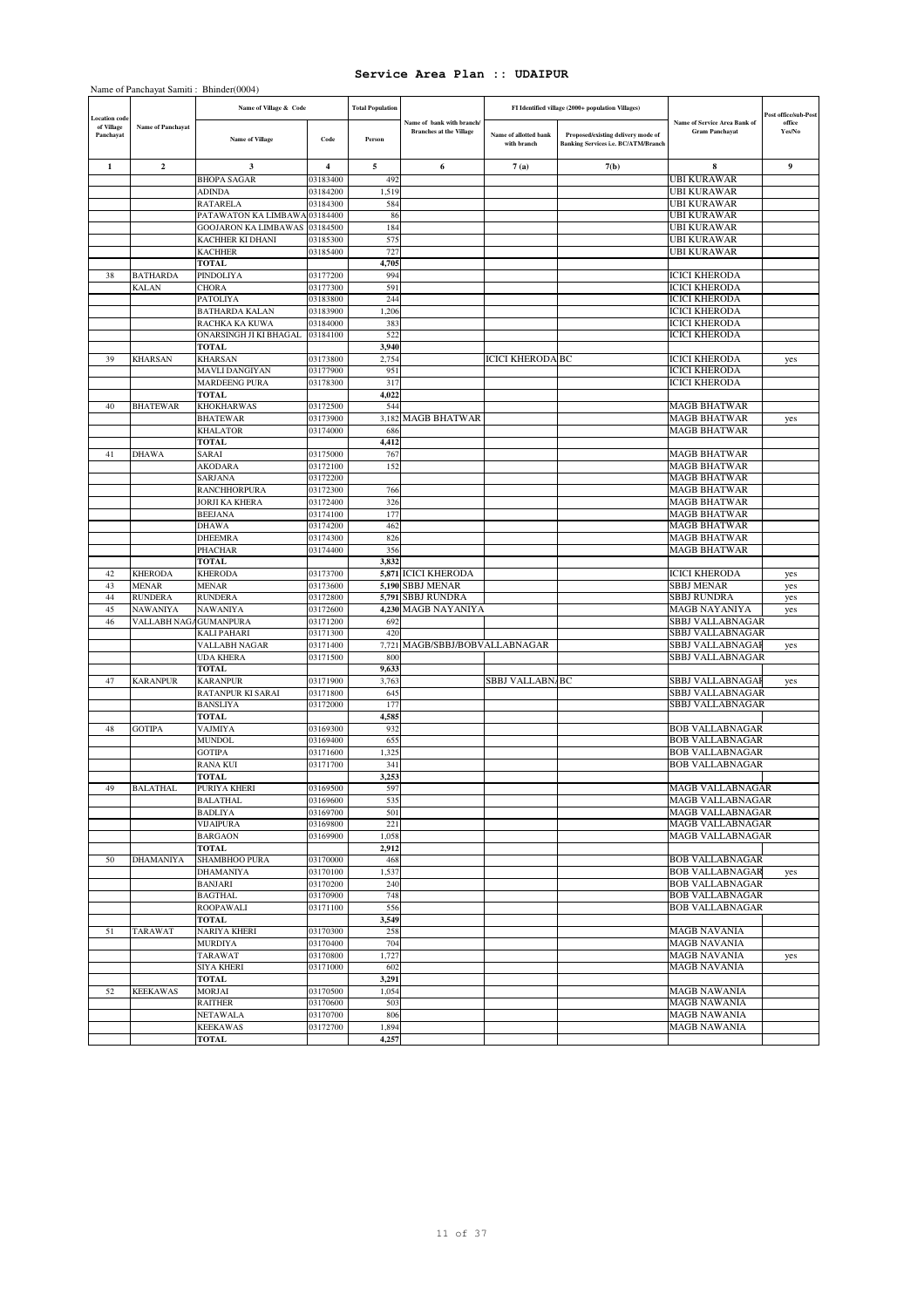|                         |                            | Name of Panchayat Samiti: Bhinder(0004)  |                      |                         |                                                             |                                      |                                                                                  |                                                       |                      |
|-------------------------|----------------------------|------------------------------------------|----------------------|-------------------------|-------------------------------------------------------------|--------------------------------------|----------------------------------------------------------------------------------|-------------------------------------------------------|----------------------|
| ocation code            |                            | Name of Village & Code                   |                      | <b>Total Population</b> |                                                             |                                      | FI Identified village (2000+ population Villages)                                |                                                       | Post office/sub-Post |
| of Village<br>Panchayat | Name of Panchayat          | <b>Name of Village</b>                   | Code                 | Person                  | Name of bank with branch/<br><b>Branches at the Village</b> | Name of allotted bank<br>with branch | Proposed/existing delivery mode of<br><b>Banking Services i.e. BC/ATM/Branch</b> | Name of Service Area Bank of<br><b>Gram Panchavat</b> | office<br>Yes/No     |
| 1                       | $\mathbf{2}$               | 3                                        | 4                    | 5                       | 6                                                           | 7(a)                                 | 7(b)                                                                             | 8                                                     | 9                    |
|                         |                            | <b>BHOPA SAGAR</b>                       | 03183400             | 492                     |                                                             |                                      |                                                                                  | <b>UBI KURAWAR</b>                                    |                      |
|                         |                            | ADINDA<br><b>RATARELA</b>                | 03184200<br>03184300 | 1,519<br>584            |                                                             |                                      |                                                                                  | <b>UBI KURAWAR</b><br><b>UBI KURAWAR</b>              |                      |
|                         |                            | PATAWATON KA LIMBAWA 03184400            |                      | 86                      |                                                             |                                      |                                                                                  | <b>UBI KURAWAR</b>                                    |                      |
|                         |                            | <b>GOOJARON KA LIMBAWAS</b>              | 03184500             | 184                     |                                                             |                                      |                                                                                  | <b>UBI KURAWAR</b>                                    |                      |
|                         |                            | KACHHER KI DHANI                         | 03185300             | 575                     |                                                             |                                      |                                                                                  | <b>UBI KURAWAR</b>                                    |                      |
|                         |                            | <b>KACHHER</b><br><b>TOTAL</b>           | 03185400             | 727<br>4,705            |                                                             |                                      |                                                                                  | <b>UBI KURAWAR</b>                                    |                      |
| 38                      | <b>BATHARDA</b>            | PINDOLIYA                                | 03177200             | 994                     |                                                             |                                      |                                                                                  | <b>ICICI KHERODA</b>                                  |                      |
|                         | <b>KALAN</b>               | CHORA                                    | 03177300             | 591                     |                                                             |                                      |                                                                                  | <b>ICICI KHERODA</b>                                  |                      |
|                         |                            | PATOLIYA                                 | 03183800             | 244                     |                                                             |                                      |                                                                                  | <b>ICICI KHERODA</b>                                  |                      |
|                         |                            | <b>BATHARDA KALAN</b>                    | 03183900             | 1,206                   |                                                             |                                      |                                                                                  | <b>ICICI KHERODA</b>                                  |                      |
|                         |                            | RACHKA KA KUWA<br>ONARSINGH JI KI BHAGAL | 03184000<br>03184100 | 383<br>522              |                                                             |                                      |                                                                                  | <b>ICICI KHERODA</b><br><b>ICICI KHERODA</b>          |                      |
|                         |                            | <b>TOTAL</b>                             |                      | 3,940                   |                                                             |                                      |                                                                                  |                                                       |                      |
| 39                      | <b>KHARSAN</b>             | <b>KHARSAN</b>                           | 03173800             | 2,754                   |                                                             | <b>ICICI KHERODA BC</b>              |                                                                                  | <b>ICICI KHERODA</b>                                  | yes                  |
|                         |                            | MAVLI DANGIYAN                           | 03177900             | 951                     |                                                             |                                      |                                                                                  | <b>ICICI KHERODA</b>                                  |                      |
|                         |                            | <b>MARDEENG PURA</b>                     | 03178300             | 317                     |                                                             |                                      |                                                                                  | <b>ICICI KHERODA</b>                                  |                      |
| 40                      | <b>BHATEWAR</b>            | <b>TOTAL</b><br>KHOKHARWAS               | 03172500             | 4,022<br>544            |                                                             |                                      |                                                                                  | <b>MAGB BHATWAR</b>                                   |                      |
|                         |                            | <b>BHATEWAR</b>                          | 03173900             | 3,182                   | <b>MAGB BHATWAR</b>                                         |                                      |                                                                                  | <b>MAGB BHATWAR</b>                                   | yes                  |
|                         |                            | <b>KHALATOR</b>                          | 03174000             | 686                     |                                                             |                                      |                                                                                  | <b>MAGB BHATWAR</b>                                   |                      |
|                         |                            | TOTAL                                    |                      | 4,412                   |                                                             |                                      |                                                                                  |                                                       |                      |
| 41                      | <b>DHAWA</b>               | SARAI<br>AKODARA                         | 03175000<br>03172100 | 767<br>152              |                                                             |                                      |                                                                                  | <b>MAGB BHATWAR</b><br><b>MAGB BHATWAR</b>            |                      |
|                         |                            | SARJANA                                  | 03172200             |                         |                                                             |                                      |                                                                                  | <b>MAGB BHATWAR</b>                                   |                      |
|                         |                            | <b>RANCHHORPURA</b>                      | 03172300             | 766                     |                                                             |                                      |                                                                                  | <b>MAGB BHATWAR</b>                                   |                      |
|                         |                            | <b>JORJI KA KHERA</b>                    | 03172400             | 326                     |                                                             |                                      |                                                                                  | <b>MAGB BHATWAR</b>                                   |                      |
|                         |                            | <b>BEEJANA</b>                           | 03174100             | 177                     |                                                             |                                      |                                                                                  | <b>MAGB BHATWAR</b>                                   |                      |
|                         |                            | <b>DHAWA</b><br>DHEEMRA                  | 03174200<br>03174300 | 462<br>826              |                                                             |                                      |                                                                                  | <b>MAGB BHATWAR</b><br><b>MAGB BHATWAR</b>            |                      |
|                         |                            | <b>PHACHAR</b>                           | 03174400             | 356                     |                                                             |                                      |                                                                                  | <b>MAGB BHATWAR</b>                                   |                      |
|                         |                            | <b>TOTAL</b>                             |                      | 3,832                   |                                                             |                                      |                                                                                  |                                                       |                      |
| 42                      | <b>KHERODA</b>             | <b>KHERODA</b>                           | 03173700             |                         | 5,871 ICICI KHERODA                                         |                                      |                                                                                  | <b>ICICI KHERODA</b>                                  | yes                  |
| 43<br>44                | <b>MENAR</b>               | MENAR<br><b>RUNDERA</b>                  | 03173600<br>03172800 | 5,791                   | 5,190 SBBJ MENAR<br><b>SBBJ RUNDRA</b>                      |                                      |                                                                                  | <b>SBBJ MENAR</b><br><b>SBBJ RUNDRA</b>               | yes                  |
| 45                      | <b>RUNDERA</b><br>NAWANIYA | NAWANIYA                                 | 03172600             |                         | 4,230 MAGB NAYANIYA                                         |                                      |                                                                                  | MAGB NAYANIYA                                         | yes<br>yes           |
| 46                      | VALLABH NAGAGUMANPURA      |                                          | 03171200             | 692                     |                                                             |                                      |                                                                                  | SBBJ VALLABNAGAR                                      |                      |
|                         |                            | <b>KALI PAHARI</b>                       | 03171300             | 420                     |                                                             |                                      |                                                                                  | SBBJ VALLABNAGAR                                      |                      |
|                         |                            | VALLABH NAGAR                            | 03171400             | 7,721                   | MAGB/SBBJ/BOBVALLABNAGAR                                    |                                      |                                                                                  | SBBJ VALLABNAGAF                                      | yes                  |
|                         |                            | <b>UDA KHERA</b><br><b>TOTAL</b>         | 03171500             | 800<br>9,633            |                                                             |                                      |                                                                                  | SBBJ VALLABNAGAR                                      |                      |
| 47                      | <b>KARANPUR</b>            | <b>KARANPUR</b>                          | 03171900             | 3,763                   |                                                             | SBBJ VALLABN/BC                      |                                                                                  | SBBJ VALLABNAGAI                                      | yes                  |
|                         |                            | RATANPUR KI SARAI                        | 03171800             | 645                     |                                                             |                                      |                                                                                  | SBBJ VALLABNAGAR                                      |                      |
|                         |                            | <b>BANSLIYA</b>                          | 03172000             | 177                     |                                                             |                                      |                                                                                  | SBBJ VALLABNAGAR                                      |                      |
| 48                      | <b>GOTIPA</b>              | <b>TOTAL</b><br><b>VAJMIYA</b>           | 03169300             | 4,585<br>932            |                                                             |                                      |                                                                                  | <b>BOB VALLABNAGAR</b>                                |                      |
|                         |                            | MUNDOL                                   | 03169400             | 655                     |                                                             |                                      |                                                                                  | <b>BOB VALLABNAGAR</b>                                |                      |
|                         |                            | <b>GOTIPA</b>                            | 03171600             | 1,325                   |                                                             |                                      |                                                                                  | <b>BOB VALLABNAGAR</b>                                |                      |
|                         |                            | <b>RANA KUI</b>                          | 03171700             | 341                     |                                                             |                                      |                                                                                  | <b>BOB VALLABNAGAR</b>                                |                      |
|                         |                            | <b>TOTAL</b>                             |                      | 3,253                   |                                                             |                                      |                                                                                  |                                                       |                      |
| 49                      | <b>BALATHAL</b>            | PURIYA KHERI<br><b>BALATHAL</b>          | 03169500<br>03169600 | 597<br>535              |                                                             |                                      |                                                                                  | <b>MAGB VALLABNAGAR</b><br><b>MAGB VALLABNAGAR</b>    |                      |
|                         |                            | <b>BADLIYA</b>                           | 03169700             | 501                     |                                                             |                                      |                                                                                  | <b>MAGB VALLABNAGAR</b>                               |                      |
|                         |                            | <b>VIJAIPURA</b>                         | 03169800             | 221                     |                                                             |                                      |                                                                                  | MAGB VALLABNAGAR                                      |                      |
|                         |                            | <b>BARGAON</b>                           | 03169900             | 1,058                   |                                                             |                                      |                                                                                  | MAGB VALLABNAGAR                                      |                      |
| 50                      | <b>DHAMANIYA</b>           | <b>TOTAL</b><br>SHAMBHOO PURA            | 03170000             | 2,912<br>468            |                                                             |                                      |                                                                                  | <b>BOB VALLABNAGAR</b>                                |                      |
|                         |                            | <b>DHAMANIYA</b>                         | 03170100             | 1,537                   |                                                             |                                      |                                                                                  | <b>BOB VALLABNAGAR</b>                                | yes                  |
|                         |                            | <b>BANJARI</b>                           | 03170200             | 240                     |                                                             |                                      |                                                                                  | <b>BOB VALLABNAGAR</b>                                |                      |
|                         |                            | <b>BAGTHAL</b>                           | 03170900             | 748                     |                                                             |                                      |                                                                                  | <b>BOB VALLABNAGAR</b>                                |                      |
|                         |                            | <b>ROOPAWALI</b><br>TOTAL                | 03171100             | 556                     |                                                             |                                      |                                                                                  | <b>BOB VALLABNAGAR</b>                                |                      |
| 51                      | TARAWAT                    | NARIYA KHERI                             | 03170300             | 3,549<br>258            |                                                             |                                      |                                                                                  | <b>MAGB NAVANIA</b>                                   |                      |
|                         |                            | <b>MURDIYA</b>                           | 03170400             | 704                     |                                                             |                                      |                                                                                  | <b>MAGB NAVANIA</b>                                   |                      |
|                         |                            | <b>TARAWAT</b>                           | 03170800             | 1,727                   |                                                             |                                      |                                                                                  | <b>MAGB NAVANIA</b>                                   | yes                  |
|                         |                            | SIYA KHERI                               | 03171000             | 602                     |                                                             |                                      |                                                                                  | <b>MAGB NAVANIA</b>                                   |                      |
| 52                      | <b>KEEKAWAS</b>            | TOTAL<br>MORJAI                          | 03170500             | 3,291<br>1,054          |                                                             |                                      |                                                                                  | <b>MAGB NAWANIA</b>                                   |                      |
|                         |                            | <b>RAITHER</b>                           | 03170600             | 503                     |                                                             |                                      |                                                                                  | <b>MAGB NAWANIA</b>                                   |                      |
|                         |                            | NETAWALA                                 | 03170700             | 806                     |                                                             |                                      |                                                                                  | <b>MAGB NAWANIA</b>                                   |                      |
|                         |                            | <b>KEEKAWAS</b>                          | 03172700             | 1,894                   |                                                             |                                      |                                                                                  | <b>MAGB NAWANIA</b>                                   |                      |
|                         |                            | TOTAL                                    |                      | 4,257                   |                                                             |                                      |                                                                                  |                                                       |                      |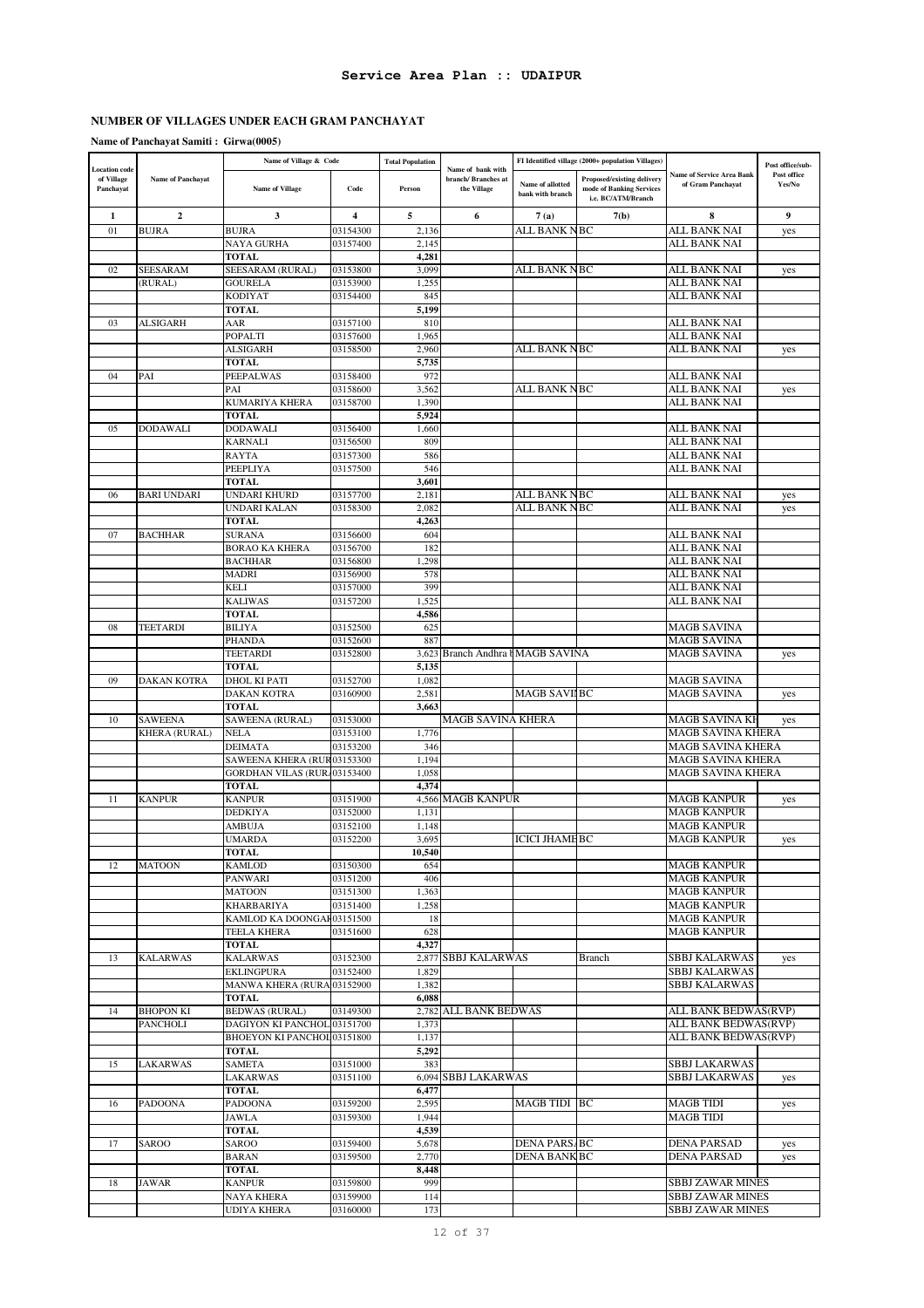# **NUMBER OF VILLAGES UNDER EACH GRAM PANCHAYAT**

# **Name of Panchayat Samiti : Girwa(0005)**

|                                    |                    | Name of Village & Code          |                      | <b>Total Population</b> |                                          |                                      | FI Identified village (2000+ population Villages) |                                          | Post office/sub- |
|------------------------------------|--------------------|---------------------------------|----------------------|-------------------------|------------------------------------------|--------------------------------------|---------------------------------------------------|------------------------------------------|------------------|
| <b>Location</b> code<br>of Village | Name of Panchayat  |                                 |                      |                         | Name of bank with<br>branch/ Branches at |                                      | Proposed/existing delivery                        | <b>Name of Service Area Bank</b>         | Post office      |
| Panchayat                          |                    | <b>Name of Village</b>          | Code                 | Person                  | the Village                              | Name of allotted<br>bank with branch | mode of Banking Services                          | of Gram Panchayat                        | Yes/No           |
|                                    |                    |                                 |                      |                         |                                          |                                      | i.e. BC/ATM/Branch                                |                                          |                  |
| 1                                  | $\boldsymbol{2}$   | 3                               | 4                    | 5                       | 6                                        | 7(a)                                 | 7(b)                                              | 8                                        | 9                |
| 01                                 | <b>BUJRA</b>       | <b>BUJRA</b>                    | 03154300             | 2,136                   |                                          | ALL BANK NBC                         |                                                   | ALL BANK NAI                             | yes              |
|                                    |                    | NAYA GURHA                      | 03157400             | 2.145                   |                                          |                                      |                                                   | ALL BANK NAI                             |                  |
|                                    |                    | <b>TOTAL</b>                    |                      | 4,281                   |                                          |                                      |                                                   |                                          |                  |
| 02                                 | <b>SEESARAM</b>    | <b>SEESARAM (RURAL)</b>         | 03153800             | 3,099                   |                                          | ALL BANK NBC                         |                                                   | ALL BANK NAI                             | yes              |
|                                    | (RURAL)            | <b>GOURELA</b>                  | 03153900             | 1,255                   |                                          |                                      |                                                   | ALL BANK NAI                             |                  |
|                                    |                    | <b>KODIYAT</b>                  | 03154400             | 845                     |                                          |                                      |                                                   | ALL BANK NAI                             |                  |
|                                    |                    | <b>TOTAL</b>                    |                      | 5,199                   |                                          |                                      |                                                   |                                          |                  |
| 03                                 | <b>ALSIGARH</b>    | AAR                             | 03157100             | 810                     |                                          |                                      |                                                   | ALL BANK NAI                             |                  |
|                                    |                    | POPALTI                         | 03157600             | 1,965                   |                                          |                                      |                                                   | ALL BANK NAI                             |                  |
|                                    |                    | <b>ALSIGARH</b>                 | 03158500             | 2,960                   |                                          | <b>ALL BANK NBC</b>                  |                                                   | <b>ALL BANK NAI</b>                      | yes              |
|                                    |                    | <b>TOTAL</b>                    |                      | 5,735                   |                                          |                                      |                                                   |                                          |                  |
| 04                                 | PAI                | PEEPALWAS                       | 03158400             | 972                     |                                          |                                      |                                                   | ALL BANK NAI                             |                  |
|                                    |                    | PAI                             | 03158600             | 3,562                   |                                          | ALL BANK NBC                         |                                                   | ALL BANK NAI                             | yes              |
|                                    |                    | <b>KUMARIYA KHERA</b>           | 03158700             | 1,390                   |                                          |                                      |                                                   | ALL BANK NAI                             |                  |
| 05                                 | <b>DODAWALI</b>    | <b>TOTAL</b><br><b>DODAWALI</b> | 03156400             | 5,924<br>1,660          |                                          |                                      |                                                   | ALL BANK NAI                             |                  |
|                                    |                    | <b>KARNALI</b>                  | 03156500             | 809                     |                                          |                                      |                                                   | ALL BANK NAI                             |                  |
|                                    |                    | <b>RAYTA</b>                    | 03157300             | 586                     |                                          |                                      |                                                   | ALL BANK NAI                             |                  |
|                                    |                    | PEEPLIYA                        | 03157500             | 546                     |                                          |                                      |                                                   | ALL BANK NAI                             |                  |
|                                    |                    | <b>TOTAL</b>                    |                      | 3,601                   |                                          |                                      |                                                   |                                          |                  |
| 06                                 | <b>BARI UNDARI</b> | UNDARI KHURD                    | 03157700             | 2,181                   |                                          | ALL BANK NBC                         |                                                   | ALL BANK NAI                             | yes              |
|                                    |                    | UNDARI KALAN                    | 03158300             | 2,082                   |                                          | ALL BANK NBC                         |                                                   | ALL BANK NAI                             | yes              |
|                                    |                    | <b>TOTAL</b>                    |                      | 4,263                   |                                          |                                      |                                                   |                                          |                  |
| 07                                 | <b>BACHHAR</b>     | <b>SURANA</b>                   | 03156600             | 604                     |                                          |                                      |                                                   | ALL BANK NAI                             |                  |
|                                    |                    | <b>BORAO KA KHERA</b>           | 03156700             | 182                     |                                          |                                      |                                                   | ALL BANK NAI                             |                  |
|                                    |                    | <b>BACHHAR</b>                  | 03156800             | 1,298                   |                                          |                                      |                                                   | <b>ALL BANK NAI</b>                      |                  |
|                                    |                    | <b>MADRI</b>                    | 03156900             | 578                     |                                          |                                      |                                                   | ALL BANK NAI                             |                  |
|                                    |                    | <b>KELI</b>                     | 03157000             | 399                     |                                          |                                      |                                                   | ALL BANK NAI                             |                  |
|                                    |                    | <b>KALIWAS</b>                  | 03157200             | 1,525                   |                                          |                                      |                                                   | ALL BANK NAI                             |                  |
|                                    |                    | <b>TOTAL</b>                    |                      | 4,586                   |                                          |                                      |                                                   |                                          |                  |
| 08                                 | TEETARDI           | <b>BILIYA</b>                   | 03152500             | 625                     |                                          |                                      |                                                   | <b>MAGB SAVINA</b>                       |                  |
|                                    |                    | PHANDA                          | 03152600             | 887                     |                                          |                                      |                                                   | <b>MAGB SAVINA</b>                       |                  |
|                                    |                    | <b>TEETARDI</b>                 | 03152800             |                         | 3,623 Branch Andhra hMAGB SAVINA         |                                      |                                                   | <b>MAGB SAVINA</b>                       | yes              |
|                                    |                    | <b>TOTAL</b>                    |                      | 5,135                   |                                          |                                      |                                                   |                                          |                  |
| 09                                 | <b>DAKAN KOTRA</b> | <b>DHOL KI PATI</b>             | 03152700             | 1,082                   |                                          |                                      |                                                   | <b>MAGB SAVINA</b>                       |                  |
|                                    |                    | <b>DAKAN KOTRA</b>              | 03160900             | 2,581                   |                                          | <b>MAGB SAVILEC</b>                  |                                                   | <b>MAGB SAVINA</b>                       | yes              |
|                                    |                    | <b>TOTAL</b>                    |                      | 3,663                   |                                          |                                      |                                                   |                                          |                  |
| 10                                 | <b>SAWEENA</b>     | SAWEENA (RURAL)                 | 03153000             |                         | MAGB SAVINA KHERA                        |                                      |                                                   | MAGB SAVINA KF                           | yes              |
|                                    | KHERA (RURAL)      | <b>NELA</b>                     | 03153100             | 1,776                   |                                          |                                      |                                                   | <b>MAGB SAVINA KHERA</b>                 |                  |
|                                    |                    | <b>DEIMATA</b>                  | 03153200             | 346                     |                                          |                                      |                                                   | <b>MAGB SAVINA KHERA</b>                 |                  |
|                                    |                    | SAWEENA KHERA (RUR03153300      |                      | 1,194                   |                                          |                                      |                                                   | <b>MAGB SAVINA KHERA</b>                 |                  |
|                                    |                    | GORDHAN VILAS (RUR. 03153400    |                      | 1,058                   |                                          |                                      |                                                   | <b>MAGB SAVINA KHERA</b>                 |                  |
|                                    |                    | <b>TOTAL</b>                    |                      | 4.374                   |                                          |                                      |                                                   |                                          |                  |
| 11                                 | <b>KANPUR</b>      | <b>KANPUR</b><br><b>DEDKIYA</b> | 03151900<br>03152000 | 1,131                   | 4,566 MAGB KANPUR                        |                                      |                                                   | <b>MAGB KANPUR</b><br><b>MAGB KANPUR</b> | yes              |
|                                    |                    | AMBUJA                          | 03152100             | 1,148                   |                                          |                                      |                                                   | <b>MAGB KANPUR</b>                       |                  |
|                                    |                    | <b>UMARDA</b>                   | 03152200             | 3,695                   |                                          | <b>ICICI JHAME BC</b>                |                                                   | <b>MAGB KANPUR</b>                       |                  |
|                                    |                    | <b>TOTAL</b>                    |                      | 10,540                  |                                          |                                      |                                                   |                                          | yes              |
| 12                                 | <b>MATOON</b>      | <b>KAMLOD</b>                   | 03150300             | 654                     |                                          |                                      |                                                   | <b>MAGB KANPUR</b>                       |                  |
|                                    |                    | <b>PANWARI</b>                  | 03151200             | 406                     |                                          |                                      |                                                   | <b>MAGB KANPUR</b>                       |                  |
|                                    |                    | <b>MATOON</b>                   | 03151300             | 1,363                   |                                          |                                      |                                                   | <b>MAGB KANPUR</b>                       |                  |
|                                    |                    | <b>KHARBARIYA</b>               | 03151400             | 1,258                   |                                          |                                      |                                                   | <b>MAGB KANPUR</b>                       |                  |
|                                    |                    | KAMLOD KA DOONGAF03151500       |                      | 18                      |                                          |                                      |                                                   | <b>MAGB KANPUR</b>                       |                  |
|                                    |                    | <b>TEELA KHERA</b>              | 03151600             | 628                     |                                          |                                      |                                                   | <b>MAGB KANPUR</b>                       |                  |
|                                    |                    | <b>TOTAL</b>                    |                      | 4,327                   |                                          |                                      |                                                   |                                          |                  |
| 13                                 | <b>KALARWAS</b>    | <b>KALARWAS</b>                 | 03152300             |                         | 2,877 SBBJ KALARWAS                      |                                      | Branch                                            | SBBJ KALARWAS                            | yes              |
|                                    |                    | <b>EKLINGPURA</b>               | 03152400             | 1,829                   |                                          |                                      |                                                   | SBBJ KALARWAS                            |                  |
|                                    |                    | MANWA KHERA (RURA 03152900      |                      | 1,382                   |                                          |                                      |                                                   | SBBJ KALARWAS                            |                  |
|                                    |                    | <b>TOTAL</b>                    |                      | 6,088                   |                                          |                                      |                                                   |                                          |                  |
| 14                                 | <b>BHOPON KI</b>   | <b>BEDWAS</b> (RURAL)           | 03149300             |                         | 2,782 ALL BANK BEDWAS                    |                                      |                                                   | ALL BANK BEDWAS(RVP)                     |                  |
|                                    | <b>PANCHOLI</b>    | DAGIYON KI PANCHOL 03151700     |                      | 1,373                   |                                          |                                      |                                                   | ALL BANK BEDWAS(RVP)                     |                  |
|                                    |                    | BHOEYON KI PANCHOL 03151800     |                      | 1,137                   |                                          |                                      |                                                   | ALL BANK BEDWAS(RVP)                     |                  |
|                                    |                    | <b>TOTAL</b>                    |                      | 5,292                   |                                          |                                      |                                                   |                                          |                  |
| 15                                 | <b>LAKARWAS</b>    | <b>SAMETA</b>                   | 03151000             | 383                     |                                          |                                      |                                                   | <b>SBBJ LAKARWAS</b>                     |                  |
|                                    |                    | LAKARWAS                        | 03151100             |                         | 6,094 SBBJ LAKARWAS                      |                                      |                                                   | <b>SBBJ LAKARWAS</b>                     | yes              |
|                                    |                    | <b>TOTAL</b>                    |                      | 6,477                   |                                          |                                      |                                                   |                                          |                  |
| 16                                 | <b>PADOONA</b>     | PADOONA                         | 03159200             | 2,595                   |                                          | MAGB TIDI BC                         |                                                   | <b>MAGB TIDI</b>                         | yes              |
|                                    |                    | <b>JAWLA</b>                    | 03159300             | 1,944                   |                                          |                                      |                                                   | <b>MAGB TIDI</b>                         |                  |
|                                    |                    | <b>TOTAL</b>                    |                      | 4,539                   |                                          |                                      |                                                   |                                          |                  |
| 17                                 | SAROO              | SAROO                           | 03159400             | 5,678                   |                                          | <b>DENA PARS/BC</b>                  |                                                   | <b>DENA PARSAD</b>                       | yes              |
|                                    |                    | <b>BARAN</b>                    | 03159500             | 2,770                   |                                          | <b>DENA BANK BC</b>                  |                                                   | <b>DENA PARSAD</b>                       | yes              |
|                                    |                    | <b>TOTAL</b>                    |                      | 8,448                   |                                          |                                      |                                                   |                                          |                  |
| 18                                 | <b>JAWAR</b>       | <b>KANPUR</b>                   | 03159800             | 999                     |                                          |                                      |                                                   | SBBJ ZAWAR MINES                         |                  |
|                                    |                    | NAYA KHERA                      | 03159900             | 114                     |                                          |                                      |                                                   | SBBJ ZAWAR MINES                         |                  |
|                                    |                    | UDIYA KHERA                     | 03160000             | 173                     |                                          |                                      |                                                   | <b>SBBJ ZAWAR MINES</b>                  |                  |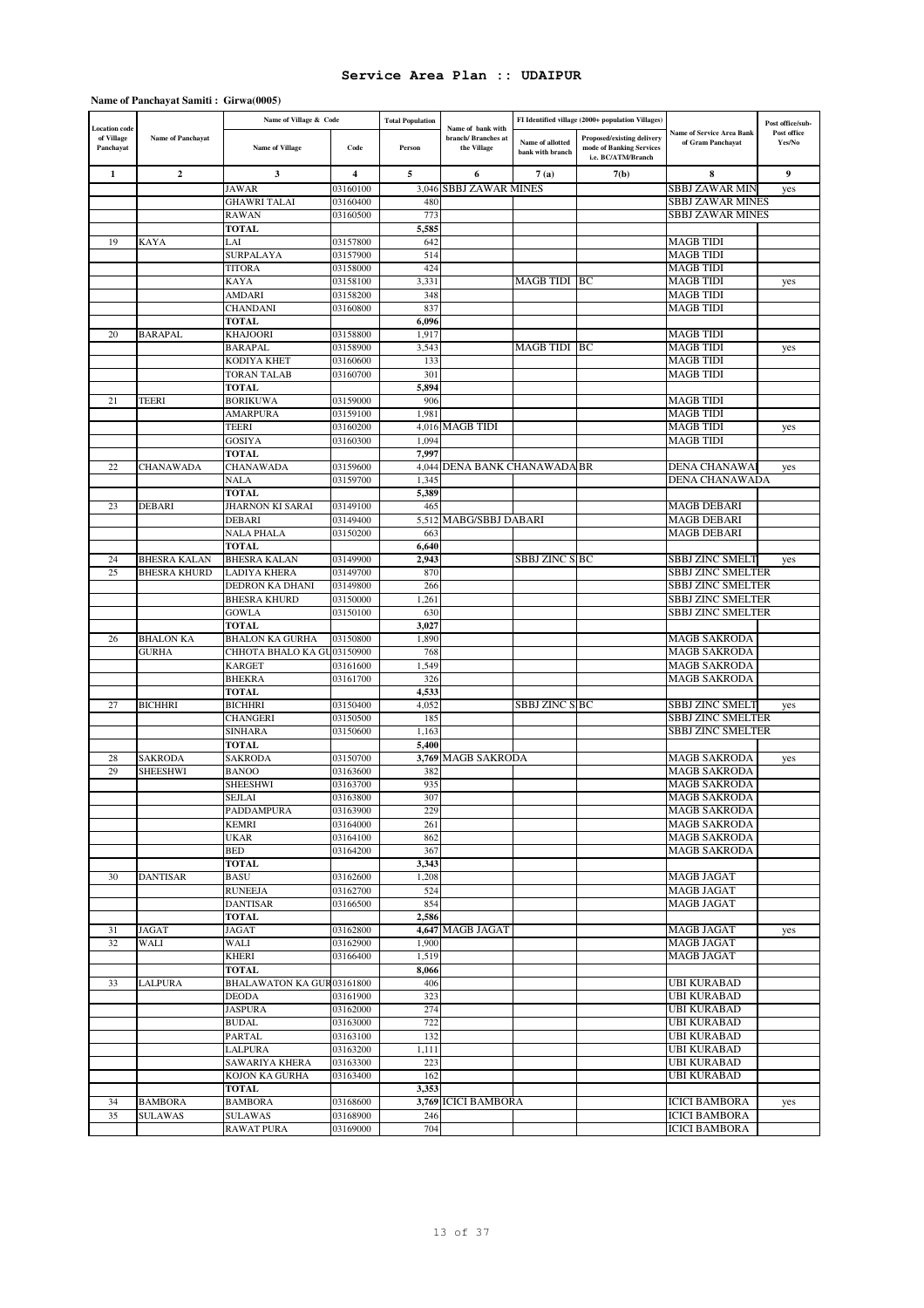### **Name of Panchayat Samiti : Girwa(0005)**

| <b>Location</b> code    |                          | Name of Village & Code     |                | <b>Total Population</b> | Name of bank with                  |                                      | FI Identified village (2000+ population Villages)                            |                                                       | Post office/sub-      |
|-------------------------|--------------------------|----------------------------|----------------|-------------------------|------------------------------------|--------------------------------------|------------------------------------------------------------------------------|-------------------------------------------------------|-----------------------|
| of Village<br>Panchayat | <b>Name of Panchayat</b> | <b>Name of Village</b>     | Code           | Person                  | branch/ Branches at<br>the Village | Name of allotted<br>bank with branch | Proposed/existing delivery<br>mode of Banking Services<br>i.e. BC/ATM/Branch | <b>Name of Service Area Bank</b><br>of Gram Panchayat | Post office<br>Yes/No |
|                         | $\overline{2}$           |                            |                |                         |                                    |                                      |                                                                              |                                                       |                       |
| 1                       |                          | $\mathbf{3}$               | $\overline{4}$ | 5                       | 6                                  | 7(a)                                 | 7(b)                                                                         | 8                                                     | 9                     |
|                         |                          | <b>JAWAR</b>               | 03160100       | 3,046                   | <b>SBBJ ZAWAR MINES</b>            |                                      |                                                                              | <b>SBBJ ZAWAR MIN</b>                                 | yes                   |
|                         |                          | <b>GHAWRI TALAI</b>        | 03160400       | 480                     |                                    |                                      |                                                                              | <b>SBBJ ZAWAR MINES</b>                               |                       |
|                         |                          | <b>RAWAN</b>               | 03160500       | 773                     |                                    |                                      |                                                                              | <b>SBBJ ZAWAR MINES</b>                               |                       |
|                         |                          | <b>TOTAL</b>               |                | 5,585                   |                                    |                                      |                                                                              |                                                       |                       |
| 19                      | KAYA                     | LAI                        | 03157800       | 642                     |                                    |                                      |                                                                              | MAGB TIDI                                             |                       |
|                         |                          | SURPALAYA                  | 03157900       | 514                     |                                    |                                      |                                                                              | <b>MAGB TIDI</b>                                      |                       |
|                         |                          | <b>TITORA</b>              | 03158000       | 424                     |                                    |                                      |                                                                              | <b>MAGB TIDI</b>                                      |                       |
|                         |                          | <b>KAYA</b>                | 03158100       | 3,331                   |                                    | MAGB TIDI BC                         |                                                                              | <b>MAGB TIDI</b>                                      | yes                   |
|                         |                          | AMDARI                     | 03158200       | 348                     |                                    |                                      |                                                                              | <b>MAGB TIDI</b>                                      |                       |
|                         |                          | <b>CHANDANI</b>            | 03160800       | 837                     |                                    |                                      |                                                                              | MAGB TIDI                                             |                       |
|                         |                          | <b>TOTAL</b>               |                | 6,096                   |                                    |                                      |                                                                              |                                                       |                       |
| 20                      | <b>BARAPAL</b>           | <b>KHAJOORI</b>            | 03158800       | 1,917                   |                                    |                                      |                                                                              | <b>MAGB TIDI</b>                                      |                       |
|                         |                          | <b>BARAPAL</b>             | 03158900       | 3,543                   |                                    | MAGB TIDI BC                         |                                                                              | <b>MAGB TIDI</b>                                      | yes                   |
|                         |                          | KODIYA KHET                | 03160600       | 133                     |                                    |                                      |                                                                              | <b>MAGB TIDI</b>                                      |                       |
|                         |                          | <b>TORAN TALAB</b>         | 03160700       | 301                     |                                    |                                      |                                                                              | <b>MAGB TIDI</b>                                      |                       |
|                         |                          | <b>TOTAL</b>               |                | 5,894                   |                                    |                                      |                                                                              |                                                       |                       |
| 21                      | <b>TEERI</b>             | <b>BORIKUWA</b>            | 03159000       | 906                     |                                    |                                      |                                                                              | <b>MAGB TIDI</b>                                      |                       |
|                         |                          |                            |                | 1,981                   |                                    |                                      |                                                                              | <b>MAGB TIDI</b>                                      |                       |
|                         |                          | <b>AMARPURA</b>            | 03159100       |                         |                                    |                                      |                                                                              |                                                       |                       |
|                         |                          | <b>TEERI</b>               | 03160200       |                         | 4,016 MAGB TIDI                    |                                      |                                                                              | <b>MAGB TIDI</b>                                      | yes                   |
|                         |                          | <b>GOSIYA</b>              | 03160300       | 1,094                   |                                    |                                      |                                                                              | <b>MAGB TIDI</b>                                      |                       |
|                         |                          | <b>TOTAL</b>               |                | 7,997                   |                                    |                                      |                                                                              |                                                       |                       |
| 22                      | CHANAWADA                | CHANAWADA                  | 03159600       |                         | 4,044 DENA BANK CHANAWADA BR       |                                      |                                                                              | DENA CHANAWA                                          | yes                   |
|                         |                          | NALA                       | 03159700       | 1,345                   |                                    |                                      |                                                                              | DENA CHANAWADA                                        |                       |
|                         |                          | <b>TOTAL</b>               |                | 5,389                   |                                    |                                      |                                                                              |                                                       |                       |
| 23                      | <b>DEBARI</b>            | <b>JHARNON KI SARAI</b>    | 03149100       | 465                     |                                    |                                      |                                                                              | <b>MAGB DEBARI</b>                                    |                       |
|                         |                          | <b>DEBARI</b>              | 03149400       | 5,512                   | MABG/SBBJ DABARI                   |                                      |                                                                              | <b>MAGB DEBARI</b>                                    |                       |
|                         |                          | <b>NALA PHALA</b>          | 03150200       | 663                     |                                    |                                      |                                                                              | <b>MAGB DEBARI</b>                                    |                       |
|                         |                          | <b>TOTAL</b>               |                | 6,640                   |                                    |                                      |                                                                              |                                                       |                       |
| 24                      | <b>BHESRA KALAN</b>      | <b>BHESRA KALAN</b>        | 03149900       | 2,943                   |                                    | <b>SBBJ ZINC SIBC</b>                |                                                                              | SBBJ ZINC SMELT                                       | yes                   |
| 25                      | <b>BHESRA KHURD</b>      | <b>LADIYA KHERA</b>        | 03149700       | 870                     |                                    |                                      |                                                                              | SBBJ ZINC SMELTER                                     |                       |
|                         |                          | DEDRON KA DHANI            | 03149800       | 266                     |                                    |                                      |                                                                              | <b>SBBJ ZINC SMELTER</b>                              |                       |
|                         |                          | <b>BHESRA KHURD</b>        | 03150000       | 1,261                   |                                    |                                      |                                                                              | <b>SBBJ ZINC SMELTER</b>                              |                       |
|                         |                          | <b>GOWLA</b>               | 03150100       | 630                     |                                    |                                      |                                                                              | SBBJ ZINC SMELTER                                     |                       |
|                         |                          | <b>TOTAL</b>               |                | 3,027                   |                                    |                                      |                                                                              |                                                       |                       |
| 26                      | <b>BHALON KA</b>         | <b>BHALON KA GURHA</b>     | 03150800       |                         |                                    |                                      |                                                                              | <b>MAGB SAKRODA</b>                                   |                       |
|                         |                          |                            |                | 1,890                   |                                    |                                      |                                                                              |                                                       |                       |
|                         | <b>GURHA</b>             | CHHOTA BHALO KA GU03150900 |                | 768                     |                                    |                                      |                                                                              | <b>MAGB SAKRODA</b>                                   |                       |
|                         |                          | <b>KARGET</b>              | 03161600       | 1,549                   |                                    |                                      |                                                                              | <b>MAGB SAKRODA</b>                                   |                       |
|                         |                          | <b>BHEKRA</b>              | 03161700       | 326                     |                                    |                                      |                                                                              | MAGB SAKRODA                                          |                       |
|                         |                          | <b>TOTAL</b>               |                | 4,533                   |                                    |                                      |                                                                              |                                                       |                       |
| 27                      | <b>BICHHRI</b>           | <b>BICHHRI</b>             | 03150400       | 4,052                   |                                    | <b>SBBJ ZINC SIBC</b>                |                                                                              | <b>SBBJ ZINC SMELT</b>                                | yes                   |
|                         |                          | <b>CHANGERI</b>            | 03150500       | 185                     |                                    |                                      |                                                                              | <b>SBBJ ZINC SMELTER</b>                              |                       |
|                         |                          | <b>SINHARA</b>             | 03150600       | 1,163                   |                                    |                                      |                                                                              | SBBJ ZINC SMELTER                                     |                       |
|                         |                          | <b>TOTAL</b>               |                | 5,400                   |                                    |                                      |                                                                              |                                                       |                       |
| 28                      | <b>SAKRODA</b>           | <b>SAKRODA</b>             | 03150700       |                         | 3,769 MAGB SAKRODA                 |                                      |                                                                              | <b>MAGB SAKRODA</b>                                   | yes                   |
| 29                      | <b>SHEESHWI</b>          | <b>BANOO</b>               | 03163600       | 382                     |                                    |                                      |                                                                              | <b>MAGB SAKRODA</b>                                   |                       |
|                         |                          | <b>SHEESHWI</b>            | 03163700       | 935                     |                                    |                                      |                                                                              | <b>MAGB SAKRODA</b>                                   |                       |
|                         |                          | <b>SEJLAI</b>              | 03163800       | 307                     |                                    |                                      |                                                                              | <b>MAGB SAKRODA</b>                                   |                       |
|                         |                          | PADDAMPURA                 | 03163900       | 229                     |                                    |                                      |                                                                              | <b>MAGB SAKRODA</b>                                   |                       |
|                         |                          | <b>KEMRI</b>               | 03164000       | 261                     |                                    |                                      |                                                                              | <b>MAGB SAKRODA</b>                                   |                       |
|                         |                          | <b>UKAR</b>                | 03164100       | 862                     |                                    |                                      |                                                                              | <b>MAGB SAKRODA</b>                                   |                       |
|                         |                          | <b>BED</b>                 | 03164200       | 367                     |                                    |                                      |                                                                              | <b>MAGB SAKRODA</b>                                   |                       |
|                         |                          | <b>TOTAL</b>               |                | 3,343                   |                                    |                                      |                                                                              |                                                       |                       |
| 30                      | <b>DANTISAR</b>          | <b>BASU</b>                | 03162600       | 1,208                   |                                    |                                      |                                                                              | <b>MAGB JAGAT</b>                                     |                       |
|                         |                          |                            |                |                         |                                    |                                      |                                                                              |                                                       |                       |
|                         |                          | <b>RUNEEJA</b>             | 03162700       | 524                     |                                    |                                      |                                                                              | <b>MAGB JAGAT</b>                                     |                       |
|                         |                          | <b>DANTISAR</b>            | 03166500       | 854                     |                                    |                                      |                                                                              | MAGB JAGAT                                            |                       |
|                         |                          | <b>TOTAL</b>               |                | 2,586                   |                                    |                                      |                                                                              |                                                       |                       |
| 31                      | <b>JAGAT</b>             | JAGAT                      | 03162800       |                         | 4,647 MAGB JAGAT                   |                                      |                                                                              | <b>MAGB JAGAT</b>                                     | yes                   |
| 32                      | WALI                     | WALI                       | 03162900       | 1,900                   |                                    |                                      |                                                                              | <b>MAGB JAGAT</b>                                     |                       |
|                         |                          | KHERI                      | 03166400       | 1,519                   |                                    |                                      |                                                                              | <b>MAGB JAGAT</b>                                     |                       |
|                         |                          | <b>TOTAL</b>               |                | 8,066                   |                                    |                                      |                                                                              |                                                       |                       |
| 33                      | LALPURA                  | BHALAWATON KA GUR03161800  |                | 406                     |                                    |                                      |                                                                              | UBI KURABAD                                           |                       |
|                         |                          | <b>DEODA</b>               | 03161900       | 323                     |                                    |                                      |                                                                              | <b>UBI KURABAD</b>                                    |                       |
|                         |                          | <b>JASPURA</b>             | 03162000       | 274                     |                                    |                                      |                                                                              | UBI KURABAD                                           |                       |
|                         |                          | <b>BUDAL</b>               | 03163000       | 722                     |                                    |                                      |                                                                              | UBI KURABAD                                           |                       |
|                         |                          | <b>PARTAL</b>              | 03163100       | 132                     |                                    |                                      |                                                                              | <b>UBI KURABAD</b>                                    |                       |
|                         |                          | LALPURA                    | 03163200       | 1,111                   |                                    |                                      |                                                                              | UBI KURABAD                                           |                       |
|                         |                          | SAWARIYA KHERA             | 03163300       | 223                     |                                    |                                      |                                                                              | UBI KURABAD                                           |                       |
|                         |                          | KOJON KA GURHA             | 03163400       | 162                     |                                    |                                      |                                                                              | UBI KURABAD                                           |                       |
|                         |                          | <b>TOTAL</b>               |                | 3,353                   |                                    |                                      |                                                                              |                                                       |                       |
| 34                      | <b>BAMBORA</b>           | <b>BAMBORA</b>             | 03168600       |                         | 3,769 ICICI BAMBORA                |                                      |                                                                              | <b>ICICI BAMBORA</b>                                  |                       |
| 35                      |                          |                            |                |                         |                                    |                                      |                                                                              |                                                       | yes                   |
|                         | <b>SULAWAS</b>           | <b>SULAWAS</b>             | 03168900       | 246                     |                                    |                                      |                                                                              | <b>ICICI BAMBORA</b>                                  |                       |
|                         |                          | <b>RAWAT PURA</b>          | 03169000       | 704                     |                                    |                                      |                                                                              | <b>ICICI BAMBORA</b>                                  |                       |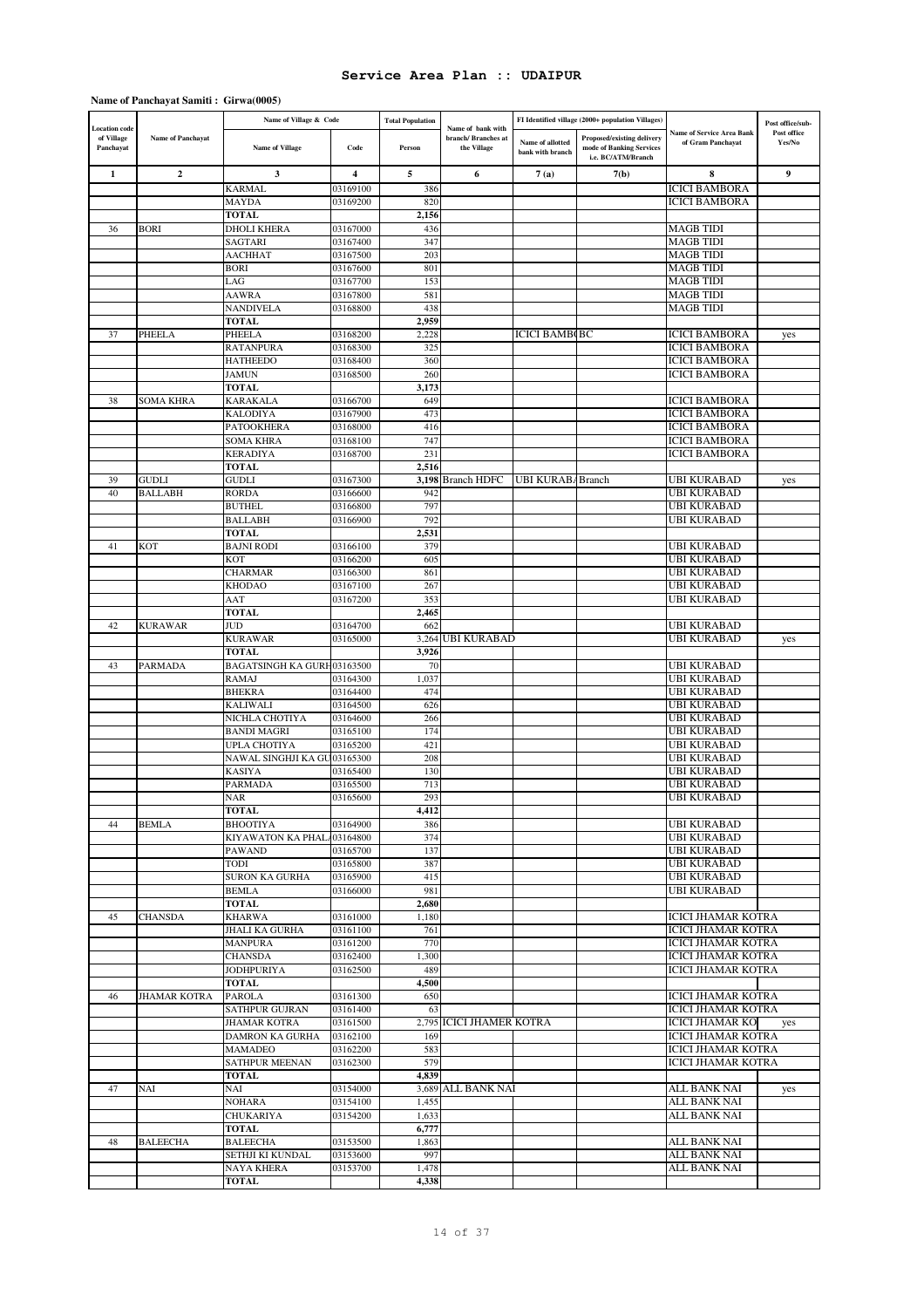### **Name of Panchayat Samiti : Girwa(0005)**

|                                                 |                     | Name of Village & Code                      |                      | <b>Total Population</b> |                                                         |                                      | FI Identified village (2000+ population Villages)                            |                                                       | Post office/sub-      |
|-------------------------------------------------|---------------------|---------------------------------------------|----------------------|-------------------------|---------------------------------------------------------|--------------------------------------|------------------------------------------------------------------------------|-------------------------------------------------------|-----------------------|
| <b>Location</b> code<br>of Village<br>Panchayat | Name of Panchayat   | <b>Name of Village</b>                      | Code                 | Person                  | Name of bank with<br>branch/ Branches at<br>the Village | Name of allotted<br>bank with branch | Proposed/existing delivery<br>mode of Banking Services<br>i.e. BC/ATM/Branch | <b>Name of Service Area Bank</b><br>of Gram Panchayat | Post office<br>Yes/No |
| 1                                               | $\mathbf{2}$        | 3                                           | 4                    | 5                       | 6                                                       | 7(a)                                 | 7(b)                                                                         | 8                                                     | 9                     |
|                                                 |                     | <b>KARMAL</b>                               | 03169100             | 386                     |                                                         |                                      |                                                                              | <b>ICICI BAMBORA</b>                                  |                       |
|                                                 |                     | MAYDA                                       | 03169200             | 820                     |                                                         |                                      |                                                                              | ICICI BAMBORA                                         |                       |
|                                                 |                     | <b>TOTAL</b>                                |                      | 2,156                   |                                                         |                                      |                                                                              |                                                       |                       |
| 36                                              | <b>BORI</b>         | <b>DHOLI KHERA</b><br>SAGTARI               | 03167000<br>03167400 | 436<br>347              |                                                         |                                      |                                                                              | MAGB TIDI<br>MAGB TIDI                                |                       |
|                                                 |                     | <b>AACHHAT</b>                              | 03167500             | 203                     |                                                         |                                      |                                                                              | <b>MAGB TIDI</b>                                      |                       |
|                                                 |                     | <b>BORI</b>                                 | 03167600             | 801                     |                                                         |                                      |                                                                              | MAGB TIDI                                             |                       |
|                                                 |                     | LAG                                         | 03167700             | 153                     |                                                         |                                      |                                                                              | <b>MAGB TIDI</b>                                      |                       |
|                                                 |                     | <b>AAWRA</b>                                | 03167800             | 581                     |                                                         |                                      |                                                                              | <b>MAGB TIDI</b>                                      |                       |
|                                                 |                     | <b>NANDIVELA</b>                            | 03168800             | 438                     |                                                         |                                      |                                                                              | MAGB TIDI                                             |                       |
|                                                 |                     | <b>TOTAL</b>                                |                      | 2,959                   |                                                         |                                      |                                                                              |                                                       |                       |
| 37                                              | PHEELA              | <b>PHEELA</b>                               | 03168200             | 2,228                   |                                                         | <b>ICICI BAMBOBC</b>                 |                                                                              | <b>ICICI BAMBORA</b>                                  | yes                   |
|                                                 |                     | <b>RATANPURA</b><br><b>HATHEEDO</b>         | 03168300<br>03168400 | 325<br>360              |                                                         |                                      |                                                                              | <b>ICICI BAMBORA</b><br><b>ICICI BAMBORA</b>          |                       |
|                                                 |                     | <b>JAMUN</b>                                | 03168500             | 260                     |                                                         |                                      |                                                                              | <b>ICICI BAMBORA</b>                                  |                       |
|                                                 |                     | <b>TOTAL</b>                                |                      | 3,173                   |                                                         |                                      |                                                                              |                                                       |                       |
| 38                                              | SOMA KHRA           | <b>KARAKALA</b>                             | 03166700             | 649                     |                                                         |                                      |                                                                              | ICICI BAMBORA                                         |                       |
|                                                 |                     | <b>KALODIYA</b>                             | 03167900             | 473                     |                                                         |                                      |                                                                              | <b>ICICI BAMBORA</b>                                  |                       |
|                                                 |                     | <b>PATOOKHERA</b>                           | 03168000             | 416                     |                                                         |                                      |                                                                              | ICICI BAMBORA                                         |                       |
|                                                 |                     | <b>SOMA KHRA</b>                            | 03168100             | 747                     |                                                         |                                      |                                                                              | ICICI BAMBORA                                         |                       |
|                                                 |                     | <b>KERADIYA</b>                             | 03168700             | 231                     |                                                         |                                      |                                                                              | ICICI BAMBORA                                         |                       |
| 39                                              | <b>GUDLI</b>        | <b>TOTAL</b><br>GUDLI                       | 03167300             | 2,516<br>3,198          | <b>Branch HDFC</b>                                      | <b>UBI KURABABranch</b>              |                                                                              | UBI KURABAD                                           | yes                   |
| 40                                              | <b>BALLABH</b>      | <b>RORDA</b>                                | 03166600             | 942                     |                                                         |                                      |                                                                              | UBI KURABAD                                           |                       |
|                                                 |                     | <b>BUTHEL</b>                               | 03166800             | 797                     |                                                         |                                      |                                                                              | UBI KURABAD                                           |                       |
|                                                 |                     | <b>BALLABH</b>                              | 03166900             | 792                     |                                                         |                                      |                                                                              | UBI KURABAD                                           |                       |
|                                                 |                     | <b>TOTAL</b>                                |                      | 2,531                   |                                                         |                                      |                                                                              |                                                       |                       |
| 41                                              | <b>KOT</b>          | <b>BAJNI RODI</b>                           | 03166100             | 379                     |                                                         |                                      |                                                                              | UBI KURABAD                                           |                       |
|                                                 |                     | KOT                                         | 03166200             | 605                     |                                                         |                                      |                                                                              | UBI KURABAD                                           |                       |
|                                                 |                     | <b>CHARMAR</b>                              | 03166300             | 861                     |                                                         |                                      |                                                                              | UBI KURABAD                                           |                       |
|                                                 |                     | <b>KHODAO</b>                               | 03167100             | 267                     |                                                         |                                      |                                                                              | UBI KURABAD                                           |                       |
|                                                 |                     | AAT<br><b>TOTAL</b>                         | 03167200             | 353<br>2,465            |                                                         |                                      |                                                                              | UBI KURABAD                                           |                       |
| 42                                              | <b>KURAWAR</b>      | <b>JUD</b>                                  | 03164700             | 662                     |                                                         |                                      |                                                                              | UBI KURABAD                                           |                       |
|                                                 |                     | <b>KURAWAR</b>                              | 03165000             | 3,264                   | <b>UBI KURABAD</b>                                      |                                      |                                                                              | UBI KURABAD                                           | yes                   |
|                                                 |                     | <b>TOTAL</b>                                |                      | 3,926                   |                                                         |                                      |                                                                              |                                                       |                       |
| 43                                              | <b>PARMADA</b>      | BAGATSINGH KA GURH03163500                  |                      | 70                      |                                                         |                                      |                                                                              | UBI KURABAD                                           |                       |
|                                                 |                     | <b>RAMAJ</b>                                | 03164300             | 1,037                   |                                                         |                                      |                                                                              | UBI KURABAD                                           |                       |
|                                                 |                     | <b>BHEKRA</b>                               | 03164400             | 474                     |                                                         |                                      |                                                                              | UBI KURABAD                                           |                       |
|                                                 |                     | KALIWALI<br>NICHLA CHOTIYA                  | 03164500             | 626                     |                                                         |                                      |                                                                              | UBI KURABAD                                           |                       |
|                                                 |                     | <b>BANDI MAGRI</b>                          | 03164600<br>03165100 | 266<br>174              |                                                         |                                      |                                                                              | UBI KURABAD<br>UBI KURABAD                            |                       |
|                                                 |                     | UPLA CHOTIYA                                | 03165200             | 421                     |                                                         |                                      |                                                                              | UBI KURABAD                                           |                       |
|                                                 |                     | NAWAL SINGHJI KA GU03165300                 |                      | 208                     |                                                         |                                      |                                                                              | UBI KURABAD                                           |                       |
|                                                 |                     | <b>KASIYA</b>                               | 03165400             | 130                     |                                                         |                                      |                                                                              | UBI KURABAD                                           |                       |
|                                                 |                     | <b>PARMADA</b>                              | 03165500             | 713                     |                                                         |                                      |                                                                              | UBI KURABAD                                           |                       |
|                                                 |                     | NAR                                         | 03165600             | 293                     |                                                         |                                      |                                                                              | UBI KURABAD                                           |                       |
|                                                 |                     | TOTAL                                       |                      | 4,412                   |                                                         |                                      |                                                                              |                                                       |                       |
| 44                                              | <b>BEMLA</b>        | <b>BHOOTIYA</b>                             | 03164900             | 386                     |                                                         |                                      |                                                                              | <b>UBI KURABAD</b><br><b>UBI KURABAD</b>              |                       |
|                                                 |                     | KIYAWATON KA PHAL 03164800<br><b>PAWAND</b> | 03165700             | 374<br>137              |                                                         |                                      |                                                                              | UBI KURABAD                                           |                       |
|                                                 |                     | TODI                                        | 03165800             | 387                     |                                                         |                                      |                                                                              | UBI KURABAD                                           |                       |
|                                                 |                     | <b>SURON KA GURHA</b>                       | 03165900             | 415                     |                                                         |                                      |                                                                              | UBI KURABAD                                           |                       |
|                                                 |                     | <b>BEMLA</b>                                | 03166000             | 981                     |                                                         |                                      |                                                                              | UBI KURABAD                                           |                       |
|                                                 |                     | <b>TOTAL</b>                                |                      | 2,680                   |                                                         |                                      |                                                                              |                                                       |                       |
| 45                                              | <b>CHANSDA</b>      | <b>KHARWA</b>                               | 03161000             | 1,180                   |                                                         |                                      |                                                                              | <b>ICICI JHAMAR KOTRA</b>                             |                       |
|                                                 |                     | JHALI KA GURHA                              | 03161100             | 761                     |                                                         |                                      |                                                                              | <b>ICICI JHAMAR KOTRA</b>                             |                       |
|                                                 |                     | <b>MANPURA</b>                              | 03161200             | 770                     |                                                         |                                      |                                                                              | <b>ICICI JHAMAR KOTRA</b>                             |                       |
|                                                 |                     | <b>CHANSDA</b><br><b>JODHPURIYA</b>         | 03162400<br>03162500 | 1,300<br>489            |                                                         |                                      |                                                                              | ICICI JHAMAR KOTRA<br>ICICI JHAMAR KOTRA              |                       |
|                                                 |                     | <b>TOTAL</b>                                |                      | 4,500                   |                                                         |                                      |                                                                              |                                                       |                       |
| 46                                              | <b>JHAMAR KOTRA</b> | <b>PAROLA</b>                               | 03161300             | 650                     |                                                         |                                      |                                                                              | <b>ICICI JHAMAR KOTRA</b>                             |                       |
|                                                 |                     | <b>SATHPUR GUJRAN</b>                       | 03161400             | 63                      |                                                         |                                      |                                                                              | ICICI JHAMAR KOTRA                                    |                       |
|                                                 |                     | <b>JHAMAR KOTRA</b>                         | 03161500             |                         | 2,795 ICICI JHAMER KOTRA                                |                                      |                                                                              | <b>ICICI JHAMAR KO</b>                                | yes                   |
|                                                 |                     | DAMRON KA GURHA                             | 03162100             | 169                     |                                                         |                                      |                                                                              | <b>ICICI JHAMAR KOTRA</b>                             |                       |
|                                                 |                     | MAMADEO                                     | 03162200             | 583                     |                                                         |                                      |                                                                              | ICICI JHAMAR KOTRA                                    |                       |
|                                                 |                     | <b>SATHPUR MEENAN</b>                       | 03162300             | 579                     |                                                         |                                      |                                                                              | ICICI JHAMAR KOTRA                                    |                       |
|                                                 |                     | <b>TOTAL</b>                                |                      | 4,839                   |                                                         |                                      |                                                                              |                                                       |                       |
| 47                                              | NAI                 | NAI<br><b>NOHARA</b>                        | 03154000<br>03154100 | 1,455                   | 3,689 ALL BANK NAI                                      |                                      |                                                                              | ALL BANK NAI<br>ALL BANK NAI                          | yes                   |
|                                                 |                     | <b>CHUKARIYA</b>                            | 03154200             | 1,633                   |                                                         |                                      |                                                                              | ALL BANK NAI                                          |                       |
|                                                 |                     | <b>TOTAL</b>                                |                      | 6,777                   |                                                         |                                      |                                                                              |                                                       |                       |
| 48                                              | <b>BALEECHA</b>     | <b>BALEECHA</b>                             | 03153500             | 1,863                   |                                                         |                                      |                                                                              | ALL BANK NAI                                          |                       |
|                                                 |                     | SETHJI KI KUNDAL                            | 03153600             | 997                     |                                                         |                                      |                                                                              | ALL BANK NAI                                          |                       |
|                                                 |                     | <b>NAYA KHERA</b>                           | 03153700             | 1,478                   |                                                         |                                      |                                                                              | ALL BANK NAI                                          |                       |
|                                                 |                     | TOTAL                                       |                      | 4,338                   |                                                         |                                      |                                                                              |                                                       |                       |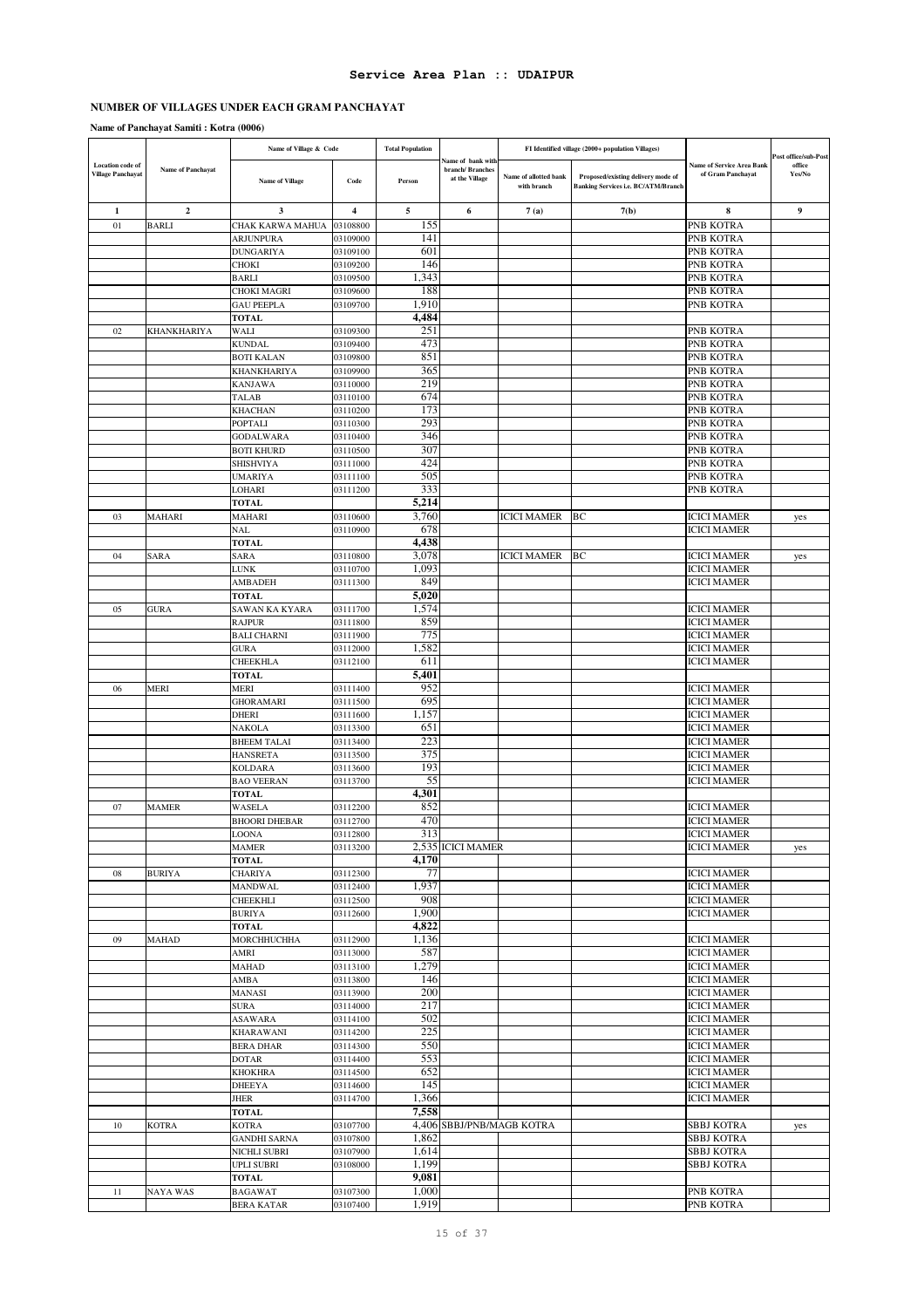# **NUMBER OF VILLAGES UNDER EACH GRAM PANCHAYAT**

|                                                     |                          | Name of Village & Code              |                         | <b>Total Population</b> |                                                        |                                      | FI Identified village (2000+ population Villages)                         |                                                       |                                          |
|-----------------------------------------------------|--------------------------|-------------------------------------|-------------------------|-------------------------|--------------------------------------------------------|--------------------------------------|---------------------------------------------------------------------------|-------------------------------------------------------|------------------------------------------|
| <b>Location</b> code of<br><b>Village Panchayat</b> | <b>Name of Panchayat</b> | <b>Name of Village</b>              | Code                    | Person                  | Name of bank with<br>branch/Branches<br>at the Village | Name of allotted bank<br>with branch | Proposed/existing delivery mode of<br>Banking Services i.e. BC/ATM/Branch | <b>Name of Service Area Bank</b><br>of Gram Panchayat | Post office/sub-Post<br>office<br>Yes/No |
| $\mathbf{1}$                                        | $\overline{2}$           | 3                                   | $\overline{\mathbf{4}}$ | 5                       | 6                                                      | 7(a)                                 | 7(b)                                                                      | 8                                                     | 9                                        |
| 01                                                  | <b>BARLI</b>             | CHAK KARWA MAHUA                    | 03108800                | 155                     |                                                        |                                      |                                                                           | <b>PNB KOTRA</b>                                      |                                          |
|                                                     |                          | ARJUNPURA                           | 03109000                | 141                     |                                                        |                                      |                                                                           | PNB KOTRA                                             |                                          |
|                                                     |                          | <b>DUNGARIYA</b>                    | 03109100                | 601                     |                                                        |                                      |                                                                           | PNB KOTRA                                             |                                          |
|                                                     |                          | CHOKI                               | 03109200                | 146                     |                                                        |                                      |                                                                           | PNB KOTRA                                             |                                          |
|                                                     |                          | <b>BARLI</b>                        | 03109500                | 1,343                   |                                                        |                                      |                                                                           | PNB KOTRA                                             |                                          |
|                                                     |                          | CHOKI MAGRI                         | 03109600                | 188                     |                                                        |                                      |                                                                           | PNB KOTRA                                             |                                          |
|                                                     |                          | <b>GAU PEEPLA</b>                   | 03109700                | 1,910<br>4,484          |                                                        |                                      |                                                                           | PNB KOTRA                                             |                                          |
| 02                                                  | KHANKHARIYA              | <b>TOTAL</b><br>WALI                | 03109300                | 251                     |                                                        |                                      |                                                                           | PNB KOTRA                                             |                                          |
|                                                     |                          | KUNDAL                              | 03109400                | 473                     |                                                        |                                      |                                                                           | PNB KOTRA                                             |                                          |
|                                                     |                          | <b>BOTI KALAN</b>                   | 03109800                | 851                     |                                                        |                                      |                                                                           | PNB KOTRA                                             |                                          |
|                                                     |                          | KHANKHARIYA                         | 03109900                | 365                     |                                                        |                                      |                                                                           | PNB KOTRA                                             |                                          |
|                                                     |                          | <b>KANJAWA</b>                      | 03110000                | 219                     |                                                        |                                      |                                                                           | PNB KOTRA                                             |                                          |
|                                                     |                          | TALAB                               | 03110100                | 674                     |                                                        |                                      |                                                                           | PNB KOTRA                                             |                                          |
|                                                     |                          | KHACHAN                             | 03110200                | 173                     |                                                        |                                      |                                                                           | PNB KOTRA                                             |                                          |
|                                                     |                          | POPTALI<br><b>GODALWARA</b>         | 03110300<br>03110400    | 293<br>346              |                                                        |                                      |                                                                           | PNB KOTRA<br>PNB KOTRA                                |                                          |
|                                                     |                          | <b>BOTI KHURD</b>                   | 03110500                | 307                     |                                                        |                                      |                                                                           | PNB KOTRA                                             |                                          |
|                                                     |                          | SHISHVIYA                           | 03111000                | 424                     |                                                        |                                      |                                                                           | PNB KOTRA                                             |                                          |
|                                                     |                          | UMARIYA                             | 03111100                | 505                     |                                                        |                                      |                                                                           | PNB KOTRA                                             |                                          |
|                                                     |                          | LOHARI                              | 03111200                | 333                     |                                                        |                                      |                                                                           | PNB KOTRA                                             |                                          |
|                                                     |                          | <b>TOTAL</b>                        |                         | 5,214                   |                                                        |                                      |                                                                           |                                                       |                                          |
| 03                                                  | MAHARI                   | MAHARI                              | 03110600                | 3,760                   |                                                        | ICICI MAMER                          | BС                                                                        | <b>ICICI MAMER</b>                                    | yes                                      |
|                                                     |                          | NAL                                 | 03110900                | 678                     |                                                        |                                      |                                                                           | <b>ICICI MAMER</b>                                    |                                          |
|                                                     |                          | <b>TOTAL</b>                        |                         | 4,438                   |                                                        | <b>ICICI MAMER</b>                   |                                                                           |                                                       |                                          |
| 04                                                  | SARA                     | SARA<br>LUNK                        | 03110800<br>03110700    | 3,078<br>1,093          |                                                        |                                      | BC                                                                        | <b>ICICI MAMER</b><br><b>ICICI MAMER</b>              | yes                                      |
|                                                     |                          | AMBADEH                             | 03111300                | 849                     |                                                        |                                      |                                                                           | <b>ICICI MAMER</b>                                    |                                          |
|                                                     |                          | <b>TOTAL</b>                        |                         | 5,020                   |                                                        |                                      |                                                                           |                                                       |                                          |
| 05                                                  | <b>GURA</b>              | SAWAN KA KYARA                      | 03111700                | 1,574                   |                                                        |                                      |                                                                           | <b>ICICI MAMER</b>                                    |                                          |
|                                                     |                          | <b>RAJPUR</b>                       | 03111800                | 859                     |                                                        |                                      |                                                                           | <b>ICICI MAMER</b>                                    |                                          |
|                                                     |                          | <b>BALI CHARNI</b>                  | 03111900                | 775                     |                                                        |                                      |                                                                           | <b>ICICI MAMER</b>                                    |                                          |
|                                                     |                          | <b>GURA</b>                         | 03112000                | 1,582                   |                                                        |                                      |                                                                           | <b>ICICI MAMER</b>                                    |                                          |
|                                                     |                          | CHEEKHLA                            | 03112100                | 611<br>5,401            |                                                        |                                      |                                                                           | <b>ICICI MAMER</b>                                    |                                          |
| 06                                                  | MERI                     | <b>TOTAL</b><br>MERI                | 03111400                | 952                     |                                                        |                                      |                                                                           | <b>ICICI MAMER</b>                                    |                                          |
|                                                     |                          | GHORAMARI                           | 03111500                | 695                     |                                                        |                                      |                                                                           | <b>ICICI MAMER</b>                                    |                                          |
|                                                     |                          | <b>DHERI</b>                        | 03111600                | 1,157                   |                                                        |                                      |                                                                           | <b>ICICI MAMER</b>                                    |                                          |
|                                                     |                          | NAKOLA                              | 03113300                | 651                     |                                                        |                                      |                                                                           | <b>ICICI MAMER</b>                                    |                                          |
|                                                     |                          | <b>BHEEM TALAI</b>                  | 03113400                | 223                     |                                                        |                                      |                                                                           | <b>ICICI MAMER</b>                                    |                                          |
|                                                     |                          | <b>HANSRETA</b>                     | 03113500                | 375                     |                                                        |                                      |                                                                           | <b>ICICI MAMER</b>                                    |                                          |
|                                                     |                          | <b>KOLDARA</b>                      | 03113600                | 193                     |                                                        |                                      |                                                                           | <b>ICICI MAMER</b>                                    |                                          |
|                                                     |                          | <b>BAO VEERAN</b>                   | 03113700                | 55<br>4,301             |                                                        |                                      |                                                                           | <b>ICICI MAMER</b>                                    |                                          |
| 07                                                  | <b>MAMER</b>             | <b>TOTAL</b><br>WASELA              | 03112200                | 852                     |                                                        |                                      |                                                                           | <b>ICICI MAMER</b>                                    |                                          |
|                                                     |                          | <b>BHOORI DHEBAR</b>                | 03112700                | 470                     |                                                        |                                      |                                                                           | <b>ICICI MAMER</b>                                    |                                          |
|                                                     |                          | LOONA                               | 03112800                | 313                     |                                                        |                                      |                                                                           | <b>ICICI MAMER</b>                                    |                                          |
|                                                     |                          | <b>MAMER</b>                        | 03113200                |                         | 2,535 ICICI MAMER                                      |                                      |                                                                           | <b>ICICI MAMER</b>                                    | yes                                      |
|                                                     |                          | <b>TOTAL</b>                        |                         | 4,170                   |                                                        |                                      |                                                                           |                                                       |                                          |
| 08                                                  | <b>BURIYA</b>            | <b>CHARIYA</b>                      | 03112300                | 77                      |                                                        |                                      |                                                                           | <b>ICICI MAMER</b>                                    |                                          |
|                                                     |                          | <b>MANDWAL</b>                      | 03112400                | 1,937<br>908            |                                                        |                                      |                                                                           | <b>ICICI MAMER</b><br><b>ICICI MAMER</b>              |                                          |
|                                                     |                          | CHEEKHLI<br><b>BURIYA</b>           | 03112500<br>03112600    | 1,900                   |                                                        |                                      |                                                                           | <b>ICICI MAMER</b>                                    |                                          |
|                                                     |                          | <b>TOTAL</b>                        |                         | 4,822                   |                                                        |                                      |                                                                           |                                                       |                                          |
| 09                                                  | MAHAD                    | MORCHHUCHHA                         | 03112900                | 1,136                   |                                                        |                                      |                                                                           | <b>ICICI MAMER</b>                                    |                                          |
|                                                     |                          | AMRI                                | 03113000                | 587                     |                                                        |                                      |                                                                           | <b>ICICI MAMER</b>                                    |                                          |
|                                                     |                          | MAHAD                               | 03113100                | 1,279                   |                                                        |                                      |                                                                           | <b>ICICI MAMER</b>                                    |                                          |
|                                                     |                          | AMBA                                | 03113800                | 146                     |                                                        |                                      |                                                                           | <b>ICICI MAMER</b>                                    |                                          |
|                                                     |                          | MANASI                              | 03113900                | 200<br>217              |                                                        |                                      |                                                                           | <b>ICICI MAMER</b>                                    |                                          |
|                                                     |                          | <b>SURA</b><br>ASAWARA              | 03114000<br>03114100    | 502                     |                                                        |                                      |                                                                           | <b>ICICI MAMER</b><br><b>ICICI MAMER</b>              |                                          |
|                                                     |                          | <b>KHARAWANI</b>                    | 03114200                | 225                     |                                                        |                                      |                                                                           | <b>ICICI MAMER</b>                                    |                                          |
|                                                     |                          | <b>BERA DHAR</b>                    | 03114300                | 550                     |                                                        |                                      |                                                                           | <b>ICICI MAMER</b>                                    |                                          |
|                                                     |                          | DOTAR                               | 03114400                | 553                     |                                                        |                                      |                                                                           | <b>ICICI MAMER</b>                                    |                                          |
|                                                     |                          | <b>KHOKHRA</b>                      | 03114500                | 652                     |                                                        |                                      |                                                                           | <b>ICICI MAMER</b>                                    |                                          |
|                                                     |                          | <b>DHEEYA</b>                       | 03114600                | 145                     |                                                        |                                      |                                                                           | <b>ICICI MAMER</b>                                    |                                          |
|                                                     |                          | JHER                                | 03114700                | 1,366                   |                                                        |                                      |                                                                           | <b>ICICI MAMER</b>                                    |                                          |
|                                                     |                          | <b>TOTAL</b>                        |                         | 7,558                   |                                                        |                                      |                                                                           |                                                       |                                          |
| 10                                                  | <b>KOTRA</b>             | <b>KOTRA</b><br><b>GANDHI SARNA</b> | 03107700<br>03107800    | 1,862                   |                                                        | 4,406 SBBJ/PNB/MAGB KOTRA            |                                                                           | <b>SBBJ KOTRA</b><br><b>SBBJ KOTRA</b>                | yes                                      |
|                                                     |                          | NICHLI SUBRI                        | 03107900                | 1,614                   |                                                        |                                      |                                                                           | <b>SBBJ KOTRA</b>                                     |                                          |
|                                                     |                          | UPLI SUBRI                          | 03108000                | 1,199                   |                                                        |                                      |                                                                           | <b>SBBJ KOTRA</b>                                     |                                          |
|                                                     |                          | <b>TOTAL</b>                        |                         | 9,081                   |                                                        |                                      |                                                                           |                                                       |                                          |
| 11                                                  | <b>NAYA WAS</b>          | <b>BAGAWAT</b>                      | 03107300                | 1,000                   |                                                        |                                      |                                                                           | PNB KOTRA                                             |                                          |
|                                                     |                          | <b>BERA KATAR</b>                   | 03107400                | 1,919                   |                                                        |                                      |                                                                           | PNB KOTRA                                             |                                          |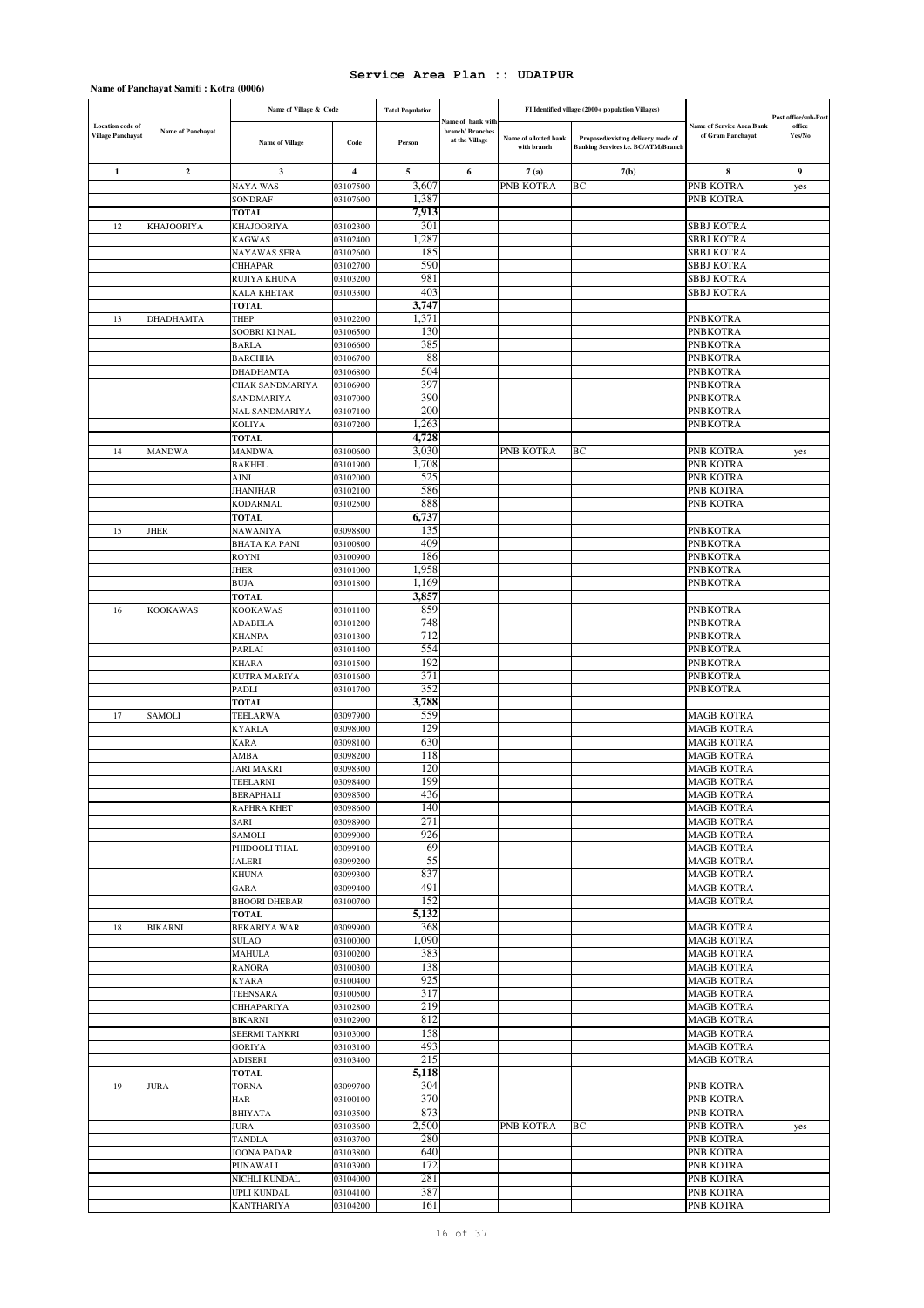|                                                     |                   | Name of Village & Code              |                      | <b>Total Population</b> |                                                        |                                      | FI Identified village (2000+ population Villages)                         |                                                |                                          |
|-----------------------------------------------------|-------------------|-------------------------------------|----------------------|-------------------------|--------------------------------------------------------|--------------------------------------|---------------------------------------------------------------------------|------------------------------------------------|------------------------------------------|
| <b>Location</b> code of<br><b>Village Panchayat</b> | Name of Panchayat | <b>Name of Village</b>              | Code                 | Person                  | iame of bank with<br>branch/Branches<br>at the Village | Name of allotted bank<br>with branch | Proposed/existing delivery mode of<br>Banking Services i.e. BC/ATM/Branch | Name of Service Area Bank<br>of Gram Panchayat | Post office/sub-Post<br>office<br>Yes/No |
| 1                                                   | $\mathbf{2}$      | 3                                   | 4                    | 5                       | 6                                                      | 7(a)                                 | 7(b)                                                                      | 8                                              | 9                                        |
|                                                     |                   | <b>NAYA WAS</b>                     | 03107500             | 3,607                   |                                                        | PNB KOTRA                            | BC                                                                        | PNB KOTRA                                      | yes                                      |
|                                                     |                   | <b>SONDRAF</b>                      | 03107600             | 1,387                   |                                                        |                                      |                                                                           | PNB KOTRA                                      |                                          |
|                                                     |                   | <b>TOTAL</b>                        |                      | 7,913                   |                                                        |                                      |                                                                           |                                                |                                          |
| 12                                                  | <b>KHAJOORIYA</b> | <b>KHAJOORIYA</b>                   | 03102300             | 301                     |                                                        |                                      |                                                                           | <b>SBBJ KOTRA</b>                              |                                          |
|                                                     |                   | <b>KAGWAS</b>                       | 03102400             | 1,287                   |                                                        |                                      |                                                                           | <b>SBBJ KOTRA</b>                              |                                          |
|                                                     |                   | NAYAWAS SERA                        | 03102600             | 185<br>590              |                                                        |                                      |                                                                           | <b>SBBJ KOTRA</b><br><b>SBBJ KOTRA</b>         |                                          |
|                                                     |                   | <b>CHHAPAR</b><br>RUJIYA KHUNA      | 03102700<br>03103200 | 981                     |                                                        |                                      |                                                                           | SBBJ KOTRA                                     |                                          |
|                                                     |                   | KALA KHETAR                         | 03103300             | 403                     |                                                        |                                      |                                                                           | SBBJ KOTRA                                     |                                          |
|                                                     |                   | <b>TOTAL</b>                        |                      | 3,747                   |                                                        |                                      |                                                                           |                                                |                                          |
| 13                                                  | <b>DHADHAMTA</b>  | <b>THEP</b>                         | 03102200             | 1,371                   |                                                        |                                      |                                                                           | <b>PNBKOTRA</b>                                |                                          |
|                                                     |                   | SOOBRI KI NAL                       | 03106500             | 130                     |                                                        |                                      |                                                                           | <b>PNBKOTRA</b>                                |                                          |
|                                                     |                   | <b>BARLA</b>                        | 03106600             | 385                     |                                                        |                                      |                                                                           | <b>PNBKOTRA</b>                                |                                          |
|                                                     |                   | <b>BARCHHA</b>                      | 03106700             | 88                      |                                                        |                                      |                                                                           | <b>PNBKOTRA</b>                                |                                          |
|                                                     |                   | DHADHAMTA<br>CHAK SANDMARIYA        | 03106800<br>03106900 | 504<br>397              |                                                        |                                      |                                                                           | PNBKOTRA<br><b>PNBKOTRA</b>                    |                                          |
|                                                     |                   | SANDMARIYA                          | 03107000             | 390                     |                                                        |                                      |                                                                           | <b>PNBKOTRA</b>                                |                                          |
|                                                     |                   | <b>NAL SANDMARIYA</b>               | 03107100             | 200                     |                                                        |                                      |                                                                           | <b>PNBKOTRA</b>                                |                                          |
|                                                     |                   | <b>KOLIYA</b>                       | 03107200             | 1,263                   |                                                        |                                      |                                                                           | <b>PNBKOTRA</b>                                |                                          |
|                                                     |                   | <b>TOTAL</b>                        |                      | 4,728                   |                                                        |                                      |                                                                           |                                                |                                          |
| 14                                                  | <b>MANDWA</b>     | MANDWA                              | 03100600             | 3,030                   |                                                        | PNB KOTRA                            | BC                                                                        | PNB KOTRA                                      | yes                                      |
|                                                     |                   | <b>BAKHEL</b>                       | 03101900             | 1,708                   |                                                        |                                      |                                                                           | PNB KOTRA                                      |                                          |
|                                                     |                   | AJNI                                | 03102000             | 525                     |                                                        |                                      |                                                                           | PNB KOTRA                                      |                                          |
|                                                     |                   | JHANJHAR<br><b>KODARMAL</b>         | 03102100<br>03102500 | 586<br>888              |                                                        |                                      |                                                                           | PNB KOTRA<br>PNB KOTRA                         |                                          |
|                                                     |                   | <b>TOTAL</b>                        |                      | 6,737                   |                                                        |                                      |                                                                           |                                                |                                          |
| 15                                                  | JHER              | NAWANIYA                            | 03098800             | 135                     |                                                        |                                      |                                                                           | PNBKOTRA                                       |                                          |
|                                                     |                   | <b>BHATA KA PANI</b>                | 03100800             | 409                     |                                                        |                                      |                                                                           | <b>PNBKOTRA</b>                                |                                          |
|                                                     |                   | ROYNI                               | 03100900             | 186                     |                                                        |                                      |                                                                           | <b>PNBKOTRA</b>                                |                                          |
|                                                     |                   | JHER                                | 03101000             | 1,958                   |                                                        |                                      |                                                                           | <b>PNBKOTRA</b>                                |                                          |
|                                                     |                   | BUJA                                | 03101800             | 1,169                   |                                                        |                                      |                                                                           | PNBKOTRA                                       |                                          |
|                                                     |                   | <b>TOTAL</b>                        |                      | 3,857<br>859            |                                                        |                                      |                                                                           |                                                |                                          |
| 16                                                  | <b>KOOKAWAS</b>   | <b>KOOKAWAS</b><br><b>ADABELA</b>   | 03101100<br>03101200 | 748                     |                                                        |                                      |                                                                           | <b>PNBKOTRA</b><br><b>PNBKOTRA</b>             |                                          |
|                                                     |                   | <b>KHANPA</b>                       | 03101300             | 712                     |                                                        |                                      |                                                                           | <b>PNBKOTRA</b>                                |                                          |
|                                                     |                   | PARLAI                              | 03101400             | 554                     |                                                        |                                      |                                                                           | PNBKOTRA                                       |                                          |
|                                                     |                   | <b>KHARA</b>                        | 03101500             | 192                     |                                                        |                                      |                                                                           | <b>PNBKOTRA</b>                                |                                          |
|                                                     |                   | KUTRA MARIYA                        | 03101600             | 371                     |                                                        |                                      |                                                                           | <b>PNBKOTRA</b>                                |                                          |
|                                                     |                   | PADLI                               | 03101700             | 352                     |                                                        |                                      |                                                                           | <b>PNBKOTRA</b>                                |                                          |
|                                                     |                   | <b>TOTAL</b>                        |                      | 3,788                   |                                                        |                                      |                                                                           |                                                |                                          |
| 17                                                  | <b>SAMOLI</b>     | TEELARWA<br><b>KYARLA</b>           | 03097900<br>03098000 | 559<br>129              |                                                        |                                      |                                                                           | <b>MAGB KOTRA</b><br><b>MAGB KOTRA</b>         |                                          |
|                                                     |                   | KARA                                | 03098100             | 630                     |                                                        |                                      |                                                                           | <b>MAGB KOTRA</b>                              |                                          |
|                                                     |                   | AMBA                                | 03098200             | 118                     |                                                        |                                      |                                                                           | <b>MAGB KOTRA</b>                              |                                          |
|                                                     |                   | JARI MAKRI                          | 03098300             | 120                     |                                                        |                                      |                                                                           | <b>MAGB KOTRA</b>                              |                                          |
|                                                     |                   | TEELARNI                            | 03098400             | 199                     |                                                        |                                      |                                                                           | <b>MAGB KOTRA</b>                              |                                          |
|                                                     |                   | BERAPHALI                           | 03098500             | 436                     |                                                        |                                      |                                                                           | <b>MAGB KOTRA</b>                              |                                          |
|                                                     |                   | <b>RAPHRA KHET</b>                  | 03098600             | 140<br>271              |                                                        |                                      |                                                                           | <b>MAGB KOTRA</b>                              |                                          |
|                                                     |                   | SARI<br>SAMOLI                      | 03098900<br>03099000 | 926                     |                                                        |                                      |                                                                           | <b>MAGB KOTRA</b><br><b>MAGB KOTRA</b>         |                                          |
|                                                     |                   | PHIDOOLI THAL                       | 03099100             | 69                      |                                                        |                                      |                                                                           | <b>MAGB KOTRA</b>                              |                                          |
|                                                     |                   | <b>JALERI</b>                       | 03099200             | 55                      |                                                        |                                      |                                                                           | <b>MAGB KOTRA</b>                              |                                          |
|                                                     |                   | <b>KHUNA</b>                        | 03099300             | 837                     |                                                        |                                      |                                                                           | <b>MAGB KOTRA</b>                              |                                          |
|                                                     |                   | GARA                                | 03099400             | 491                     |                                                        |                                      |                                                                           | <b>MAGB KOTRA</b>                              |                                          |
|                                                     |                   | <b>BHOORI DHEBAR</b>                | 03100700             | 152                     |                                                        |                                      |                                                                           | <b>MAGB KOTRA</b>                              |                                          |
|                                                     |                   | <b>TOTAL</b>                        |                      | 5,132                   |                                                        |                                      |                                                                           |                                                |                                          |
| 18                                                  | <b>BIKARNI</b>    | <b>BEKARIYA WAR</b><br><b>SULAO</b> | 03099900<br>03100000 | 368<br>1,090            |                                                        |                                      |                                                                           | <b>MAGB KOTRA</b><br><b>MAGB KOTRA</b>         |                                          |
|                                                     |                   | <b>MAHULA</b>                       | 03100200             | 383                     |                                                        |                                      |                                                                           | <b>MAGB KOTRA</b>                              |                                          |
|                                                     |                   | <b>RANORA</b>                       | 03100300             | 138                     |                                                        |                                      |                                                                           | <b>MAGB KOTRA</b>                              |                                          |
|                                                     |                   | <b>KYARA</b>                        | 03100400             | 925                     |                                                        |                                      |                                                                           | <b>MAGB KOTRA</b>                              |                                          |
|                                                     |                   | TEENSARA                            | 03100500             | 317                     |                                                        |                                      |                                                                           | <b>MAGB KOTRA</b>                              |                                          |
|                                                     |                   | <b>CHHAPARIYA</b>                   | 03102800             | 219                     |                                                        |                                      |                                                                           | <b>MAGB KOTRA</b>                              |                                          |
|                                                     |                   | <b>BIKARNI</b>                      | 03102900<br>03103000 | 812<br>158              |                                                        |                                      |                                                                           | <b>MAGB KOTRA</b><br><b>MAGB KOTRA</b>         |                                          |
|                                                     |                   | SEERMI TANKRI<br><b>GORIYA</b>      | 03103100             | 493                     |                                                        |                                      |                                                                           | <b>MAGB KOTRA</b>                              |                                          |
|                                                     |                   | ADISERI                             | 03103400             | 215                     |                                                        |                                      |                                                                           | <b>MAGB KOTRA</b>                              |                                          |
|                                                     |                   | <b>TOTAL</b>                        |                      | 5,118                   |                                                        |                                      |                                                                           |                                                |                                          |
| 19                                                  | <b>JURA</b>       | TORNA                               | 03099700             | 304                     |                                                        |                                      |                                                                           | PNB KOTRA                                      |                                          |
|                                                     |                   | HAR                                 | 03100100             | 370                     |                                                        |                                      |                                                                           | PNB KOTRA                                      |                                          |
|                                                     |                   | <b>BHIYATA</b>                      | 03103500             | 873                     |                                                        |                                      |                                                                           | PNB KOTRA                                      |                                          |
|                                                     |                   | <b>JURA</b>                         | 03103600             | 2,500                   |                                                        | PNB KOTRA                            | ВC                                                                        | PNB KOTRA                                      | yes                                      |
|                                                     |                   | <b>TANDLA</b>                       | 03103700             | 280                     |                                                        |                                      |                                                                           | PNB KOTRA                                      |                                          |
|                                                     |                   | <b>JOONA PADAR</b><br>PUNAWALI      | 03103800<br>03103900 | 640<br>172              |                                                        |                                      |                                                                           | PNB KOTRA<br>PNB KOTRA                         |                                          |
|                                                     |                   | NICHLI KUNDAL                       | 03104000             | 281                     |                                                        |                                      |                                                                           | PNB KOTRA                                      |                                          |
|                                                     |                   | UPLI KUNDAL                         | 03104100             | 387                     |                                                        |                                      |                                                                           | PNB KOTRA                                      |                                          |
|                                                     |                   | <b>KANTHARIYA</b>                   | 03104200             | 161                     |                                                        |                                      |                                                                           | PNB KOTRA                                      |                                          |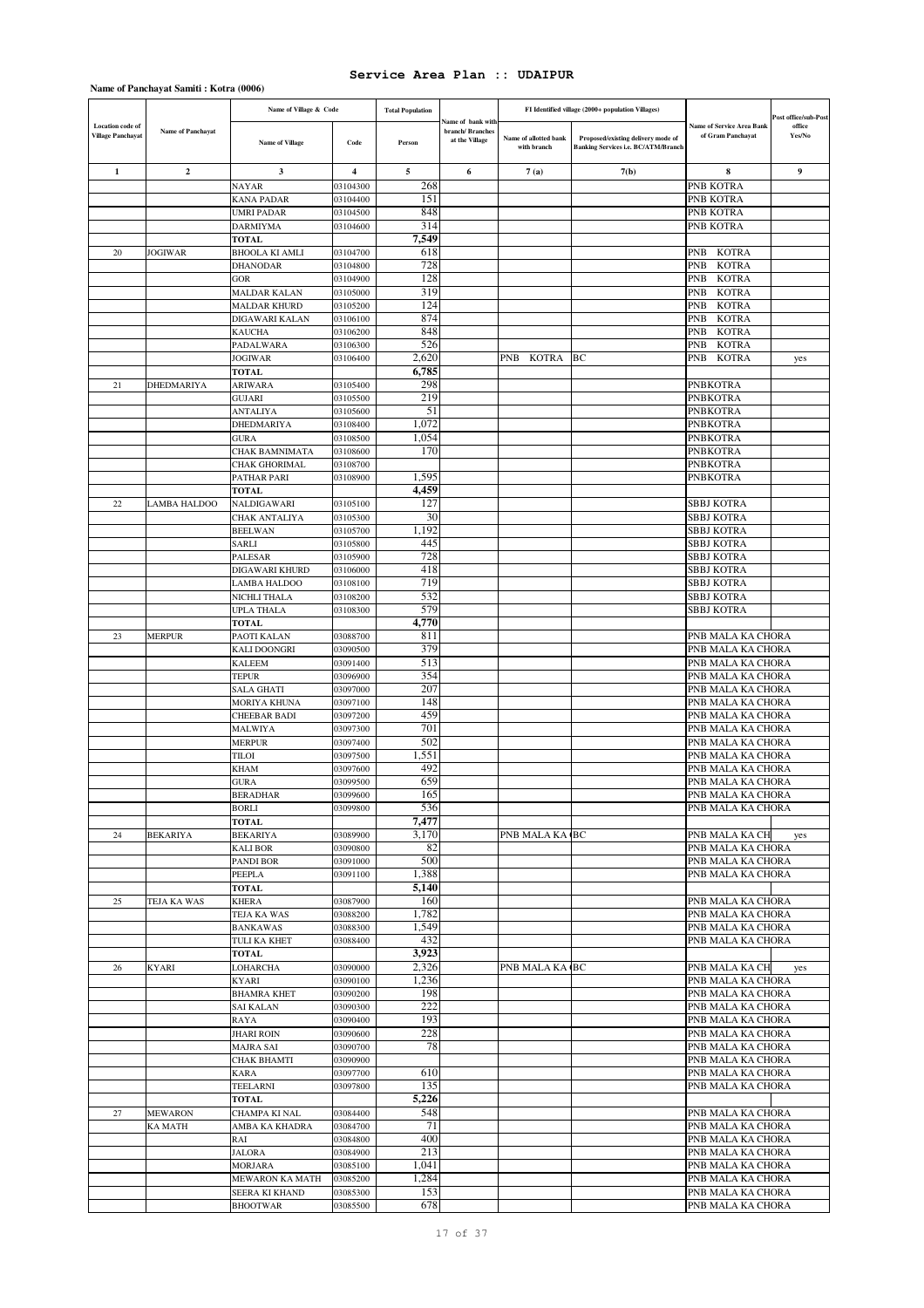|                                                     |                   | Name of Village & Code                 |                      | <b>Total Population</b> |                                                        |                                      | FI Identified village (2000+ population Villages)                         |                                                       |                                          |
|-----------------------------------------------------|-------------------|----------------------------------------|----------------------|-------------------------|--------------------------------------------------------|--------------------------------------|---------------------------------------------------------------------------|-------------------------------------------------------|------------------------------------------|
| <b>Location</b> code of<br><b>Village Panchayat</b> | Name of Panchayat | <b>Name of Village</b>                 | Code                 | Person                  | iame of bank with<br>branch/Branches<br>at the Village | Name of allotted bank<br>with branch | Proposed/existing delivery mode of<br>Banking Services i.e. BC/ATM/Branch | <b>Name of Service Area Bank</b><br>of Gram Panchayat | Post office/sub-Post<br>office<br>Yes/No |
| $\mathbf{1}$                                        | $\overline{2}$    | 3                                      | $\overline{4}$       | 5                       | 6                                                      | 7(a)                                 | 7(b)                                                                      | 8                                                     | 9                                        |
|                                                     |                   | NAYAR                                  | 03104300             | 268                     |                                                        |                                      |                                                                           | PNB KOTRA                                             |                                          |
|                                                     |                   | <b>KANA PADAR</b>                      | 03104400             | 151                     |                                                        |                                      |                                                                           | PNB KOTRA                                             |                                          |
|                                                     |                   | <b>UMRI PADAR</b>                      | 03104500             | 848                     |                                                        |                                      |                                                                           | PNB KOTRA                                             |                                          |
|                                                     |                   | <b>DARMIYMA</b>                        | 03104600             | 314                     |                                                        |                                      |                                                                           | PNB KOTRA                                             |                                          |
|                                                     |                   | <b>TOTAL</b>                           |                      | 7,549                   |                                                        |                                      |                                                                           |                                                       |                                          |
| 20                                                  | <b>JOGIWAR</b>    | <b>BHOOLA KI AMLI</b>                  | 03104700             | 618                     |                                                        |                                      |                                                                           | PNB<br>KOTRA                                          |                                          |
|                                                     |                   | <b>DHANODAR</b><br><b>GOR</b>          | 03104800<br>03104900 | 728<br>128              |                                                        |                                      |                                                                           | <b>KOTRA</b><br>PNB<br>PNB<br><b>KOTRA</b>            |                                          |
|                                                     |                   | MALDAR KALAN                           | 03105000             | 319                     |                                                        |                                      |                                                                           | PNB<br><b>KOTRA</b>                                   |                                          |
|                                                     |                   | <b>MALDAR KHURD</b>                    | 03105200             | 124                     |                                                        |                                      |                                                                           | PNB<br><b>KOTRA</b>                                   |                                          |
|                                                     |                   | DIGAWARI KALAN                         | 03106100             | 874                     |                                                        |                                      |                                                                           | <b>PNB</b><br><b>KOTRA</b>                            |                                          |
|                                                     |                   | <b>KAUCHA</b>                          | 03106200             | 848                     |                                                        |                                      |                                                                           | PNB<br><b>KOTRA</b>                                   |                                          |
|                                                     |                   | PADALWARA                              | 03106300             | 526                     |                                                        |                                      |                                                                           | PNB<br><b>KOTRA</b>                                   |                                          |
|                                                     |                   | <b>JOGIWAR</b>                         | 03106400             | 2,620                   |                                                        | KOTRA<br>PNB                         | BC                                                                        | <b>KOTRA</b><br>PNB                                   | yes                                      |
|                                                     |                   | <b>TOTAL</b>                           |                      | 6,785                   |                                                        |                                      |                                                                           |                                                       |                                          |
| 21                                                  | DHEDMARIYA        | ARIWARA<br><b>GUJARI</b>               | 03105400<br>03105500 | 298<br>219              |                                                        |                                      |                                                                           | <b>PNBKOTRA</b><br><b>PNBKOTRA</b>                    |                                          |
|                                                     |                   | <b>ANTALIYA</b>                        | 03105600             | 51                      |                                                        |                                      |                                                                           | <b>PNBKOTRA</b>                                       |                                          |
|                                                     |                   | DHEDMARIYA                             | 03108400             | 1,072                   |                                                        |                                      |                                                                           | <b>PNBKOTRA</b>                                       |                                          |
|                                                     |                   | <b>GURA</b>                            | 03108500             | 1,054                   |                                                        |                                      |                                                                           | <b>PNBKOTRA</b>                                       |                                          |
|                                                     |                   | <b>CHAK BAMNIMATA</b>                  | 03108600             | 170                     |                                                        |                                      |                                                                           | PNBKOTRA                                              |                                          |
|                                                     |                   | <b>CHAK GHORIMAL</b>                   | 03108700             |                         |                                                        |                                      |                                                                           | PNBKOTRA                                              |                                          |
|                                                     |                   | PATHAR PARI                            | 03108900             | 1,595                   |                                                        |                                      |                                                                           | <b>PNBKOTRA</b>                                       |                                          |
|                                                     |                   | <b>TOTAL</b>                           |                      | 4,459                   |                                                        |                                      |                                                                           |                                                       |                                          |
| 22                                                  | LAMBA HALDOO      | NALDIGAWARI                            | 03105100             | 127                     |                                                        |                                      |                                                                           | <b>SBBJ KOTRA</b>                                     |                                          |
|                                                     |                   | CHAK ANTALIYA<br><b>BEELWAN</b>        | 03105300<br>03105700 | 30<br>1.192             |                                                        |                                      |                                                                           | <b>SBBJ KOTRA</b><br>SBBJ KOTRA                       |                                          |
|                                                     |                   | SARLI                                  | 03105800             | 445                     |                                                        |                                      |                                                                           | <b>SBBJ KOTRA</b>                                     |                                          |
|                                                     |                   | PALESAR                                | 03105900             | 728                     |                                                        |                                      |                                                                           | SBBJ KOTRA                                            |                                          |
|                                                     |                   | DIGAWARI KHURD                         | 03106000             | 418                     |                                                        |                                      |                                                                           | <b>SBBJ KOTRA</b>                                     |                                          |
|                                                     |                   | LAMBA HALDOO                           | 03108100             | 719                     |                                                        |                                      |                                                                           | SBBJ KOTRA                                            |                                          |
|                                                     |                   | NICHLI THALA                           | 03108200             | 532                     |                                                        |                                      |                                                                           | <b>SBBJ KOTRA</b>                                     |                                          |
|                                                     |                   | <b>UPLA THALA</b>                      | 03108300             | 579                     |                                                        |                                      |                                                                           | SBBJ KOTRA                                            |                                          |
|                                                     |                   | <b>TOTAL</b>                           |                      | 4,770                   |                                                        |                                      |                                                                           |                                                       |                                          |
| 23                                                  | <b>MERPUR</b>     | PAOTI KALAN                            | 03088700             | 811<br>379              |                                                        |                                      |                                                                           | PNB MALA KA CHORA                                     |                                          |
|                                                     |                   | <b>KALI DOONGRI</b><br><b>KALEEM</b>   | 03090500<br>03091400 | 513                     |                                                        |                                      |                                                                           | PNB MALA KA CHORA<br>PNB MALA KA CHORA                |                                          |
|                                                     |                   | <b>TEPUR</b>                           | 03096900             | 354                     |                                                        |                                      |                                                                           | PNB MALA KA CHORA                                     |                                          |
|                                                     |                   | <b>SALA GHATI</b>                      | 03097000             | 207                     |                                                        |                                      |                                                                           | PNB MALA KA CHORA                                     |                                          |
|                                                     |                   | MORIYA KHUNA                           | 03097100             | 148                     |                                                        |                                      |                                                                           | PNB MALA KA CHORA                                     |                                          |
|                                                     |                   | CHEEBAR BADI                           | 03097200             | 459                     |                                                        |                                      |                                                                           | PNB MALA KA CHORA                                     |                                          |
|                                                     |                   | MALWIYA                                | 03097300             | 701                     |                                                        |                                      |                                                                           | PNB MALA KA CHORA                                     |                                          |
|                                                     |                   | MERPUR                                 | 03097400             | 502                     |                                                        |                                      |                                                                           | PNB MALA KA CHORA                                     |                                          |
|                                                     |                   | TILOI                                  | 03097500             | 1,551                   |                                                        |                                      |                                                                           | PNB MALA KA CHORA                                     |                                          |
|                                                     |                   | KHAM                                   | 03097600             | 492<br>659              |                                                        |                                      |                                                                           | PNB MALA KA CHORA<br>PNB MALA KA CHORA                |                                          |
|                                                     |                   | <b>GURA</b><br>BERADHAR                | 03099500<br>03099600 | 165                     |                                                        |                                      |                                                                           | PNB MALA KA CHORA                                     |                                          |
|                                                     |                   | <b>BORLI</b>                           | 03099800             | 536                     |                                                        |                                      |                                                                           | PNB MALA KA CHORA                                     |                                          |
|                                                     |                   | <b>TOTAL</b>                           |                      | 7,477                   |                                                        |                                      |                                                                           |                                                       |                                          |
| 24                                                  | <b>BEKARIYA</b>   | <b>BEKARIYA</b>                        | 03089900             | 3,170                   |                                                        | PNB MALA KA (BC                      |                                                                           | PNB MALA KA CH                                        | yes                                      |
|                                                     |                   | <b>KALI BOR</b>                        | 03090800             | 82                      |                                                        |                                      |                                                                           | PNB MALA KA CHORA                                     |                                          |
|                                                     |                   | PANDI BOR                              | 03091000             | 500                     |                                                        |                                      |                                                                           | PNB MALA KA CHORA                                     |                                          |
|                                                     |                   | PEEPLA<br><b>TOTAL</b>                 | 03091100             | 1,388<br>5,140          |                                                        |                                      |                                                                           | PNB MALA KA CHORA                                     |                                          |
| 25                                                  | TEJA KA WAS       | KHERA                                  | 03087900             | 160                     |                                                        |                                      |                                                                           | PNB MALA KA CHORA                                     |                                          |
|                                                     |                   | TEJA KA WAS                            | 03088200             | 1,782                   |                                                        |                                      |                                                                           | PNB MALA KA CHORA                                     |                                          |
|                                                     |                   | <b>BANKAWAS</b>                        | 03088300             | 1,549                   |                                                        |                                      |                                                                           | PNB MALA KA CHORA                                     |                                          |
|                                                     |                   | TULI KA KHET                           | 03088400             | 432                     |                                                        |                                      |                                                                           | PNB MALA KA CHORA                                     |                                          |
|                                                     |                   | <b>TOTAL</b>                           |                      | 3,923                   |                                                        |                                      |                                                                           |                                                       |                                          |
| 26                                                  | <b>KYARI</b>      | LOHARCHA                               | 03090000             | 2,326                   |                                                        | PNB MALA KA (BC                      |                                                                           | PNB MALA KA CH                                        | yes                                      |
|                                                     |                   | <b>KYARI</b>                           | 03090100             | 1,236                   |                                                        |                                      |                                                                           | PNB MALA KA CHORA                                     |                                          |
|                                                     |                   | <b>BHAMRA KHET</b><br><b>SAI KALAN</b> | 03090200<br>03090300 | 198<br>222              |                                                        |                                      |                                                                           | PNB MALA KA CHORA<br>PNB MALA KA CHORA                |                                          |
|                                                     |                   | RAYA                                   | 03090400             | 193                     |                                                        |                                      |                                                                           | PNB MALA KA CHORA                                     |                                          |
|                                                     |                   | <b>JHARI ROIN</b>                      | 03090600             | 228                     |                                                        |                                      |                                                                           | PNB MALA KA CHORA                                     |                                          |
|                                                     |                   | <b>MAJRA SAI</b>                       | 03090700             | 78                      |                                                        |                                      |                                                                           | PNB MALA KA CHORA                                     |                                          |
|                                                     |                   | <b>CHAK BHAMTI</b>                     | 03090900             |                         |                                                        |                                      |                                                                           | PNB MALA KA CHORA                                     |                                          |
|                                                     |                   | KARA                                   | 03097700             | 610                     |                                                        |                                      |                                                                           | PNB MALA KA CHORA                                     |                                          |
|                                                     |                   | TEELARNI                               | 03097800             | 135                     |                                                        |                                      |                                                                           | PNB MALA KA CHORA                                     |                                          |
|                                                     |                   | <b>TOTAL</b>                           |                      | 5,226                   |                                                        |                                      |                                                                           |                                                       |                                          |
| 27                                                  | <b>MEWARON</b>    | CHAMPA KI NAL                          | 03084400             | 548<br>71               |                                                        |                                      |                                                                           | PNB MALA KA CHORA                                     |                                          |
|                                                     | <b>KA MATH</b>    | AMBA KA KHADRA<br>RAI                  | 03084700<br>03084800 | 400                     |                                                        |                                      |                                                                           | PNB MALA KA CHORA<br>PNB MALA KA CHORA                |                                          |
|                                                     |                   | JALORA                                 | 03084900             | 213                     |                                                        |                                      |                                                                           | PNB MALA KA CHORA                                     |                                          |
|                                                     |                   | MORJARA                                | 03085100             | 1,041                   |                                                        |                                      |                                                                           | PNB MALA KA CHORA                                     |                                          |
|                                                     |                   | MEWARON KA MATH                        | 03085200             | 1,284                   |                                                        |                                      |                                                                           | PNB MALA KA CHORA                                     |                                          |
|                                                     |                   | SEERA KI KHAND                         | 03085300             | 153                     |                                                        |                                      |                                                                           | PNB MALA KA CHORA                                     |                                          |
|                                                     |                   | <b>BHOOTWAR</b>                        | 03085500             | 678                     |                                                        |                                      |                                                                           | PNB MALA KA CHORA                                     |                                          |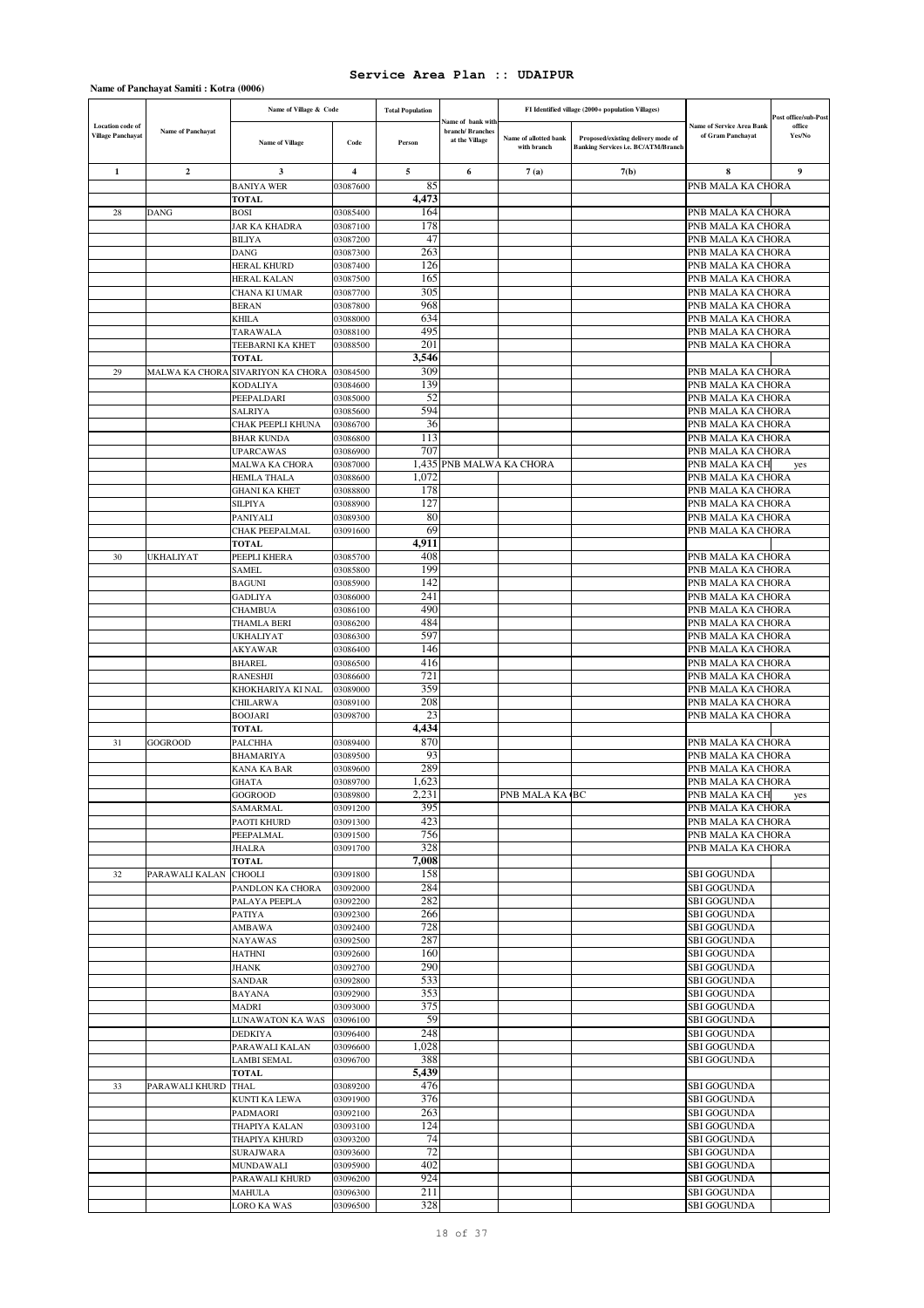|                                                     |                          | Name of Village & Code            |                      | <b>Total Population</b> |                                                                |                                      | FI Identified village (2000+ population Villages)                         |                                                       | Post office/sub-Post |
|-----------------------------------------------------|--------------------------|-----------------------------------|----------------------|-------------------------|----------------------------------------------------------------|--------------------------------------|---------------------------------------------------------------------------|-------------------------------------------------------|----------------------|
| <b>Location</b> code of<br><b>Village Panchayat</b> | <b>Name of Panchayat</b> | <b>Name of Village</b>            | Code                 | Person                  | <b>Name of bank with</b><br>branch/ Branches<br>at the Village | Name of allotted bank<br>with branch | Proposed/existing delivery mode of<br>Banking Services i.e. BC/ATM/Branch | <b>Name of Service Area Bank</b><br>of Gram Panchayat | office<br>Yes/No     |
| 1                                                   | $\mathbf{2}$             | 3                                 | 4                    | 5                       | 6                                                              | 7(a)                                 | 7(b)                                                                      | 8                                                     | 9                    |
|                                                     |                          | <b>BANIYA WER</b>                 | 03087600             | 85                      |                                                                |                                      |                                                                           | PNB MALA KA CHORA                                     |                      |
|                                                     |                          | <b>TOTAL</b>                      |                      | 4,473                   |                                                                |                                      |                                                                           |                                                       |                      |
| 28                                                  | DANG                     | <b>BOSI</b>                       | 03085400             | 164                     |                                                                |                                      |                                                                           | PNB MALA KA CHORA                                     |                      |
|                                                     |                          | <b>JAR KA KHADRA</b>              | 03087100             | 178<br>47               |                                                                |                                      |                                                                           | PNB MALA KA CHORA                                     |                      |
|                                                     |                          | <b>BILIYA</b><br>DANG             | 03087200<br>03087300 | 263                     |                                                                |                                      |                                                                           | PNB MALA KA CHORA<br>PNB MALA KA CHORA                |                      |
|                                                     |                          | HERAL KHURD                       | 03087400             | 126                     |                                                                |                                      |                                                                           | PNB MALA KA CHORA                                     |                      |
|                                                     |                          | HERAL KALAN                       | 03087500             | 165                     |                                                                |                                      |                                                                           | PNB MALA KA CHORA                                     |                      |
|                                                     |                          | CHANA KI UMAR                     | 03087700             | 305                     |                                                                |                                      |                                                                           | PNB MALA KA CHORA                                     |                      |
|                                                     |                          | <b>BERAN</b>                      | 03087800             | 968                     |                                                                |                                      |                                                                           | PNB MALA KA CHORA                                     |                      |
|                                                     |                          | KHILA                             | 03088000             | 634                     |                                                                |                                      |                                                                           | PNB MALA KA CHORA                                     |                      |
|                                                     |                          | TARAWALA                          | 03088100             | 495                     |                                                                |                                      |                                                                           | PNB MALA KA CHORA                                     |                      |
|                                                     |                          | TEEBARNI KA KHET                  | 03088500             | 201                     |                                                                |                                      |                                                                           | PNB MALA KA CHORA                                     |                      |
|                                                     |                          | <b>TOTAL</b>                      |                      | 3,546<br>309            |                                                                |                                      |                                                                           |                                                       |                      |
| 29                                                  | MALWA KA CHORA           | SIVARIYON KA CHORA<br>KODALIYA    | 03084500<br>03084600 | 139                     |                                                                |                                      |                                                                           | PNB MALA KA CHORA<br>PNB MALA KA CHORA                |                      |
|                                                     |                          | PEEPALDARI                        | 03085000             | 52                      |                                                                |                                      |                                                                           | PNB MALA KA CHORA                                     |                      |
|                                                     |                          | <b>SALRIYA</b>                    | 03085600             | 594                     |                                                                |                                      |                                                                           | PNB MALA KA CHORA                                     |                      |
|                                                     |                          | CHAK PEEPLI KHUNA                 | 03086700             | 36                      |                                                                |                                      |                                                                           | PNB MALA KA CHORA                                     |                      |
|                                                     |                          | <b>BHAR KUNDA</b>                 | 03086800             | 113                     |                                                                |                                      |                                                                           | PNB MALA KA CHORA                                     |                      |
|                                                     |                          | <b>UPARCAWAS</b>                  | 03086900             | 707                     |                                                                |                                      |                                                                           | PNB MALA KA CHORA                                     |                      |
|                                                     |                          | <b>MALWA KA CHORA</b>             | 03087000             | 1,435                   | PNB MALWA KA CHORA                                             |                                      |                                                                           | PNB MALA KA CH                                        | yes                  |
|                                                     |                          | <b>HEMLA THALA</b>                | 03088600             | 1,072                   |                                                                |                                      |                                                                           | PNB MALA KA CHORA                                     |                      |
|                                                     |                          | <b>GHANI KA KHET</b>              | 03088800             | 178                     |                                                                |                                      |                                                                           | PNB MALA KA CHORA                                     |                      |
|                                                     |                          | <b>SILPIYA</b><br>PANIYALI        | 03088900<br>03089300 | 127<br>80               |                                                                |                                      |                                                                           | PNB MALA KA CHORA<br>PNB MALA KA CHORA                |                      |
|                                                     |                          | CHAK PEEPALMAL                    | 03091600             | 69                      |                                                                |                                      |                                                                           | PNB MALA KA CHORA                                     |                      |
|                                                     |                          | <b>TOTAL</b>                      |                      | 4,911                   |                                                                |                                      |                                                                           |                                                       |                      |
| 30                                                  | UKHALIYAT                | PEEPLI KHERA                      | 03085700             | 408                     |                                                                |                                      |                                                                           | PNB MALA KA CHORA                                     |                      |
|                                                     |                          | SAMEL                             | 03085800             | 199                     |                                                                |                                      |                                                                           | PNB MALA KA CHORA                                     |                      |
|                                                     |                          | <b>BAGUNI</b>                     | 03085900             | 142                     |                                                                |                                      |                                                                           | PNB MALA KA CHORA                                     |                      |
|                                                     |                          | <b>GADLIYA</b>                    | 03086000             | 241                     |                                                                |                                      |                                                                           | PNB MALA KA CHORA                                     |                      |
|                                                     |                          | <b>CHAMBUA</b>                    | 03086100             | 490                     |                                                                |                                      |                                                                           | PNB MALA KA CHORA                                     |                      |
|                                                     |                          | THAMLA BERI                       | 03086200             | 484                     |                                                                |                                      |                                                                           | PNB MALA KA CHORA                                     |                      |
|                                                     |                          | UKHALIYAT<br><b>AKYAWAR</b>       | 03086300<br>03086400 | 597<br>146              |                                                                |                                      |                                                                           | PNB MALA KA CHORA<br>PNB MALA KA CHORA                |                      |
|                                                     |                          | <b>BHAREL</b>                     | 03086500             | 416                     |                                                                |                                      |                                                                           | PNB MALA KA CHORA                                     |                      |
|                                                     |                          | RANESHJI                          | 03086600             | 721                     |                                                                |                                      |                                                                           | PNB MALA KA CHORA                                     |                      |
|                                                     |                          | KHOKHARIYA KI NAL                 | 03089000             | 359                     |                                                                |                                      |                                                                           | PNB MALA KA CHORA                                     |                      |
|                                                     |                          | <b>CHILARWA</b>                   | 03089100             | 208                     |                                                                |                                      |                                                                           | PNB MALA KA CHORA                                     |                      |
|                                                     |                          | <b>BOOJARI</b>                    | 03098700             | 23                      |                                                                |                                      |                                                                           | PNB MALA KA CHORA                                     |                      |
|                                                     |                          | <b>TOTAL</b>                      |                      | 4,434                   |                                                                |                                      |                                                                           |                                                       |                      |
| 31                                                  | GOGROOD                  | PALCHHA                           | 03089400             | 870                     |                                                                |                                      |                                                                           | PNB MALA KA CHORA                                     |                      |
|                                                     |                          | BHAMARIYA                         | 03089500<br>03089600 | 93<br>289               |                                                                |                                      |                                                                           | PNB MALA KA CHORA                                     |                      |
|                                                     |                          | KANA KA BAR<br><b>GHATA</b>       | 03089700             | 1.623                   |                                                                |                                      |                                                                           | PNB MALA KA CHORA<br>PNB MALA KA CHORA                |                      |
|                                                     |                          | GOGROOD                           | 03089800             | 2,231                   |                                                                | PNB MALA KA BC                       |                                                                           | PNB MALA KA CH                                        | yes                  |
|                                                     |                          | SAMARMAL                          | 03091200             | 395                     |                                                                |                                      |                                                                           | PNB MALA KA CHORA                                     |                      |
|                                                     |                          | PAOTI KHURD                       | 03091300             | 423                     |                                                                |                                      |                                                                           | PNB MALA KA CHORA                                     |                      |
|                                                     |                          | PEEPALMAL                         | 03091500             | 756                     |                                                                |                                      |                                                                           | PNB MALA KA CHORA                                     |                      |
|                                                     |                          | <b>JHALRA</b>                     | 03091700             | 328                     |                                                                |                                      |                                                                           | PNB MALA KA CHORA                                     |                      |
|                                                     |                          | <b>TOTAL</b>                      |                      | 7,008                   |                                                                |                                      |                                                                           |                                                       |                      |
| 32                                                  | PARAWALI KALAN           | <b>CHOOLI</b>                     | 03091800             | 158<br>284              |                                                                |                                      |                                                                           | <b>SBI GOGUNDA</b>                                    |                      |
|                                                     |                          | PANDLON KA CHORA<br>PALAYA PEEPLA | 03092000<br>03092200 | 282                     |                                                                |                                      |                                                                           | <b>SBI GOGUNDA</b><br><b>SBI GOGUNDA</b>              |                      |
|                                                     |                          | PATIYA                            | 03092300             | 266                     |                                                                |                                      |                                                                           | SBI GOGUNDA                                           |                      |
|                                                     |                          | AMBAWA                            | 03092400             | 728                     |                                                                |                                      |                                                                           | <b>SBI GOGUNDA</b>                                    |                      |
|                                                     |                          | <b>NAYAWAS</b>                    | 03092500             | 287                     |                                                                |                                      |                                                                           | <b>SBI GOGUNDA</b>                                    |                      |
|                                                     |                          | HATHNI                            | 03092600             | 160                     |                                                                |                                      |                                                                           | <b>SBI GOGUNDA</b>                                    |                      |
|                                                     |                          | JHANK                             | 03092700             | 290                     |                                                                |                                      |                                                                           | <b>SBI GOGUNDA</b>                                    |                      |
|                                                     |                          | SANDAR                            | 03092800             | 533                     |                                                                |                                      |                                                                           | <b>SBI GOGUNDA</b>                                    |                      |
|                                                     |                          | <b>BAYANA</b>                     | 03092900             | 353                     |                                                                |                                      |                                                                           | <b>SBI GOGUNDA</b>                                    |                      |
|                                                     |                          | MADRI<br>LUNAWATON KA WAS         | 03093000<br>03096100 | 375<br>59               |                                                                |                                      |                                                                           | <b>SBI GOGUNDA</b><br><b>SBI GOGUNDA</b>              |                      |
|                                                     |                          | DEDKIYA                           | 03096400             | 248                     |                                                                |                                      |                                                                           | <b>SBI GOGUNDA</b>                                    |                      |
|                                                     |                          | PARAWALI KALAN                    | 03096600             | 1,028                   |                                                                |                                      |                                                                           | <b>SBI GOGUNDA</b>                                    |                      |
|                                                     |                          | <b>LAMBI SEMAL</b>                | 03096700             | 388                     |                                                                |                                      |                                                                           | <b>SBI GOGUNDA</b>                                    |                      |
|                                                     |                          | <b>TOTAL</b>                      |                      | 5,439                   |                                                                |                                      |                                                                           |                                                       |                      |
| 33                                                  | PARAWALI KHURD           | THAL                              | 03089200             | 476                     |                                                                |                                      |                                                                           | <b>SBI GOGUNDA</b>                                    |                      |
|                                                     |                          | KUNTI KA LEWA                     | 03091900             | 376                     |                                                                |                                      |                                                                           | <b>SBI GOGUNDA</b>                                    |                      |
|                                                     |                          | PADMAORI                          | 03092100             | 263                     |                                                                |                                      |                                                                           | <b>SBI GOGUNDA</b>                                    |                      |
|                                                     |                          | THAPIYA KALAN                     | 03093100             | 124                     |                                                                |                                      |                                                                           | <b>SBI GOGUNDA</b>                                    |                      |
|                                                     |                          | THAPIYA KHURD                     | 03093200             | 74<br>72                |                                                                |                                      |                                                                           | <b>SBI GOGUNDA</b>                                    |                      |
|                                                     |                          | <b>SURAJWARA</b><br>MUNDAWALI     | 03093600<br>03095900 | 402                     |                                                                |                                      |                                                                           | <b>SBI GOGUNDA</b><br><b>SBI GOGUNDA</b>              |                      |
|                                                     |                          | PARAWALI KHURD                    | 03096200             | 924                     |                                                                |                                      |                                                                           | <b>SBI GOGUNDA</b>                                    |                      |
|                                                     |                          | MAHULA                            | 03096300             | 211                     |                                                                |                                      |                                                                           | <b>SBI GOGUNDA</b>                                    |                      |
|                                                     |                          | LORO KA WAS                       | 03096500             | 328                     |                                                                |                                      |                                                                           | <b>SBI GOGUNDA</b>                                    |                      |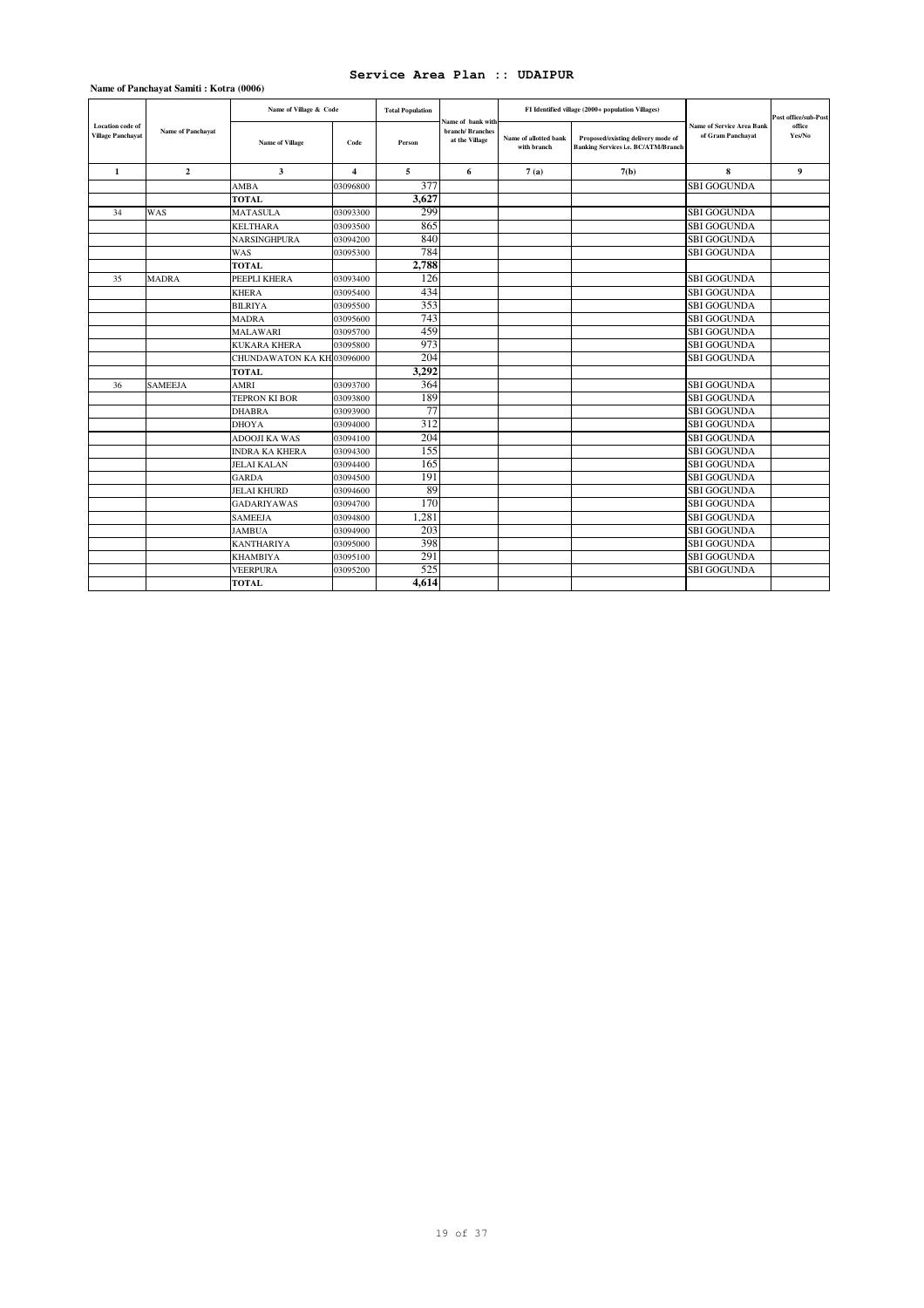|                                                     | Name of Panchayat Samiti: Kotra (0006) |                            |                         |                         |                                                         |                                      |                                                                                  |                                                       |                      |
|-----------------------------------------------------|----------------------------------------|----------------------------|-------------------------|-------------------------|---------------------------------------------------------|--------------------------------------|----------------------------------------------------------------------------------|-------------------------------------------------------|----------------------|
|                                                     |                                        | Name of Village & Code     |                         | <b>Total Population</b> |                                                         |                                      | FI Identified village (2000+ population Villages)                                |                                                       | Post office/sub-Post |
| <b>Location</b> code of<br><b>Village Panchayat</b> | <b>Name of Panchayat</b>               | <b>Name of Village</b>     | Code                    | Person                  | Name of bank with<br>branch/ Branches<br>at the Village | Name of allotted bank<br>with branch | Proposed/existing delivery mode of<br><b>Banking Services i.e. BC/ATM/Branch</b> | <b>Name of Service Area Bank</b><br>of Gram Panchayat | office<br>Yes/No     |
| $\mathbf{1}$                                        | $\overline{2}$                         | $\mathbf{3}$               | $\overline{\mathbf{4}}$ | 5                       | 6                                                       | 7(a)                                 | 7(b)                                                                             | 8                                                     | $\boldsymbol{9}$     |
|                                                     |                                        | AMBA                       | 03096800                | 377                     |                                                         |                                      |                                                                                  | <b>SBI GOGUNDA</b>                                    |                      |
|                                                     |                                        | <b>TOTAL</b>               |                         | 3,627                   |                                                         |                                      |                                                                                  |                                                       |                      |
| 34                                                  | WAS                                    | <b>MATASULA</b>            | 03093300                | 299                     |                                                         |                                      |                                                                                  | <b>SBI GOGUNDA</b>                                    |                      |
|                                                     |                                        | <b>KELTHARA</b>            | 03093500                | 865                     |                                                         |                                      |                                                                                  | <b>SBI GOGUNDA</b>                                    |                      |
|                                                     |                                        | <b>NARSINGHPURA</b>        | 03094200                | 840                     |                                                         |                                      |                                                                                  | <b>SBI GOGUNDA</b>                                    |                      |
|                                                     |                                        | WAS                        | 03095300                | 784                     |                                                         |                                      |                                                                                  | <b>SBI GOGUNDA</b>                                    |                      |
|                                                     |                                        | <b>TOTAL</b>               |                         | 2,788                   |                                                         |                                      |                                                                                  |                                                       |                      |
| 35                                                  | <b>MADRA</b>                           | PEEPLI KHERA               | 03093400                | 126                     |                                                         |                                      |                                                                                  | <b>SBI GOGUNDA</b>                                    |                      |
|                                                     |                                        | <b>KHERA</b>               | 03095400                | 434                     |                                                         |                                      |                                                                                  | <b>SBI GOGUNDA</b>                                    |                      |
|                                                     |                                        | BILRIYA                    | 03095500                | 353                     |                                                         |                                      |                                                                                  | <b>SBI GOGUNDA</b>                                    |                      |
|                                                     |                                        | MADRA                      | 03095600                | 743                     |                                                         |                                      |                                                                                  | <b>SBI GOGUNDA</b>                                    |                      |
|                                                     |                                        | MALAWARI                   | 03095700                | 459                     |                                                         |                                      |                                                                                  | <b>SBI GOGUNDA</b>                                    |                      |
|                                                     |                                        | <b>KUKARA KHERA</b>        | 03095800                | 973                     |                                                         |                                      |                                                                                  | <b>SBI GOGUNDA</b>                                    |                      |
|                                                     |                                        | CHUNDAWATON KA KH 03096000 |                         | 204                     |                                                         |                                      |                                                                                  | <b>SBI GOGUNDA</b>                                    |                      |
|                                                     |                                        | <b>TOTAL</b>               |                         | 3,292                   |                                                         |                                      |                                                                                  |                                                       |                      |
| 36                                                  | <b>SAMEEJA</b>                         | AMRI                       | 03093700                | 364                     |                                                         |                                      |                                                                                  | <b>SBI GOGUNDA</b>                                    |                      |
|                                                     |                                        | <b>TEPRON KI BOR</b>       | 03093800                | 189                     |                                                         |                                      |                                                                                  | <b>SBI GOGUNDA</b>                                    |                      |
|                                                     |                                        | <b>DHABRA</b>              | 03093900                | 77                      |                                                         |                                      |                                                                                  | <b>SBI GOGUNDA</b>                                    |                      |
|                                                     |                                        | DHOYA                      | 03094000                | 312                     |                                                         |                                      |                                                                                  | <b>SBI GOGUNDA</b>                                    |                      |
|                                                     |                                        | <b>ADOOJI KA WAS</b>       | 03094100                | 204                     |                                                         |                                      |                                                                                  | <b>SBI GOGUNDA</b>                                    |                      |
|                                                     |                                        | <b>INDRA KA KHERA</b>      | 03094300                | 155                     |                                                         |                                      |                                                                                  | <b>SBI GOGUNDA</b>                                    |                      |
|                                                     |                                        | <b>JELAI KALAN</b>         | 03094400                | 165                     |                                                         |                                      |                                                                                  | <b>SBI GOGUNDA</b>                                    |                      |
|                                                     |                                        | <b>GARDA</b>               | 03094500                | 191                     |                                                         |                                      |                                                                                  | <b>SBI GOGUNDA</b>                                    |                      |
|                                                     |                                        | <b>JELAI KHURD</b>         | 03094600                | 89                      |                                                         |                                      |                                                                                  | <b>SBI GOGUNDA</b>                                    |                      |
|                                                     |                                        | <b>GADARIYAWAS</b>         | 03094700                | 170                     |                                                         |                                      |                                                                                  | <b>SBI GOGUNDA</b>                                    |                      |
|                                                     |                                        | SAMEEJA                    | 03094800                | 1,281                   |                                                         |                                      |                                                                                  | <b>SBI GOGUNDA</b>                                    |                      |
|                                                     |                                        | JAMBUA                     | 03094900                | 203                     |                                                         |                                      |                                                                                  | <b>SBI GOGUNDA</b>                                    |                      |
|                                                     |                                        | <b>KANTHARIYA</b>          | 03095000                | 398                     |                                                         |                                      |                                                                                  | <b>SBI GOGUNDA</b>                                    |                      |
|                                                     |                                        | <b>KHAMBIYA</b>            | 03095100                | 291                     |                                                         |                                      |                                                                                  | <b>SBI GOGUNDA</b>                                    |                      |
|                                                     |                                        | <b>VEERPURA</b>            | 03095200                | 525                     |                                                         |                                      |                                                                                  | <b>SBI GOGUNDA</b>                                    |                      |
|                                                     |                                        | <b>TOTAL</b>               |                         | 4.614                   |                                                         |                                      |                                                                                  |                                                       |                      |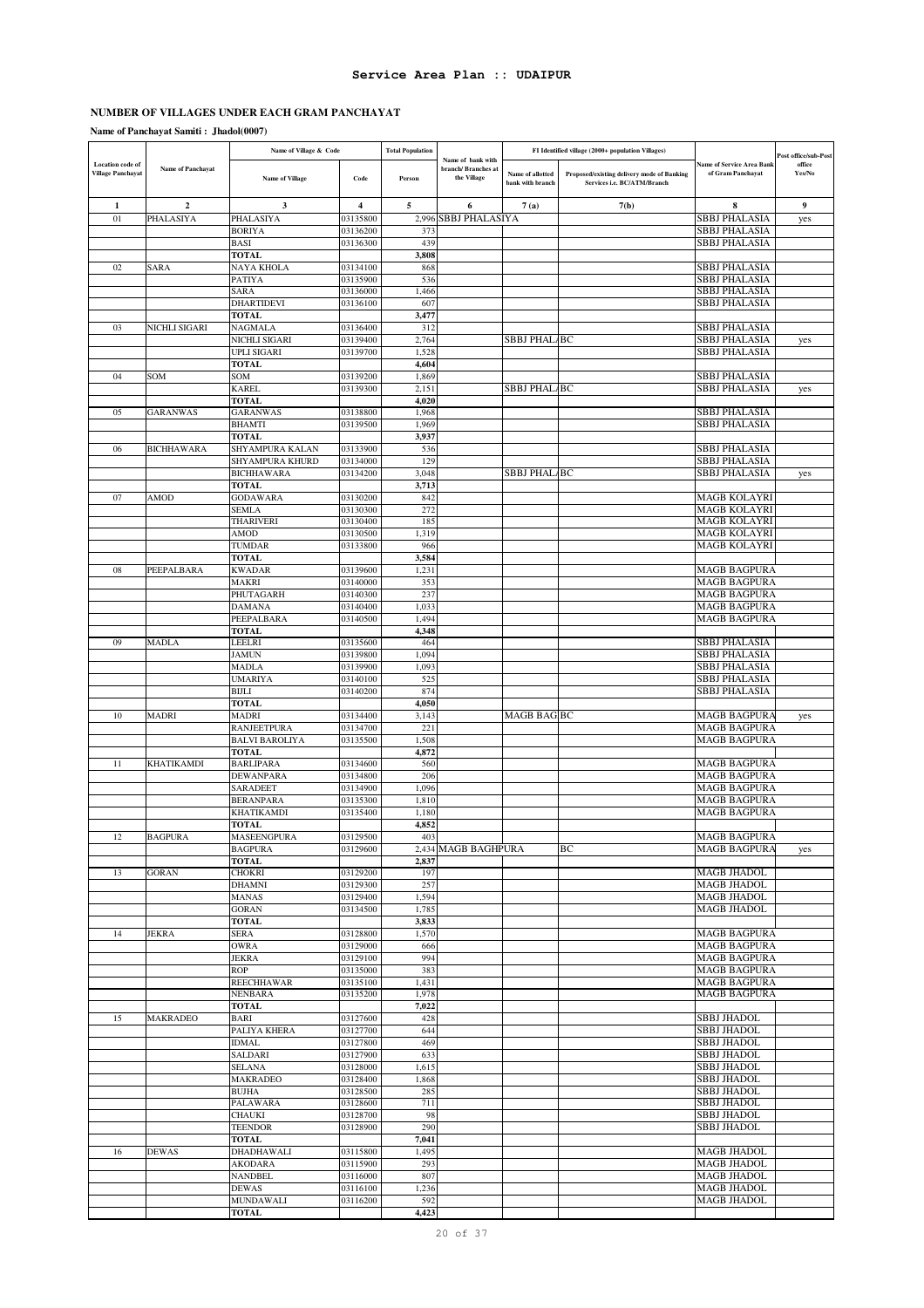L.

## **NUMBER OF VILLAGES UNDER EACH GRAM PANCHAYAT**

|                          |                          | Name of Village & Code           |                         | <b>Total Population</b> |                                         |                                      | FI Identified village (2000+ population Villages)                         |                                | Post office/sub-Post |
|--------------------------|--------------------------|----------------------------------|-------------------------|-------------------------|-----------------------------------------|--------------------------------------|---------------------------------------------------------------------------|--------------------------------|----------------------|
| Location code of         | <b>Name of Panchayat</b> |                                  |                         |                         | Name of bank with<br>branch/Branches at |                                      |                                                                           | lame of Service Area Bank      | office               |
| <b>Village Panchayat</b> |                          | <b>Name of Village</b>           | Code                    | Person                  | the Village                             | Name of allotted<br>bank with branch | Proposed/existing delivery mode of Banking<br>Services i.e. BC/ATM/Branch | of Gram Panchayat              | Yes/No               |
|                          |                          |                                  |                         |                         |                                         |                                      |                                                                           |                                |                      |
| 1                        | $\mathbf{2}$             | 3                                | $\overline{\mathbf{4}}$ | 5                       | 6                                       | 7(a)                                 | 7(b)                                                                      | 8                              | 9                    |
| 01                       | PHALASIYA                | PHALASIYA                        | 03135800                | 2.996                   | SBBJ PHALASIYA                          |                                      |                                                                           | SBBJ PHALASIA                  | yes                  |
|                          |                          | <b>BORIYA</b>                    | 03136200                | 373                     |                                         |                                      |                                                                           | SBBJ PHALASIA                  |                      |
|                          |                          | <b>BASI</b>                      | 03136300                | 439                     |                                         |                                      |                                                                           | SBBJ PHALASIA                  |                      |
|                          |                          | <b>TOTAL</b>                     |                         | 3,808                   |                                         |                                      |                                                                           |                                |                      |
| 02                       | SARA                     | NAYA KHOLA                       | 03134100                | 868                     |                                         |                                      |                                                                           | SBBJ PHALASIA                  |                      |
|                          |                          | <b>PATIYA</b>                    | 03135900                | 536                     |                                         |                                      |                                                                           | SBBJ PHALASIA                  |                      |
|                          |                          | <b>SARA</b>                      | 03136000                | 1,466                   |                                         |                                      |                                                                           | SBBJ PHALASIA                  |                      |
|                          |                          | DHARTIDEVI                       | 03136100                | 607                     |                                         |                                      |                                                                           | SBBJ PHALASIA                  |                      |
|                          |                          | <b>TOTAL</b>                     |                         | 3,477                   |                                         |                                      |                                                                           |                                |                      |
| 03                       | NICHLI SIGARI            | <b>NAGMALA</b>                   | 03136400                | 312                     |                                         |                                      |                                                                           | SBBJ PHALASIA                  |                      |
|                          |                          | NICHLI SIGARI                    | 03139400                | 2,764                   |                                         | SBBJ PHAL/BC                         |                                                                           | SBBJ PHALASIA                  | yes                  |
|                          |                          | <b>UPLI SIGARI</b>               | 03139700                | 1,528                   |                                         |                                      |                                                                           | SBBJ PHALASIA                  |                      |
|                          |                          | <b>TOTAL</b>                     |                         | 4,604                   |                                         |                                      |                                                                           |                                |                      |
| 04                       | SOM                      | SOM                              | 03139200                | 1,869                   |                                         |                                      |                                                                           | SBBJ PHALASIA                  |                      |
|                          |                          | <b>KAREL</b>                     | 03139300                | 2,151                   |                                         | <b>SBBJ PHAL/BC</b>                  |                                                                           | SBBJ PHALASIA                  | yes                  |
|                          |                          | <b>TOTAL</b>                     |                         | 4,020                   |                                         |                                      |                                                                           |                                |                      |
| 05                       | <b>GARANWAS</b>          | <b>GARANWAS</b><br><b>BHAMTI</b> | 03138800<br>03139500    | 1,968<br>1,969          |                                         |                                      |                                                                           | SBBJ PHALASIA<br>SBBJ PHALASIA |                      |
|                          |                          | <b>TOTAL</b>                     |                         | 3,937                   |                                         |                                      |                                                                           |                                |                      |
| 06                       | <b>BICHHAWARA</b>        | SHYAMPURA KALAN                  | 03133900                | 536                     |                                         |                                      |                                                                           | SBBJ PHALASIA                  |                      |
|                          |                          | SHYAMPURA KHURD                  | 03134000                | 129                     |                                         |                                      |                                                                           | SBBJ PHALASIA                  |                      |
|                          |                          | <b>BICHHAWARA</b>                | 03134200                | 3,048                   |                                         | SBBJ PHAL/BC                         |                                                                           | SBBJ PHALASIA                  | yes                  |
|                          |                          | <b>TOTAL</b>                     |                         | 3,713                   |                                         |                                      |                                                                           |                                |                      |
| 07                       | AMOD                     | <b>GODAWARA</b>                  | 03130200                | 842                     |                                         |                                      |                                                                           | MAGB KOLAYRI                   |                      |
|                          |                          | <b>SEMLA</b>                     | 03130300                | 272                     |                                         |                                      |                                                                           | MAGB KOLAYRI                   |                      |
|                          |                          | <b>THARIVERI</b>                 | 03130400                | 185                     |                                         |                                      |                                                                           | MAGB KOLAYRI                   |                      |
|                          |                          | AMOD                             | 03130500                | 1,319                   |                                         |                                      |                                                                           | MAGB KOLAYRI                   |                      |
|                          |                          | <b>TUMDAR</b>                    | 03133800                | 966                     |                                         |                                      |                                                                           | MAGB KOLAYRI                   |                      |
|                          |                          | TOTAL                            |                         | 3,584                   |                                         |                                      |                                                                           |                                |                      |
| 08                       | PEEPALBARA               | <b>KWADAR</b>                    | 03139600                | 1,231                   |                                         |                                      |                                                                           | MAGB BAGPURA                   |                      |
|                          |                          | MAKRI                            | 03140000                | 353                     |                                         |                                      |                                                                           | MAGB BAGPURA                   |                      |
|                          |                          | PHUTAGARH                        | 03140300                | 237                     |                                         |                                      |                                                                           | MAGB BAGPURA                   |                      |
|                          |                          | DAMANA                           | 03140400                | 1,033                   |                                         |                                      |                                                                           | MAGB BAGPURA                   |                      |
|                          |                          | PEEPALBARA                       | 03140500                | 1,494                   |                                         |                                      |                                                                           | MAGB BAGPURA                   |                      |
|                          |                          | <b>TOTAL</b>                     |                         | 4,348                   |                                         |                                      |                                                                           |                                |                      |
| 09                       | <b>MADLA</b>             | LEELRI                           | 03135600                | 464                     |                                         |                                      |                                                                           | SBBJ PHALASIA                  |                      |
|                          |                          | JAMUN                            | 03139800                | 1,094                   |                                         |                                      |                                                                           | SBBJ PHALASIA                  |                      |
|                          |                          | MADLA                            | 03139900                | 1,093                   |                                         |                                      |                                                                           | SBBJ PHALASIA                  |                      |
|                          |                          | <b>UMARIYA</b>                   | 03140100                | 525                     |                                         |                                      |                                                                           | SBBJ PHALASIA                  |                      |
|                          |                          | <b>BIJLI</b>                     | 03140200                | 874                     |                                         |                                      |                                                                           | SBBJ PHALASIA                  |                      |
|                          |                          | <b>TOTAL</b>                     |                         | 4,050                   |                                         |                                      |                                                                           |                                |                      |
| 10                       | <b>MADRI</b>             | MADRI                            | 03134400                | 3,143                   |                                         | MAGB BAG BC                          |                                                                           | MAGB BAGPURA                   | yes                  |
|                          |                          | RANJEETPURA                      | 03134700                | 22                      |                                         |                                      |                                                                           | MAGB BAGPURA                   |                      |
|                          |                          | <b>BALVI BAROLIYA</b>            | 03135500                | 1,508                   |                                         |                                      |                                                                           | <b>MAGB BAGPURA</b>            |                      |
| 11                       | <b>KHATIKAMDI</b>        | <b>TOTAL</b><br><b>BARLIPARA</b> | 03134600                | 4,872                   |                                         |                                      |                                                                           | MAGB BAGPURA                   |                      |
|                          |                          | DEWANPARA                        | 03134800                | 560<br>206              |                                         |                                      |                                                                           | MAGB BAGPURA                   |                      |
|                          |                          | SARADEET                         | 03134900                | 1,096                   |                                         |                                      |                                                                           | MAGB BAGPURA                   |                      |
|                          |                          | <b>BERANPARA</b>                 | 03135300                | 1,810                   |                                         |                                      |                                                                           | <b>MAGB BAGPURA</b>            |                      |
|                          |                          | KHATIKAMDI                       | 03135400                | 1,180                   |                                         |                                      |                                                                           | <b>MAGB BAGPURA</b>            |                      |
|                          |                          | <b>TOTAL</b>                     |                         | 4,852                   |                                         |                                      |                                                                           |                                |                      |
| 12                       | <b>BAGPURA</b>           | MASEENGPURA                      | 03129500                | 403                     |                                         |                                      |                                                                           | <b>MAGB BAGPURA</b>            |                      |
|                          |                          | <b>BAGPURA</b>                   | 03129600                |                         | 2,434 MAGB BAGHPURA                     |                                      | BC                                                                        | <b>MAGB BAGPURA</b>            | yes                  |
|                          |                          | <b>TOTAL</b>                     |                         | 2,837                   |                                         |                                      |                                                                           |                                |                      |
| 13                       | <b>GORAN</b>             | <b>CHOKRI</b>                    | 03129200                | 197                     |                                         |                                      |                                                                           | MAGB JHADOL                    |                      |
|                          |                          | <b>DHAMNI</b>                    | 03129300                | 257                     |                                         |                                      |                                                                           | <b>MAGB JHADOL</b>             |                      |
|                          |                          | <b>MANAS</b>                     | 03129400                | 1,594                   |                                         |                                      |                                                                           | MAGB JHADOL                    |                      |
|                          |                          | <b>GORAN</b>                     | 03134500                | 1,785                   |                                         |                                      |                                                                           | MAGB JHADOL                    |                      |
|                          |                          | <b>TOTAL</b>                     |                         | 3,833                   |                                         |                                      |                                                                           |                                |                      |
| 14                       | <b>JEKRA</b>             | <b>SERA</b>                      | 03128800                | 1,570                   |                                         |                                      |                                                                           | <b>MAGB BAGPURA</b>            |                      |
|                          |                          | <b>OWRA</b>                      | 03129000                | 666                     |                                         |                                      |                                                                           | <b>MAGB BAGPURA</b>            |                      |
|                          |                          | <b>JEKRA</b>                     | 03129100                | 994                     |                                         |                                      |                                                                           | <b>MAGB BAGPURA</b>            |                      |
|                          |                          | <b>ROP</b>                       | 03135000                | 383                     |                                         |                                      |                                                                           | <b>MAGB BAGPURA</b>            |                      |
|                          |                          | <b>REECHHAWAR</b>                | 03135100                | 1,431                   |                                         |                                      |                                                                           | <b>MAGB BAGPURA</b>            |                      |
|                          |                          | <b>NENBARA</b>                   | 03135200                | 1,978                   |                                         |                                      |                                                                           | <b>MAGB BAGPURA</b>            |                      |
|                          |                          | <b>TOTAL</b>                     |                         | 7,022                   |                                         |                                      |                                                                           |                                |                      |
| 15                       | MAKRADEO                 | BARI                             | 03127600                | 428                     |                                         |                                      |                                                                           | <b>SBBJ JHADOL</b>             |                      |
|                          |                          | PALIYA KHERA                     | 03127700                | 644                     |                                         |                                      |                                                                           | SBBJ JHADOL                    |                      |
|                          |                          | IDMAL                            | 03127800                | 469                     |                                         |                                      |                                                                           | <b>SBBJ JHADOL</b>             |                      |
|                          |                          | SALDARI                          | 03127900                | 633                     |                                         |                                      |                                                                           | SBBJ JHADOL                    |                      |
|                          |                          | SELANA                           | 03128000                | 1,615                   |                                         |                                      |                                                                           | SBBJ JHADOL                    |                      |
|                          |                          | MAKRADEO<br><b>BUJHA</b>         | 03128400<br>03128500    | 1,868<br>285            |                                         |                                      |                                                                           | SBBJ JHADOL<br>SBBJ JHADOL     |                      |
|                          |                          |                                  |                         | 711                     |                                         |                                      |                                                                           | SBBJ JHADOL                    |                      |
|                          |                          | PALAWARA<br><b>CHAUKI</b>        | 03128600<br>03128700    | 98                      |                                         |                                      |                                                                           | SBBJ JHADOL                    |                      |
|                          |                          | <b>TEENDOR</b>                   | 03128900                | 290                     |                                         |                                      |                                                                           | <b>SBBJ JHADOL</b>             |                      |
|                          |                          | <b>TOTAL</b>                     |                         | 7,041                   |                                         |                                      |                                                                           |                                |                      |
| 16                       | <b>DEWAS</b>             | DHADHAWALI                       | 03115800                | 1,495                   |                                         |                                      |                                                                           | <b>MAGB JHADOL</b>             |                      |
|                          |                          | <b>AKODARA</b>                   | 03115900                | 293                     |                                         |                                      |                                                                           | MAGB JHADOL                    |                      |
|                          |                          | <b>NANDBEL</b>                   | 03116000                | 807                     |                                         |                                      |                                                                           | MAGB JHADOL                    |                      |
|                          |                          | <b>DEWAS</b>                     | 03116100                | 1,236                   |                                         |                                      |                                                                           | <b>MAGB JHADOL</b>             |                      |
|                          |                          | MUNDAWALI                        | 03116200                | 592                     |                                         |                                      |                                                                           | MAGB JHADOL                    |                      |
|                          |                          | <b>TOTAL</b>                     |                         | 4,423                   |                                         |                                      |                                                                           |                                |                      |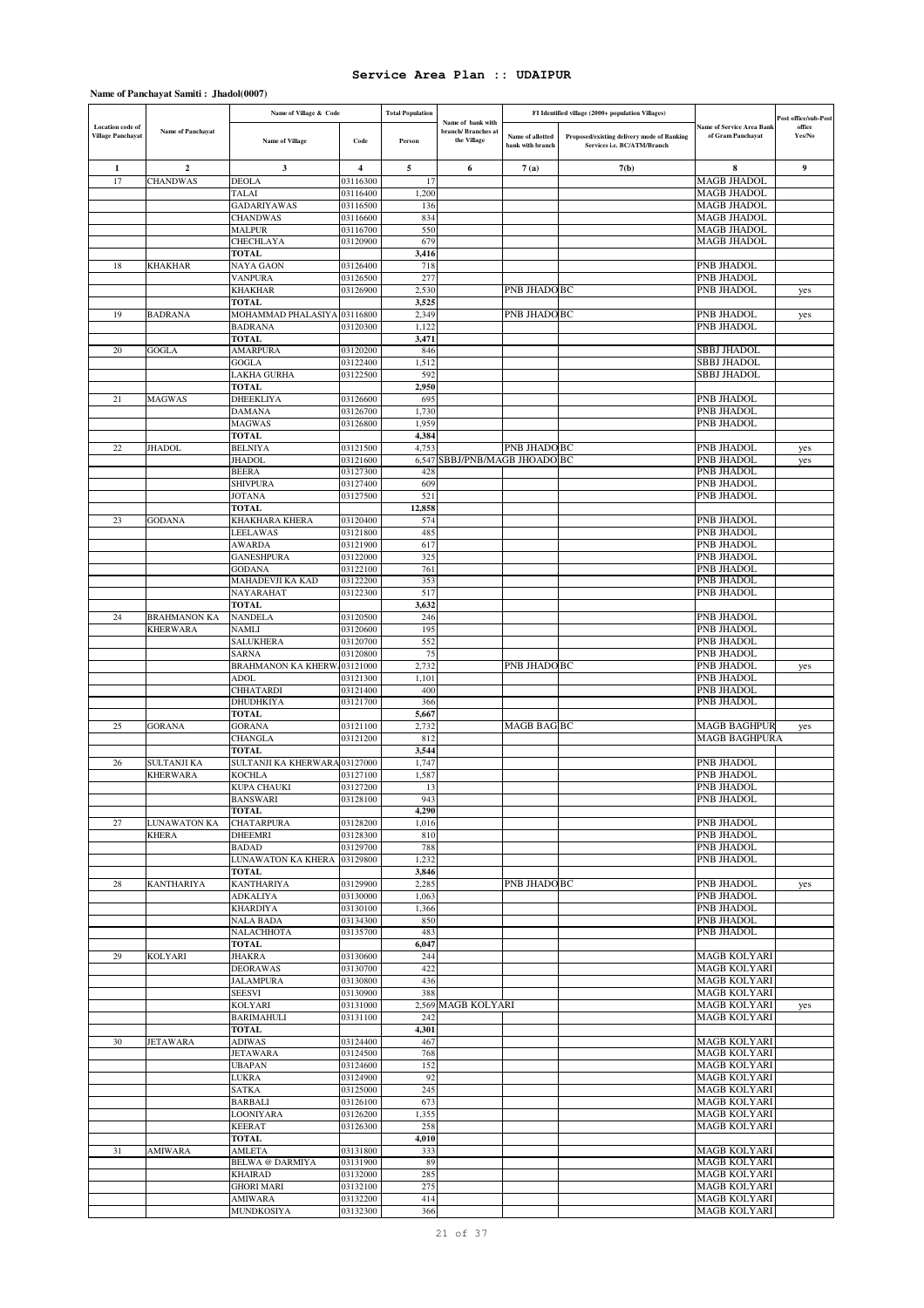|                                                     |                          | Name of Village & Code                |                         | <b>Total Population</b> |                                                        |                                      | FI Identified village (2000+ population Villages)                         |                                                       | Post office/sub-Post |
|-----------------------------------------------------|--------------------------|---------------------------------------|-------------------------|-------------------------|--------------------------------------------------------|--------------------------------------|---------------------------------------------------------------------------|-------------------------------------------------------|----------------------|
| <b>Location</b> code of<br><b>Village Panchayat</b> | Name of Panchayat        | <b>Name of Village</b>                | Code                    | Person                  | Name of bank with<br>branch/Branches at<br>the Village | Name of allotted<br>bank with branch | Proposed/existing delivery mode of Banking<br>Services i.e. BC/ATM/Branch | <b>Name of Service Area Bank</b><br>of Gram Panchayat | office<br>Yes/No     |
| $\mathbf{1}$                                        | $\overline{2}$           | 3                                     | $\overline{\mathbf{4}}$ | 5                       | 6                                                      | 7(a)                                 | 7(b)                                                                      | 8                                                     | $\boldsymbol{9}$     |
| 17                                                  | <b>CHANDWAS</b>          | <b>DEOLA</b>                          | 03116300                | 17                      |                                                        |                                      |                                                                           | <b>MAGB JHADOL</b>                                    |                      |
|                                                     |                          | TALAI                                 | 03116400                | 1,200                   |                                                        |                                      |                                                                           | <b>MAGB JHADOL</b>                                    |                      |
|                                                     |                          | <b>GADARIYAWAS</b><br><b>CHANDWAS</b> | 03116500<br>03116600    | 136<br>834              |                                                        |                                      |                                                                           | <b>MAGB JHADOL</b><br><b>MAGB JHADOL</b>              |                      |
|                                                     |                          | MALPUR                                | 03116700                | 550                     |                                                        |                                      |                                                                           | <b>MAGB JHADOL</b>                                    |                      |
|                                                     |                          | CHECHLAYA                             | 03120900                | 679                     |                                                        |                                      |                                                                           | <b>MAGB JHADOL</b>                                    |                      |
|                                                     |                          | TOTAL                                 |                         | 3,416                   |                                                        |                                      |                                                                           |                                                       |                      |
| 18                                                  | KHAKHAR                  | NAYA GAON                             | 03126400                | 718                     |                                                        |                                      |                                                                           | PNB JHADOL                                            |                      |
|                                                     |                          | <b>VANPURA</b>                        | 03126500                | 277                     |                                                        |                                      |                                                                           | PNB JHADOL                                            |                      |
|                                                     |                          | KHAKHAR<br><b>TOTAL</b>               | 03126900                | 2,530<br>3,525          |                                                        | PNB JHADO BC                         |                                                                           | PNB JHADOL                                            | yes                  |
| 19                                                  | <b>BADRANA</b>           | MOHAMMAD PHALASIYA                    | 03116800                | 2,349                   |                                                        | PNB JHADO BC                         |                                                                           | PNB JHADOL                                            | yes                  |
|                                                     |                          | <b>BADRANA</b>                        | 03120300                | 1,122                   |                                                        |                                      |                                                                           | <b>PNB JHADOL</b>                                     |                      |
|                                                     |                          | <b>TOTAL</b>                          |                         | 3,471                   |                                                        |                                      |                                                                           |                                                       |                      |
| $20\,$                                              | <b>GOGLA</b>             | AMARPURA                              | 03120200                | 846                     |                                                        |                                      |                                                                           | SBBJ JHADOL                                           |                      |
|                                                     |                          | GOGLA<br>LAKHA GURHA                  | 03122400<br>03122500    | 1,512<br>592            |                                                        |                                      |                                                                           | <b>SBBJ JHADOL</b><br><b>SBBJ JHADOL</b>              |                      |
|                                                     |                          | <b>TOTAL</b>                          |                         | 2,950                   |                                                        |                                      |                                                                           |                                                       |                      |
| 21                                                  | <b>MAGWAS</b>            | DHEEKLIYA                             | 03126600                | 695                     |                                                        |                                      |                                                                           | PNB JHADOL                                            |                      |
|                                                     |                          | DAMANA                                | 03126700                | 1,730                   |                                                        |                                      |                                                                           | PNB JHADOL                                            |                      |
|                                                     |                          | MAGWAS                                | 03126800                | 1,959                   |                                                        |                                      |                                                                           | PNB JHADOL                                            |                      |
|                                                     |                          | <b>TOTAL</b>                          |                         | 4,384                   |                                                        |                                      |                                                                           |                                                       |                      |
| 22                                                  | JHADOL                   | <b>BELNIYA</b><br><b>JHADOL</b>       | 03121500<br>03121600    | 4,753<br>6,547          | SBBJ/PNB/MAGB JHOADO BC                                | PNB JHADO BC                         |                                                                           | PNB JHADOL<br>PNB JHADOL                              | yes                  |
|                                                     |                          | <b>BEERA</b>                          | 03127300                | 428                     |                                                        |                                      |                                                                           | PNB JHADOL                                            | yes                  |
|                                                     |                          | <b>SHIVPURA</b>                       | 03127400                | 609                     |                                                        |                                      |                                                                           | PNB JHADOL                                            |                      |
|                                                     |                          | JOTANA                                | 03127500                | 521                     |                                                        |                                      |                                                                           | <b>PNB JHADOL</b>                                     |                      |
|                                                     |                          | <b>TOTAL</b>                          |                         | 12,858                  |                                                        |                                      |                                                                           |                                                       |                      |
| 23                                                  | <b>GODANA</b>            | KHAKHARA KHERA                        | 03120400                | 574                     |                                                        |                                      |                                                                           | PNB JHADOL                                            |                      |
|                                                     |                          | LEELAWAS<br>AWARDA                    | 03121800<br>03121900    | 485<br>617              |                                                        |                                      |                                                                           | PNB JHADOL<br>PNB JHADOL                              |                      |
|                                                     |                          | <b>GANESHPURA</b>                     | 03122000                | 325                     |                                                        |                                      |                                                                           | PNB JHADOL                                            |                      |
|                                                     |                          | <b>GODANA</b>                         | 03122100                | 761                     |                                                        |                                      |                                                                           | PNB JHADOL                                            |                      |
|                                                     |                          | MAHADEVJI KA KAD                      | 03122200                | 353                     |                                                        |                                      |                                                                           | PNB JHADOL                                            |                      |
|                                                     |                          | NAYARAHAT                             | 03122300                | 517                     |                                                        |                                      |                                                                           | PNB JHADOL                                            |                      |
|                                                     |                          | <b>TOTAL</b>                          |                         | 3,632                   |                                                        |                                      |                                                                           |                                                       |                      |
| 24                                                  | BRAHMANON KA<br>KHERWARA | NANDELA<br>NAMLI                      | 03120500<br>03120600    | 246<br>195              |                                                        |                                      |                                                                           | PNB JHADOL<br>PNB JHADOL                              |                      |
|                                                     |                          | <b>SALUKHERA</b>                      | 03120700                | 552                     |                                                        |                                      |                                                                           | PNB JHADOL                                            |                      |
|                                                     |                          | SARNA                                 | 03120800                | 75                      |                                                        |                                      |                                                                           | PNB JHADOL                                            |                      |
|                                                     |                          | <b>BRAHMANON KA KHERW</b>             | 03121000                | 2,732                   |                                                        | PNB JHADO BC                         |                                                                           | PNB JHADOL                                            | yes                  |
|                                                     |                          | ADOL                                  | 03121300                | 1,101                   |                                                        |                                      |                                                                           | PNB JHADOL                                            |                      |
|                                                     |                          | <b>CHHATARDI</b><br>DHUDHKIYA         | 03121400<br>03121700    | 400<br>366              |                                                        |                                      |                                                                           | PNB JHADOL<br>PNB JHADOL                              |                      |
|                                                     |                          | <b>TOTAL</b>                          |                         | 5,667                   |                                                        |                                      |                                                                           |                                                       |                      |
| 25                                                  | GORANA                   | <b>GORANA</b>                         | 03121100                | 2,732                   |                                                        | <b>MAGB BAG BC</b>                   |                                                                           | <b>MAGB BAGHPUR</b>                                   | yes                  |
|                                                     |                          | <b>CHANGLA</b>                        | 03121200                | 812                     |                                                        |                                      |                                                                           | <b>MAGB BAGHPURA</b>                                  |                      |
|                                                     |                          | <b>TOTAL</b>                          |                         | 3,544                   |                                                        |                                      |                                                                           |                                                       |                      |
| 26                                                  | <b>SULTANJI KA</b>       | SULTANJI KA KHERWARA 03127000         |                         | 1,747                   |                                                        |                                      |                                                                           | PNB JHADOL                                            |                      |
|                                                     | KHERWARA                 | KOCHLA<br>KUPA CHAUKI                 | 03127100<br>03127200    | 1,587<br>13             |                                                        |                                      |                                                                           | PNB JHADOL<br>PNB JHADOL                              |                      |
|                                                     |                          | <b>BANSWARI</b>                       | 03128100                | 943                     |                                                        |                                      |                                                                           | <b>PNB JHADOI</b>                                     |                      |
|                                                     |                          | <b>TOTAL</b>                          |                         | 4,290                   |                                                        |                                      |                                                                           |                                                       |                      |
| 27                                                  | <b>LUNAWATON KA</b>      | <b>CHATARPURA</b>                     | 03128200                | 1,016                   |                                                        |                                      |                                                                           | PNB JHADOL                                            |                      |
|                                                     | KHERA                    | <b>DHEEMRI</b>                        | 03128300                | 810<br>788              |                                                        |                                      |                                                                           | PNB JHADOL<br>PNB JHADOL                              |                      |
|                                                     |                          | <b>BADAD</b><br>LUNAWATON KA KHERA    | 03129700<br>03129800    | 1,232                   |                                                        |                                      |                                                                           | PNB JHADOL                                            |                      |
|                                                     |                          | TOTAL                                 |                         | 3,846                   |                                                        |                                      |                                                                           |                                                       |                      |
| 28                                                  | <b>KANTHARIYA</b>        | <b>KANTHARIYA</b>                     | 03129900                | 2,285                   |                                                        | PNB JHADO BC                         |                                                                           | PNB JHADOL                                            | yes                  |
|                                                     |                          | ADKALIYA                              | 03130000                | 1,063                   |                                                        |                                      |                                                                           | PNB JHADOL                                            |                      |
|                                                     |                          | <b>KHARDIYA</b>                       | 03130100                | 1,366                   |                                                        |                                      |                                                                           | PNB JHADOL                                            |                      |
|                                                     |                          | NALA BADA<br>NALACHHOTA               | 03134300<br>03135700    | 850<br>483              |                                                        |                                      |                                                                           | PNB JHADOL<br>PNB JHADOL                              |                      |
|                                                     |                          | <b>TOTAL</b>                          |                         | 6,047                   |                                                        |                                      |                                                                           |                                                       |                      |
| 29                                                  | <b>KOLYARI</b>           | <b>JHAKRA</b>                         | 03130600                | 244                     |                                                        |                                      |                                                                           | <b>MAGB KOLYARI</b>                                   |                      |
|                                                     |                          | <b>DEORAWAS</b>                       | 03130700                | 422                     |                                                        |                                      |                                                                           | <b>MAGB KOLYARI</b>                                   |                      |
|                                                     |                          | <b>JALAMPURA</b>                      | 03130800                | 436                     |                                                        |                                      |                                                                           | <b>MAGB KOLYARI</b>                                   |                      |
|                                                     |                          | SEESVI<br><b>KOLYARI</b>              | 03130900<br>03131000    | 388                     | 2,569 MAGB KOLYARI                                     |                                      |                                                                           | <b>MAGB KOLYARI</b><br>MAGB KOLYARI                   |                      |
|                                                     |                          | <b>BARIMAHULI</b>                     | 03131100                | 242                     |                                                        |                                      |                                                                           | <b>MAGB KOLYARI</b>                                   | yes                  |
|                                                     |                          | <b>TOTAL</b>                          |                         | 4,301                   |                                                        |                                      |                                                                           |                                                       |                      |
| 30                                                  | JETAWARA                 | ADIWAS                                | 03124400                | 467                     |                                                        |                                      |                                                                           | <b>MAGB KOLYARI</b>                                   |                      |
|                                                     |                          | <b>JETAWARA</b>                       | 03124500                | 768                     |                                                        |                                      |                                                                           | <b>MAGB KOLYARI</b>                                   |                      |
|                                                     |                          | <b>UBAPAN</b>                         | 03124600                | 152                     |                                                        |                                      |                                                                           | <b>MAGB KOLYARI</b>                                   |                      |
|                                                     |                          | LUKRA<br>SATKA                        | 03124900<br>03125000    | 92<br>245               |                                                        |                                      |                                                                           | <b>MAGB KOLYARI</b><br><b>MAGB KOLYARI</b>            |                      |
|                                                     |                          | <b>BARBALI</b>                        | 03126100                | 673                     |                                                        |                                      |                                                                           | <b>MAGB KOLYARI</b>                                   |                      |
|                                                     |                          | LOONIYARA                             | 03126200                | 1,355                   |                                                        |                                      |                                                                           | <b>MAGB KOLYARI</b>                                   |                      |
|                                                     |                          | <b>KEERAT</b>                         | 03126300                | 258                     |                                                        |                                      |                                                                           | MAGB KOLYARI                                          |                      |
|                                                     |                          | <b>TOTAL</b>                          |                         | 4,010                   |                                                        |                                      |                                                                           |                                                       |                      |
| 31                                                  | AMIWARA                  | AMLETA                                | 03131800                | 333                     |                                                        |                                      |                                                                           | <b>MAGB KOLYARI</b>                                   |                      |
|                                                     |                          | <b>BELWA @ DARMIYA</b><br>KHAIRAD     | 03131900<br>03132000    | 89<br>285               |                                                        |                                      |                                                                           | <b>MAGB KOLYARI</b><br>MAGB KOLYARI                   |                      |
|                                                     |                          | <b>GHORI MARI</b>                     | 03132100                | 275                     |                                                        |                                      |                                                                           | MAGB KOLYARI                                          |                      |
|                                                     |                          | <b>AMIWARA</b>                        | 03132200                | 414                     |                                                        |                                      |                                                                           | <b>MAGB KOLYARI</b>                                   |                      |
|                                                     |                          | MUNDKOSIYA                            | 03132300                | 366                     |                                                        |                                      |                                                                           | <b>MAGB KOLYARI</b>                                   |                      |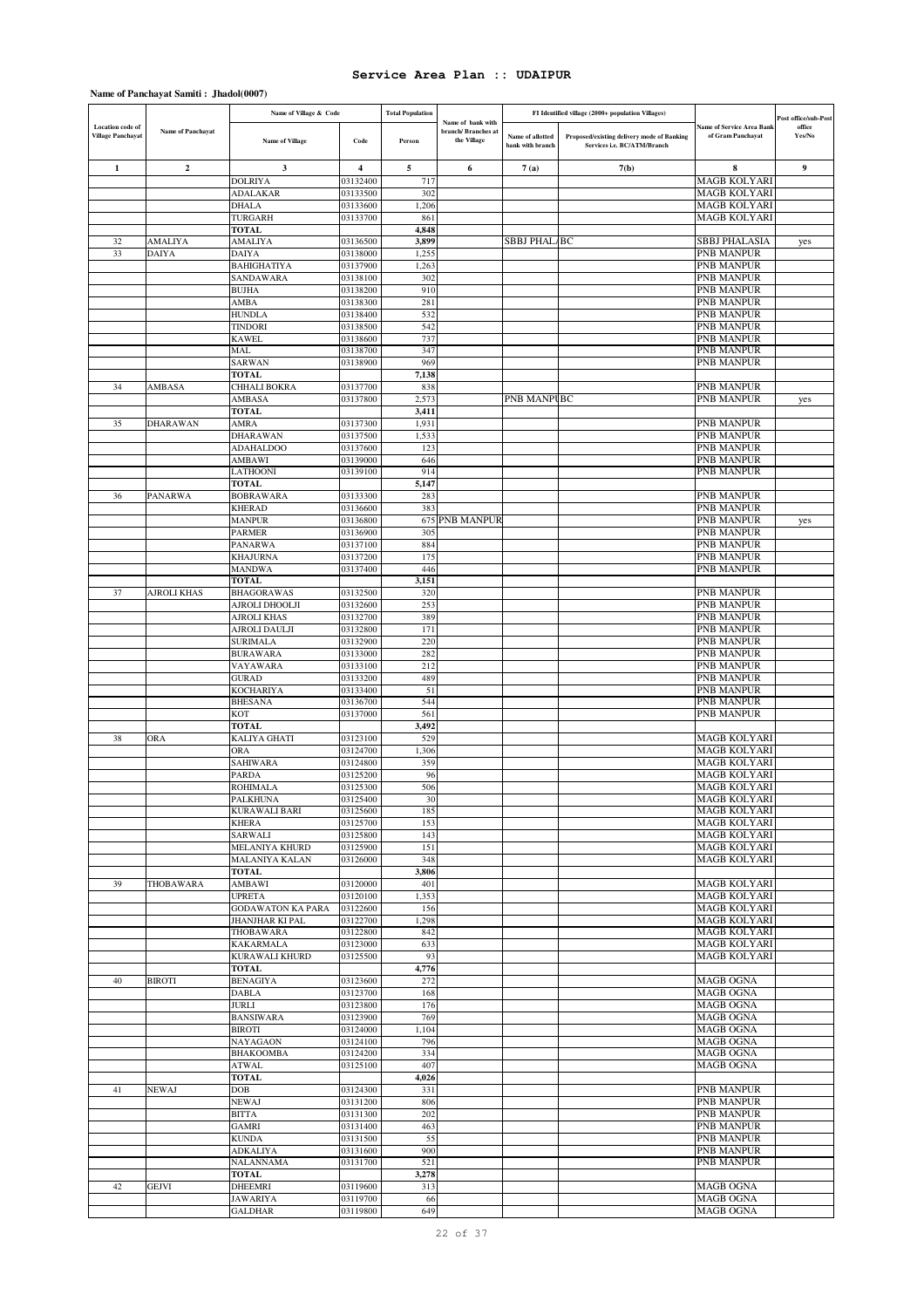|                                              |                    | Name of Village & Code                    |                      | <b>Total Population</b> |                                                        |                                      | FI Identified village (2000+ population Villages)                         |                                                       | Post office/sub-Post |
|----------------------------------------------|--------------------|-------------------------------------------|----------------------|-------------------------|--------------------------------------------------------|--------------------------------------|---------------------------------------------------------------------------|-------------------------------------------------------|----------------------|
| Location code of<br><b>Village Panchayat</b> | Name of Panchayat  | <b>Name of Village</b>                    | Code                 | Person                  | Name of bank with<br>branch/Branches at<br>the Village | Name of allotted<br>bank with branch | Proposed/existing delivery mode of Banking<br>Services i.e. BC/ATM/Branch | <b>Name of Service Area Bank</b><br>of Gram Panchayat | office<br>Yes/No     |
|                                              |                    |                                           |                      |                         |                                                        |                                      |                                                                           |                                                       |                      |
| 1                                            | $\boldsymbol{2}$   | 3<br><b>DOLRIYA</b>                       | 4<br>03132400        | 5<br>717                | 6                                                      | 7(a)                                 | 7(b)                                                                      | 8<br><b>MAGB KOLYARI</b>                              | 9                    |
|                                              |                    | <b>ADALAKAR</b>                           | 03133500             | 302                     |                                                        |                                      |                                                                           | <b>MAGB KOLYARI</b>                                   |                      |
|                                              |                    | <b>DHALA</b>                              | 03133600             | 1,206                   |                                                        |                                      |                                                                           | <b>MAGB KOLYARI</b>                                   |                      |
|                                              |                    | TURGARH                                   | 03133700             | 861                     |                                                        |                                      |                                                                           | MAGB KOLYARI                                          |                      |
| 32                                           | <b>AMALIYA</b>     | <b>TOTAL</b><br><b>AMALIYA</b>            | 03136500             | 4,848<br>3,899          |                                                        | <b>SBBJ PHAL/BC</b>                  |                                                                           | SBBJ PHALASIA                                         |                      |
| 33                                           | DAIYA              | <b>DAIYA</b>                              | 03138000             | 1,255                   |                                                        |                                      |                                                                           | PNB MANPUR                                            | yes                  |
|                                              |                    | <b>BAHIGHATIYA</b>                        | 03137900             | 1,263                   |                                                        |                                      |                                                                           | PNB MANPUR                                            |                      |
|                                              |                    | SANDAWARA                                 | 03138100             | 302                     |                                                        |                                      |                                                                           | PNB MANPUR                                            |                      |
|                                              |                    | <b>BUJHA</b><br>AMBA                      | 03138200<br>03138300 | 910<br>281              |                                                        |                                      |                                                                           | PNB MANPUR<br>PNB MANPUR                              |                      |
|                                              |                    | <b>HUNDLA</b>                             | 03138400             | 532                     |                                                        |                                      |                                                                           | PNB MANPUR                                            |                      |
|                                              |                    | <b>TINDORI</b>                            | 03138500             | 542                     |                                                        |                                      |                                                                           | PNB MANPUR                                            |                      |
|                                              |                    | <b>KAWEL</b>                              | 03138600             | 737                     |                                                        |                                      |                                                                           | PNB MANPUR                                            |                      |
|                                              |                    | MAL                                       | 03138700             | 347<br>969              |                                                        |                                      |                                                                           | PNB MANPUR                                            |                      |
|                                              |                    | SARWAN<br><b>TOTAL</b>                    | 03138900             | 7,138                   |                                                        |                                      |                                                                           | PNB MANPUR                                            |                      |
| 34                                           | AMBASA             | CHHALI BOKRA                              | 03137700             | 838                     |                                                        |                                      |                                                                           | PNB MANPUR                                            |                      |
|                                              |                    | AMBASA                                    | 03137800             | 2,573                   |                                                        | PNB MANPUBC                          |                                                                           | PNB MANPUR                                            | yes                  |
|                                              |                    | <b>TOTAL</b>                              |                      | 3,411                   |                                                        |                                      |                                                                           |                                                       |                      |
| 35                                           | DHARAWAN           | AMRA<br>DHARAWAN                          | 03137300<br>03137500 | 1,931<br>1,533          |                                                        |                                      |                                                                           | PNB MANPUR<br>PNB MANPUR                              |                      |
|                                              |                    | <b>ADAHALDOO</b>                          | 03137600             | 123                     |                                                        |                                      |                                                                           | PNB MANPUR                                            |                      |
|                                              |                    | AMBAWI                                    | 03139000             | 646                     |                                                        |                                      |                                                                           | PNB MANPUR                                            |                      |
|                                              |                    | LATHOONI                                  | 03139100             | 914                     |                                                        |                                      |                                                                           | <b>PNB MANPUR</b>                                     |                      |
| 36                                           | PANARWA            | <b>TOTAL</b><br><b>BOBRAWARA</b>          | 03133300             | 5,147<br>283            |                                                        |                                      |                                                                           | PNB MANPUR                                            |                      |
|                                              |                    | <b>KHERAD</b>                             | 03136600             | 383                     |                                                        |                                      |                                                                           | PNB MANPUR                                            |                      |
|                                              |                    | <b>MANPUR</b>                             | 03136800             |                         | <b>675 PNB MANPUR</b>                                  |                                      |                                                                           | PNB MANPUR                                            | yes                  |
|                                              |                    | <b>PARMER</b>                             | 03136900             | 305                     |                                                        |                                      |                                                                           | <b>PNB MANPUR</b><br><b>PNB MANPUR</b>                |                      |
|                                              |                    | PANARWA<br><b>KHAJURNA</b>                | 03137100<br>03137200 | 884<br>175              |                                                        |                                      |                                                                           | PNB MANPUR                                            |                      |
|                                              |                    | <b>MANDWA</b>                             | 03137400             | 446                     |                                                        |                                      |                                                                           | PNB MANPUR                                            |                      |
|                                              |                    | TOTAL                                     |                      | 3,151                   |                                                        |                                      |                                                                           |                                                       |                      |
| 37                                           | <b>AJROLI KHAS</b> | <b>BHAGORAWAS</b>                         | 03132500             | 320<br>253              |                                                        |                                      |                                                                           | PNB MANPUR                                            |                      |
|                                              |                    | AJROLI DHOOLJI<br>AJROLI KHAS             | 03132600<br>03132700 | 389                     |                                                        |                                      |                                                                           | PNB MANPUR<br>PNB MANPUR                              |                      |
|                                              |                    | AJROLI DAULJI                             | 03132800             | 171                     |                                                        |                                      |                                                                           | PNB MANPUR                                            |                      |
|                                              |                    | <b>SURIMALA</b>                           | 03132900             | 220                     |                                                        |                                      |                                                                           | PNB MANPUR                                            |                      |
|                                              |                    | <b>BURAWARA</b>                           | 03133000             | 282<br>212              |                                                        |                                      |                                                                           | PNB MANPUR                                            |                      |
|                                              |                    | VAYAWARA<br><b>GURAD</b>                  | 03133100<br>03133200 | 489                     |                                                        |                                      |                                                                           | PNB MANPUR<br>PNB MANPUR                              |                      |
|                                              |                    | <b>KOCHARIYA</b>                          | 03133400             | 51                      |                                                        |                                      |                                                                           | PNB MANPUR                                            |                      |
|                                              |                    | <b>BHESANA</b>                            | 03136700             | 544                     |                                                        |                                      |                                                                           | PNB MANPUR                                            |                      |
|                                              |                    | <b>KOT</b><br><b>TOTAL</b>                | 03137000             | 561<br>3,492            |                                                        |                                      |                                                                           | <b>PNB MANPUR</b>                                     |                      |
| 38                                           | ORA                | KALIYA GHATI                              | 03123100             | 529                     |                                                        |                                      |                                                                           | MAGB KOLYARI                                          |                      |
|                                              |                    | <b>ORA</b>                                | 03124700             | 1,306                   |                                                        |                                      |                                                                           | <b>MAGB KOLYARI</b>                                   |                      |
|                                              |                    | SAHIWARA                                  | 03124800             | 359                     |                                                        |                                      |                                                                           | MAGB KOLYARI                                          |                      |
|                                              |                    | PARDA<br><b>ROHIMALA</b>                  | 03125200<br>03125300 | 96<br>506               |                                                        |                                      |                                                                           | <b>MAGB KOLYARI</b><br><b>MAGB KOLYARI</b>            |                      |
|                                              |                    | PALKHUNA                                  | 03125400             |                         |                                                        |                                      |                                                                           | <b>MAGB KOLYARI</b>                                   |                      |
|                                              |                    | <b>KURAWALI BARI</b>                      | 03125600             | 185                     |                                                        |                                      |                                                                           | <b>MAGB KOLYARI</b>                                   |                      |
|                                              |                    | <b>KHERA</b>                              | 03125700             | 153                     |                                                        |                                      |                                                                           | <b>MAGB KOLYARI</b>                                   |                      |
|                                              |                    | SARWALI<br>MELANIYA KHURD                 | 03125800<br>03125900 | 143<br>151              |                                                        |                                      |                                                                           | <b>MAGB KOLYARI</b><br><b>MAGB KOLYARI</b>            |                      |
|                                              |                    | <b>MALANIYA KALAN</b>                     | 03126000             | 348                     |                                                        |                                      |                                                                           | <b>MAGB KOLYARI</b>                                   |                      |
|                                              |                    | <b>TOTAL</b>                              |                      | 3,806                   |                                                        |                                      |                                                                           |                                                       |                      |
| 39                                           | THOBAWARA          | AMBAWI<br><b>UPRETA</b>                   | 03120000<br>03120100 | 401<br>1,353            |                                                        |                                      |                                                                           | <b>MAGB KOLYARI</b><br><b>MAGB KOLYARI</b>            |                      |
|                                              |                    | <b>GODAWATON KA PARA</b>                  | 03122600             | 156                     |                                                        |                                      |                                                                           | <b>MAGB KOLYARI</b>                                   |                      |
|                                              |                    | <b>JHANJHAR KI PAL</b>                    | 03122700             | 1,298                   |                                                        |                                      |                                                                           | <b>MAGB KOLYARI</b>                                   |                      |
|                                              |                    | THOBAWARA                                 | 03122800             | 842                     |                                                        |                                      |                                                                           | <b>MAGB KOLYARI</b>                                   |                      |
|                                              |                    | <b>KAKARMALA</b><br><b>KURAWALI KHURD</b> | 03123000<br>03125500 | 633<br>93               |                                                        |                                      |                                                                           | <b>MAGB KOLYARI</b><br><b>MAGB KOLYARI</b>            |                      |
|                                              |                    | <b>TOTAL</b>                              |                      | 4,776                   |                                                        |                                      |                                                                           |                                                       |                      |
| 40                                           | <b>BIROTI</b>      | <b>BENAGIYA</b>                           | 03123600             | 272                     |                                                        |                                      |                                                                           | <b>MAGB OGNA</b>                                      |                      |
|                                              |                    | <b>DABLA</b>                              | 03123700             | 168                     |                                                        |                                      |                                                                           | <b>MAGB OGNA</b>                                      |                      |
|                                              |                    | <b>JURLI</b><br><b>BANSIWARA</b>          | 03123800<br>03123900 | 176<br>769              |                                                        |                                      |                                                                           | <b>MAGB OGNA</b><br><b>MAGB OGNA</b>                  |                      |
|                                              |                    | <b>BIROTI</b>                             | 03124000             | 1,104                   |                                                        |                                      |                                                                           | <b>MAGB OGNA</b>                                      |                      |
|                                              |                    | NAYAGAON                                  | 03124100             | 796                     |                                                        |                                      |                                                                           | MAGB OGNA                                             |                      |
|                                              |                    | <b>BHAKOOMBA</b>                          | 03124200             | 334                     |                                                        |                                      |                                                                           | <b>MAGB OGNA</b>                                      |                      |
|                                              |                    | <b>ATWAL</b><br><b>TOTAL</b>              | 03125100             | 407<br>4,026            |                                                        |                                      |                                                                           | <b>MAGB OGNA</b>                                      |                      |
| 41                                           | NEWAJ              | DOB                                       | 03124300             | 331                     |                                                        |                                      |                                                                           | PNB MANPUR                                            |                      |
|                                              |                    | <b>NEWAJ</b>                              | 03131200             | 806                     |                                                        |                                      |                                                                           | <b>PNB MANPUR</b>                                     |                      |
|                                              |                    | <b>BITTA</b>                              | 03131300             | 202                     |                                                        |                                      |                                                                           | PNB MANPUR                                            |                      |
|                                              |                    | GAMRI<br><b>KUNDA</b>                     | 03131400<br>03131500 | 463<br>55               |                                                        |                                      |                                                                           | <b>PNB MANPUR</b><br>PNB MANPUR                       |                      |
|                                              |                    | <b>ADKALIYA</b>                           | 03131600             | 900                     |                                                        |                                      |                                                                           | PNB MANPUR                                            |                      |
|                                              |                    | <b>NALANNAMA</b>                          | 03131700             | 521                     |                                                        |                                      |                                                                           | <b>PNB MANPUR</b>                                     |                      |
| 42                                           | GEJVI              | <b>TOTAL</b><br><b>DHEEMRI</b>            | 03119600             | 3,278<br>313            |                                                        |                                      |                                                                           | <b>MAGB OGNA</b>                                      |                      |
|                                              |                    | <b>JAWARIYA</b>                           | 03119700             | 66                      |                                                        |                                      |                                                                           | <b>MAGB OGNA</b>                                      |                      |
|                                              |                    | <b>GALDHAR</b>                            | 03119800             | 649                     |                                                        |                                      |                                                                           | MAGB OGNA                                             |                      |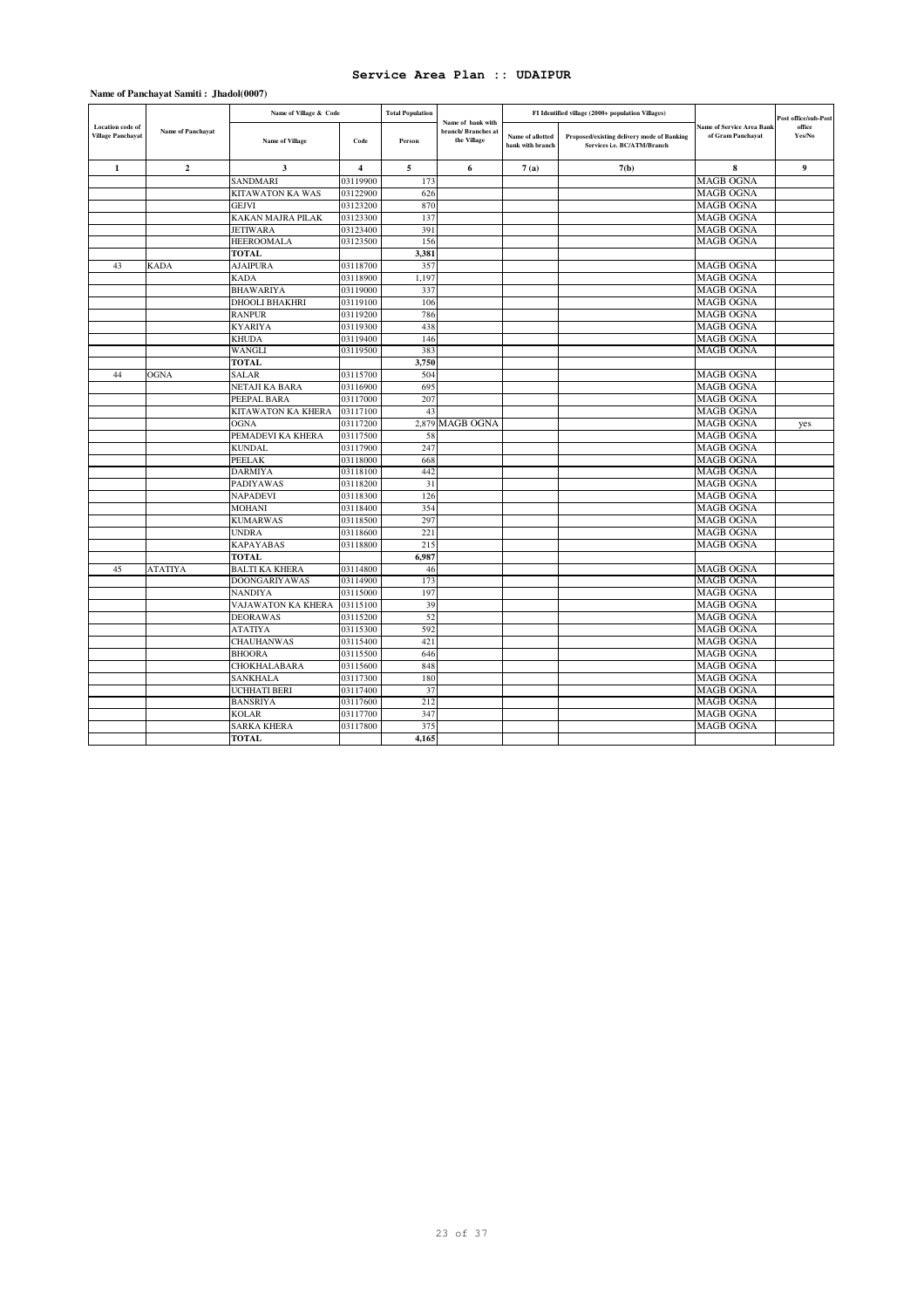|                                                     |                   | Name of Village & Code   |                         | <b>Total Population</b> | Name of bank with                 |                                      | FI Identified village (2000+ population Villages)                         |                                                       | Post office/sub-Post |
|-----------------------------------------------------|-------------------|--------------------------|-------------------------|-------------------------|-----------------------------------|--------------------------------------|---------------------------------------------------------------------------|-------------------------------------------------------|----------------------|
| <b>Location</b> code of<br><b>Village Panchayat</b> | Name of Panchayat | <b>Name of Village</b>   | Code                    | Person                  | branch/Branches at<br>the Village | Name of allotted<br>bank with branch | Proposed/existing delivery mode of Banking<br>Services i.e. BC/ATM/Branch | <b>Name of Service Area Bank</b><br>of Gram Panchayat | office<br>Yes/No     |
| $\mathbf{1}$                                        | $\overline{2}$    | 3                        | $\overline{\mathbf{4}}$ | 5                       | 6                                 | 7(a)                                 | 7(b)                                                                      | 8                                                     | 9                    |
|                                                     |                   | <b>SANDMARI</b>          | 03119900                | 173                     |                                   |                                      |                                                                           | <b>MAGB OGNA</b>                                      |                      |
|                                                     |                   | <b>KITAWATON KA WAS</b>  | 03122900                | 626                     |                                   |                                      |                                                                           | <b>MAGB OGNA</b>                                      |                      |
|                                                     |                   | <b>GEJVI</b>             | 03123200                | 870                     |                                   |                                      |                                                                           | <b>MAGB OGNA</b>                                      |                      |
|                                                     |                   | <b>KAKAN MAJRA PILAK</b> | 03123300                | 137                     |                                   |                                      |                                                                           | <b>MAGB OGNA</b>                                      |                      |
|                                                     |                   | <b>JETIWARA</b>          | 03123400                | 391                     |                                   |                                      |                                                                           | <b>MAGB OGNA</b>                                      |                      |
|                                                     |                   | <b>HEEROOMALA</b>        | 03123500                | 156                     |                                   |                                      |                                                                           | <b>MAGB OGNA</b>                                      |                      |
|                                                     |                   | <b>TOTAL</b>             |                         | 3,381                   |                                   |                                      |                                                                           |                                                       |                      |
| 43                                                  | <b>KADA</b>       | <b>AJAIPURA</b>          | 03118700                | 357                     |                                   |                                      |                                                                           | <b>MAGB OGNA</b>                                      |                      |
|                                                     |                   | <b>KADA</b>              | 03118900                | 1.197                   |                                   |                                      |                                                                           | <b>MAGB OGNA</b>                                      |                      |
|                                                     |                   | <b>BHAWARIYA</b>         | 03119000                | 337                     |                                   |                                      |                                                                           | <b>MAGB OGNA</b>                                      |                      |
|                                                     |                   | <b>DHOOLI BHAKHRI</b>    | 03119100                | 106                     |                                   |                                      |                                                                           | <b>MAGB OGNA</b>                                      |                      |
|                                                     |                   | <b>RANPUR</b>            | 03119200                | 786                     |                                   |                                      |                                                                           | <b>MAGB OGNA</b>                                      |                      |
|                                                     |                   | <b>KYARIYA</b>           | 03119300                | 438                     |                                   |                                      |                                                                           | <b>MAGB OGNA</b>                                      |                      |
|                                                     |                   | <b>KHUDA</b>             | 03119400                | 146                     |                                   |                                      |                                                                           | <b>MAGB OGNA</b>                                      |                      |
|                                                     |                   | WANGLI                   | 03119500                | 383                     |                                   |                                      |                                                                           | <b>MAGB OGNA</b>                                      |                      |
|                                                     |                   | <b>TOTAL</b>             |                         | 3,750                   |                                   |                                      |                                                                           |                                                       |                      |
| 44                                                  | <b>OGNA</b>       | <b>SALAR</b>             | 03115700                | 504                     |                                   |                                      |                                                                           | <b>MAGB OGNA</b>                                      |                      |
|                                                     |                   | NETAJI KA BARA           | 03116900                | 695                     |                                   |                                      |                                                                           | <b>MAGB OGNA</b>                                      |                      |
|                                                     |                   | PEEPAL BARA              | 03117000                | 207                     |                                   |                                      |                                                                           | <b>MAGB OGNA</b>                                      |                      |
|                                                     |                   | KITAWATON KA KHERA       | 03117100                | 43                      |                                   |                                      |                                                                           | <b>MAGB OGNA</b>                                      |                      |
|                                                     |                   | <b>OGNA</b>              | 03117200                |                         | 2,879 MAGB OGNA                   |                                      |                                                                           | <b>MAGB OGNA</b>                                      | yes                  |
|                                                     |                   | PEMADEVI KA KHERA        | 03117500                | 58                      |                                   |                                      |                                                                           | <b>MAGB OGNA</b>                                      |                      |
|                                                     |                   | <b>KUNDAL</b>            | 03117900                | 247                     |                                   |                                      |                                                                           | <b>MAGB OGNA</b>                                      |                      |
|                                                     |                   | <b>PEELAK</b>            | 03118000                | 668                     |                                   |                                      |                                                                           | <b>MAGB OGNA</b>                                      |                      |
|                                                     |                   | <b>DARMIYA</b>           | 03118100                | 442                     |                                   |                                      |                                                                           | <b>MAGB OGNA</b>                                      |                      |
|                                                     |                   | <b>PADIYAWAS</b>         | 03118200                | 31                      |                                   |                                      |                                                                           | <b>MAGB OGNA</b>                                      |                      |
|                                                     |                   | <b>NAPADEVI</b>          | 03118300                | 126                     |                                   |                                      |                                                                           | <b>MAGB OGNA</b>                                      |                      |
|                                                     |                   | MOHANI                   | 03118400                | 354                     |                                   |                                      |                                                                           | <b>MAGB OGNA</b>                                      |                      |
|                                                     |                   | <b>KUMARWAS</b>          | 03118500                | 297                     |                                   |                                      |                                                                           | <b>MAGB OGNA</b>                                      |                      |
|                                                     |                   | <b>UNDRA</b>             | 03118600                | 221                     |                                   |                                      |                                                                           | <b>MAGB OGNA</b>                                      |                      |
|                                                     |                   | <b>KAPAYABAS</b>         | 03118800                | 215                     |                                   |                                      |                                                                           | <b>MAGB OGNA</b>                                      |                      |
|                                                     |                   | <b>TOTAL</b>             |                         | 6.987                   |                                   |                                      |                                                                           |                                                       |                      |
| 45                                                  | ATATIYA           | <b>BALTI KA KHERA</b>    | 03114800                | 46                      |                                   |                                      |                                                                           | <b>MAGB OGNA</b>                                      |                      |
|                                                     |                   | <b>DOONGARIYAWAS</b>     | 03114900                | 173                     |                                   |                                      |                                                                           | <b>MAGB OGNA</b>                                      |                      |
|                                                     |                   | <b>NANDIYA</b>           | 03115000                | 197                     |                                   |                                      |                                                                           | <b>MAGB OGNA</b>                                      |                      |
|                                                     |                   | VAJAWATON KA KHERA       | 03115100                | 39                      |                                   |                                      |                                                                           | <b>MAGB OGNA</b>                                      |                      |
|                                                     |                   | <b>DEORAWAS</b>          | 03115200                | 52                      |                                   |                                      |                                                                           | <b>MAGB OGNA</b>                                      |                      |
|                                                     |                   | <b>ATATIYA</b>           | 03115300                | 592                     |                                   |                                      |                                                                           | <b>MAGB OGNA</b>                                      |                      |
|                                                     |                   | <b>CHAUHANWAS</b>        | 03115400                | 421                     |                                   |                                      |                                                                           | <b>MAGB OGNA</b>                                      |                      |
|                                                     |                   | <b>BHOORA</b>            | 03115500                | 646                     |                                   |                                      |                                                                           | <b>MAGB OGNA</b>                                      |                      |
|                                                     |                   | <b>CHOKHALABARA</b>      | 03115600                | 848                     |                                   |                                      |                                                                           | <b>MAGB OGNA</b>                                      |                      |
|                                                     |                   | SANKHALA                 | 03117300                | 180                     |                                   |                                      |                                                                           | <b>MAGB OGNA</b>                                      |                      |
|                                                     |                   | <b>UCHHATI BERI</b>      | 03117400                | 37                      |                                   |                                      |                                                                           | <b>MAGB OGNA</b>                                      |                      |
|                                                     |                   | <b>BANSRIYA</b>          | 03117600                | 212                     |                                   |                                      |                                                                           | <b>MAGB OGNA</b>                                      |                      |
|                                                     |                   | <b>KOLAR</b>             | 03117700                | 347                     |                                   |                                      |                                                                           | <b>MAGB OGNA</b>                                      |                      |
|                                                     |                   | <b>SARKA KHERA</b>       | 03117800                | 375                     |                                   |                                      |                                                                           | <b>MAGB OGNA</b>                                      |                      |
|                                                     |                   | <b>TOTAL</b>             |                         | 4,165                   |                                   |                                      |                                                                           |                                                       |                      |
|                                                     |                   |                          |                         |                         |                                   |                                      |                                                                           |                                                       |                      |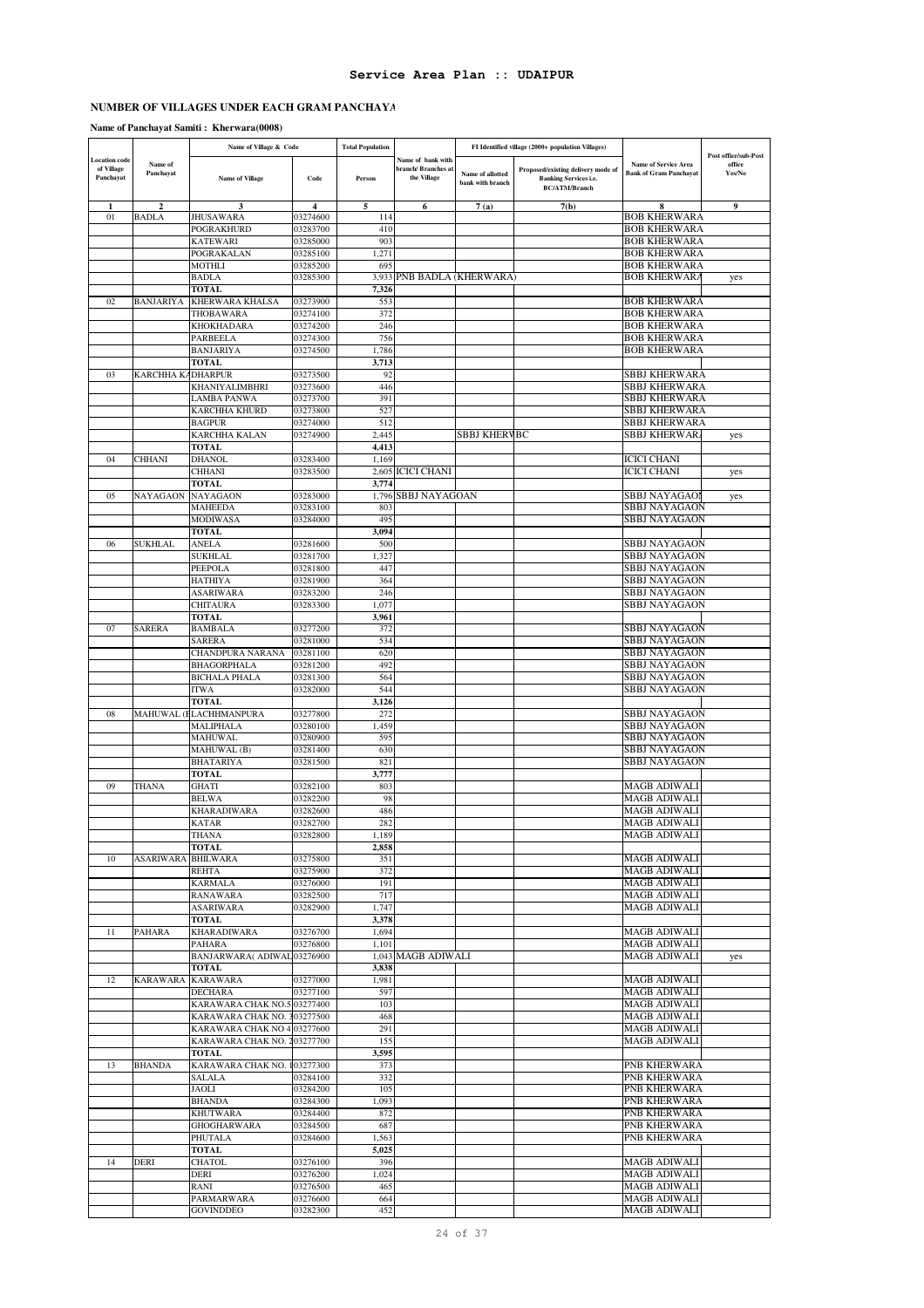# **NUMBER OF VILLAGES UNDER EACH GRAM PANCHAYA**

### **Name of Panchayat Samiti : Kherwara(0008)**

|                                                 |                      | Name of Village & Code               |                      | <b>Total Population</b> |                                                        |                                      | FI Identified village (2000+ population Villages)                                          |                                                              |                                          |
|-------------------------------------------------|----------------------|--------------------------------------|----------------------|-------------------------|--------------------------------------------------------|--------------------------------------|--------------------------------------------------------------------------------------------|--------------------------------------------------------------|------------------------------------------|
| <b>Location code</b><br>of Village<br>Panchayat | Name of<br>Panchayat | Name of Village                      | Code                 | Person                  | Name of bank with<br>branch/Branches at<br>the Village | Name of allotted<br>bank with branch | Proposed/existing delivery mode of<br><b>Banking Services i.e.</b><br><b>BC/ATM/Branch</b> | <b>Name of Service Area</b><br><b>Bank of Gram Panchayat</b> | Post office/sub-Post<br>office<br>Yes/No |
| $\mathbf{1}$                                    | $\overline{2}$       | ٦                                    | 4                    | 5                       | 6                                                      | 7(a)                                 | 7(b)                                                                                       | 8                                                            | 9                                        |
| 01                                              | <b>BADLA</b>         | <b>JHUSAWARA</b>                     | 03274600             | 114                     |                                                        |                                      |                                                                                            | BOB KHERWARA                                                 |                                          |
|                                                 |                      | POGRAKHURD<br>KATEWARI               | 03283700<br>03285000 | 410<br>903              |                                                        |                                      |                                                                                            | <b>BOB KHERWARA</b><br><b>BOB KHERWARA</b>                   |                                          |
|                                                 |                      | POGRAKALAN                           | 03285100             | 1,271                   |                                                        |                                      |                                                                                            | <b>BOB KHERWARA</b>                                          |                                          |
|                                                 |                      | MOTHLI                               | 03285200             | 695                     |                                                        |                                      |                                                                                            | BOB KHERWARA                                                 |                                          |
|                                                 |                      | <b>BADLA</b>                         | 03285300             | 3,933                   | PNB BADLA (KHERWARA)                                   |                                      |                                                                                            | BOB KHERWARA                                                 | yes                                      |
|                                                 |                      | <b>TOTAL</b>                         |                      | 7,326                   |                                                        |                                      |                                                                                            |                                                              |                                          |
| 02                                              | <b>BANJARIYA</b>     | KHERWARA KHALSA                      | 03273900             | 553                     |                                                        |                                      |                                                                                            | <b>BOB KHERWARA</b>                                          |                                          |
|                                                 |                      | THOBAWARA<br>KHOKHADARA              | 03274100<br>03274200 | 372<br>246              |                                                        |                                      |                                                                                            | <b>BOB KHERWARA</b><br><b>BOB KHERWARA</b>                   |                                          |
|                                                 |                      | PARBEELA                             | 03274300             | 756                     |                                                        |                                      |                                                                                            | <b>BOB KHERWARA</b>                                          |                                          |
|                                                 |                      | <b>BANJARIYA</b>                     | 03274500             | 1,786                   |                                                        |                                      |                                                                                            | <b>BOB KHERWARA</b>                                          |                                          |
|                                                 |                      | TOTAL                                |                      | 3,713                   |                                                        |                                      |                                                                                            |                                                              |                                          |
| 03                                              | KARCHHA KADHARPUR    |                                      | 03273500             | 92                      |                                                        |                                      |                                                                                            | SBBJ KHERWARA                                                |                                          |
|                                                 |                      | KHANIYALIMBHRI                       | 03273600<br>03273700 | 446<br>391              |                                                        |                                      |                                                                                            | SBBJ KHERWARA                                                |                                          |
|                                                 |                      | LAMBA PANWA<br><b>KARCHHA KHURD</b>  | 03273800             | 527                     |                                                        |                                      |                                                                                            | SBBJ KHERWARA<br>SBBJ KHERWARA                               |                                          |
|                                                 |                      | <b>BAGPUR</b>                        | 03274000             | 512                     |                                                        |                                      |                                                                                            | SBBJ KHERWARA                                                |                                          |
|                                                 |                      | KARCHHA KALAN                        | 03274900             | 2,445                   |                                                        | <b>SBBJ KHERVBC</b>                  |                                                                                            | SBBJ KHERWAR.                                                | yes                                      |
|                                                 |                      | <b>TOTAL</b>                         |                      | 4,413                   |                                                        |                                      |                                                                                            |                                                              |                                          |
| 04                                              | CHHANI               | DHANOL                               | 03283400             | 1,169                   |                                                        |                                      |                                                                                            | ICICI CHANI                                                  |                                          |
|                                                 |                      | <b>CHHANI</b>                        | 03283500             | 2,605                   | <b>ICICI CHANI</b>                                     |                                      |                                                                                            | ICICI CHANI                                                  | yes                                      |
| 05                                              | NAYAGAON             | TOTAL<br>NAYAGAON                    | 03283000             | 3,774<br>1,796          | SBBJ NAYAGOAN                                          |                                      |                                                                                            | SBBJ NAYAGAOI                                                | yes                                      |
|                                                 |                      | MAHEEDA                              | 03283100             | 803                     |                                                        |                                      |                                                                                            | SBBJ NAYAGAON                                                |                                          |
|                                                 |                      | MODIWASA                             | 03284000             | 495                     |                                                        |                                      |                                                                                            | SBBJ NAYAGAON                                                |                                          |
|                                                 |                      | TOTAL                                |                      | 3,094                   |                                                        |                                      |                                                                                            |                                                              |                                          |
| 06                                              | SUKHLAL              | ANELA                                | 03281600             | 500                     |                                                        |                                      |                                                                                            | SBBJ NAYAGAON                                                |                                          |
|                                                 |                      | SUKHLAL                              | 03281700             | 1,327<br>447            |                                                        |                                      |                                                                                            | SBBJ NAYAGAON<br>SBBJ NAYAGAON                               |                                          |
|                                                 |                      | PEEPOLA<br>HATHIYA                   | 03281800<br>03281900 | 364                     |                                                        |                                      |                                                                                            | SBBJ NAYAGAON                                                |                                          |
|                                                 |                      | ASARIWARA                            | 03283200             | 246                     |                                                        |                                      |                                                                                            | SBBJ NAYAGAON                                                |                                          |
|                                                 |                      | CHITAURA                             | 03283300             | 1,077                   |                                                        |                                      |                                                                                            | SBBJ NAYAGAON                                                |                                          |
|                                                 |                      | <b>TOTAL</b>                         |                      | 3,961                   |                                                        |                                      |                                                                                            |                                                              |                                          |
| 07                                              | SARERA               | BAMBALA                              | 03277200             | 372                     |                                                        |                                      |                                                                                            | SBBJ NAYAGAON                                                |                                          |
|                                                 |                      | SARERA                               | 03281000             | 534<br>620              |                                                        |                                      |                                                                                            | SBBJ NAYAGAON                                                |                                          |
|                                                 |                      | CHANDPURA NARANA<br>BHAGORPHALA      | 03281100<br>03281200 | 492                     |                                                        |                                      |                                                                                            | SBBJ NAYAGAON<br>SBBJ NAYAGAON                               |                                          |
|                                                 |                      | BICHALA PHALA                        | 03281300             | 564                     |                                                        |                                      |                                                                                            | SBBJ NAYAGAON                                                |                                          |
|                                                 |                      | ITWA                                 | 03282000             | 544                     |                                                        |                                      |                                                                                            | SBBJ NAYAGAON                                                |                                          |
|                                                 |                      | TOTAL                                |                      | 3,126                   |                                                        |                                      |                                                                                            |                                                              |                                          |
| 08                                              |                      | MAHUWAL (FLACHHMANPURA               | 03277800             | 272                     |                                                        |                                      |                                                                                            | SBBJ NAYAGAON                                                |                                          |
|                                                 |                      | MALIPHALA                            | 03280100             | 1,459<br>595            |                                                        |                                      |                                                                                            | SBBJ NAYAGAON                                                |                                          |
|                                                 |                      | MAHUWAL<br>MAHUWAL (B)               | 03280900<br>03281400 | 630                     |                                                        |                                      |                                                                                            | SBBJ NAYAGAON<br>SBBJ NAYAGAON                               |                                          |
|                                                 |                      | <b>BHATARIYA</b>                     | 03281500             | 821                     |                                                        |                                      |                                                                                            | SBBJ NAYAGAON                                                |                                          |
|                                                 |                      | <b>TOTAL</b>                         |                      | 3,777                   |                                                        |                                      |                                                                                            |                                                              |                                          |
| 09                                              | THANA                | GHATI                                | 03282100             | 803                     |                                                        |                                      |                                                                                            | MAGB ADIWALI                                                 |                                          |
|                                                 |                      | <b>BELWA</b>                         | 03282200             | 98                      |                                                        |                                      |                                                                                            | MAGB ADIWALI                                                 |                                          |
|                                                 |                      | KHARADIWARA<br><b>KATAR</b>          | 03282600<br>03282700 | 486<br>282              |                                                        |                                      |                                                                                            | MAGB ADIWALI<br><b>MAGB ADIWALI</b>                          |                                          |
|                                                 |                      | <b>THANA</b>                         | 03282800             | 189                     |                                                        |                                      |                                                                                            | MAGR ADIWALI                                                 |                                          |
|                                                 |                      | TOTAL                                |                      | 2,858                   |                                                        |                                      |                                                                                            |                                                              |                                          |
| 10                                              | <b>ASARIWARA</b>     | <b>BHILWARA</b>                      | 03275800             | 351                     |                                                        |                                      |                                                                                            | <b>MAGB ADIWALI</b>                                          |                                          |
|                                                 |                      | <b>REHTA</b>                         | 03275900             | 372                     |                                                        |                                      |                                                                                            | <b>MAGB ADIWALI</b>                                          |                                          |
|                                                 |                      | KARMALA<br>RANAWARA                  | 03276000<br>03282500 | 191<br>717              |                                                        |                                      |                                                                                            | <b>MAGB ADIWALI</b><br>MAGB ADIWALI                          |                                          |
|                                                 |                      | <b>ASARIWARA</b>                     | 03282900             | 1,747                   |                                                        |                                      |                                                                                            | <b>MAGB ADIWALI</b>                                          |                                          |
|                                                 |                      | <b>TOTAL</b>                         |                      | 3,378                   |                                                        |                                      |                                                                                            |                                                              |                                          |
| 11                                              | PAHARA               | KHARADIWARA                          | 03276700             | 1,694                   |                                                        |                                      |                                                                                            | <b>MAGB ADIWALI</b>                                          |                                          |
|                                                 |                      | PAHARA                               | 03276800             | 1,101                   |                                                        |                                      |                                                                                            | <b>MAGB ADIWALI</b>                                          |                                          |
|                                                 |                      | BANJARWARA( ADIWAL 03276900          |                      |                         | 1,043 MAGB ADIWALI                                     |                                      |                                                                                            | MAGB ADIWALI                                                 | yes                                      |
| 12                                              | <b>KARAWARA</b>      | TOTAL<br><b>KARAWARA</b>             | 03277000             | 3,838<br>1,981          |                                                        |                                      |                                                                                            | <b>MAGB ADIWALI</b>                                          |                                          |
|                                                 |                      | DECHARA                              | 03277100             | 597                     |                                                        |                                      |                                                                                            | <b>MAGB ADIWALI</b>                                          |                                          |
|                                                 |                      | KARAWARA CHAK NO.5                   | 03277400             | 103                     |                                                        |                                      |                                                                                            | <b>MAGB ADIWALI</b>                                          |                                          |
|                                                 |                      | KARAWARA CHAK NO. 303277500          |                      | 468                     |                                                        |                                      |                                                                                            | MAGB ADIWALI                                                 |                                          |
|                                                 |                      | KARAWARA CHAK NO 4 03277600          |                      | 291                     |                                                        |                                      |                                                                                            | <b>MAGB ADIWALI</b>                                          |                                          |
|                                                 |                      | KARAWARA CHAK NO. 203277700          |                      | 155                     |                                                        |                                      |                                                                                            | <b>MAGB ADIWALI</b>                                          |                                          |
| 13                                              | <b>BHANDA</b>        | TOTAL<br>KARAWARA CHAK NO. 103277300 |                      | 3,595<br>373            |                                                        |                                      |                                                                                            | PNB KHERWARA                                                 |                                          |
|                                                 |                      | SALALA                               | 03284100             | 332                     |                                                        |                                      |                                                                                            | <b>PNB KHERWARA</b>                                          |                                          |
|                                                 |                      | JAOLI                                | 03284200             | 105                     |                                                        |                                      |                                                                                            | PNB KHERWARA                                                 |                                          |
|                                                 |                      | <b>BHANDA</b>                        | 03284300             | 1,093                   |                                                        |                                      |                                                                                            | PNB KHERWARA                                                 |                                          |
|                                                 |                      | KHUTWARA                             | 03284400             | 872                     |                                                        |                                      |                                                                                            | <b>PNB KHERWARA</b>                                          |                                          |
|                                                 |                      | <b>GHOGHARWARA</b>                   | 03284500             | 687                     |                                                        |                                      |                                                                                            | PNB KHERWARA                                                 |                                          |
|                                                 |                      | PHUTALA<br>TOTAL                     | 03284600             | 1,563<br>5,025          |                                                        |                                      |                                                                                            | <b>PNB KHERWARA</b>                                          |                                          |
| 14                                              | DERI                 | <b>CHATOL</b>                        | 03276100             | 396                     |                                                        |                                      |                                                                                            | <b>MAGB ADIWALI</b>                                          |                                          |
|                                                 |                      | DERI                                 | 03276200             | 1,024                   |                                                        |                                      |                                                                                            | MAGB ADIWALI                                                 |                                          |
|                                                 |                      | RANI                                 | 03276500             | 465                     |                                                        |                                      |                                                                                            | <b>MAGB ADIWALI</b>                                          |                                          |
|                                                 |                      | PARMARWARA                           | 03276600             | 664                     |                                                        |                                      |                                                                                            | <b>MAGB ADIWALI</b>                                          |                                          |
|                                                 |                      | <b>GOVINDDEO</b>                     | 03282300             | 452                     |                                                        |                                      |                                                                                            | <b>MAGB ADIWALI</b>                                          |                                          |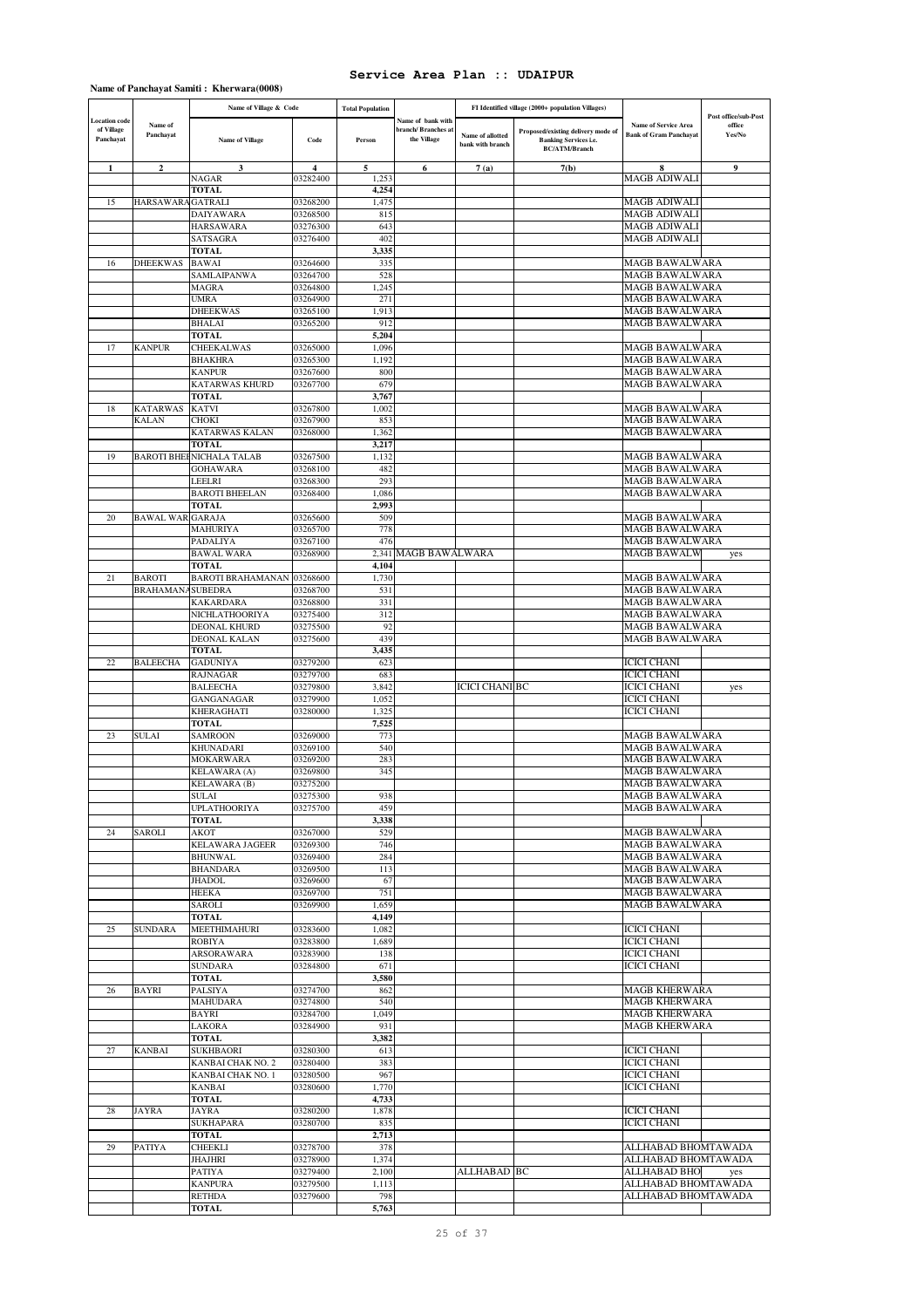|  |  |  |  | Name of Panchayat Samiti: Kherwara(0008) |
|--|--|--|--|------------------------------------------|
|--|--|--|--|------------------------------------------|

|                                         |                                 | Name of Village & Code          |                      | <b>Total Population</b> |                                                         | FI Identified village (2000+ population Villages) |                                                                                            |                                                              |                                          |
|-----------------------------------------|---------------------------------|---------------------------------|----------------------|-------------------------|---------------------------------------------------------|---------------------------------------------------|--------------------------------------------------------------------------------------------|--------------------------------------------------------------|------------------------------------------|
| ocation code<br>of Village<br>Panchayat | Name of<br>Panchayat            | <b>Name of Village</b>          | Code                 | Person                  | Name of bank with<br>branch/ Branches at<br>the Village | Name of allotted<br>bank with branch              | Proposed/existing delivery mode of<br><b>Banking Services i.e.</b><br><b>BC/ATM/Branch</b> | <b>Name of Service Area</b><br><b>Bank of Gram Panchayat</b> | Post office/sub-Post<br>office<br>Yes/No |
| 1                                       | $\boldsymbol{2}$                | 3                               | 4                    | 5                       | 6                                                       | 7(a)                                              | 7(b)                                                                                       | 8                                                            | 9                                        |
|                                         |                                 | NAGAR<br>TOTAL                  | 03282400             | 1,253<br>4,254          |                                                         |                                                   |                                                                                            | MAGB ADIWALI                                                 |                                          |
| 15                                      | HARSAWARA GATRALI               |                                 | 03268200             | 1,475                   |                                                         |                                                   |                                                                                            | MAGB ADIWALI                                                 |                                          |
|                                         |                                 | DAIYAWARA                       | 03268500             | 815                     |                                                         |                                                   |                                                                                            | MAGB ADIWALI                                                 |                                          |
|                                         |                                 | HARSAWARA                       | 03276300             | 643                     |                                                         |                                                   |                                                                                            | MAGB ADIWALI                                                 |                                          |
|                                         |                                 | SATSAGRA                        | 03276400             | 402                     |                                                         |                                                   |                                                                                            | MAGB ADIWALI                                                 |                                          |
| 16                                      | DHEEKWAS                        | TOTAL<br>BAWAI                  | 03264600             | 3,335<br>335            |                                                         |                                                   |                                                                                            | <b>MAGB BAWALWARA</b>                                        |                                          |
|                                         |                                 | SAMLAIPANWA                     | 03264700             | 528                     |                                                         |                                                   |                                                                                            | MAGB BAWALWARA                                               |                                          |
|                                         |                                 | MAGRA                           | 03264800             | 1,245                   |                                                         |                                                   |                                                                                            | MAGB BAWALWARA                                               |                                          |
|                                         |                                 | UMRA                            | 03264900             | 271                     |                                                         |                                                   |                                                                                            | MAGB BAWALWARA                                               |                                          |
|                                         |                                 | DHEEKWAS                        | 03265100             | 1,913                   |                                                         |                                                   |                                                                                            | MAGB BAWALWARA                                               |                                          |
|                                         |                                 | BHALAI                          | 03265200             | 912                     |                                                         |                                                   |                                                                                            | MAGB BAWALWARA                                               |                                          |
| 17                                      | <b>KANPUR</b>                   | <b>TOTAL</b><br>CHEEKALWAS      | 03265000             | 5,204<br>1,096          |                                                         |                                                   |                                                                                            | MAGB BAWALWARA                                               |                                          |
|                                         |                                 | <b>BHAKHRA</b>                  | 03265300             | 1,192                   |                                                         |                                                   |                                                                                            | MAGB BAWALWARA                                               |                                          |
|                                         |                                 | KANPUR                          | 03267600             | 800                     |                                                         |                                                   |                                                                                            | MAGB BAWALWARA                                               |                                          |
|                                         |                                 | KATARWAS KHURD                  | 03267700             | 679                     |                                                         |                                                   |                                                                                            | MAGB BAWALWARA                                               |                                          |
|                                         |                                 | <b>TOTAL</b>                    |                      | 3,767                   |                                                         |                                                   |                                                                                            |                                                              |                                          |
| 18                                      | <b>KATARWAS</b><br><b>KALAN</b> | <b>KATVI</b><br>CHOKI           | 03267800<br>03267900 | 1,002<br>853            |                                                         |                                                   |                                                                                            | MAGB BAWALWARA<br>MAGB BAWALWARA                             |                                          |
|                                         |                                 | KATARWAS KALAN                  | 03268000             | 1,362                   |                                                         |                                                   |                                                                                            | MAGB BAWALWARA                                               |                                          |
|                                         |                                 | TOTAL                           |                      | 3,217                   |                                                         |                                                   |                                                                                            |                                                              |                                          |
| 19                                      |                                 | <b>BAROTI BHEHNICHALA TALAB</b> | 03267500             | 1,132                   |                                                         |                                                   |                                                                                            | MAGB BAWALWARA                                               |                                          |
|                                         |                                 | GOHAWARA                        | 03268100             | 482                     |                                                         |                                                   |                                                                                            | MAGB BAWALWARA                                               |                                          |
|                                         |                                 | LEELRI<br>BAROTI BHEELAN        | 03268300<br>03268400 | 293<br>1,086            |                                                         |                                                   |                                                                                            | MAGB BAWALWARA<br>MAGB BAWALWARA                             |                                          |
|                                         |                                 | TOTAL                           |                      | 2,993                   |                                                         |                                                   |                                                                                            |                                                              |                                          |
| 20                                      | <b>BAWAL WAR GARAJA</b>         |                                 | 03265600             | 509                     |                                                         |                                                   |                                                                                            | MAGB BAWALWARA                                               |                                          |
|                                         |                                 | MAHURIYA                        | 03265700             | 778                     |                                                         |                                                   |                                                                                            | MAGB BAWALWARA                                               |                                          |
|                                         |                                 | PADALIYA                        | 03267100             | 476                     |                                                         |                                                   |                                                                                            | MAGB BAWALWARA                                               |                                          |
|                                         |                                 | BAWAL WARA                      | 03268900             | 2,341<br>4,104          | <b>MAGB BAWALWARA</b>                                   |                                                   |                                                                                            | MAGB BAWALW                                                  | yes                                      |
| 21                                      | <b>BAROTI</b>                   | TOTAL<br>BAROTI BRAHAMANAN      | 03268600             | 1,730                   |                                                         |                                                   |                                                                                            | MAGB BAWALWARA                                               |                                          |
|                                         | <b>BRAHAMANA</b>                | <b>SUBEDRA</b>                  | 03268700             | 531                     |                                                         |                                                   |                                                                                            | MAGB BAWALWARA                                               |                                          |
|                                         |                                 | KAKARDARA                       | 03268800             | 331                     |                                                         |                                                   |                                                                                            | MAGB BAWALWARA                                               |                                          |
|                                         |                                 | NICHLATHOORIYA                  | 03275400             | 312                     |                                                         |                                                   |                                                                                            | MAGB BAWALWARA                                               |                                          |
|                                         |                                 | DEONAL KHURD                    | 03275500             | 92                      |                                                         |                                                   |                                                                                            | MAGB BAWALWARA                                               |                                          |
|                                         |                                 | DEONAL KALAN<br>TOTAL           | 03275600             | 439<br>3,435            |                                                         |                                                   |                                                                                            | MAGB BAWALWARA                                               |                                          |
| 22                                      | <b>BALEECHA</b>                 | GADUNIYA                        | 03279200             | 623                     |                                                         |                                                   |                                                                                            | <b>ICICI CHANI</b>                                           |                                          |
|                                         |                                 | RAJNAGAR                        | 03279700             | 683                     |                                                         |                                                   |                                                                                            | ICICI CHANI                                                  |                                          |
|                                         |                                 | BALEECHA                        | 03279800             | 3,842                   |                                                         | ICICI CHANI BC                                    |                                                                                            | ICICI CHANI                                                  | yes                                      |
|                                         |                                 | GANGANAGAR                      | 03279900             | 1,052                   |                                                         |                                                   |                                                                                            | ICICI CHANI                                                  |                                          |
|                                         |                                 | KHERAGHATI<br>TOTAL             | 03280000             | 1,325<br>7,525          |                                                         |                                                   |                                                                                            | ICICI CHANI                                                  |                                          |
| 23                                      | SULAI                           | SAMROON                         | 03269000             | 773                     |                                                         |                                                   |                                                                                            | MAGB BAWALWARA                                               |                                          |
|                                         |                                 | KHUNADARI                       | 03269100             | 540                     |                                                         |                                                   |                                                                                            | MAGB BAWALWARA                                               |                                          |
|                                         |                                 | MOKARWARA                       | 03269200             | 283                     |                                                         |                                                   |                                                                                            | MAGB BAWALWARA                                               |                                          |
|                                         |                                 | KELAWARA (A)                    | 03269800             | 345                     |                                                         |                                                   |                                                                                            | MAGB BAWALWARA                                               |                                          |
|                                         |                                 | KELAWARA (B)                    | 03275200             |                         |                                                         |                                                   |                                                                                            | MAGB BAWALWARA                                               |                                          |
|                                         |                                 | SULAI<br><b>UPLATHOORIYA</b>    | U3273300<br>03275700 | 938<br>459              |                                                         |                                                   |                                                                                            | MAGB BAWALWARA<br>MAGB BAWALWARA                             |                                          |
|                                         |                                 | TOTAL                           |                      | 3,338                   |                                                         |                                                   |                                                                                            |                                                              |                                          |
| 24                                      | SAROLI                          | AKOT                            | 03267000             | 529                     |                                                         |                                                   |                                                                                            | MAGB BAWALWARA                                               |                                          |
|                                         |                                 | KELAWARA JAGEER                 | 03269300             | 746                     |                                                         |                                                   |                                                                                            | <b>MAGB BAWALWARA</b>                                        |                                          |
|                                         |                                 | BHUNWAL                         | 03269400             | 284                     |                                                         |                                                   |                                                                                            | MAGB BAWALWARA                                               |                                          |
|                                         |                                 | BHANDARA<br><b>JHADOL</b>       | 03269500<br>03269600 | 113<br>67               |                                                         |                                                   |                                                                                            | MAGB BAWALWARA<br>MAGB BAWALWARA                             |                                          |
|                                         |                                 | HEEKA                           | 03269700             | 751                     |                                                         |                                                   |                                                                                            | MAGB BAWALWARA                                               |                                          |
|                                         |                                 | SAROLI                          | 03269900             | 1,659                   |                                                         |                                                   |                                                                                            | MAGB BAWALWARA                                               |                                          |
|                                         |                                 | TOTAL                           |                      | 4,149                   |                                                         |                                                   |                                                                                            |                                                              |                                          |
| 25                                      | <b>SUNDARA</b>                  | <b>MEETHIMAHURI</b>             | 03283600             | 1,082                   |                                                         |                                                   |                                                                                            | <b>ICICI CHANI</b>                                           |                                          |
|                                         |                                 | ROBIYA<br>ARSORAWARA            | 03283800<br>03283900 | 1,689<br>138            |                                                         |                                                   |                                                                                            | ICICI CHANI<br><b>ICICI CHANI</b>                            |                                          |
|                                         |                                 | <b>SUNDARA</b>                  | 03284800             | 671                     |                                                         |                                                   |                                                                                            | <b>ICICI CHANI</b>                                           |                                          |
|                                         |                                 | TOTAL                           |                      | 3,580                   |                                                         |                                                   |                                                                                            |                                                              |                                          |
| 26                                      | <b>BAYRI</b>                    | PALSIYA                         | 03274700             | 862                     |                                                         |                                                   |                                                                                            | <b>MAGB KHERWARA</b>                                         |                                          |
|                                         |                                 | MAHUDARA                        | 03274800             | 540                     |                                                         |                                                   |                                                                                            | <b>MAGB KHERWARA</b>                                         |                                          |
|                                         |                                 | BAYRI                           | 03284700             | 1,049                   |                                                         |                                                   |                                                                                            | <b>MAGB KHERWARA</b><br><b>MAGB KHERWARA</b>                 |                                          |
|                                         |                                 | LAKORA<br>TOTAL                 | 03284900             | 931<br>3,382            |                                                         |                                                   |                                                                                            |                                                              |                                          |
| 27                                      | <b>KANBAI</b>                   | SUKHBAORI                       | 03280300             | 613                     |                                                         |                                                   |                                                                                            | <b>ICICI CHANI</b>                                           |                                          |
|                                         |                                 | KANBAI CHAK NO. 2               | 03280400             | 383                     |                                                         |                                                   |                                                                                            | <b>ICICI CHANI</b>                                           |                                          |
|                                         |                                 | KANBAI CHAK NO. 1               | 03280500             | 967                     |                                                         |                                                   |                                                                                            | <b>ICICI CHANI</b>                                           |                                          |
|                                         |                                 | KANBAI                          | 03280600             | 1,770                   |                                                         |                                                   |                                                                                            | <b>ICICI CHANI</b>                                           |                                          |
|                                         | <b>JAYRA</b>                    | TOTAL                           |                      | 4,733                   |                                                         |                                                   |                                                                                            |                                                              |                                          |
| 28                                      |                                 | JAYRA<br>SUKHAPARA              | 03280200<br>03280700 | 1,878<br>835            |                                                         |                                                   |                                                                                            | <b>ICICI CHANI</b><br><b>ICICI CHANI</b>                     |                                          |
|                                         |                                 | TOTAL                           |                      | 2,713                   |                                                         |                                                   |                                                                                            |                                                              |                                          |
| 29                                      | PATIYA                          | CHEEKLI                         | 03278700             | 378                     |                                                         |                                                   |                                                                                            | ALLHABAD BHOMTAWADA                                          |                                          |
|                                         |                                 | JHAJHRI                         | 03278900             | 1,374                   |                                                         |                                                   |                                                                                            | ALLHABAD BHOMTAWADA                                          |                                          |
|                                         |                                 | PATIYA                          | 03279400             | 2,100                   |                                                         | ALLHABAD ]BC                                      |                                                                                            | ALLHABAD BHO                                                 | yes                                      |
|                                         |                                 | <b>KANPURA</b><br><b>RETHDA</b> | 03279500<br>03279600 | 1,113<br>798            |                                                         |                                                   |                                                                                            | ALLHABAD BHOMTAWADA<br>ALLHABAD BHOMTAWADA                   |                                          |
|                                         |                                 | TOTAL                           |                      | 5,763                   |                                                         |                                                   |                                                                                            |                                                              |                                          |
|                                         |                                 |                                 |                      |                         |                                                         |                                                   |                                                                                            |                                                              |                                          |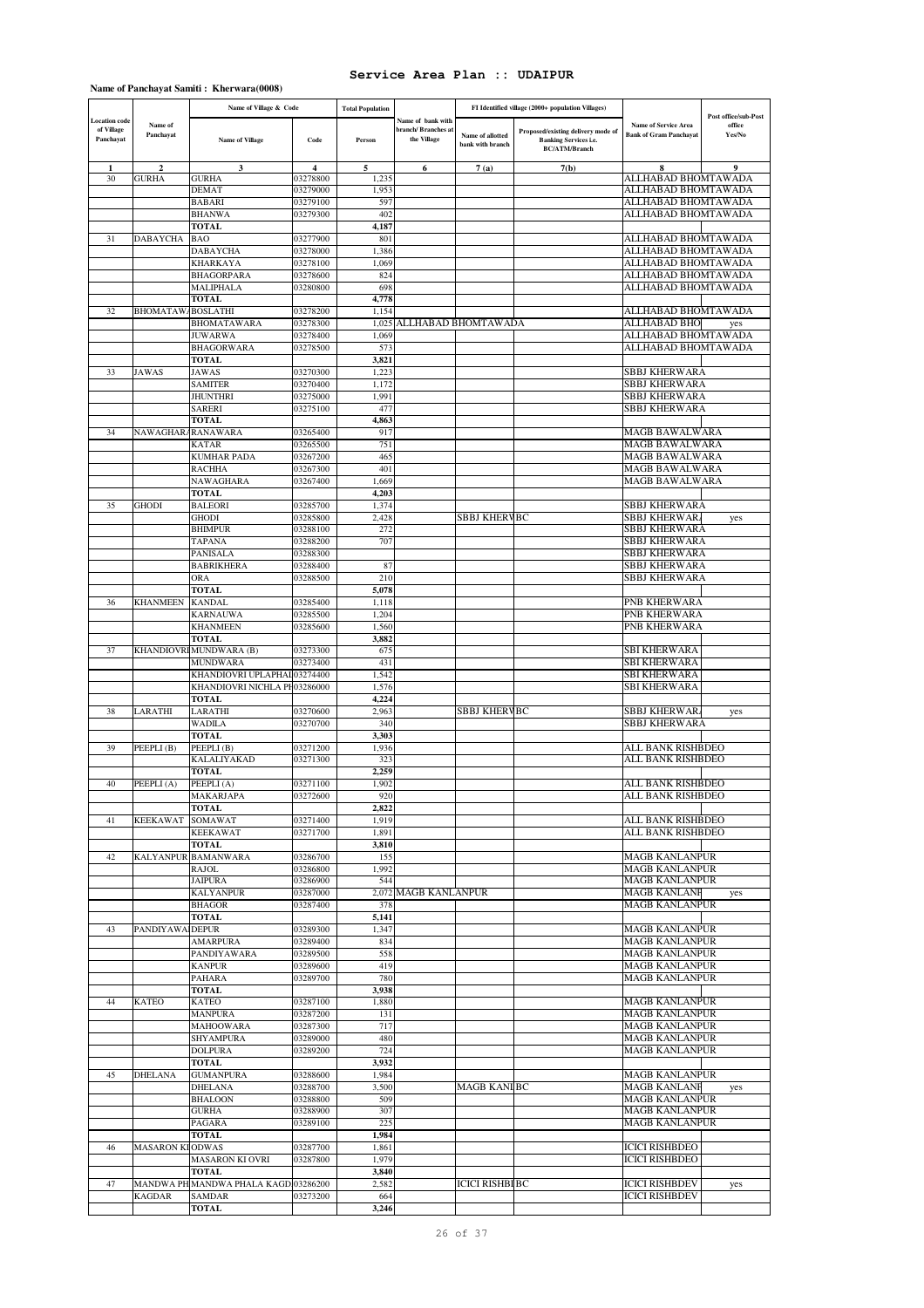## **Name of Panchayat Samiti : Kherwara(0008)**

|                                                 |                        | Name of Village & Code                              |                      | <b>Total Population</b> |                                                       | FI Identified village (2000+ population Villages) |                                                                                            |                                                              |                                          |
|-------------------------------------------------|------------------------|-----------------------------------------------------|----------------------|-------------------------|-------------------------------------------------------|---------------------------------------------------|--------------------------------------------------------------------------------------------|--------------------------------------------------------------|------------------------------------------|
| <b>Location</b> code<br>of Village<br>Panchayat | Name of<br>Panchayat   | <b>Name of Village</b>                              | Code                 | Person                  | Name of bank with<br>branch/Branches a<br>the Village | Name of allotted<br>bank with branch              | Proposed/existing delivery mode of<br><b>Banking Services i.e.</b><br><b>BC/ATM/Branch</b> | <b>Name of Service Area</b><br><b>Bank of Gram Panchayat</b> | Post office/sub-Post<br>office<br>Yes/No |
|                                                 |                        | 3                                                   | $\overline{\bf{4}}$  | 5                       | 6                                                     | 7(a)                                              | 7(b)                                                                                       |                                                              | $\bf{Q}$                                 |
| 30                                              | GURHA                  | GURHA                                               | 03278800             | 1,235                   |                                                       |                                                   |                                                                                            | ALLHABAD BHOMTAWADA                                          |                                          |
|                                                 |                        | DEMAT<br><b>BABARI</b>                              | 03279000<br>03279100 | 1,953<br>597            |                                                       |                                                   |                                                                                            | ALLHABAD BHOMTAWADA<br>ALLHABAD BHOMTAWADA                   |                                          |
|                                                 |                        | <b>BHANWA</b>                                       | 03279300             | 402                     |                                                       |                                                   |                                                                                            | ALLHABAD BHOMTAWADA                                          |                                          |
|                                                 |                        | <b>TOTAL</b>                                        |                      | 4,187                   |                                                       |                                                   |                                                                                            |                                                              |                                          |
| 31                                              | DABAYCHA               | <b>BAO</b>                                          | 03277900             | 801                     |                                                       |                                                   |                                                                                            | ALLHABAD BHOMTAWADA                                          |                                          |
|                                                 |                        | DABAYCHA                                            | 03278000             | 1,386                   |                                                       |                                                   |                                                                                            | ALLHABAD BHOMTAWADA                                          |                                          |
|                                                 |                        | KHARKAYA<br>BHAGORPARA                              | 03278100<br>03278600 | 1,069<br>824            |                                                       |                                                   |                                                                                            | ALLHABAD BHOMTAWADA<br>ALLHABAD BHOMTAWADA                   |                                          |
|                                                 |                        | MALIPHALA                                           | 03280800             | 698                     |                                                       |                                                   |                                                                                            | ALLHABAD BHOMTAWADA                                          |                                          |
|                                                 |                        | TOTAL                                               |                      | 4,778                   |                                                       |                                                   |                                                                                            |                                                              |                                          |
| 32                                              | <b>BHOMATAW</b>        | <b>BOSLATHI</b>                                     | 03278200             | 1,154                   |                                                       |                                                   |                                                                                            | ALLHABAD BHOMTAWADA                                          |                                          |
|                                                 |                        | BHOMATAWARA                                         | 03278300             | 1,025                   | ALLHABAD BHOMTAWADA                                   |                                                   |                                                                                            | ALLHABAD BHO<br>ALLHABAD BHOMTAWADA                          | yes                                      |
|                                                 |                        | <b>JUWARWA</b><br><b>BHAGORWARA</b>                 | 03278400<br>03278500 | 1,069<br>573            |                                                       |                                                   |                                                                                            | ALLHABAD BHOMTAWADA                                          |                                          |
|                                                 |                        | TOTAL                                               |                      | 3,821                   |                                                       |                                                   |                                                                                            |                                                              |                                          |
| 33                                              | <b>JAWAS</b>           | <b>JAWAS</b>                                        | 03270300             | 1,223                   |                                                       |                                                   |                                                                                            | <b>SBBJ KHERWARA</b>                                         |                                          |
|                                                 |                        | SAMITER                                             | 03270400             | 1,172                   |                                                       |                                                   |                                                                                            | <b>SBBJ KHERWARA</b>                                         |                                          |
|                                                 |                        | JHUNTHRI                                            | 03275000             | 1,991                   |                                                       |                                                   |                                                                                            | SBBJ KHERWARA                                                |                                          |
|                                                 |                        | SARERI<br>TOTAL                                     | 03275100             | 477<br>4,863            |                                                       |                                                   |                                                                                            | <b>SBBJ KHERWARA</b>                                         |                                          |
| 34                                              | NAWAGHAR.              | <b>RANAWARA</b>                                     | 03265400             | 917                     |                                                       |                                                   |                                                                                            | MAGB BAWALWARA                                               |                                          |
|                                                 |                        | KATAR                                               | 03265500             | 751                     |                                                       |                                                   |                                                                                            | MAGB BAWALWARA                                               |                                          |
|                                                 |                        | KUMHAR PADA                                         | 03267200             | 465                     |                                                       |                                                   |                                                                                            | MAGB BAWALWARA                                               |                                          |
|                                                 |                        | <b>RACHHA</b><br>NAWAGHARA                          | 03267300             | 401                     |                                                       |                                                   |                                                                                            | MAGB BAWALWARA                                               |                                          |
|                                                 |                        | <b>TOTAL</b>                                        | 03267400             | 1,669<br>4,203          |                                                       |                                                   |                                                                                            | MAGB BAWALWARA                                               |                                          |
| 35                                              | GHODI                  | <b>BALEORI</b>                                      | 03285700             | 1,374                   |                                                       |                                                   |                                                                                            | <b>SBBJ KHERWARA</b>                                         |                                          |
|                                                 |                        | GHODI                                               | 03285800             | 2,428                   |                                                       | SBBJ KHERVBC                                      |                                                                                            | <b>SBBJ KHERWAR</b>                                          | yes                                      |
|                                                 |                        | <b>BHIMPUR</b>                                      | 03288100             | 272                     |                                                       |                                                   |                                                                                            | <b>SBBJ KHERWARA</b>                                         |                                          |
|                                                 |                        | TAPANA<br>PANISALA                                  | 03288200<br>03288300 | 707                     |                                                       |                                                   |                                                                                            | <b>SBBJ KHERWARA</b><br><b>SBBJ KHERWARA</b>                 |                                          |
|                                                 |                        | <b>BABRIKHERA</b>                                   | 03288400             | 87                      |                                                       |                                                   |                                                                                            | SBBJ KHERWARA                                                |                                          |
|                                                 |                        | <b>ORA</b>                                          | 03288500             | 210                     |                                                       |                                                   |                                                                                            | <b>SBBJ KHERWARA</b>                                         |                                          |
|                                                 |                        | <b>TOTAL</b>                                        |                      | 5,078                   |                                                       |                                                   |                                                                                            |                                                              |                                          |
| 36                                              | KHANMEEN               | KANDAL                                              | 03285400             | 1,118                   |                                                       |                                                   |                                                                                            | PNB KHERWARA                                                 |                                          |
|                                                 |                        | KARNAUWA<br>KHANMEEN                                | 03285500<br>03285600 | 1,204<br>1,560          |                                                       |                                                   |                                                                                            | PNB KHERWARA<br>PNB KHERWARA                                 |                                          |
|                                                 |                        | <b>TOTAL</b>                                        |                      | 3,882                   |                                                       |                                                   |                                                                                            |                                                              |                                          |
| 37                                              |                        | KHANDIOVRI MUNDWARA (B)                             | 03273300             | 675                     |                                                       |                                                   |                                                                                            | <b>SBI KHERWARA</b>                                          |                                          |
|                                                 |                        | <b>MUNDWARA</b>                                     | 03273400             | 431                     |                                                       |                                                   |                                                                                            | <b>SBI KHERWARA</b>                                          |                                          |
|                                                 |                        | KHANDIOVRI UPLAPHAI<br>KHANDIOVRI NICHLA PH03286000 | 03274400             | 1,542<br>1,576          |                                                       |                                                   |                                                                                            | <b>SBI KHERWARA</b><br>SBI KHERWARA                          |                                          |
|                                                 |                        | TOTAL                                               |                      | 4,224                   |                                                       |                                                   |                                                                                            |                                                              |                                          |
| 38                                              | LARATHI                | LARATHI                                             | 03270600             | 2,963                   |                                                       | <b>SBBJ KHERVBC</b>                               |                                                                                            | <b>SBBJ KHERWAR</b>                                          | yes                                      |
|                                                 |                        | WADILA                                              | 03270700             | 340                     |                                                       |                                                   |                                                                                            | <b>SBBJ KHERWARA</b>                                         |                                          |
|                                                 |                        | <b>TOTAL</b>                                        |                      | 3,303                   |                                                       |                                                   |                                                                                            |                                                              |                                          |
| 39                                              | PEEPLI(B)              | PEEPLI(B)<br>KALALIYAKAD                            | 03271200<br>03271300 | 1,936<br>323            |                                                       |                                                   |                                                                                            | ALL BANK RISHBDEO<br>ALL BANK RISHBDEO                       |                                          |
|                                                 |                        | TOTAL                                               |                      | 2.259                   |                                                       |                                                   |                                                                                            |                                                              |                                          |
| 40                                              | PEEPLI(A)              | PEEPLI(A)                                           | 03271100             | 1,902                   |                                                       |                                                   |                                                                                            | ALL BANK RISHBDEO                                            |                                          |
|                                                 |                        | MAKARJAPA                                           | 03272600             | 920                     |                                                       |                                                   |                                                                                            | ALL BANK RISHBDEO                                            |                                          |
|                                                 |                        | <b>TOTAL</b>                                        |                      | 2,822                   |                                                       |                                                   |                                                                                            | ALL BANK RISHBDEO                                            |                                          |
| 41                                              | <b>KEEKAWAT</b>        | SOMAWAT<br><b>KEEKAWAT</b>                          | 03271400<br>03271700 | 1,919<br>1,891          |                                                       |                                                   |                                                                                            | ALL BANK RISHBDEO                                            |                                          |
|                                                 |                        | TOTAL                                               |                      | 3,810                   |                                                       |                                                   |                                                                                            |                                                              |                                          |
| 42                                              | <b>KALYANPUR</b>       | <b>BAMANWARA</b>                                    | 03286700             | 155                     |                                                       |                                                   |                                                                                            | <b>MAGB KANLANPUR</b>                                        |                                          |
|                                                 |                        | RAJOL                                               | 03286800             | 1,992                   |                                                       |                                                   |                                                                                            | <b>MAGB KANLANPUR</b>                                        |                                          |
|                                                 |                        | <b>JAIPURA</b><br><b>KALYANPUR</b>                  | 03286900<br>03287000 | 544                     | 2.072 MAGB KANLANPUR                                  |                                                   |                                                                                            | <b>MAGB KANLANPUR</b><br><b>MAGB KANLANF</b>                 | yes                                      |
|                                                 |                        | <b>BHAGOR</b>                                       | 03287400             | 378                     |                                                       |                                                   |                                                                                            | <b>MAGB KANLANPUR</b>                                        |                                          |
|                                                 |                        | <b>TOTAL</b>                                        |                      | 5,141                   |                                                       |                                                   |                                                                                            |                                                              |                                          |
| 43                                              | PANDIYAWA DEPUR        |                                                     | 03289300             | 1,347                   |                                                       |                                                   |                                                                                            | <b>MAGB KANLANPUR</b>                                        |                                          |
|                                                 |                        | <b>AMARPURA</b>                                     | 03289400             | 834                     |                                                       |                                                   |                                                                                            | <b>MAGB KANLANPUR</b><br><b>MAGB KANLANPUR</b>               |                                          |
|                                                 |                        | PANDIYAWARA<br><b>KANPUR</b>                        | 03289500<br>03289600 | 558<br>419              |                                                       |                                                   |                                                                                            | <b>MAGB KANLANPUR</b>                                        |                                          |
|                                                 |                        | PAHARA                                              | 03289700             | 780                     |                                                       |                                                   |                                                                                            | <b>MAGB KANLANPUR</b>                                        |                                          |
|                                                 |                        | TOTAL                                               |                      | 3,938                   |                                                       |                                                   |                                                                                            |                                                              |                                          |
| 44                                              | <b>KATEO</b>           | KATEO                                               | 03287100             | 1,880                   |                                                       |                                                   |                                                                                            | <b>MAGB KANLANPUR</b>                                        |                                          |
|                                                 |                        | <b>MANPURA</b><br><b>MAHOOWARA</b>                  | 03287200<br>03287300 | 131<br>717              |                                                       |                                                   |                                                                                            | <b>MAGB KANLANPUR</b><br><b>MAGB KANLANPUR</b>               |                                          |
|                                                 |                        | SHYAMPURA                                           | 03289000             | 480                     |                                                       |                                                   |                                                                                            | <b>MAGB KANLANPUR</b>                                        |                                          |
|                                                 |                        | <b>DOLPURA</b>                                      | 03289200             | 724                     |                                                       |                                                   |                                                                                            | <b>MAGB KANLANPUR</b>                                        |                                          |
|                                                 |                        | <b>TOTAL</b>                                        |                      | 3,932                   |                                                       |                                                   |                                                                                            |                                                              |                                          |
| 45                                              | <b>DHELANA</b>         | <b>GUMANPURA</b>                                    | 03288600             | 1,984                   |                                                       |                                                   |                                                                                            | <b>MAGB KANLANPUR</b>                                        |                                          |
|                                                 |                        | <b>DHELANA</b><br><b>BHALOON</b>                    | 03288700<br>03288800 | 3,500<br>509            |                                                       | <b>MAGB KANLBC</b>                                |                                                                                            | <b>MAGB KANLANF</b><br><b>MAGB KANLANPUR</b>                 | yes                                      |
|                                                 |                        | <b>GURHA</b>                                        | 03288900             | 307                     |                                                       |                                                   |                                                                                            | <b>MAGB KANLANPUR</b>                                        |                                          |
|                                                 |                        | PAGARA                                              | 03289100             | 225                     |                                                       |                                                   |                                                                                            | <b>MAGB KANLANPUR</b>                                        |                                          |
|                                                 |                        | TOTAL                                               |                      | 1,984                   |                                                       |                                                   |                                                                                            |                                                              |                                          |
| 46                                              | <b>MASARON KIODWAS</b> |                                                     | 03287700             | 1,861                   |                                                       |                                                   |                                                                                            | <b>ICICI RISHBDEO</b>                                        |                                          |
|                                                 |                        | MASARON KI OVRI<br><b>TOTAL</b>                     | 03287800             | 1,979<br>3,840          |                                                       |                                                   |                                                                                            | <b>ICICI RISHBDEO</b>                                        |                                          |
| 47                                              |                        | MANDWA PH MANDWA PHALA KAGD 03286200                |                      | 2,582                   |                                                       | <b>ICICI RISHBIBC</b>                             |                                                                                            | <b>ICICI RISHBDEV</b>                                        | yes                                      |
|                                                 | <b>KAGDAR</b>          | SAMDAR                                              | 03273200             | 664                     |                                                       |                                                   |                                                                                            | <b>ICICI RISHBDEV</b>                                        |                                          |
|                                                 |                        | TOTAL                                               |                      | 3,246                   |                                                       |                                                   |                                                                                            |                                                              |                                          |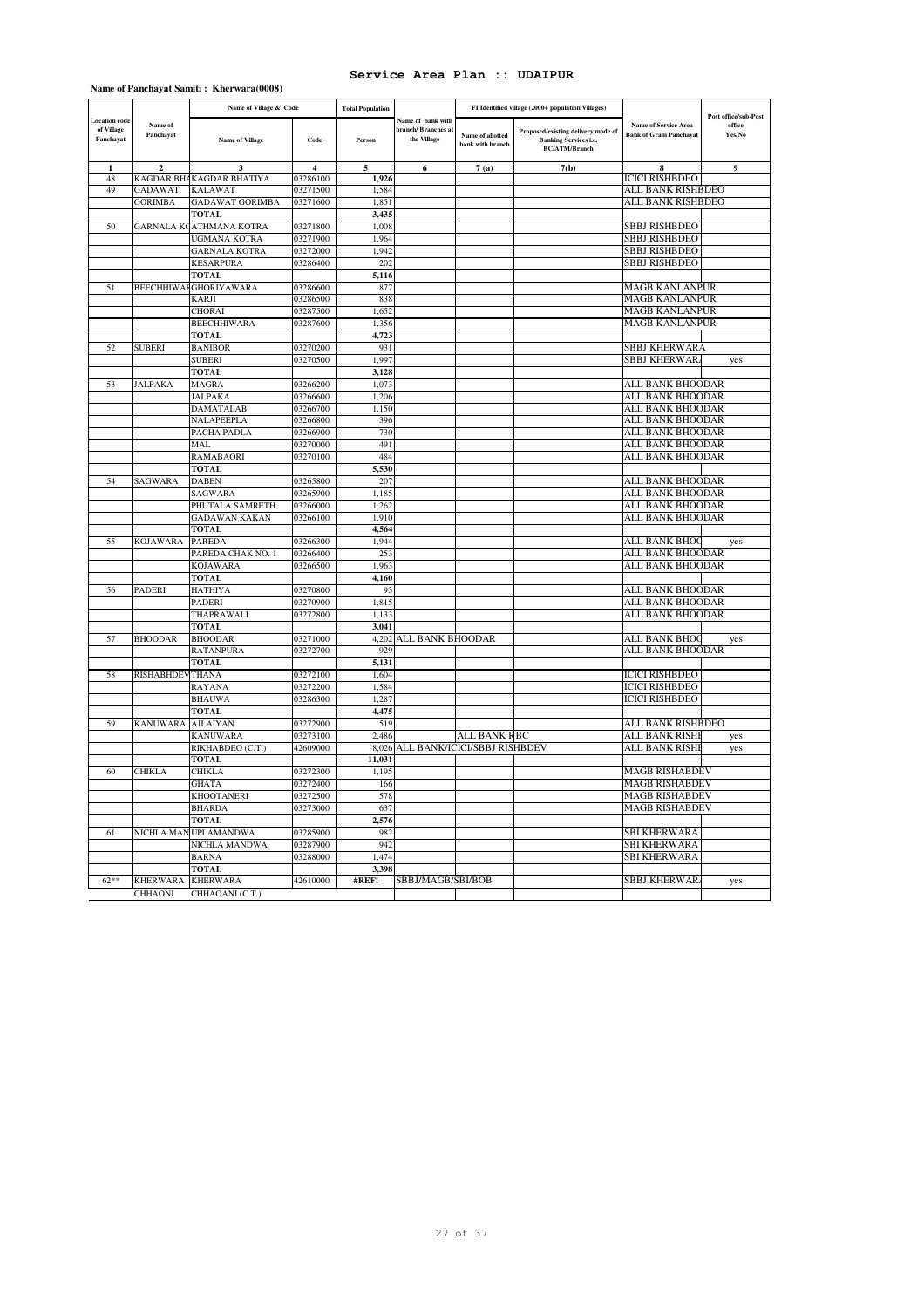**Name of Panchayat Samiti : Kherwara(0008)**

|                                          |                        | Name of Village & Code              |                         | <b>Total Population</b> |                                                       |                                      | FI Identified village (2000+ population Villages)                                          |                                                              | Post office/sub-Post |
|------------------------------------------|------------------------|-------------------------------------|-------------------------|-------------------------|-------------------------------------------------------|--------------------------------------|--------------------------------------------------------------------------------------------|--------------------------------------------------------------|----------------------|
| Location code<br>of Village<br>Panchayat | Name of<br>Panchayat   | <b>Name of Village</b>              | Code                    | Person                  | Name of bank with<br>branch/Branches a<br>the Village | Name of allotted<br>bank with branch | Proposed/existing delivery mode of<br><b>Banking Services i.e.</b><br><b>BC/ATM/Branch</b> | <b>Name of Service Area</b><br><b>Bank of Gram Panchayat</b> | office<br>Yes/No     |
| $\mathbf{1}$                             | $\overline{2}$         | 3                                   | $\overline{\mathbf{4}}$ | 5                       | 6                                                     | 7(a)                                 | 7(b)                                                                                       | 8                                                            | $\overline{9}$       |
| 48<br>49                                 | GADAWAT                | KAGDAR BHAKAGDAR BHATIYA<br>KALAWAT | 03286100<br>03271500    | 1,926<br>1,584          |                                                       |                                      |                                                                                            | <b>ICICI RISHBDEO</b><br>ALL BANK RISHBDEO                   |                      |
|                                          | <b>GORIMBA</b>         | GADAWAT GORIMBA                     | 03271600                | 1,851                   |                                                       |                                      |                                                                                            | ALL BANK RISHBDEO                                            |                      |
|                                          |                        | <b>TOTAL</b>                        |                         | 3,435                   |                                                       |                                      |                                                                                            |                                                              |                      |
| 50                                       | GARNALA KO             | ATHMANA KOTRA                       | 03271800                | 1,008                   |                                                       |                                      |                                                                                            | SBBJ RISHBDEO                                                |                      |
|                                          |                        | UGMANA KOTRA                        | 03271900                | 1,964                   |                                                       |                                      |                                                                                            | <b>SBBJ RISHBDEO</b>                                         |                      |
|                                          |                        | <b>GARNALA KOTRA</b>                | 03272000                | 1,942                   |                                                       |                                      |                                                                                            | SBBJ RISHBDEO                                                |                      |
|                                          |                        | <b>KESARPURA</b>                    | 03286400                | 202                     |                                                       |                                      |                                                                                            | <b>SBBJ RISHBDEO</b>                                         |                      |
|                                          |                        | TOTAL                               |                         | 5,116                   |                                                       |                                      |                                                                                            |                                                              |                      |
| 51                                       |                        | <b>BEECHHIWAFGHORIYAWARA</b>        | 03286600                | 877                     |                                                       |                                      |                                                                                            | <b>MAGB KANLANPUR</b>                                        |                      |
|                                          |                        | KARJI                               | 03286500                | 838                     |                                                       |                                      |                                                                                            | <b>MAGB KANLANPUR</b>                                        |                      |
|                                          |                        | CHORAI                              | 03287500                | 1.652                   |                                                       |                                      |                                                                                            | MAGB KANLANPUR                                               |                      |
|                                          |                        | BEECHHIWARA                         | 03287600                | 1,356                   |                                                       |                                      |                                                                                            | MAGB KANLANPUR                                               |                      |
|                                          |                        | <b>TOTAL</b>                        |                         | 4,723                   |                                                       |                                      |                                                                                            |                                                              |                      |
| 52                                       | <b>SUBERI</b>          | <b>BANIBOR</b>                      | 03270200                | 931                     |                                                       |                                      |                                                                                            | SBBJ KHERWARA                                                |                      |
|                                          |                        | <b>SUBERI</b>                       | 03270500                | 1,997                   |                                                       |                                      |                                                                                            | <b>SBBJ KHERWAR</b>                                          | yes                  |
|                                          |                        | <b>TOTAL</b>                        |                         | 3,128                   |                                                       |                                      |                                                                                            |                                                              |                      |
| 53                                       | <b>JALPAKA</b>         | MAGRA                               | 03266200                | 1,073                   |                                                       |                                      |                                                                                            | ALL BANK BHOODAR                                             |                      |
|                                          |                        | JALPAKA                             | 03266600                | 1,206                   |                                                       |                                      |                                                                                            | ALL BANK BHOODAR                                             |                      |
|                                          |                        | DAMATALAB                           | 03266700                | 1,150                   |                                                       |                                      |                                                                                            | ALL BANK BHOODAR                                             |                      |
|                                          |                        | NALAPEEPLA                          | 03266800                | 396                     |                                                       |                                      |                                                                                            | ALL BANK BHOODAR                                             |                      |
|                                          |                        | PACHA PADLA                         | 03266900                | 730                     |                                                       |                                      |                                                                                            | ALL BANK BHOODAR                                             |                      |
|                                          |                        | MAL                                 | 03270000                | 491                     |                                                       |                                      |                                                                                            | ALL BANK BHOODAR                                             |                      |
|                                          |                        | RAMABAORI                           | 03270100                | 484                     |                                                       |                                      |                                                                                            | ALL BANK BHOODAR                                             |                      |
|                                          |                        | <b>TOTAL</b>                        |                         | 5,530                   |                                                       |                                      |                                                                                            | ALL BANK BHOODAR                                             |                      |
| 54                                       | SAGWARA                | DABEN<br><b>SAGWARA</b>             | 03265800<br>03265900    | 207<br>1,185            |                                                       |                                      |                                                                                            | ALL BANK BHOODAR                                             |                      |
|                                          |                        | PHUTALA SAMRETH                     | 03266000                | 1,262                   |                                                       |                                      |                                                                                            | ALL BANK BHOODAR                                             |                      |
|                                          |                        | <b>GADAWAN KAKAN</b>                | 03266100                | 1,910                   |                                                       |                                      |                                                                                            | ALL BANK BHOODAR                                             |                      |
|                                          |                        | <b>TOTAL</b>                        |                         | 4,564                   |                                                       |                                      |                                                                                            |                                                              |                      |
| 55                                       | <b>KOJAWARA</b>        | <b>PAREDA</b>                       | 03266300                | 1,944                   |                                                       |                                      |                                                                                            | ALL BANK BHOC                                                | yes                  |
|                                          |                        | PAREDA CHAK NO. 1                   | 03266400                | 253                     |                                                       |                                      |                                                                                            | ALL BANK BHOODAR                                             |                      |
|                                          |                        | <b>KOJAWARA</b>                     | 03266500                | 1,963                   |                                                       |                                      |                                                                                            | ALL BANK BHOODAR                                             |                      |
|                                          |                        | TOTAL                               |                         | 4,160                   |                                                       |                                      |                                                                                            |                                                              |                      |
| 56                                       | PADERI                 | HATHIYA                             | 03270800                | 93                      |                                                       |                                      |                                                                                            | ALL BANK BHOODAR                                             |                      |
|                                          |                        | PADERI                              | 03270900                | 1,815                   |                                                       |                                      |                                                                                            | ALL BANK BHOODAR                                             |                      |
|                                          |                        | THAPRAWALI                          | 03272800                | 1,133                   |                                                       |                                      |                                                                                            | ALL BANK BHOODAR                                             |                      |
|                                          |                        | <b>TOTAL</b>                        |                         | 3,041                   |                                                       |                                      |                                                                                            |                                                              |                      |
| 57                                       | <b>BHOODAR</b>         | <b>BHOODAR</b>                      | 03271000                | 4,202                   | ALL BANK BHOODAR                                      |                                      |                                                                                            | ALL BANK BHOO                                                | yes                  |
|                                          |                        | RATANPURA                           | 03272700                | 929                     |                                                       |                                      |                                                                                            | ALL BANK BHOODAR                                             |                      |
|                                          |                        | <b>TOTAL</b>                        |                         | 5,131                   |                                                       |                                      |                                                                                            |                                                              |                      |
| 58                                       | <b>RISHABHDEVTHANA</b> |                                     | 03272100                | 1,604                   |                                                       |                                      |                                                                                            | <b>ICICI RISHBDEO</b>                                        |                      |
|                                          |                        | RAYANA                              | 03272200                | 1,584                   |                                                       |                                      |                                                                                            | <b>ICICI RISHBDEO</b>                                        |                      |
|                                          |                        | <b>BHAUWA</b>                       | 03286300                | 1,287                   |                                                       |                                      |                                                                                            | ICICI RISHBDEO                                               |                      |
|                                          |                        | <b>TOTAL</b>                        |                         | 4,475                   |                                                       |                                      |                                                                                            |                                                              |                      |
| 59                                       | <b>KANUWARA</b>        | <b>AJLAIYAN</b>                     | 03272900                | 519                     |                                                       |                                      |                                                                                            | ALL BANK RISHBDEO                                            |                      |
|                                          |                        | KANUWARA<br>RIKHABDEO (C.T.)        | 03273100<br>42609000    | 2,486<br>8,026          | ALL BANK/ICICI/SBBJ RISHBDEV                          | ALL BANK RBC                         |                                                                                            | ALL BANK RISHE<br>ALL BANK RISHI                             | yes                  |
|                                          |                        | TOTAL                               |                         | 11,031                  |                                                       |                                      |                                                                                            |                                                              | yes                  |
| 60                                       | CHIKLA                 | <b>CHIKLA</b>                       | 03272300                | 1,195                   |                                                       |                                      |                                                                                            | <b>MAGB RISHABDEV</b>                                        |                      |
|                                          |                        | GHATA                               | 03272400                | 166                     |                                                       |                                      |                                                                                            | MAGB RISHABDEV                                               |                      |
|                                          |                        | <b>KHOOTANERI</b>                   | 03272500                | 578                     |                                                       |                                      |                                                                                            | <b>MAGB RISHABDEV</b>                                        |                      |
|                                          |                        | <b>BHARDA</b>                       | 03273000                | 637                     |                                                       |                                      |                                                                                            | <b>MAGB RISHABDEV</b>                                        |                      |
|                                          |                        | <b>TOTAL</b>                        |                         | 2,576                   |                                                       |                                      |                                                                                            |                                                              |                      |
| 61                                       |                        | NICHLA MAN UPLAMANDWA               | 03285900                | 982                     |                                                       |                                      |                                                                                            | <b>SBI KHERWARA</b>                                          |                      |
|                                          |                        | NICHLA MANDWA                       | 03287900                | 942                     |                                                       |                                      |                                                                                            | <b>SBI KHERWARA</b>                                          |                      |
|                                          |                        | <b>BARNA</b>                        | 03288000                | 1,474                   |                                                       |                                      |                                                                                            | <b>SBI KHERWARA</b>                                          |                      |
|                                          |                        | <b>TOTAL</b>                        |                         | 3,398                   |                                                       |                                      |                                                                                            |                                                              |                      |
| $62**$                                   | <b>KHERWARA</b>        | <b>KHERWARA</b>                     | 42610000                | #REF!                   | SBBJ/MAGB/SBI/BOB                                     |                                      |                                                                                            | <b>SBBJ KHERWAR</b>                                          | yes                  |
|                                          | <b>CHHAONI</b>         | CHHAOANI (C.T.)                     |                         |                         |                                                       |                                      |                                                                                            |                                                              |                      |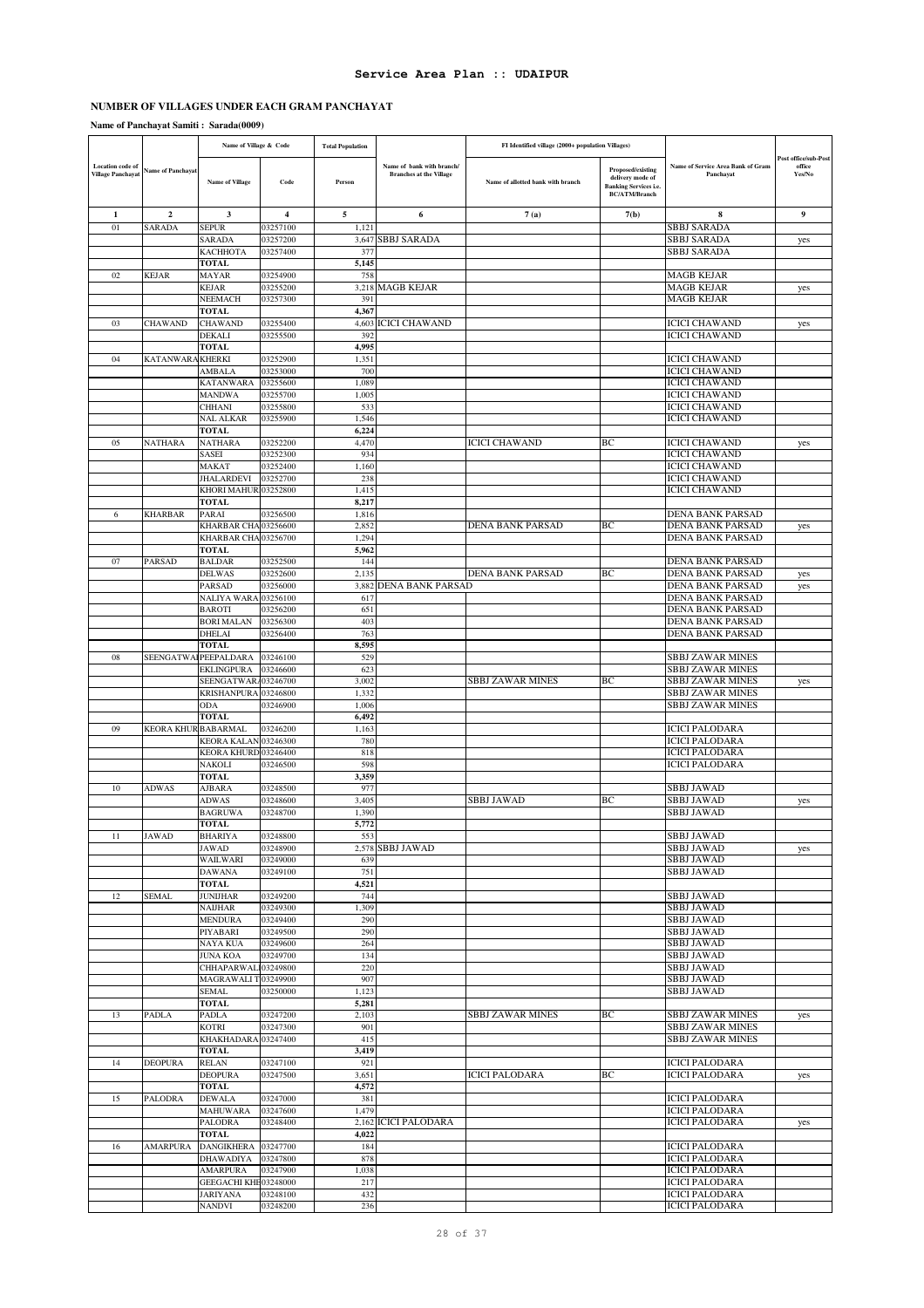# **NUMBER OF VILLAGES UNDER EACH GRAM PANCHAYAT**

**Name of Panchayat Samiti : Sarada(0009)**

|                                              |                          | Name of Village & Code                       |                      | <b>Total Population</b> |                                                             | FI Identified village (2000+ population Villages) |                                                                                               |                                                    |                                                 |
|----------------------------------------------|--------------------------|----------------------------------------------|----------------------|-------------------------|-------------------------------------------------------------|---------------------------------------------------|-----------------------------------------------------------------------------------------------|----------------------------------------------------|-------------------------------------------------|
| Location code of<br><b>Village Panchayat</b> | <b>Name of Panchayat</b> | <b>Name of Village</b>                       | Code                 | Person                  | Name of bank with branch/<br><b>Branches at the Village</b> | Name of allotted bank with branch                 | Proposed/existing<br>delivery mode of<br><b>Banking Services i.e.</b><br><b>BC/ATM/Branch</b> | Name of Service Area Bank of Gram<br>Panchayat     | <b>Post office/sub-Post</b><br>office<br>Yes/No |
| 1                                            | $\overline{2}$           | 3                                            | 4                    | 5                       | 6                                                           | 7(a)                                              | 7(b)                                                                                          | 8                                                  | 9                                               |
| 01                                           | SARADA                   | <b>SEPUR</b>                                 | 03257100             | 1,121                   |                                                             |                                                   |                                                                                               | <b>SBBJ SARADA</b>                                 |                                                 |
|                                              |                          | SARADA                                       | 03257200             | 3,647                   | <b>SBBJ SARADA</b>                                          |                                                   |                                                                                               | <b>SBBJ SARADA</b>                                 | yes                                             |
|                                              |                          | КАСННОТА                                     | 03257400             | 377                     |                                                             |                                                   |                                                                                               | SBBJ SARADA                                        |                                                 |
| 02                                           | KEJAR                    | <b>TOTAL</b><br><b>MAYAR</b>                 | 03254900             | 5,145<br>758            |                                                             |                                                   |                                                                                               | <b>MAGB KEJAR</b>                                  |                                                 |
|                                              |                          | <b>KEJAR</b>                                 | 03255200             |                         | 3,218 MAGB KEJAR                                            |                                                   |                                                                                               | <b>MAGB KEJAR</b>                                  | yes                                             |
|                                              |                          | <b>NEEMACH</b>                               | 03257300             | 391                     |                                                             |                                                   |                                                                                               | <b>MAGB KEJAR</b>                                  |                                                 |
|                                              |                          | <b>TOTAL</b>                                 |                      | 4,367                   |                                                             |                                                   |                                                                                               |                                                    |                                                 |
| 03                                           | <b>CHAWAND</b>           | <b>CHAWAND</b>                               | 03255400             |                         | 4,603 ICICI CHAWAND                                         |                                                   |                                                                                               | <b>ICICI CHAWAND</b>                               | yes                                             |
|                                              |                          | <b>DEKALI</b>                                | 03255500             | 392                     |                                                             |                                                   |                                                                                               | <b>ICICI CHAWAND</b>                               |                                                 |
| 04                                           | KATANWARA KHERKI         | <b>TOTAL</b>                                 | 03252900             | 4,995<br>1,351          |                                                             |                                                   |                                                                                               | <b>ICICI CHAWAND</b>                               |                                                 |
|                                              |                          | AMBALA                                       | 03253000             | 700                     |                                                             |                                                   |                                                                                               | <b>ICICI CHAWAND</b>                               |                                                 |
|                                              |                          | <b>KATANWARA</b>                             | 03255600             | 1,089                   |                                                             |                                                   |                                                                                               | <b>ICICI CHAWAND</b>                               |                                                 |
|                                              |                          | <b>MANDWA</b>                                | 03255700             | 1,005                   |                                                             |                                                   |                                                                                               | <b>ICICI CHAWAND</b>                               |                                                 |
|                                              |                          | <b>CHHANI</b>                                | 03255800             | 533                     |                                                             |                                                   |                                                                                               | <b>ICICI CHAWAND</b>                               |                                                 |
|                                              |                          | <b>NAL ALKAR</b>                             | 03255900             | 1,546                   |                                                             |                                                   |                                                                                               | <b>ICICI CHAWAND</b>                               |                                                 |
| 05                                           | <b>NATHARA</b>           | <b>TOTAL</b><br><b>NATHARA</b>               |                      | 6,224                   |                                                             | <b>ICICI CHAWAND</b>                              | BC                                                                                            | <b>ICICI CHAWAND</b>                               |                                                 |
|                                              |                          | SASEI                                        | 03252200<br>03252300 | 4,470<br>934            |                                                             |                                                   |                                                                                               | <b>ICICI CHAWAND</b>                               | yes                                             |
|                                              |                          | <b>MAKAT</b>                                 | 03252400             | 1,160                   |                                                             |                                                   |                                                                                               | <b>ICICI CHAWAND</b>                               |                                                 |
|                                              |                          | <b>JHALARDEVI</b>                            | 03252700             | 238                     |                                                             |                                                   |                                                                                               | <b>ICICI CHAWAND</b>                               |                                                 |
|                                              |                          | KHORI MAHUR103252800                         |                      | 1,415                   |                                                             |                                                   |                                                                                               | <b>ICICI CHAWAND</b>                               |                                                 |
|                                              |                          | <b>TOTAL</b>                                 |                      | 8,217                   |                                                             |                                                   |                                                                                               |                                                    |                                                 |
| 6                                            | <b>KHARBAR</b>           | <b>PARAI</b>                                 | 03256500             | 1,816                   |                                                             |                                                   | BC                                                                                            | DENA BANK PARSAD                                   |                                                 |
|                                              |                          | KHARBAR CHA 03256600<br>KHARBAR CHA 03256700 |                      | 2,852<br>1,294          |                                                             | DENA BANK PARSAD                                  |                                                                                               | DENA BANK PARSAD<br>DENA BANK PARSAD               | yes                                             |
|                                              |                          | <b>TOTAL</b>                                 |                      | 5,962                   |                                                             |                                                   |                                                                                               |                                                    |                                                 |
| 07                                           | <b>PARSAD</b>            | <b>BALDAR</b>                                | 03252500             | 144                     |                                                             |                                                   |                                                                                               | <b>DENA BANK PARSAD</b>                            |                                                 |
|                                              |                          | <b>DELWAS</b>                                | 03252600             | 2,135                   |                                                             | DENA BANK PARSAD                                  | BC                                                                                            | DENA BANK PARSAD                                   | yes                                             |
|                                              |                          | PARSAD                                       | 03256000             |                         | 3,882 DENA BANK PARSAD                                      |                                                   |                                                                                               | DENA BANK PARSAD                                   | yes                                             |
|                                              |                          | NALIYA WARA 03256100                         |                      | 617                     |                                                             |                                                   |                                                                                               | DENA BANK PARSAD                                   |                                                 |
|                                              |                          | <b>BAROTI</b><br><b>BORI MALAN</b>           | 03256200<br>03256300 | 651<br>403              |                                                             |                                                   |                                                                                               | DENA BANK PARSAD<br>DENA BANK PARSAD               |                                                 |
|                                              |                          | <b>DHELAI</b>                                | 03256400             | 763                     |                                                             |                                                   |                                                                                               | DENA BANK PARSAD                                   |                                                 |
|                                              |                          | <b>TOTAL</b>                                 |                      | 8,595                   |                                                             |                                                   |                                                                                               |                                                    |                                                 |
| 08                                           | SEENGATWAI               | PEEPALDARA                                   | 03246100             | 529                     |                                                             |                                                   |                                                                                               | <b>SBBJ ZAWAR MINES</b>                            |                                                 |
|                                              |                          | <b>EKLINGPURA</b>                            | 03246600             | 623                     |                                                             |                                                   |                                                                                               | <b>SBBJ ZAWAR MINES</b>                            |                                                 |
|                                              |                          | SEENGATWAR/03246700                          |                      | 3,002                   |                                                             | <b>SBBJ ZAWAR MINES</b>                           | BС                                                                                            | <b>SBBJ ZAWAR MINES</b>                            | yes                                             |
|                                              |                          | KRISHANPURA 03246800<br><b>ODA</b>           | 03246900             | 1,332<br>1.006          |                                                             |                                                   |                                                                                               | <b>SBBJ ZAWAR MINES</b><br><b>SBBJ ZAWAR MINES</b> |                                                 |
|                                              |                          | <b>TOTAL</b>                                 |                      | 6,492                   |                                                             |                                                   |                                                                                               |                                                    |                                                 |
| 09                                           | KEORA KHUR BABARMAL      |                                              | 03246200             | 1,163                   |                                                             |                                                   |                                                                                               | <b>ICICI PALODARA</b>                              |                                                 |
|                                              |                          | KEORA KALAN 03246300                         |                      | 780                     |                                                             |                                                   |                                                                                               | <b>ICICI PALODARA</b>                              |                                                 |
|                                              |                          | KEORA KHURD 03246400                         |                      | 818                     |                                                             |                                                   |                                                                                               | <b>ICICI PALODARA</b>                              |                                                 |
|                                              |                          | <b>NAKOLI</b>                                | 03246500             | 598                     |                                                             |                                                   |                                                                                               | <b>ICICI PALODARA</b>                              |                                                 |
| 10                                           | <b>ADWAS</b>             | <b>TOTAL</b><br><b>AJBARA</b>                | 03248500             | 3,359<br>977            |                                                             |                                                   |                                                                                               | SBBJ JAWAD                                         |                                                 |
|                                              |                          | <b>ADWAS</b>                                 | 03248600             | 3,405                   |                                                             | <b>SBBJ JAWAD</b>                                 | BС                                                                                            | <b>SBBJ JAWAD</b>                                  | yes                                             |
|                                              |                          | <b>BAGRUWA</b>                               | 03248700             | 1,390                   |                                                             |                                                   |                                                                                               | <b>SBBJ JAWAD</b>                                  |                                                 |
|                                              |                          | <b>TOTAL</b>                                 |                      | 5,772                   |                                                             |                                                   |                                                                                               |                                                    |                                                 |
| 11                                           | <b>JAWAD</b>             | <b>BHARIYA</b>                               | 03248800             | 553                     |                                                             |                                                   |                                                                                               | <b>SBBJ JAWAD</b>                                  |                                                 |
|                                              |                          | <b>JAWAD</b>                                 | 03248900             |                         | 2,578 SBBJ JAWAD                                            |                                                   |                                                                                               | <b>SBBJ JAWAD</b>                                  | yes                                             |
|                                              |                          | <b>WAILWARI</b><br><b>DAWANA</b>             | 03249000<br>03249100 | 639<br>751              |                                                             |                                                   |                                                                                               | <b>SBBJ JAWAD</b><br><b>SBBJ JAWAD</b>             |                                                 |
|                                              |                          | <b>TOTAL</b>                                 |                      | 4,521                   |                                                             |                                                   |                                                                                               |                                                    |                                                 |
| 12                                           | <b>SEMAL</b>             | <b>JUNIJHAR</b>                              | 03249200             | 744                     |                                                             |                                                   |                                                                                               | <b>SBBJ JAWAD</b>                                  |                                                 |
|                                              |                          | NAIJHAR                                      | 03249300             | 1,309                   |                                                             |                                                   |                                                                                               | <b>SBBJ JAWAD</b>                                  |                                                 |
|                                              |                          | <b>MENDURA</b>                               | 03249400             | 290                     |                                                             |                                                   |                                                                                               | <b>SBBJ JAWAD</b>                                  |                                                 |
|                                              |                          | PIYABARI                                     | 03249500             | 290                     |                                                             |                                                   |                                                                                               | <b>SBBJ JAWAD</b>                                  |                                                 |
|                                              |                          | NAYA KUA<br><b>JUNA KOA</b>                  | 03249600<br>03249700 | 264<br>134              |                                                             |                                                   |                                                                                               | <b>SBBJ JAWAD</b><br><b>SBBJ JAWAD</b>             |                                                 |
|                                              |                          | CHHAPARWAL103249800                          |                      | 220                     |                                                             |                                                   |                                                                                               | <b>SBBJ JAWAD</b>                                  |                                                 |
|                                              |                          | MAGRAWALIT 03249900                          |                      | 907                     |                                                             |                                                   |                                                                                               | <b>SBBJ JAWAD</b>                                  |                                                 |
|                                              |                          | SEMAL                                        | 03250000             | 1,123                   |                                                             |                                                   |                                                                                               | <b>SBBJ JAWAD</b>                                  |                                                 |
|                                              |                          | <b>TOTAL</b>                                 |                      | 5,281                   |                                                             |                                                   |                                                                                               |                                                    |                                                 |
| 13                                           | PADLA                    | PADLA                                        | 03247200             | 2,103                   |                                                             | SBBJ ZAWAR MINES                                  | BC                                                                                            | <b>SBBJ ZAWAR MINES</b>                            | yes                                             |
|                                              |                          | <b>KOTRI</b><br>KHAKHADARA 03247400          | 03247300             | 901<br>415              |                                                             |                                                   |                                                                                               | <b>SBBJ ZAWAR MINES</b><br><b>SBBJ ZAWAR MINES</b> |                                                 |
|                                              |                          | <b>TOTAL</b>                                 |                      | 3,419                   |                                                             |                                                   |                                                                                               |                                                    |                                                 |
| 14                                           | <b>DEOPURA</b>           | <b>RELAN</b>                                 | 03247100             | 921                     |                                                             |                                                   |                                                                                               | <b>ICICI PALODARA</b>                              |                                                 |
|                                              |                          | <b>DEOPURA</b>                               | 03247500             | 3,651                   |                                                             | <b>ICICI PALODARA</b>                             | BC                                                                                            | <b>ICICI PALODARA</b>                              | yes                                             |
|                                              |                          | <b>TOTAL</b>                                 |                      | 4,572                   |                                                             |                                                   |                                                                                               |                                                    |                                                 |
| 15                                           | PALODRA                  | <b>DEWALA</b>                                | 03247000             | 381                     |                                                             |                                                   |                                                                                               | <b>ICICI PALODARA</b>                              |                                                 |
|                                              |                          | <b>MAHUWARA</b>                              | 03247600             | 1,479                   | 2,162 ICICI PALODARA                                        |                                                   |                                                                                               | <b>ICICI PALODARA</b><br><b>ICICI PALODARA</b>     |                                                 |
|                                              |                          | <b>PALODRA</b><br><b>TOTAL</b>               | 03248400             | 4,022                   |                                                             |                                                   |                                                                                               |                                                    | yes                                             |
| 16                                           | <b>AMARPURA</b>          | <b>DANGIKHERA</b>                            | 03247700             | 184                     |                                                             |                                                   |                                                                                               | <b>ICICI PALODARA</b>                              |                                                 |
|                                              |                          | <b>DHAWADIYA</b>                             | 03247800             | 878                     |                                                             |                                                   |                                                                                               | <b>ICICI PALODARA</b>                              |                                                 |
|                                              |                          | <b>AMARPURA</b>                              | 03247900             | 1,038                   |                                                             |                                                   |                                                                                               | <b>ICICI PALODARA</b>                              |                                                 |
|                                              |                          | GEEGACHI KHE03248000                         |                      | 217                     |                                                             |                                                   |                                                                                               | <b>ICICI PALODARA</b>                              |                                                 |
|                                              |                          | <b>JARIYANA</b>                              | 03248100             | 432                     |                                                             |                                                   |                                                                                               | <b>ICICI PALODARA</b>                              |                                                 |
|                                              |                          | NANDVI                                       | 03248200             | 236                     |                                                             |                                                   |                                                                                               | <b>ICICI PALODARA</b>                              |                                                 |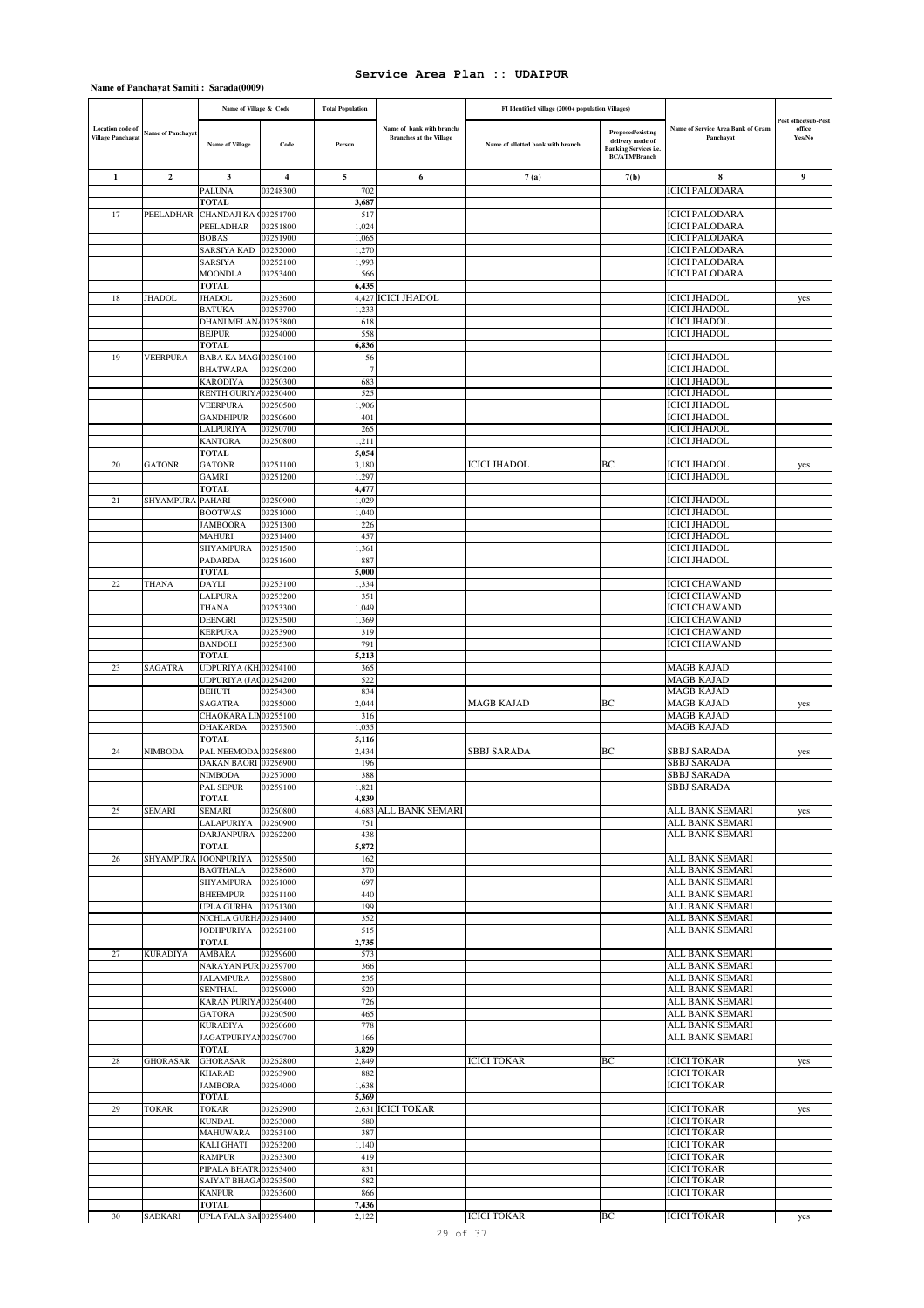|                                                     |                  | Name of Village & Code                   |                      | <b>Total Population</b> |                                                             | FI Identified village (2000+ population Villages) |                                                                                               |                                                |                                          |
|-----------------------------------------------------|------------------|------------------------------------------|----------------------|-------------------------|-------------------------------------------------------------|---------------------------------------------------|-----------------------------------------------------------------------------------------------|------------------------------------------------|------------------------------------------|
| <b>Location</b> code of<br><b>Village Panchayat</b> | Name of Panchaya | <b>Name of Village</b>                   | Code                 | Person                  | Name of bank with branch/<br><b>Branches at the Village</b> | Name of allotted bank with branch                 | Proposed/existing<br>delivery mode of<br><b>Banking Services i.e.</b><br><b>BC/ATM/Branch</b> | Name of Service Area Bank of Gram<br>Panchavat | Post office/sub-Post<br>office<br>Yes/No |
| $\mathbf{1}$                                        | $\overline{2}$   | 3                                        | 4                    | 5                       | 6                                                           | 7(a)                                              | 7(b)                                                                                          | 8                                              | 9                                        |
|                                                     |                  | <b>PALUNA</b>                            | 03248300             | 702                     |                                                             |                                                   |                                                                                               | <b>ICICI PALODARA</b>                          |                                          |
|                                                     |                  | <b>TOTAL</b>                             |                      | 3,687                   |                                                             |                                                   |                                                                                               |                                                |                                          |
| 17                                                  | PEELADHAR        | CHANDAJI KA (03251700                    |                      | 517                     |                                                             |                                                   |                                                                                               | <b>ICICI PALODARA</b>                          |                                          |
|                                                     |                  | PEELADHAR<br><b>BOBAS</b>                | 03251800<br>03251900 | 1,024<br>1,065          |                                                             |                                                   |                                                                                               | <b>ICICI PALODARA</b><br><b>ICICI PALODARA</b> |                                          |
|                                                     |                  | SARSIYA KAD                              | 03252000             | 1,270                   |                                                             |                                                   |                                                                                               | <b>ICICI PALODARA</b>                          |                                          |
|                                                     |                  | SARSIYA                                  | 03252100             | 1,993                   |                                                             |                                                   |                                                                                               | <b>ICICI PALODARA</b>                          |                                          |
|                                                     |                  | MOONDLA                                  | 03253400             | 566                     |                                                             |                                                   |                                                                                               | ICICI PALODARA                                 |                                          |
|                                                     |                  | <b>TOTAL</b>                             |                      | 6,435                   |                                                             |                                                   |                                                                                               |                                                |                                          |
| 18                                                  | <b>JHADOL</b>    | <b>JHADOL</b><br><b>BATUKA</b>           | 03253600<br>03253700 | 1.233                   | 4.427 ICICI JHADOL                                          |                                                   |                                                                                               | <b>ICICI JHADOL</b><br><b>ICICI JHADOL</b>     | yes                                      |
|                                                     |                  | <b>DHANI MELAN</b>                       | 03253800             | 618                     |                                                             |                                                   |                                                                                               | <b>ICICI JHADOL</b>                            |                                          |
|                                                     |                  | <b>BEJPUR</b>                            | 03254000             | 558                     |                                                             |                                                   |                                                                                               | ICICI JHADOL                                   |                                          |
|                                                     |                  | <b>TOTAL</b>                             |                      | 6,836                   |                                                             |                                                   |                                                                                               |                                                |                                          |
| 19                                                  | <b>VEERPURA</b>  | <b>BABA KA MAGI03250100</b>              |                      | 56                      |                                                             |                                                   |                                                                                               | <b>ICICI JHADOL</b>                            |                                          |
|                                                     |                  | <b>BHATWARA</b><br><b>KARODIYA</b>       | 03250200<br>03250300 | 7<br>683                |                                                             |                                                   |                                                                                               | <b>ICICI JHADOL</b><br><b>ICICI JHADOL</b>     |                                          |
|                                                     |                  | <b>RENTH GURIY</b>                       | 03250400             | 525                     |                                                             |                                                   |                                                                                               | <b>ICICI JHADOL</b>                            |                                          |
|                                                     |                  | <b>VEERPURA</b>                          | 03250500             | 1,906                   |                                                             |                                                   |                                                                                               | <b>ICICI JHADOL</b>                            |                                          |
|                                                     |                  | <b>GANDHIPUR</b>                         | 03250600             | 401                     |                                                             |                                                   |                                                                                               | <b>ICICI JHADOL</b>                            |                                          |
|                                                     |                  | <b>LALPURIYA</b>                         | 03250700             | 265                     |                                                             |                                                   |                                                                                               | <b>ICICI JHADOL</b>                            |                                          |
|                                                     |                  | <b>KANTORA</b><br>TOTAL                  | 03250800             | 1,211<br>5,054          |                                                             |                                                   |                                                                                               | <b>ICICI JHADOL</b>                            |                                          |
| 20                                                  | <b>GATONR</b>    | <b>GATONR</b>                            | 03251100             | 3,180                   |                                                             | <b>ICICI JHADOL</b>                               | ВC                                                                                            | <b>ICICI JHADOL</b>                            | yes                                      |
|                                                     |                  | GAMRI                                    | 03251200             | 1,297                   |                                                             |                                                   |                                                                                               | <b>ICICI JHADOL</b>                            |                                          |
|                                                     |                  | <b>TOTAL</b>                             |                      | 4.477                   |                                                             |                                                   |                                                                                               |                                                |                                          |
| 21                                                  | <b>SHYAMPURA</b> | <b>PAHARI</b>                            | 03250900             | 1,029                   |                                                             |                                                   |                                                                                               | <b>ICICI JHADOL</b>                            |                                          |
|                                                     |                  | <b>BOOTWAS</b><br><b>JAMBOORA</b>        | 03251000<br>03251300 | 1,040<br>226            |                                                             |                                                   |                                                                                               | <b>ICICI JHADOL</b><br><b>ICICI JHADOL</b>     |                                          |
|                                                     |                  | MAHURI                                   | 03251400             | 457                     |                                                             |                                                   |                                                                                               | <b>ICICI JHADOL</b>                            |                                          |
|                                                     |                  | SHYAMPURA                                | 03251500             | 1,361                   |                                                             |                                                   |                                                                                               | <b>ICICI JHADOL</b>                            |                                          |
|                                                     |                  | <b>PADARDA</b>                           | 03251600             | 887                     |                                                             |                                                   |                                                                                               | <b>ICICI JHADOL</b>                            |                                          |
|                                                     |                  | <b>TOTAL</b>                             |                      | 5,000                   |                                                             |                                                   |                                                                                               |                                                |                                          |
| 22                                                  | <b>THANA</b>     | <b>DAYLI</b><br>LALPURA                  | 03253100<br>03253200 | 1,334<br>351            |                                                             |                                                   |                                                                                               | <b>ICICI CHAWAND</b><br><b>ICICI CHAWAND</b>   |                                          |
|                                                     |                  | <b>THANA</b>                             | 03253300             | 1,049                   |                                                             |                                                   |                                                                                               | <b>ICICI CHAWAND</b>                           |                                          |
|                                                     |                  | <b>DEENGRI</b>                           | 03253500             | 1,369                   |                                                             |                                                   |                                                                                               | <b>ICICI CHAWAND</b>                           |                                          |
|                                                     |                  | <b>KERPURA</b>                           | 03253900             | 319                     |                                                             |                                                   |                                                                                               | <b>ICICI CHAWAND</b>                           |                                          |
|                                                     |                  | <b>BANDOLI</b>                           | 03255300             | 791                     |                                                             |                                                   |                                                                                               | <b>ICICI CHAWAND</b>                           |                                          |
| 23                                                  | SAGATRA          | <b>TOTAL</b><br>UDPURIYA (KH.03254100    |                      | 5,213<br>365            |                                                             |                                                   |                                                                                               | MAGB KAJAD                                     |                                          |
|                                                     |                  | UDPURIYA (JAC03254200                    |                      | 522                     |                                                             |                                                   |                                                                                               | <b>MAGB KAJAD</b>                              |                                          |
|                                                     |                  | <b>BEHUTI</b>                            | 03254300             | 834                     |                                                             |                                                   |                                                                                               | <b>MAGB KAJAD</b>                              |                                          |
|                                                     |                  | <b>SAGATRA</b>                           | 03255000             | 2.044                   |                                                             | MAGB KAJAD                                        | BC                                                                                            | MAGB KAJAD                                     | yes                                      |
|                                                     |                  | CHAOKARA LIN03255100                     |                      | 316                     |                                                             |                                                   |                                                                                               | <b>MAGB KAJAD</b>                              |                                          |
|                                                     |                  | <b>DHAKARDA</b><br><b>TOTAL</b>          | 03257500             | 1,035<br>5,116          |                                                             |                                                   |                                                                                               | <b>MAGB KAJAD</b>                              |                                          |
| 24                                                  | NIMBODA          | PAL NEEMODA 03256800                     |                      | 2,434                   |                                                             | SBBJ SARADA                                       | BС                                                                                            | <b>SBBJ SARADA</b>                             | yes                                      |
|                                                     |                  | DAKAN BAORI                              | 03256900             | 196                     |                                                             |                                                   |                                                                                               | SBBJ SARADA                                    |                                          |
|                                                     |                  | <b>NIMBODA</b>                           | 03257000             | 388                     |                                                             |                                                   |                                                                                               | SBBJ SARADA                                    |                                          |
|                                                     |                  | PAL SEPUR                                | 03259100             | 1,821                   |                                                             |                                                   |                                                                                               | <b>SBBJ SARADA</b>                             |                                          |
| 25                                                  | <b>SEMARI</b>    | TOTAL<br><b>SEMARI</b>                   | 03260800             | 4,839                   | 4,683 ALL BANK SEMARI                                       |                                                   |                                                                                               | ALL BANK SEMARI                                |                                          |
|                                                     |                  | LALAPURIYA                               | 03260900             | 751                     |                                                             |                                                   |                                                                                               | ALL BANK SEMARI                                | yes                                      |
|                                                     |                  | <b>DARJANPURA</b>                        | 03262200             | 438                     |                                                             |                                                   |                                                                                               | ALL BANK SEMARI                                |                                          |
|                                                     |                  | <b>TOTAL</b>                             |                      | 5,872                   |                                                             |                                                   |                                                                                               |                                                |                                          |
| 26                                                  | SHYAMPURA        | <b>JOONPURIYA</b>                        | 03258500             | 162                     |                                                             |                                                   |                                                                                               | ALL BANK SEMARI                                |                                          |
|                                                     |                  | <b>BAGTHALA</b><br><b>SHYAMPURA</b>      | 03258600<br>03261000 | 370<br>697              |                                                             |                                                   |                                                                                               | ALL BANK SEMARI<br>ALL BANK SEMARI             |                                          |
|                                                     |                  | <b>BHEEMPUR</b>                          | 03261100             | 440                     |                                                             |                                                   |                                                                                               | ALL BANK SEMARI                                |                                          |
|                                                     |                  | <b>UPLA GURHA</b>                        | 03261300             | 199                     |                                                             |                                                   |                                                                                               | ALL BANK SEMARI                                |                                          |
|                                                     |                  | NICHLA GURHA03261400                     |                      | 352                     |                                                             |                                                   |                                                                                               | ALL BANK SEMARI                                |                                          |
|                                                     |                  | <b>JODHPURIYA</b>                        | 03262100             | 515                     |                                                             |                                                   |                                                                                               | ALL BANK SEMARI                                |                                          |
| 27                                                  | <b>KURADIYA</b>  | TOTAL<br>AMBARA                          | 03259600             | 2,735<br>573            |                                                             |                                                   |                                                                                               | ALL BANK SEMARI                                |                                          |
|                                                     |                  | NARAYAN PUR 03259700                     |                      | 366                     |                                                             |                                                   |                                                                                               | ALL BANK SEMARI                                |                                          |
|                                                     |                  | <b>JALAMPURA</b>                         | 03259800             | 235                     |                                                             |                                                   |                                                                                               | ALL BANK SEMARI                                |                                          |
|                                                     |                  | <b>SENTHAL</b>                           | 03259900             | 520                     |                                                             |                                                   |                                                                                               | ALL BANK SEMARI                                |                                          |
|                                                     |                  | <b>KARAN PURIYA</b>                      | 03260400             | 726                     |                                                             |                                                   |                                                                                               | ALL BANK SEMARI                                |                                          |
|                                                     |                  | <b>GATORA</b>                            | 03260500             | 465<br>778              |                                                             |                                                   |                                                                                               | ALL BANK SEMARI                                |                                          |
|                                                     |                  | <b>KURADIYA</b><br>JAGATPURIYAI 03260700 | 03260600             | 166                     |                                                             |                                                   |                                                                                               | ALL BANK SEMARI<br>ALL BANK SEMARI             |                                          |
|                                                     |                  | TOTAL                                    |                      | 3,829                   |                                                             |                                                   |                                                                                               |                                                |                                          |
| 28                                                  | <b>GHORASAR</b>  | <b>GHORASAR</b>                          | 03262800             | 2,849                   |                                                             | <b>ICICI TOKAR</b>                                | ВC                                                                                            | <b>ICICI TOKAR</b>                             | yes                                      |
|                                                     |                  | <b>KHARAD</b>                            | 03263900             | 882                     |                                                             |                                                   |                                                                                               | <b>ICICI TOKAR</b>                             |                                          |
|                                                     |                  | <b>JAMBORA</b><br><b>TOTAL</b>           | 03264000             | 1,638<br>5,369          |                                                             |                                                   |                                                                                               | <b>ICICI TOKAR</b>                             |                                          |
| 29                                                  | <b>TOKAR</b>     | <b>TOKAR</b>                             | 03262900             |                         | 2,631 ICICI TOKAR                                           |                                                   |                                                                                               | <b>ICICI TOKAR</b>                             | yes                                      |
|                                                     |                  | <b>KUNDAL</b>                            | 03263000             | 580                     |                                                             |                                                   |                                                                                               | <b>ICICI TOKAR</b>                             |                                          |
|                                                     |                  | <b>MAHUWARA</b>                          | 03263100             | 387                     |                                                             |                                                   |                                                                                               | <b>ICICI TOKAR</b>                             |                                          |
|                                                     |                  | KALI GHATI                               | 03263200             | 1,140                   |                                                             |                                                   |                                                                                               | <b>ICICI TOKAR</b>                             |                                          |
|                                                     |                  | <b>RAMPUR</b><br>PIPALA BHATR            | 03263300             | 419<br>831              |                                                             |                                                   |                                                                                               | <b>ICICI TOKAR</b><br><b>ICICI TOKAR</b>       |                                          |
|                                                     |                  | SAIYAT BHAGA                             | 03263400<br>03263500 | 582                     |                                                             |                                                   |                                                                                               | <b>ICICI TOKAR</b>                             |                                          |
|                                                     |                  | <b>KANPUR</b>                            | 03263600             | 866                     |                                                             |                                                   |                                                                                               | <b>ICICI TOKAR</b>                             |                                          |
|                                                     |                  | <b>TOTAL</b>                             |                      | 7,436                   |                                                             |                                                   |                                                                                               |                                                |                                          |
| 30                                                  | SADKARI          | UPLA FALA SAI 03259400                   |                      | 2,122                   |                                                             | <b>ICICI TOKAR</b>                                | BC                                                                                            | <b>ICICI TOKAR</b>                             | yes                                      |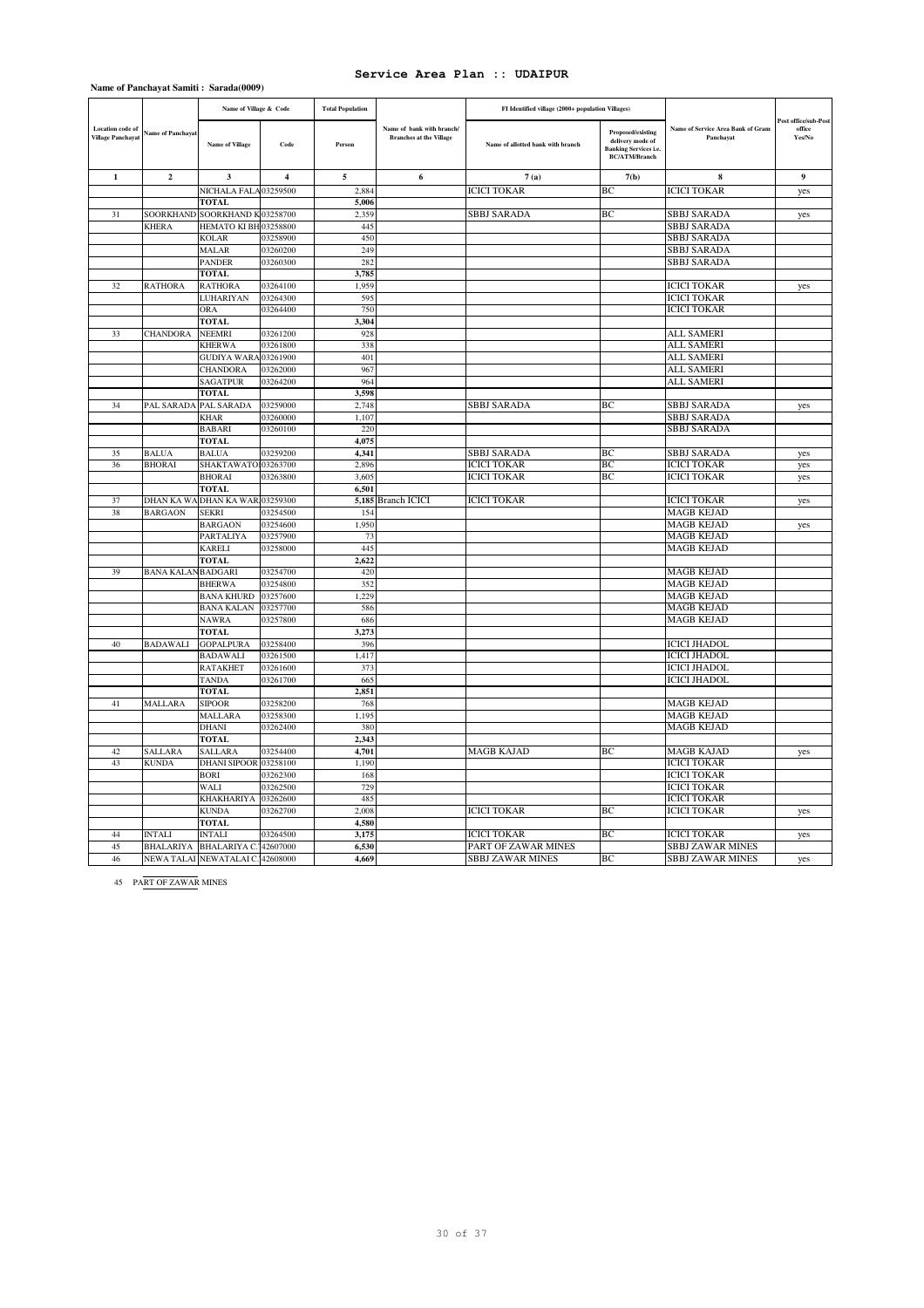|                                              |                           | Name of Village & Code           |                         | <b>Total Population</b> |                                                             | FI Identified village (2000+ population Villages) |                                                                                                      |                                                |                                          |
|----------------------------------------------|---------------------------|----------------------------------|-------------------------|-------------------------|-------------------------------------------------------------|---------------------------------------------------|------------------------------------------------------------------------------------------------------|------------------------------------------------|------------------------------------------|
| Location code of<br><b>Village Panchayat</b> | Name of Panchayat         | <b>Name of Village</b>           | Code                    | Person                  | Name of bank with branch/<br><b>Branches at the Village</b> | Name of allotted bank with branch                 | <b>Proposed/existing</b><br>delivery mode of<br><b>Banking Services i.e.</b><br><b>BC/ATM/Branch</b> | Name of Service Area Bank of Gram<br>Panchayat | Post office/sub-Post<br>office<br>Yes/No |
| $\mathbf{1}$                                 | $\overline{2}$            | 3                                | $\overline{\mathbf{4}}$ | 5                       | 6                                                           | 7(a)                                              | 7(b)                                                                                                 | 8                                              | 9                                        |
|                                              |                           | NICHALA FALA 03259500            |                         | 2,884                   |                                                             | <b>ICICI TOKAR</b>                                | BC                                                                                                   | <b>ICICI TOKAR</b>                             | yes                                      |
|                                              |                           | <b>TOTAL</b>                     |                         | 5,006                   |                                                             |                                                   |                                                                                                      |                                                |                                          |
| 31                                           |                           | SOORKHAND SOORKHAND K03258700    |                         | 2,359                   |                                                             | <b>SBBJ SARADA</b>                                | BС                                                                                                   | SBBJ SARADA                                    | yes                                      |
|                                              | <b>KHERA</b>              | HEMATO KI BH 03258800            |                         | 445                     |                                                             |                                                   |                                                                                                      | SBBJ SARADA                                    |                                          |
|                                              |                           | <b>KOLAR</b>                     | 03258900                | 450                     |                                                             |                                                   |                                                                                                      | SBBJ SARADA                                    |                                          |
|                                              |                           | <b>MALAR</b>                     | 03260200                | 249                     |                                                             |                                                   |                                                                                                      | SBBJ SARADA                                    |                                          |
|                                              |                           | <b>PANDER</b>                    | 03260300                | 282                     |                                                             |                                                   |                                                                                                      | SBBJ SARADA                                    |                                          |
|                                              |                           | <b>TOTAL</b>                     |                         | 3,785                   |                                                             |                                                   |                                                                                                      |                                                |                                          |
| 32                                           | <b>RATHORA</b>            | <b>RATHORA</b>                   | 03264100                | 1.959                   |                                                             |                                                   |                                                                                                      | <b>ICICI TOKAR</b>                             | yes                                      |
|                                              |                           | <b>LUHARIYAN</b>                 | 03264300                | 595                     |                                                             |                                                   |                                                                                                      | <b>ICICI TOKAR</b>                             |                                          |
|                                              |                           | ORA                              | 03264400                | 750                     |                                                             |                                                   |                                                                                                      | <b>ICICI TOKAR</b>                             |                                          |
|                                              |                           | <b>TOTAL</b>                     |                         | 3,304                   |                                                             |                                                   |                                                                                                      |                                                |                                          |
| 33                                           | <b>CHANDORA</b>           | <b>NEEMRI</b>                    | 03261200                | 928                     |                                                             |                                                   |                                                                                                      | <b>ALL SAMERI</b>                              |                                          |
|                                              |                           | <b>KHERWA</b>                    | 03261800                | 338                     |                                                             |                                                   |                                                                                                      | <b>ALL SAMERI</b>                              |                                          |
|                                              |                           | GUDIYA WARA 03261900             |                         | 401                     |                                                             |                                                   |                                                                                                      | ALL SAMERI                                     |                                          |
|                                              |                           | <b>CHANDORA</b>                  | 03262000                | 967                     |                                                             |                                                   |                                                                                                      | <b>ALL SAMERI</b>                              |                                          |
|                                              |                           | <b>SAGATPUR</b>                  | 03264200                | 964                     |                                                             |                                                   |                                                                                                      | <b>ALL SAMERI</b>                              |                                          |
|                                              |                           | <b>TOTAL</b>                     |                         | 3.598                   |                                                             |                                                   |                                                                                                      |                                                |                                          |
| 34                                           | PAL SARADA                | PAL SARADA                       | 03259000                | 2,748                   |                                                             | SBBJ SARADA                                       | BC                                                                                                   | <b>SBBJ SARADA</b>                             | yes                                      |
|                                              |                           | <b>KHAR</b>                      | 03260000                | 1,107                   |                                                             |                                                   |                                                                                                      | SBBJ SARADA                                    |                                          |
|                                              |                           | <b>BABARI</b>                    | 03260100                | 220                     |                                                             |                                                   |                                                                                                      | SBBJ SARADA                                    |                                          |
|                                              |                           | <b>TOTAL</b>                     |                         | 4,075                   |                                                             |                                                   |                                                                                                      |                                                |                                          |
| 35                                           | <b>BALUA</b>              | <b>BALUA</b>                     | 03259200                | 4,341                   |                                                             | SBBJ SARADA                                       | ВC                                                                                                   | <b>SBBJ SARADA</b>                             | yes                                      |
| 36                                           | <b>BHORAI</b>             | SHAKTAWATO103263700              |                         | 2,896                   |                                                             | <b>ICICI TOKAR</b>                                | BC                                                                                                   | <b>ICICI TOKAR</b>                             | yes                                      |
|                                              |                           | <b>BHORAI</b>                    | 03263800                | 3,605                   |                                                             | <b>ICICI TOKAR</b>                                | BC                                                                                                   | <b>ICICI TOKAR</b>                             | yes                                      |
|                                              |                           | <b>TOTAL</b>                     |                         | 6,501                   |                                                             |                                                   |                                                                                                      |                                                |                                          |
| 37                                           |                           | DHAN KA WA DHAN KA WAR 03259300  |                         |                         | 5,185 Branch ICICI                                          | <b>ICICI TOKAR</b>                                |                                                                                                      | <b>ICICI TOKAR</b>                             | yes                                      |
| 38                                           | <b>BARGAON</b>            | <b>SEKRI</b>                     | 03254500                | 154                     |                                                             |                                                   |                                                                                                      | <b>MAGB KEJAD</b>                              |                                          |
|                                              |                           | <b>BARGAON</b>                   | 03254600<br>03257900    | 1,950<br>73             |                                                             |                                                   |                                                                                                      | <b>MAGB KEJAD</b><br><b>MAGB KEJAD</b>         | yes                                      |
|                                              |                           | PARTALIYA<br><b>KARELI</b>       | 03258000                | 445                     |                                                             |                                                   |                                                                                                      | <b>MAGB KEJAD</b>                              |                                          |
|                                              |                           | <b>TOTAL</b>                     |                         | 2,622                   |                                                             |                                                   |                                                                                                      |                                                |                                          |
| 39                                           | <b>BANA KALAN BADGARI</b> |                                  | 03254700                | 420                     |                                                             |                                                   |                                                                                                      | <b>MAGB KEJAD</b>                              |                                          |
|                                              |                           | <b>BHERWA</b>                    | 03254800                | 352                     |                                                             |                                                   |                                                                                                      | <b>MAGB KEJAD</b>                              |                                          |
|                                              |                           | <b>BANA KHURD</b>                | 03257600                | 1,229                   |                                                             |                                                   |                                                                                                      | <b>MAGB KEJAD</b>                              |                                          |
|                                              |                           | <b>BANA KALAN</b>                | 03257700                | 586                     |                                                             |                                                   |                                                                                                      | <b>MAGB KEJAD</b>                              |                                          |
|                                              |                           | <b>NAWRA</b>                     | 03257800                | 686                     |                                                             |                                                   |                                                                                                      | <b>MAGB KEJAD</b>                              |                                          |
|                                              |                           | <b>TOTAL</b>                     |                         | 3,273                   |                                                             |                                                   |                                                                                                      |                                                |                                          |
| 40                                           | <b>BADAWALI</b>           | <b>GOPALPURA</b>                 | 03258400                | 396                     |                                                             |                                                   |                                                                                                      | <b>ICICI JHADOL</b>                            |                                          |
|                                              |                           | <b>BADAWALI</b>                  | 03261500                | 1,417                   |                                                             |                                                   |                                                                                                      | <b>ICICI JHADOL</b>                            |                                          |
|                                              |                           | <b>RATAKHET</b>                  | 03261600                | 373                     |                                                             |                                                   |                                                                                                      | <b>ICICI JHADOL</b>                            |                                          |
|                                              |                           | <b>TANDA</b>                     | 03261700                | 665                     |                                                             |                                                   |                                                                                                      | <b>ICICI JHADOL</b>                            |                                          |
|                                              |                           | <b>TOTAL</b>                     |                         | 2,851                   |                                                             |                                                   |                                                                                                      |                                                |                                          |
| 41                                           | <b>MALLARA</b>            | <b>SIPOOR</b>                    | 03258200                | 768                     |                                                             |                                                   |                                                                                                      | <b>MAGB KEJAD</b>                              |                                          |
|                                              |                           | MALLARA                          | 03258300                | 1,195                   |                                                             |                                                   |                                                                                                      | <b>MAGB KEJAD</b>                              |                                          |
|                                              |                           | DHANI                            | 03262400                | 380                     |                                                             |                                                   |                                                                                                      | <b>MAGB KEJAD</b>                              |                                          |
|                                              |                           | <b>TOTAL</b>                     |                         | 2.343                   |                                                             |                                                   |                                                                                                      |                                                |                                          |
| 42                                           | <b>SALLARA</b>            | <b>SALLARA</b>                   | 03254400                | 4,701                   |                                                             | <b>MAGB KAJAD</b>                                 | BC                                                                                                   | <b>MAGB KAJAD</b>                              | yes                                      |
| 43                                           | <b>KUNDA</b>              | DHANI SIPOOR 03258100            |                         | 1,190                   |                                                             |                                                   |                                                                                                      | <b>ICICI TOKAR</b>                             |                                          |
|                                              |                           | <b>BORI</b>                      | 03262300                | 168                     |                                                             |                                                   |                                                                                                      | <b>ICICI TOKAR</b>                             |                                          |
|                                              |                           | WALI                             | 03262500                | 729                     |                                                             |                                                   |                                                                                                      | <b>ICICI TOKAR</b>                             |                                          |
|                                              |                           | <b>KHAKHARIYA</b>                | 03262600                | 485                     |                                                             |                                                   |                                                                                                      | <b>ICICI TOKAR</b>                             |                                          |
|                                              |                           | <b>KUNDA</b>                     | 03262700                | 2,008                   |                                                             | <b>ICICI TOKAR</b>                                | ВC                                                                                                   | <b>ICICI TOKAR</b>                             | yes                                      |
|                                              |                           | <b>TOTAL</b>                     |                         | 4,580                   |                                                             |                                                   |                                                                                                      |                                                |                                          |
| 44                                           | <b>INTALI</b>             | <b>INTALI</b>                    | 03264500                | 3,175                   |                                                             | <b>ICICI TOKAR</b>                                | BC.                                                                                                  | <b>ICICI TOKAR</b>                             | yes                                      |
| 45                                           |                           | BHALARIYA BHALARIYA C. 42607000  |                         | 6,530                   |                                                             | PART OF ZAWAR MINES                               |                                                                                                      | <b>SBBJ ZAWAR MINES</b>                        |                                          |
| 46                                           |                           | NEWA TALAI NEWATALAI C. 42608000 |                         | 4,669                   |                                                             | <b>SBBJ ZAWAR MINES</b>                           | BC                                                                                                   | <b>SBBJ ZAWAR MINES</b>                        | yes                                      |

45 PART OF ZAWAR MINES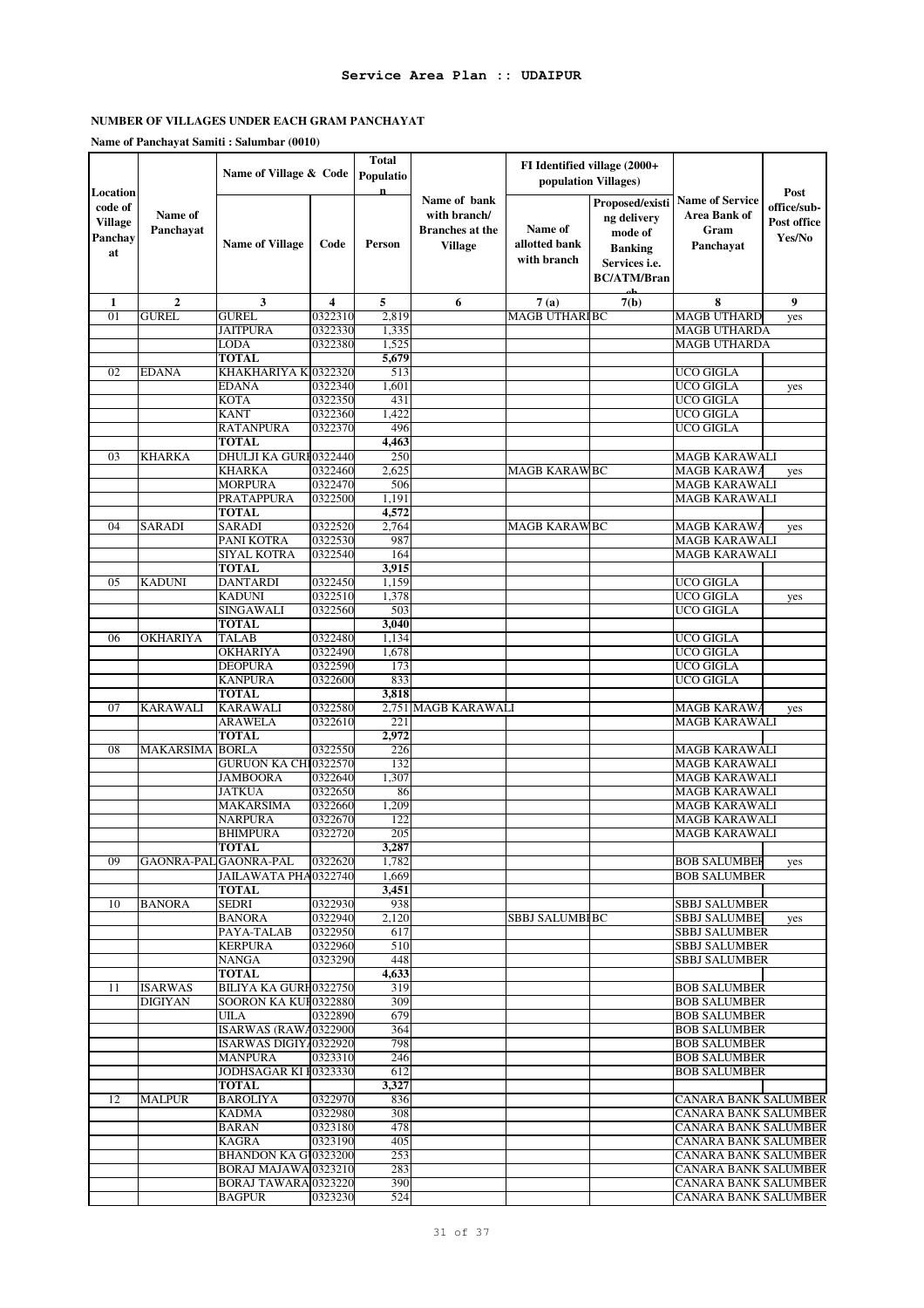# **NUMBER OF VILLAGES UNDER EACH GRAM PANCHAYAT**

|                                                        |                      | Name of Village & Code                  |                    | <b>Total</b><br>Populatio |                                                                          | FI Identified village (2000+<br>population Villages) |                                                                                                    |                                                                    |                                              |
|--------------------------------------------------------|----------------------|-----------------------------------------|--------------------|---------------------------|--------------------------------------------------------------------------|------------------------------------------------------|----------------------------------------------------------------------------------------------------|--------------------------------------------------------------------|----------------------------------------------|
| Location<br>code of<br><b>Village</b><br>Panchay<br>at | Name of<br>Panchayat | <b>Name of Village</b>                  | Code               | $\mathbf n$<br>Person     | Name of bank<br>with branch/<br><b>Branches</b> at the<br><b>Village</b> | Name of<br>allotted bank<br>with branch              | Proposed/existi<br>ng delivery<br>mode of<br><b>Banking</b><br>Services i.e.<br><b>BC/ATM/Bran</b> | <b>Name of Service</b><br><b>Area Bank of</b><br>Gram<br>Panchavat | Post<br>office/sub-<br>Post office<br>Yes/No |
| 1                                                      | $\mathbf{2}$         | 3                                       | 4                  | 5                         | 6                                                                        | 7(a)                                                 | 7(b)                                                                                               | 8                                                                  | 9                                            |
| 01                                                     | <b>GUREL</b>         | <b>GUREL</b>                            | 0322310            | 2,819                     |                                                                          | <b>MAGB UTHARIBC</b>                                 |                                                                                                    | <b>MAGB UTHARD</b>                                                 | yes                                          |
|                                                        |                      | <b>JAITPURA</b>                         | 0322330            | 1,335                     |                                                                          |                                                      |                                                                                                    | <b>MAGB UTHARDA</b>                                                |                                              |
|                                                        |                      | LODA                                    | 0322380            | 1,525                     |                                                                          |                                                      |                                                                                                    | <b>MAGB UTHARDA</b>                                                |                                              |
|                                                        |                      | <b>TOTAL</b>                            |                    | 5,679                     |                                                                          |                                                      |                                                                                                    |                                                                    |                                              |
| 02                                                     | <b>EDANA</b>         | KHAKHARIYA K 0322320                    |                    | 513                       |                                                                          |                                                      |                                                                                                    | UCO GIGLA                                                          |                                              |
|                                                        |                      | <b>EDANA</b><br><b>KOTA</b>             | 0322340<br>0322350 | 1,601<br>431              |                                                                          |                                                      |                                                                                                    | <b>UCO GIGLA</b><br><b>UCO GIGLA</b>                               | yes                                          |
|                                                        |                      | <b>KANT</b>                             | 0322360            | 1,422                     |                                                                          |                                                      |                                                                                                    | <b>UCO GIGLA</b>                                                   |                                              |
|                                                        |                      | <b>RATANPURA</b>                        | 0322370            | 496                       |                                                                          |                                                      |                                                                                                    | <b>UCO GIGLA</b>                                                   |                                              |
|                                                        |                      | <b>TOTAL</b>                            |                    | 4,463                     |                                                                          |                                                      |                                                                                                    |                                                                    |                                              |
| 03                                                     | <b>KHARKA</b>        | DHULJI KA GURI0322440                   |                    | 250                       |                                                                          |                                                      |                                                                                                    | <b>MAGB KARAWALI</b>                                               |                                              |
|                                                        |                      | <b>KHARKA</b>                           | 0322460            | 2,625                     |                                                                          | <b>MAGB KARAWBC</b>                                  |                                                                                                    | <b>MAGB KARAWA</b>                                                 | yes                                          |
|                                                        |                      | <b>MORPURA</b>                          | 0322470            | 506                       |                                                                          |                                                      |                                                                                                    | <b>MAGB KARAWALI</b>                                               |                                              |
|                                                        |                      | <b>PRATAPPURA</b>                       | 0322500            | 1,191                     |                                                                          |                                                      |                                                                                                    | <b>MAGB KARAWALI</b>                                               |                                              |
|                                                        |                      | TOTAL                                   |                    | 4,572                     |                                                                          |                                                      |                                                                                                    |                                                                    |                                              |
| 04                                                     | <b>SARADI</b>        | <b>SARADI</b>                           | 0322520            | 2,764                     |                                                                          | <b>MAGB KARAWBC</b>                                  |                                                                                                    | <b>MAGB KARAWA</b>                                                 | yes                                          |
|                                                        |                      | PANI KOTRA                              | 0322530            | 987                       |                                                                          |                                                      |                                                                                                    | <b>MAGB KARAWALI</b>                                               |                                              |
|                                                        |                      | SIYAL KOTRA                             | 0322540            | 164                       |                                                                          |                                                      |                                                                                                    | <b>MAGB KARAWALI</b>                                               |                                              |
|                                                        |                      | TOTAL                                   |                    | 3,915                     |                                                                          |                                                      |                                                                                                    |                                                                    |                                              |
| 05                                                     | <b>KADUNI</b>        | <b>DANTARDI</b><br><b>KADUNI</b>        | 0322450            | 1,159                     |                                                                          |                                                      |                                                                                                    | <b>UCO GIGLA</b><br><b>UCO GIGLA</b>                               |                                              |
|                                                        |                      | <b>SINGAWALI</b>                        | 0322510<br>0322560 | 1,378<br>503              |                                                                          |                                                      |                                                                                                    | <b>UCO GIGLA</b>                                                   | yes                                          |
|                                                        |                      | <b>TOTAL</b>                            |                    | 3,040                     |                                                                          |                                                      |                                                                                                    |                                                                    |                                              |
| 06                                                     | <b>OKHARIYA</b>      | <b>TALAB</b>                            | 0322480            | 1,134                     |                                                                          |                                                      |                                                                                                    | <b>UCO GIGLA</b>                                                   |                                              |
|                                                        |                      | <b>OKHARIYA</b>                         | 0322490            | 1,678                     |                                                                          |                                                      |                                                                                                    | <b>UCO GIGLA</b>                                                   |                                              |
|                                                        |                      | <b>DEOPURA</b>                          | 0322590            | 173                       |                                                                          |                                                      |                                                                                                    | <b>UCO GIGLA</b>                                                   |                                              |
|                                                        |                      | <b>KANPURA</b>                          | 0322600            | 833                       |                                                                          |                                                      |                                                                                                    | <b>UCO GIGLA</b>                                                   |                                              |
|                                                        |                      | <b>TOTAL</b>                            |                    | 3,818                     |                                                                          |                                                      |                                                                                                    |                                                                    |                                              |
| 07                                                     | <b>KARAWALI</b>      | <b>KARAWALI</b>                         | 0322580            |                           | 2,751 MAGB KARAWALI                                                      |                                                      |                                                                                                    | <b>MAGB KARAWA</b>                                                 | yes                                          |
|                                                        |                      | <b>ARAWELA</b>                          | 0322610            | 221                       |                                                                          |                                                      |                                                                                                    | <b>MAGB KARAWALI</b>                                               |                                              |
| 08                                                     | <b>MAKARSIMA</b>     | TOTAL<br><b>BORLA</b>                   | 0322550            | 2,972<br>226              |                                                                          |                                                      |                                                                                                    | <b>MAGB KARAWALI</b>                                               |                                              |
|                                                        |                      | <b>GURUON KA CHI0322570</b>             |                    | 132                       |                                                                          |                                                      |                                                                                                    | <b>MAGB KARAWALI</b>                                               |                                              |
|                                                        |                      | JAMBOORA                                | 0322640            | 1,307                     |                                                                          |                                                      |                                                                                                    | <b>MAGB KARAWALI</b>                                               |                                              |
|                                                        |                      | <b>JATKUA</b>                           | 0322650            | 86                        |                                                                          |                                                      |                                                                                                    | <b>MAGB KARAWALI</b>                                               |                                              |
|                                                        |                      | MAKARSIMA                               | 0322660            | 1,209                     |                                                                          |                                                      |                                                                                                    | <b>MAGB KARAWALI</b>                                               |                                              |
|                                                        |                      | <b>NARPURA</b>                          | 0322670            | 122                       |                                                                          |                                                      |                                                                                                    | <b>MAGB KARAWALI</b>                                               |                                              |
|                                                        |                      | BHIMPURA                                | 0322720            | 205                       |                                                                          |                                                      |                                                                                                    | <b>MAGB KARAWALI</b>                                               |                                              |
|                                                        |                      | <b>TOTAL</b>                            |                    | 3.287                     |                                                                          |                                                      |                                                                                                    |                                                                    |                                              |
| 09                                                     |                      | GAONRA-PAL GAONRA-PAL                   | 0322620            | 1,782                     |                                                                          |                                                      |                                                                                                    | <b>BOB SALUMBER</b>                                                | yes                                          |
|                                                        |                      | JAILAWATA PHA0322740                    |                    | 1,669                     |                                                                          |                                                      |                                                                                                    | <b>BOB SALUMBER</b>                                                |                                              |
| 10                                                     | <b>BANORA</b>        | <b>TOTAL</b><br>SEDRI                   | 0322930            | 3,451<br>938              |                                                                          |                                                      |                                                                                                    | <b>SBBJ SALUMBER</b>                                               |                                              |
|                                                        |                      | <b>BANORA</b>                           | 0322940            | 2,120                     |                                                                          | <b>SBBJ SALUMBIBC</b>                                |                                                                                                    | <b>SBBJ SALUMBEI</b>                                               | yes                                          |
|                                                        |                      | PAYA-TALAB                              | 0322950            | 617                       |                                                                          |                                                      |                                                                                                    | <b>SBBJ SALUMBER</b>                                               |                                              |
|                                                        |                      | <b>KERPURA</b>                          | 0322960            | 510                       |                                                                          |                                                      |                                                                                                    | <b>SBBJ SALUMBER</b>                                               |                                              |
|                                                        |                      | <b>NANGA</b>                            | 0323290            | 448                       |                                                                          |                                                      |                                                                                                    | <b>SBBJ SALUMBER</b>                                               |                                              |
|                                                        |                      | <b>TOTAL</b>                            |                    | 4,633                     |                                                                          |                                                      |                                                                                                    |                                                                    |                                              |
| 11                                                     | <b>ISARWAS</b>       | <b>BILIYA KA GURH0322750</b>            |                    | 319                       |                                                                          |                                                      |                                                                                                    | <b>BOB SALUMBER</b>                                                |                                              |
|                                                        | <b>DIGIYAN</b>       | SOORON KA KUF0322880                    |                    | 309                       |                                                                          |                                                      |                                                                                                    | <b>BOB SALUMBER</b>                                                |                                              |
|                                                        |                      | UILA                                    | 0322890            | 679                       |                                                                          |                                                      |                                                                                                    | <b>BOB SALUMBER</b>                                                |                                              |
|                                                        |                      | ISARWAS (RAWA0322900                    |                    | 364<br>798                |                                                                          |                                                      |                                                                                                    | <b>BOB SALUMBER</b>                                                |                                              |
|                                                        |                      | ISARWAS DIGIY/0322920<br><b>MANPURA</b> | 0323310            | 246                       |                                                                          |                                                      |                                                                                                    | <b>BOB SALUMBER</b><br><b>BOB SALUMBER</b>                         |                                              |
|                                                        |                      | JODHSAGAR KI F0323330                   |                    | 612                       |                                                                          |                                                      |                                                                                                    | <b>BOB SALUMBER</b>                                                |                                              |
|                                                        |                      | TOTAL                                   |                    | 3,327                     |                                                                          |                                                      |                                                                                                    |                                                                    |                                              |
| 12                                                     | <b>MALPUR</b>        | <b>BAROLIYA</b>                         | 0322970            | 836                       |                                                                          |                                                      |                                                                                                    | CANARA BANK SALUMBER                                               |                                              |
|                                                        |                      | <b>KADMA</b>                            | 0322980            | 308                       |                                                                          |                                                      |                                                                                                    | CANARA BANK SALUMBER                                               |                                              |
|                                                        |                      | <b>BARAN</b>                            | 0323180            | 478                       |                                                                          |                                                      |                                                                                                    | CANARA BANK SALUMBER                                               |                                              |
|                                                        |                      | <b>KAGRA</b>                            | 0323190            | 405                       |                                                                          |                                                      |                                                                                                    | CANARA BANK SALUMBER                                               |                                              |
|                                                        |                      | BHANDON KA G10323200                    |                    | 253                       |                                                                          |                                                      |                                                                                                    | CANARA BANK SALUMBER                                               |                                              |
|                                                        |                      | BORAJ MAJAWA 0323210                    |                    | 283                       |                                                                          |                                                      |                                                                                                    | CANARA BANK SALUMBER                                               |                                              |
|                                                        |                      | BORAJ TAWARA 0323220                    |                    | 390                       |                                                                          |                                                      |                                                                                                    | CANARA BANK SALUMBER                                               |                                              |
|                                                        |                      | <b>BAGPUR</b>                           | 0323230            | 524                       |                                                                          |                                                      |                                                                                                    | <b>CANARA BANK SALUMBER</b>                                        |                                              |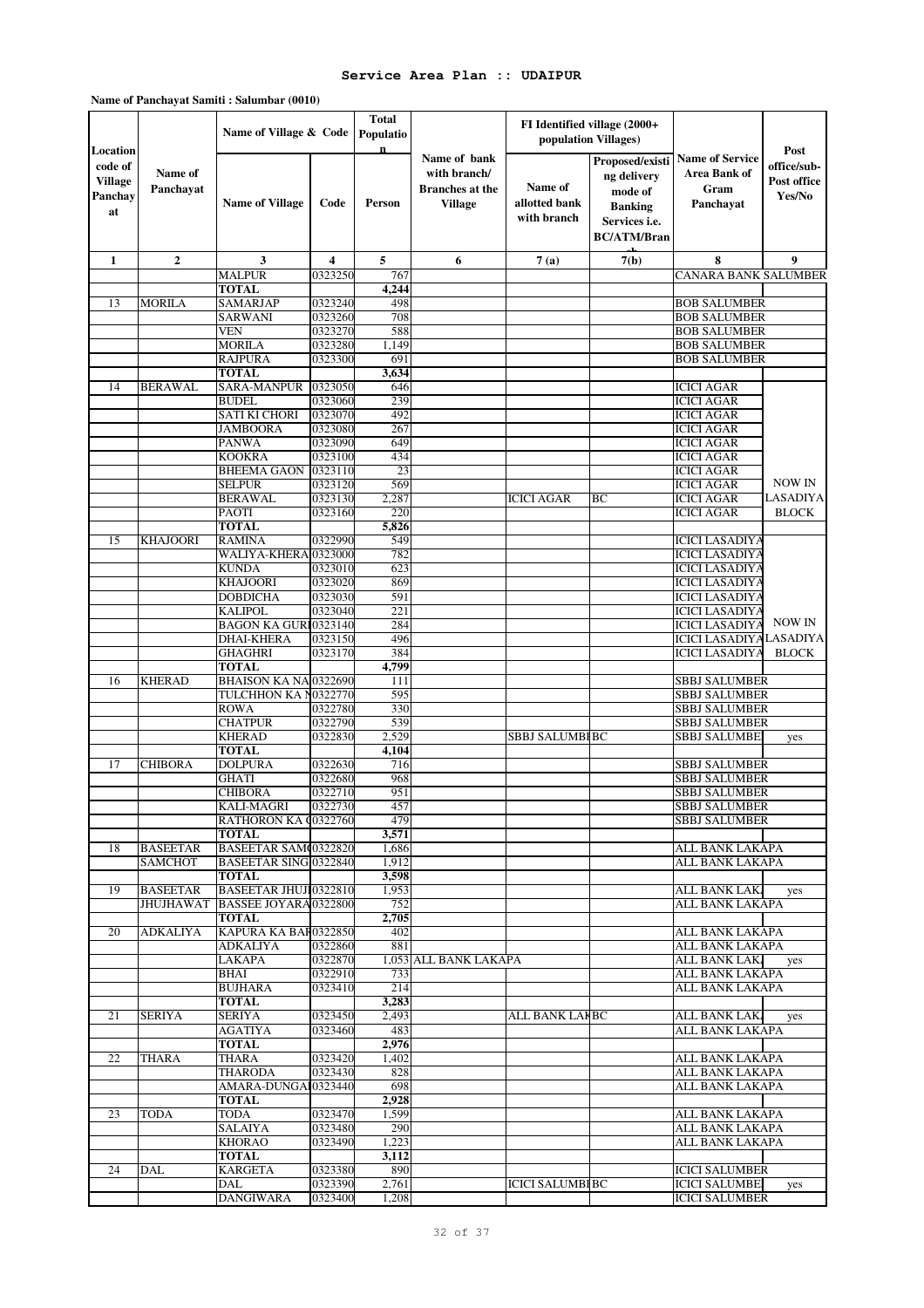|                                                        |                                   | Name of Village & Code                               |                    | <b>Total</b><br>Populatio |                                                                          | FI Identified village (2000+<br>population Villages) |                                                                                                    |                                                                    |                                              |
|--------------------------------------------------------|-----------------------------------|------------------------------------------------------|--------------------|---------------------------|--------------------------------------------------------------------------|------------------------------------------------------|----------------------------------------------------------------------------------------------------|--------------------------------------------------------------------|----------------------------------------------|
| Location<br>code of<br><b>Village</b><br>Panchay<br>at | Name of<br>Panchayat              | <b>Name of Village</b>                               | Code               | $\mathbf{n}$<br>Person    | Name of bank<br>with branch/<br><b>Branches</b> at the<br><b>Village</b> | Name of<br>allotted bank<br>with branch              | Proposed/existi<br>ng delivery<br>mode of<br><b>Banking</b><br>Services i.e.<br><b>BC/ATM/Bran</b> | <b>Name of Service</b><br><b>Area Bank of</b><br>Gram<br>Panchayat | Post<br>office/sub-<br>Post office<br>Yes/No |
| 1                                                      | $\boldsymbol{2}$                  | 3                                                    | 4                  | 5                         | 6                                                                        | 7(a)                                                 | 7(b)                                                                                               | 8                                                                  | 9                                            |
|                                                        |                                   | <b>MALPUR</b>                                        | 0323250            | 767                       |                                                                          |                                                      |                                                                                                    | CANARA BANK SALUMBER                                               |                                              |
|                                                        |                                   | <b>TOTAL</b>                                         |                    | 4,244                     |                                                                          |                                                      |                                                                                                    |                                                                    |                                              |
| 13                                                     | <b>MORILA</b>                     | <b>SAMARJAP</b><br><b>SARWANI</b>                    | 0323240<br>0323260 | 498<br>708                |                                                                          |                                                      |                                                                                                    | <b>BOB SALUMBER</b><br><b>BOB SALUMBER</b>                         |                                              |
|                                                        |                                   | <b>VEN</b>                                           | 0323270            | 588                       |                                                                          |                                                      |                                                                                                    | <b>BOB SALUMBER</b>                                                |                                              |
|                                                        |                                   | MORILA                                               | 0323280            | 1,149                     |                                                                          |                                                      |                                                                                                    | <b>BOB SALUMBER</b>                                                |                                              |
|                                                        |                                   | <b>RAJPURA</b>                                       | 0323300            | 691                       |                                                                          |                                                      |                                                                                                    | <b>BOB SALUMBER</b>                                                |                                              |
|                                                        |                                   | <b>TOTAL</b>                                         |                    | 3,634                     |                                                                          |                                                      |                                                                                                    |                                                                    |                                              |
| 14                                                     | <b>BERAWAL</b>                    | SARA-MANPUR                                          | 0323050            | 646                       |                                                                          |                                                      |                                                                                                    | <b>ICICI AGAR</b>                                                  |                                              |
|                                                        |                                   | <b>BUDEL</b>                                         | 0323060            | 239                       |                                                                          |                                                      |                                                                                                    | <b>ICICI AGAR</b>                                                  |                                              |
|                                                        |                                   | <b>SATI KI CHORI</b>                                 | 0323070            | 492                       |                                                                          |                                                      |                                                                                                    | <b>ICICI AGAR</b>                                                  |                                              |
|                                                        |                                   | JAMBOORA                                             | 0323080            | 267                       |                                                                          |                                                      |                                                                                                    | <b>ICICI AGAR</b>                                                  |                                              |
|                                                        |                                   | <b>PANWA</b>                                         | 0323090            | 649                       |                                                                          |                                                      |                                                                                                    | <b>ICICI AGAR</b>                                                  |                                              |
|                                                        |                                   | <b>KOOKRA</b><br><b>BHEEMA GAON</b>                  | 0323100<br>0323110 | 434<br>23                 |                                                                          |                                                      |                                                                                                    | <b>ICICI AGAR</b><br><b>ICICI AGAR</b>                             |                                              |
|                                                        |                                   | SELPUR                                               | 0323120            | 569                       |                                                                          |                                                      |                                                                                                    | <b>ICICI AGAR</b>                                                  | <b>NOW IN</b>                                |
|                                                        |                                   | <b>BERAWAL</b>                                       | 0323130            | 2,287                     |                                                                          | <b>ICICI AGAR</b>                                    | BC                                                                                                 | <b>ICICI AGAR</b>                                                  | <b>LASADIYA</b>                              |
|                                                        |                                   | PAOTI                                                | 0323160            | 220                       |                                                                          |                                                      |                                                                                                    | <b>ICICI AGAR</b>                                                  | <b>BLOCK</b>                                 |
|                                                        |                                   | <b>TOTAL</b>                                         |                    | 5,826                     |                                                                          |                                                      |                                                                                                    |                                                                    |                                              |
| 15                                                     | KHAJOORI                          | <b>RAMINA</b>                                        | 0322990            | 549                       |                                                                          |                                                      |                                                                                                    | <b>ICICI LASADIYA</b>                                              |                                              |
|                                                        |                                   | WALIYA-KHERA 0323000                                 |                    | 782                       |                                                                          |                                                      |                                                                                                    | <b>ICICI LASADIYA</b>                                              |                                              |
|                                                        |                                   | <b>KUNDA</b>                                         | 0323010            | 623                       |                                                                          |                                                      |                                                                                                    | <b>ICICI LASADIYA</b>                                              |                                              |
|                                                        |                                   | <b>KHAJOORI</b>                                      | 0323020            | 869                       |                                                                          |                                                      |                                                                                                    | <b>ICICI LASADIYA</b>                                              |                                              |
|                                                        |                                   | <b>DOBDICHA</b><br>KALIPOL                           | 0323030<br>0323040 | 591<br>221                |                                                                          |                                                      |                                                                                                    | <b>ICICI LASADIYA</b><br><b>ICICI LASADIYA</b>                     |                                              |
|                                                        |                                   | BAGON KA GURI 0323140                                |                    | 284                       |                                                                          |                                                      |                                                                                                    | <b>ICICI LASADIYA</b>                                              | NOW IN                                       |
|                                                        |                                   | <b>DHAI-KHERA</b>                                    | 0323150            | 496                       |                                                                          |                                                      |                                                                                                    | <b>ICICI LASADIYA LASADIYA</b>                                     |                                              |
|                                                        |                                   | <b>GHAGHRI</b>                                       | 0323170            | 384                       |                                                                          |                                                      |                                                                                                    | <b>ICICI LASADIYA</b>                                              | <b>BLOCK</b>                                 |
|                                                        |                                   | <b>TOTAL</b>                                         |                    | 4,799                     |                                                                          |                                                      |                                                                                                    |                                                                    |                                              |
| 16                                                     | <b>KHERAD</b>                     | <b>BHAISON KA NA 0322690</b>                         |                    | 111                       |                                                                          |                                                      |                                                                                                    | <b>SBBJ SALUMBER</b>                                               |                                              |
|                                                        |                                   | TULCHHON KA N0322770                                 |                    | 595                       |                                                                          |                                                      |                                                                                                    | <b>SBBJ SALUMBER</b>                                               |                                              |
|                                                        |                                   | <b>ROWA</b>                                          | 0322780            | 330                       |                                                                          |                                                      |                                                                                                    | <b>SBBJ SALUMBER</b>                                               |                                              |
|                                                        |                                   | <b>CHATPUR</b><br><b>KHERAD</b>                      | 0322790<br>0322830 | 539                       |                                                                          |                                                      |                                                                                                    | <b>SBBJ SALUMBER</b>                                               |                                              |
|                                                        |                                   | <b>TOTAL</b>                                         |                    | 2,529<br>4,104            |                                                                          | SBBJ SALUMBI BC                                      |                                                                                                    | SBBJ SALUMBE                                                       | yes                                          |
| 17                                                     | <b>CHIBORA</b>                    | <b>DOLPURA</b>                                       | 0322630            | 716                       |                                                                          |                                                      |                                                                                                    | <b>SBBJ SALUMBER</b>                                               |                                              |
|                                                        |                                   | <b>GHATI</b>                                         | 0322680            | 968                       |                                                                          |                                                      |                                                                                                    | <b>SBBJ SALUMBER</b>                                               |                                              |
|                                                        |                                   | <b>CHIBORA</b>                                       | 0322710            | 951                       |                                                                          |                                                      |                                                                                                    | <b>SBBJ SALUMBER</b>                                               |                                              |
|                                                        |                                   | KALI-MAGRI                                           | 0322730            | 457                       |                                                                          |                                                      |                                                                                                    | <b>SBBJ SALUMBER</b>                                               |                                              |
|                                                        |                                   | RATHORON KA (0322760                                 |                    | 479                       |                                                                          |                                                      |                                                                                                    | <b>SBBJ SALUMBER</b>                                               |                                              |
|                                                        |                                   | <b>TOTAL</b>                                         |                    | 3,571                     |                                                                          |                                                      |                                                                                                    |                                                                    |                                              |
| 18                                                     | <b>BASEETAR</b><br><b>SAMCHOT</b> | BASEETAR SAM(0322820<br><b>BASEETAR SING 0322840</b> |                    | 1,686<br>1,912            |                                                                          |                                                      |                                                                                                    | ALL BANK LAKAPA<br>ALL BANK LAKAPA                                 |                                              |
|                                                        |                                   | <b>TOTAL</b>                                         |                    | 3,598                     |                                                                          |                                                      |                                                                                                    |                                                                    |                                              |
| 19                                                     | <b>BASEETAR</b>                   | <b>BASEETAR JHUJ10322810</b>                         |                    | 1,953                     |                                                                          |                                                      |                                                                                                    | ALL BANK LAK                                                       | yes                                          |
|                                                        | <b>JHUJHAWAT</b>                  | <b>BASSEE JOYARA0322800</b>                          |                    | 752                       |                                                                          |                                                      |                                                                                                    | ALL BANK LAKAPA                                                    |                                              |
|                                                        |                                   | <b>TOTAL</b>                                         |                    | 2,705                     |                                                                          |                                                      |                                                                                                    |                                                                    |                                              |
| 20                                                     | <b>ADKALIYA</b>                   | KAPURA KA BAF0322850                                 |                    | 402                       |                                                                          |                                                      |                                                                                                    | ALL BANK LAKAPA                                                    |                                              |
|                                                        |                                   | ADKALIYA                                             | 0322860            | 881                       |                                                                          |                                                      |                                                                                                    | <b>ALL BANK LAKAPA</b>                                             |                                              |
|                                                        |                                   | LAKAPA                                               | 0322870<br>0322910 |                           | 1,053 ALL BANK LAKAPA                                                    |                                                      |                                                                                                    | ALL BANK LAK.<br><b>ALL BANK LAKAPA</b>                            | yes                                          |
|                                                        |                                   | BHAI<br><b>BUJHARA</b>                               | 0323410            | 733<br>214                |                                                                          |                                                      |                                                                                                    | ALL BANK LAKAPA                                                    |                                              |
|                                                        |                                   | <b>TOTAL</b>                                         |                    | 3,283                     |                                                                          |                                                      |                                                                                                    |                                                                    |                                              |
| 21                                                     | <b>SERIYA</b>                     | <b>SERIYA</b>                                        | 0323450            | 2,493                     |                                                                          | ALL BANK LAIBC                                       |                                                                                                    | ALL BANK LAK.                                                      | yes                                          |
|                                                        |                                   | AGATIYA                                              | 0323460            | 483                       |                                                                          |                                                      |                                                                                                    | ALL BANK LAKAPA                                                    |                                              |
|                                                        |                                   | TOTAL                                                |                    | 2,976                     |                                                                          |                                                      |                                                                                                    |                                                                    |                                              |
| 22                                                     | <b>THARA</b>                      | THARA                                                | 0323420            | 1,402                     |                                                                          |                                                      |                                                                                                    | ALL BANK LAKAPA                                                    |                                              |
|                                                        |                                   | THARODA                                              | 0323430            | 828                       |                                                                          |                                                      |                                                                                                    | ALL BANK LAKAPA                                                    |                                              |
|                                                        |                                   | AMARA-DUNGAI0323440                                  |                    | 698                       |                                                                          |                                                      |                                                                                                    | ALL BANK LAKAPA                                                    |                                              |
|                                                        |                                   | TOTAL                                                |                    | 2,928                     |                                                                          |                                                      |                                                                                                    |                                                                    |                                              |
| 23                                                     | <b>TODA</b>                       | TODA<br>SALAIYA                                      | 0323470<br>0323480 | 1,599<br>290              |                                                                          |                                                      |                                                                                                    | ALL BANK LAKAPA<br>ALL BANK LAKAPA                                 |                                              |
|                                                        |                                   | <b>KHORAO</b>                                        | 0323490            | 1,223                     |                                                                          |                                                      |                                                                                                    | ALL BANK LAKAPA                                                    |                                              |
|                                                        |                                   | TOTAL                                                |                    | 3,112                     |                                                                          |                                                      |                                                                                                    |                                                                    |                                              |
| 24                                                     | DAL                               | <b>KARGETA</b>                                       | 0323380            | 890                       |                                                                          |                                                      |                                                                                                    | <b>ICICI SALUMBER</b>                                              |                                              |
|                                                        |                                   | DAL                                                  | 0323390            | 2,761                     |                                                                          | ICICI SALUMBI BC                                     |                                                                                                    | <b>ICICI SALUMBEI</b>                                              | yes                                          |
|                                                        |                                   | <b>DANGIWARA</b>                                     | 0323400            | 1,208                     |                                                                          |                                                      |                                                                                                    | <b>ICICI SALUMBER</b>                                              |                                              |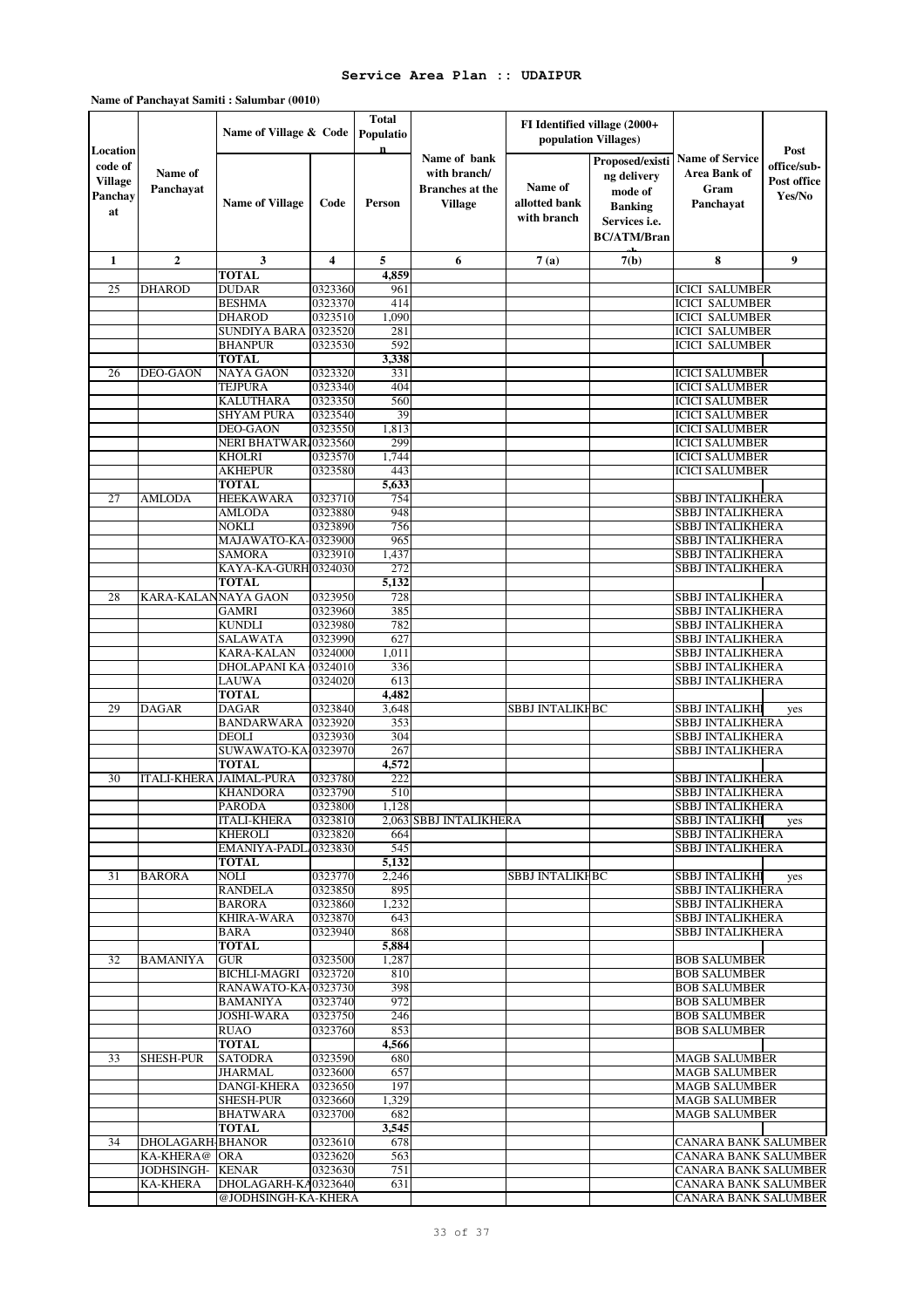| Location                                   |                                      | Name of Village & Code               |                    | Total<br>Populatio<br>$\mathbf n$ |                                                                          | FI Identified village (2000+<br>population Villages) |                                                                                                    |                                                                    | Post                                 |
|--------------------------------------------|--------------------------------------|--------------------------------------|--------------------|-----------------------------------|--------------------------------------------------------------------------|------------------------------------------------------|----------------------------------------------------------------------------------------------------|--------------------------------------------------------------------|--------------------------------------|
| code of<br><b>Village</b><br>Panchay<br>at | Name of<br>Panchayat                 | <b>Name of Village</b>               | Code               | Person                            | Name of bank<br>with branch/<br><b>Branches</b> at the<br><b>Village</b> | Name of<br>allotted bank<br>with branch              | Proposed/existi<br>ng delivery<br>mode of<br><b>Banking</b><br>Services i.e.<br><b>BC/ATM/Bran</b> | <b>Name of Service</b><br><b>Area Bank of</b><br>Gram<br>Panchayat | office/sub-<br>Post office<br>Yes/No |
| 1                                          | $\mathbf{2}$                         | 3                                    | 4                  | 5                                 | 6                                                                        | 7(a)                                                 | 7(b)                                                                                               | 8                                                                  | 9                                    |
|                                            |                                      | <b>TOTAL</b><br><b>DUDAR</b>         |                    | 4,859                             |                                                                          |                                                      |                                                                                                    |                                                                    |                                      |
| 25                                         | <b>DHAROD</b>                        | <b>BESHMA</b>                        | 0323360<br>0323370 | 961<br>414                        |                                                                          |                                                      |                                                                                                    | <b>ICICI SALUMBER</b><br><b>ICICI SALUMBER</b>                     |                                      |
|                                            |                                      | <b>DHAROD</b>                        | 0323510            | 1,090                             |                                                                          |                                                      |                                                                                                    | <b>ICICI SALUMBER</b>                                              |                                      |
|                                            |                                      | <b>SUNDIYA BARA</b>                  | 0323520            | 281                               |                                                                          |                                                      |                                                                                                    | <b>ICICI SALUMBER</b>                                              |                                      |
|                                            |                                      | <b>BHANPUR</b>                       | 0323530            | 592                               |                                                                          |                                                      |                                                                                                    | <b>ICICI SALUMBER</b>                                              |                                      |
|                                            |                                      | <b>TOTAL</b>                         |                    | 3,338                             |                                                                          |                                                      |                                                                                                    |                                                                    |                                      |
| 26                                         | <b>DEO-GAON</b>                      | <b>NAYA GAON</b>                     | 0323320            | 331                               |                                                                          |                                                      |                                                                                                    | <b>ICICI SALUMBER</b>                                              |                                      |
|                                            |                                      | <b>TEJPURA</b><br><b>KALUTHARA</b>   | 0323340<br>0323350 | 404<br>560                        |                                                                          |                                                      |                                                                                                    | <b>ICICI SALUMBER</b><br><b>ICICI SALUMBER</b>                     |                                      |
|                                            |                                      | <b>SHYAM PURA</b>                    | 0323540            | 39                                |                                                                          |                                                      |                                                                                                    | <b>ICICI SALUMBER</b>                                              |                                      |
|                                            |                                      | <b>DEO-GAON</b>                      | 0323550            | 1,813                             |                                                                          |                                                      |                                                                                                    | <b>ICICI SALUMBER</b>                                              |                                      |
|                                            |                                      | NERI BHATWAR 0323560                 |                    | 299                               |                                                                          |                                                      |                                                                                                    | <b>ICICI SALUMBER</b>                                              |                                      |
|                                            |                                      | <b>KHOLRI</b>                        | 0323570            | 1,744                             |                                                                          |                                                      |                                                                                                    | <b>ICICI SALUMBER</b>                                              |                                      |
|                                            |                                      | <b>AKHEPUR</b>                       | 0323580            | 443                               |                                                                          |                                                      |                                                                                                    | <b>ICICI SALUMBER</b>                                              |                                      |
|                                            |                                      | <b>TOTAL</b>                         |                    | 5,633                             |                                                                          |                                                      |                                                                                                    |                                                                    |                                      |
| 27                                         | AMLODA                               | <b>HEEKAWARA</b><br><b>AMLODA</b>    | 0323710<br>0323880 | 754<br>948                        |                                                                          |                                                      |                                                                                                    | <b>SBBJ INTALIKHERA</b><br><b>SBBJ INTALIKHERA</b>                 |                                      |
|                                            |                                      | NOKLI                                | 0323890            | 756                               |                                                                          |                                                      |                                                                                                    | <b>SBBJ INTALIKHERA</b>                                            |                                      |
|                                            |                                      | MAJAWATO-KA-0323900                  |                    | 965                               |                                                                          |                                                      |                                                                                                    | <b>SBBJ INTALIKHERA</b>                                            |                                      |
|                                            |                                      | <b>SAMORA</b>                        | 0323910            | 1,437                             |                                                                          |                                                      |                                                                                                    | <b>SBBJ INTALIKHERA</b>                                            |                                      |
|                                            |                                      | KAYA-KA-GURH 0324030                 |                    | 272                               |                                                                          |                                                      |                                                                                                    | <b>SBBJ INTALIKHERA</b>                                            |                                      |
|                                            |                                      | <b>TOTAL</b>                         |                    | 5,132                             |                                                                          |                                                      |                                                                                                    |                                                                    |                                      |
| 28                                         | KARA-KALANNAYA GAON                  | <b>GAMRI</b>                         | 0323950<br>0323960 | 728<br>385                        |                                                                          |                                                      |                                                                                                    | <b>SBBJ INTALIKHERA</b><br><b>SBBJ INTALIKHERA</b>                 |                                      |
|                                            |                                      | <b>KUNDLI</b>                        | 0323980            | 782                               |                                                                          |                                                      |                                                                                                    | <b>SBBJ INTALIKHERA</b>                                            |                                      |
|                                            |                                      | <b>SALAWATA</b>                      | 0323990            | 627                               |                                                                          |                                                      |                                                                                                    | <b>SBBJ INTALIKHERA</b>                                            |                                      |
|                                            |                                      | <b>KARA-KALAN</b>                    | 0324000            | 1,011                             |                                                                          |                                                      |                                                                                                    | <b>SBBJ INTALIKHERA</b>                                            |                                      |
|                                            |                                      | DHOLAPANI KA                         | 0324010            | 336                               |                                                                          |                                                      |                                                                                                    | <b>SBBJ INTALIKHERA</b>                                            |                                      |
|                                            |                                      | <b>LAUWA</b>                         | 0324020            | 613                               |                                                                          |                                                      |                                                                                                    | <b>SBBJ INTALIKHERA</b>                                            |                                      |
|                                            |                                      | <b>TOTAL</b>                         |                    | 4,482                             |                                                                          |                                                      |                                                                                                    |                                                                    |                                      |
| 29                                         | <b>DAGAR</b>                         | <b>DAGAR</b><br><b>BANDARWARA</b>    | 0323840<br>0323920 | 3,648<br>353                      |                                                                          | <b>SBBJ INTALIKHBC</b>                               |                                                                                                    | <b>SBBJ INTALIKHI</b><br><b>SBBJ INTALIKHERA</b>                   | yes                                  |
|                                            |                                      | <b>DEOLI</b>                         | 0323930            | 304                               |                                                                          |                                                      |                                                                                                    | <b>SBBJ INTALIKHERA</b>                                            |                                      |
|                                            |                                      | SUWAWATO-KA-0323970                  |                    | 267                               |                                                                          |                                                      |                                                                                                    | SBBJ INTALIKHERA                                                   |                                      |
|                                            |                                      | <b>TOTAL</b>                         |                    | 4,572                             |                                                                          |                                                      |                                                                                                    |                                                                    |                                      |
| 30                                         |                                      | ITALI-KHERA JAIMAL-PURA              | 0323780            | 222                               |                                                                          |                                                      |                                                                                                    | <b>SBBJ INTALIKHERA</b>                                            |                                      |
|                                            |                                      | <b>KHANDORA</b>                      | 0323790            | 510                               |                                                                          |                                                      |                                                                                                    | <b>SBBJ INTALIKHERA</b>                                            |                                      |
|                                            |                                      | <b>PARODA</b>                        | 0323800            | 1,128                             |                                                                          |                                                      |                                                                                                    | <b>SBBJ INTALIKHERA</b>                                            |                                      |
|                                            |                                      | <b>ITALI-KHERA</b><br><b>KHEROLI</b> | 0323810<br>0323820 | 664                               | 2,063 SBBJ INTALIKHERA                                                   |                                                      |                                                                                                    | <b>SBBJ INTALIKHI</b><br><b>SBBJ INTALIKHERA</b>                   | yes                                  |
|                                            |                                      | EMANIYA-PADL 0323830                 |                    | 545                               |                                                                          |                                                      |                                                                                                    | <b>SBBJ INTALIKHERA</b>                                            |                                      |
|                                            |                                      | TOTAL                                |                    | 5,132                             |                                                                          |                                                      |                                                                                                    |                                                                    |                                      |
| 31                                         | <b>BARORA</b>                        | <b>NOLI</b>                          | 0323770            | 2,246                             |                                                                          | <b>SBBJ INTALIKHBC</b>                               |                                                                                                    | <b>SBBJ INTALIKHI</b>                                              | yes                                  |
|                                            |                                      | <b>RANDELA</b>                       | 0323850            | 895                               |                                                                          |                                                      |                                                                                                    | <b>SBBJ INTALIKHERA</b>                                            |                                      |
|                                            |                                      | <b>BARORA</b>                        | 0323860            | 1,232                             |                                                                          |                                                      |                                                                                                    | <b>SBBJ INTALIKHERA</b>                                            |                                      |
|                                            |                                      | <b>KHIRA-WARA</b><br><b>BARA</b>     | 0323870<br>0323940 | 643<br>868                        |                                                                          |                                                      |                                                                                                    | <b>SBBJ INTALIKHERA</b><br><b>SBBJ INTALIKHERA</b>                 |                                      |
|                                            |                                      | <b>TOTAL</b>                         |                    | 5,884                             |                                                                          |                                                      |                                                                                                    |                                                                    |                                      |
| 32                                         | BAMANIYA                             | <b>GUR</b>                           | 0323500            | 1,287                             |                                                                          |                                                      |                                                                                                    | <b>BOB SALUMBER</b>                                                |                                      |
|                                            |                                      | <b>BICHLI-MAGRI</b>                  | 0323720            | 810                               |                                                                          |                                                      |                                                                                                    | <b>BOB SALUMBER</b>                                                |                                      |
|                                            |                                      | RANAWATO-KA-0323730                  |                    | 398                               |                                                                          |                                                      |                                                                                                    | <b>BOB SALUMBER</b>                                                |                                      |
|                                            |                                      | <b>BAMANIYA</b>                      | 0323740            | 972                               |                                                                          |                                                      |                                                                                                    | <b>BOB SALUMBER</b>                                                |                                      |
|                                            |                                      | <b>JOSHI-WARA</b>                    | 0323750            | 246                               |                                                                          |                                                      |                                                                                                    | <b>BOB SALUMBER</b>                                                |                                      |
|                                            |                                      | RUAO<br><b>TOTAL</b>                 | 0323760            | 853<br>4,566                      |                                                                          |                                                      |                                                                                                    | <b>BOB SALUMBER</b>                                                |                                      |
| 33                                         | <b>SHESH-PUR</b>                     | <b>SATODRA</b>                       | 0323590            | 680                               |                                                                          |                                                      |                                                                                                    | <b>MAGB SALUMBER</b>                                               |                                      |
|                                            |                                      | <b>JHARMAL</b>                       | 0323600            | 657                               |                                                                          |                                                      |                                                                                                    | <b>MAGB SALUMBER</b>                                               |                                      |
|                                            |                                      | DANGI-KHERA                          | 0323650            | 197                               |                                                                          |                                                      |                                                                                                    | <b>MAGB SALUMBER</b>                                               |                                      |
|                                            |                                      | <b>SHESH-PUR</b>                     | 0323660            | 1,329                             |                                                                          |                                                      |                                                                                                    | <b>MAGB SALUMBER</b>                                               |                                      |
|                                            |                                      | <b>BHATWARA</b>                      | 0323700            | 682                               |                                                                          |                                                      |                                                                                                    | <b>MAGB SALUMBER</b>                                               |                                      |
|                                            |                                      | <b>TOTAL</b>                         |                    | 3,545                             |                                                                          |                                                      |                                                                                                    |                                                                    |                                      |
| 34                                         | <b>DHOLAGARH-BHANOR</b><br>KA-KHERA@ | <b>ORA</b>                           | 0323610<br>0323620 | 678<br>563                        |                                                                          |                                                      |                                                                                                    | CANARA BANK SALUMBER<br>CANARA BANK SALUMBER                       |                                      |
|                                            | JODHSINGH-                           | <b>KENAR</b>                         | 0323630            | 751                               |                                                                          |                                                      |                                                                                                    | CANARA BANK SALUMBER                                               |                                      |
|                                            | <b>KA-KHERA</b>                      | DHOLAGARH-KA0323640                  |                    | 631                               |                                                                          |                                                      |                                                                                                    | CANARA BANK SALUMBER                                               |                                      |
|                                            |                                      | @JODHSINGH-KA-KHERA                  |                    |                                   |                                                                          |                                                      |                                                                                                    | <b>CANARA BANK SALUMBER</b>                                        |                                      |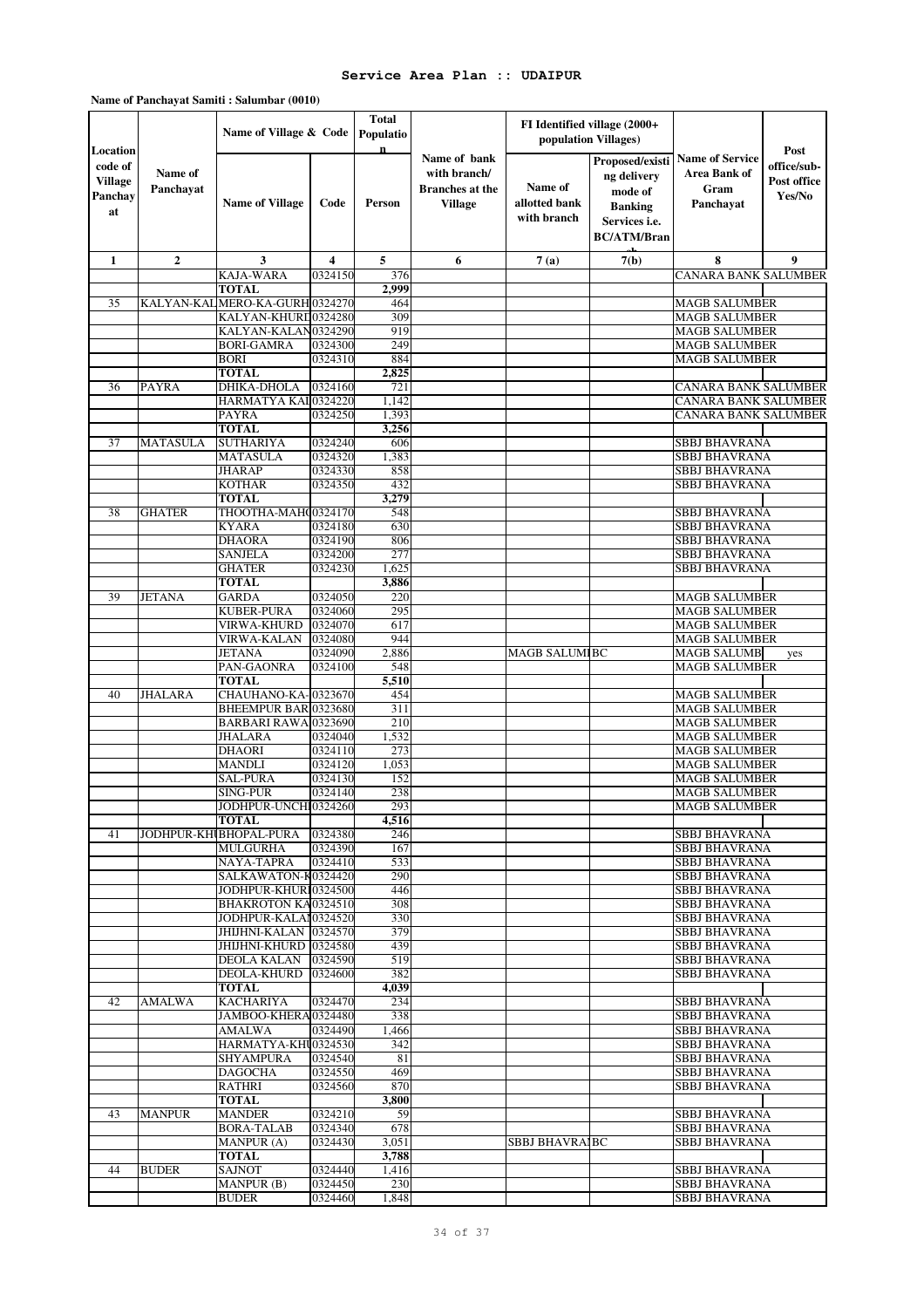#### **Total Populatio n Name of Village Code Person Name of allotted bank with branch Proposed/existi ng delivery mode of Banking Services i.e. BC/ATM/Bran**  $7(h)$ **1 2 3 4 5 6 7 (a) 7(b) 8 9 Location code of Village Panchay at Name of Panchayat Name of Village & Code Post office/sub-Post office Yes/No Name of bank with branch/ Branches at the Village FI Identified village (2000+ population Villages) Name of Service Area Bank of Gram Panchayat**  KAJA-WARA 0324150 376 CANARA BANK SALUMBER<br>TOTAL 2.999 2009 **TOTAL** 35 KALYAN-KALMERO-KA-GURH<br>
35 KALYAN-KALMERO-KA-GURH<br>
309 MAGB SALUMBER MAGB SALUMBER KALYAN-KHURD0324280 309<br>KALYAN-KALAN0324290 919 MACH SALYAN-KALAN0324290 919 MAGB SALUMBER<br>RORI-GAMRA 0324300 249 MAGB SALUMBER **MAGB SALUMBER** BORI 0324310 884 MAGB SALUMBER **TOTAL** 2,825<br>DHIKA-DHOLA 0324160 721 36 PAYRA DHIKA-DHOLA 0324160 721 CANARA BANK SALUMBER HARMATYA KAI 0324220 1,142 CANARA BANK SALUMBER  $\begin{array}{|c|c|c|c|}\hline \text{HARMAYA KAI} \text{(0324220)} & \text{1,142} & \text{CANARA BANK SALUMBER} \hline \text{PAYRA} & \text{(0324250)} & \text{1,393} & \text{CANARA BANK SALUMBER} \hline \end{array}$ PAYRA NEWSTEP 1,393 CANARA BANK SALUMBER<br>
1,393 CANARA BANK SALUMBER **TOTAL**<br>**SUTHARIYA** 0324240 37 MATASULA SUTHARIYA 0324240 606 SBBJ BHAVRANA 35 SBBJ BHAVRANA MATASULA 0324320 1,383 SBBJ BHAVRANA<br>19 MARAP 0324330 858 SBBJ BHAVRANA ي يون بين المستخدم المستخدم المستخدم المستخدم المستخدم المستخدم المستخدم المستخدم المستخدم المستخدم المستخدم ا<br>المستخدم المستخدم المستخدم المستخدم المستخدم المستخدم المستخدم المستخدم المستخدم المستخدم المستخدم المستخدم The SBBJ BHAVRANA<br>
3,279 SBBJ BHAVRANA **TOTAL** 38 GHATER THOOTHA-MAHOO324170 548 SBBJ BHAVRANA SBBJ BHAVRANA  $\begin{array}{|l|c|c|c|c|}\hline \text{KYARA} & 0324180 & 630 & & & & & \text{SBBI BHAVRANA} \\\hline \text{DHAORA} & 0324190 & 806 & & & & & \text{SBBJ BHAVRANA} \\\hline \end{array}$ DHAORA 03241900 806 SBBJ BHAVRANA  $\begin{tabular}{l|c|c|c|c|c|c|c|c} \hline \textbf{SANJELA} & $\textbf{0324200} & $\textbf{277}$ & & & & & & & & & & \textbf{SBBJ BHAVRANA} \\ \hline \textbf{GHATER} & $\textbf{0324230} & $\textbf{1.625}$ & & & & & & & & & \textbf{SBBJ BHAVRANA} \end{tabular}$ The state of the state of the state of the state of the state of the state of the state of the state of the state of the state of the state of the state of the state of the state of the state of the state of the state of t **TOTAL**<br>**GARDA** 0324050 39 JETANA GARDA 0324050 220 MAGB SALUMBER KUBER-PURA 0324060 295 KUBER-PURA 0324060 295 MAGB SALUMBER<br>
VIRWA-KHURD 0324070 617 MAGB SALUMBER VIRGIS (17 MAGB SALUMBER) NAGH SALUMBER 1944 VIRWA-KALAN 0324080 944 MAGB SALUMBERTANA 10324090 2,886 MAGB SALUMBERTANA MAGB SALUMBERTANA 10324090 2,886 MAGB SALUMBERTANA MAGB SALUMBERTANA MAGB SALUMBERTANA 10324090 2,886 MAGB SALUMBERTANA MAGB SALUMBERTANA 10324090 JETANA 03240900 2,886 MAGB SALUMBERBC MAGB SALUMBER yes PAN-GAONRA 0324100 548 MAGB SALUMBER<br>
FOTAL 5.510 **TOTAL 5,510** 40 JHALARA CHAUHANO-KA-0323670 454 MAGB SALUMBER<br>RHEEMPUR BARJ0323680 311 MAGB SALUMBER BHEEMPUR BAR 0323680 311 MAGB SALUMBER<br>BARBARI RAWA 0323690 210 MAGB SALUMBER  $\begin{array}{l|c|c|c|c|c} \hline \text{BARBARI RAWA} \text{0323690} & \text{210} & \text{MAGB SALUMBER} \cr \text{JHALARA} & \text{0324040} & \text{1,532} & \text{MAGB SALUMBER} \cr \hline \end{array}$  $\begin{array}{l|c|c|c|c|c|c|c|c} \hline \text{MAGB SALUMBER} & & & & \text{MAGB SALUMBER} \\ \hline \text{DHAORI} & & & & \text{O324110} & & & \text{273} & & & \text{MAGB SALUMBER} \\ \hline \end{array}$ **MAGB SALUMBER** MANDLI 0324120 1,053 MAGB SALUMBER SAL-PURA 0324130 152 MAGB SALUMBER<br>SING-PUR 0324140 238 MAGB SALUMBER SING-PUR 0324140 238 MAGB SALUMBER<br>
SING-PUR UNCH 0324260 293 MAGB SALUMBER<br>
MAGB SALUMBER JODHPUR-UNCHI-MAGRI 03242600 293 MAGB SALUMBER  $\overline{\text{TOTAL}}$ 41 JODHPUR-KHUBHOPAL-PURA 0324380 246 SBBJ BHAVRANA MULGURHA 0324390 167 SBBJ BHAVRANA<br>NAYA-TAPRA 0324410 533 SBBJ BHAVRANA NATA SERI BHAVRANA (SBBI BHAVRANA)<br>1990 - SAN SERI BHAVRANA (SBBI BHAVRANA) SALKAWATON-K0324420 290 200 SBBJ BHAVRANA SALKAWATON-K0324420 290 SBBJ BHAVRANA<br>JODHPUR-KHURI0324500 446 SBBJ BHAVRANA JODHPUR-KHURI 0324500 BHAKROTON KA 0324510 308 308 SBBJ BHAVRANA JODHPUR-KALAN03245200 330 SBBJ BHAVRANA البراج المستشر المستشر المستشر المستشر المستشر المستشر المستشر المستشر المستشر المستشر المستشر المستشر المستشر<br>المستشر المستشر المستشر المستشر المستشر المستشر المستشر المستشر المستشر المستشر المستشر المستشر المستشر المستش البواب المستخدم المستخدم المستخدم المستخدم المستخدم المستخدم المستخدم المستخدم المستخدم المستخدم المستخدم المس<br>المستخدم المستخدم المستخدم المستخدم المستخدم المستخدم المستخدم المستخدم المستخدم المستخدم المستخدم المستخدم ال DEOLA KALAN 0324590<br>DEOLA-KHURD 0324600 0324600 382 SBBJ BHAVRANA **TOTAL 4,039** 42 AMALWA KACHARIYA 0324470 234 SBBJ BHAVRANA SBBJ BHAVRANA المسترد المسترد المسترد المسترد المسترد المسترد المسترد المسترد المسترد المسترد المسترد المسترد المسترد المستر<br>المسترد المسترد المسترد المسترد المسترد المسترد المسترد المسترد المسترد المسترد المسترد المسترد المسترد الم AMALWA 03244900 1,466 SBBJ BHAVRANA HARMATYA-KHU0324530 342 SBBJ BHAVRANA SHYAMPURA 0324540 81 SBBJ BHAVRANA<br>DAGOCHA 0324550 469 SBBJ BHAVRANA  $\begin{tabular}{l|c|c|c|c|c|c|c|c} \hline \textbf{DAGOCHA} & $\color{red}0324550$ & $\color{red}469$ & $\color{red}8889$ & \textbf{SBBI BHAVRANA} \\ \hline \textbf{RATHRI} & $\color{red}0324560$ & $\color{red}870$ & $\color{red}870$ & $\color{red}8889$ & $\color{red}8989$ & $\color{red}8889$ & $\color{red}8889$ & $\color{red}8889$ & $\color{red}8889$ & $\color{red}8889$ & $\color{red}8889$ & $\color$ RATHRI 1970 SBBJ BHAVRANA<br> **RATHRI 1980 SBBJ BHAVRANA TOTAL** 3,800<br>MANDER 0324210 59 43 MANPUR MANDER 0324210 59 SBBJ BHAVRANA<br>BORA-TALAB 0324340 678 SBBJ BHAVRANA  $\begin{tabular}{l|c|c|c|c|c|c|c|c} \hline \text{BORA-TALAB} & $\color{red}0324340$ & $\color{red}678$ & \text{SBBJ BHAVRA} & \text{SBBJ BHAVRA} \\ \hline \text{MANPUR (A)} & $\color{red}0324430$ & $\color{red}3,051$ & & & & & & & & & & & & & & \\ \hline \end{tabular}$ 3,051 SBBJ BHAVRAIBC 3,788 **TOTAL**<br> **SAJNOT** 0324440 44 BUDER SAJNOT 0324440 1,416 SBBJ BHAVRANA<br>MANPUR (B) 0324450 230 SBBJ BHAVRANA MANPUR (B) 0324450 230 SBBJ BHAVRANA<br>
BUDER 0324460 1,848 SBBJ BHAVRANA

#### **Name of Panchayat Samiti : Salumbar (0010)**

SBBJ BHAVRANA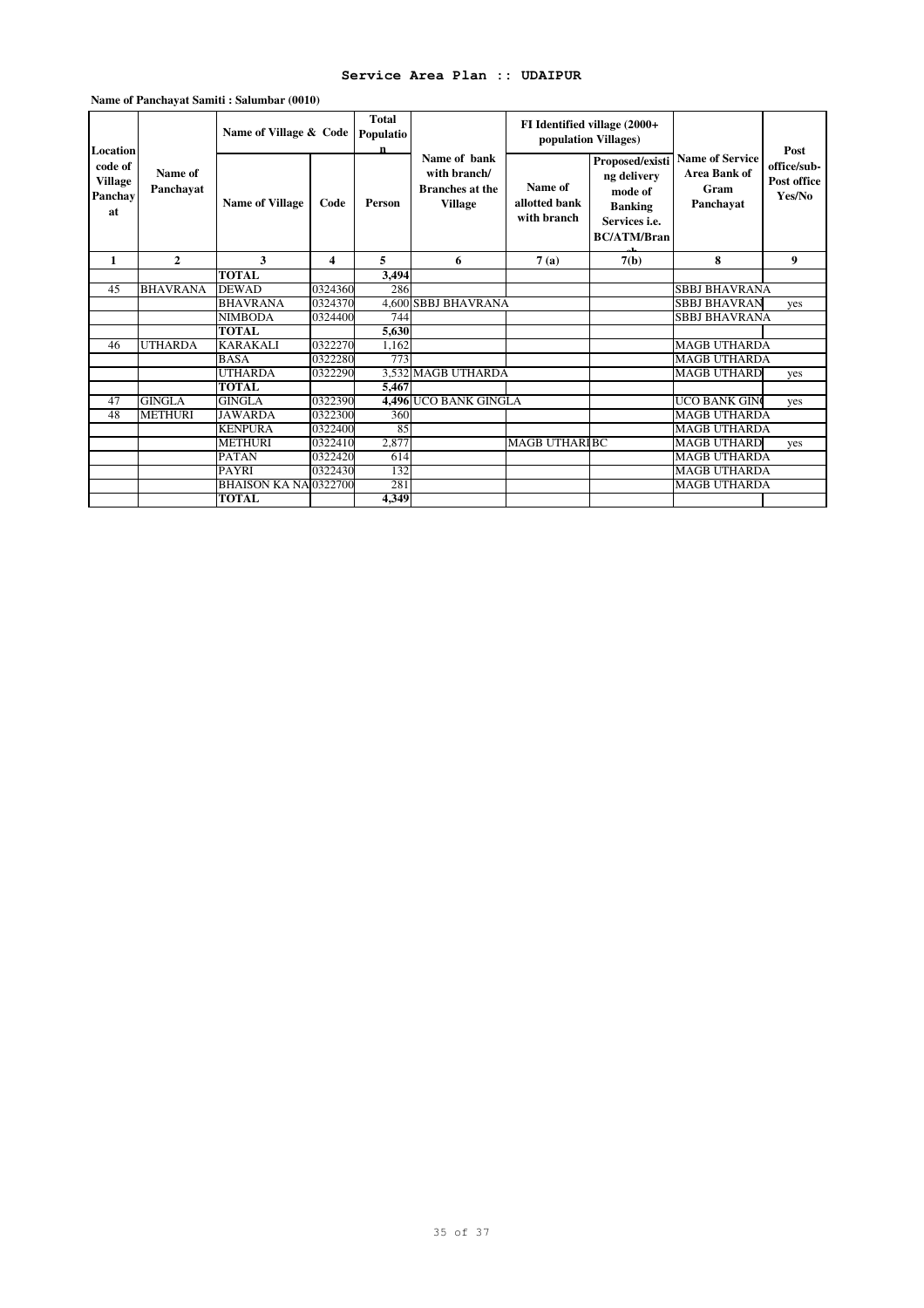| Location                                   |                      | Name of Village & Code       |         | <b>Total</b><br>Populatio<br>n |                                                                          |                                         | FI Identified village (2000+<br>population Villages)                                                      | <b>Name of Service</b>            | Post                                 |
|--------------------------------------------|----------------------|------------------------------|---------|--------------------------------|--------------------------------------------------------------------------|-----------------------------------------|-----------------------------------------------------------------------------------------------------------|-----------------------------------|--------------------------------------|
| code of<br><b>Village</b><br>Panchav<br>at | Name of<br>Panchayat | <b>Name of Village</b>       | Code    | Person                         | Name of hank<br>with branch/<br><b>Branches</b> at the<br><b>Village</b> | Name of<br>allotted bank<br>with branch | Proposed/existi<br>ng delivery<br>mode of<br><b>Banking</b><br>Services <i>i.e.</i><br><b>BC/ATM/Bran</b> | Area Bank of<br>Gram<br>Panchayat | office/sub-<br>Post office<br>Yes/No |
| 1                                          | $\mathbf{2}$         | 3                            | 4       | 5                              | 6                                                                        | 7(a)                                    | 7(b)                                                                                                      | 8                                 | 9                                    |
|                                            |                      | <b>TOTAL</b>                 |         | 3,494                          |                                                                          |                                         |                                                                                                           |                                   |                                      |
| 45                                         | <b>BHAVRANA</b>      | <b>DEWAD</b>                 | 0324360 | 286                            |                                                                          |                                         |                                                                                                           | <b>SBBJ BHAVRANA</b>              |                                      |
|                                            |                      | <b>BHAVRANA</b>              | 0324370 |                                | <b>4,600 SBBJ BHAVRANA</b>                                               |                                         |                                                                                                           | <b>SBBJ BHAVRAN</b>               | yes                                  |
|                                            |                      | <b>NIMBODA</b>               | 0324400 | 744                            |                                                                          |                                         |                                                                                                           | <b>SBBJ BHAVRANA</b>              |                                      |
|                                            |                      | <b>TOTAL</b>                 |         | 5,630                          |                                                                          |                                         |                                                                                                           |                                   |                                      |
| 46                                         | <b>UTHARDA</b>       | <b>KARAKALI</b>              | 0322270 | 1,162                          |                                                                          |                                         |                                                                                                           | <b>MAGB UTHARDA</b>               |                                      |
|                                            |                      | <b>BASA</b>                  | 0322280 | 773                            |                                                                          |                                         |                                                                                                           | <b>MAGB UTHARDA</b>               |                                      |
|                                            |                      | <b>UTHARDA</b>               | 0322290 |                                | 3,532 MAGB UTHARDA                                                       |                                         |                                                                                                           | <b>MAGB UTHARD</b>                | yes                                  |
|                                            |                      | <b>TOTAL</b>                 |         | 5.467                          |                                                                          |                                         |                                                                                                           |                                   |                                      |
| 47                                         | <b>GINGLA</b>        | <b>GINGLA</b>                | 0322390 |                                | 4,496 UCO BANK GINGLA                                                    |                                         |                                                                                                           | <b>UCO BANK GING</b>              | yes                                  |
| 48                                         | <b>METHURI</b>       | <b>JAWARDA</b>               | 0322300 | 360                            |                                                                          |                                         |                                                                                                           | <b>MAGB UTHARDA</b>               |                                      |
|                                            |                      | <b>KENPURA</b>               | 0322400 | 85                             |                                                                          |                                         |                                                                                                           | <b>MAGB UTHARDA</b>               |                                      |
|                                            |                      | <b>METHURI</b>               | 0322410 | 2,877                          |                                                                          | <b>MAGB UTHARIBC</b>                    |                                                                                                           | <b>MAGB UTHARD</b>                | yes                                  |
|                                            |                      | <b>PATAN</b>                 | 0322420 | 614                            |                                                                          |                                         |                                                                                                           | <b>MAGB UTHARDA</b>               |                                      |
|                                            |                      | <b>PAYRI</b>                 | 0322430 | 132                            |                                                                          |                                         |                                                                                                           | <b>MAGB UTHARDA</b>               |                                      |
|                                            |                      | <b>BHAISON KA NA 0322700</b> |         | 281                            |                                                                          |                                         |                                                                                                           | <b>MAGB UTHARDA</b>               |                                      |
|                                            |                      | <b>TOTAL</b>                 |         | 4,349                          |                                                                          |                                         |                                                                                                           |                                   |                                      |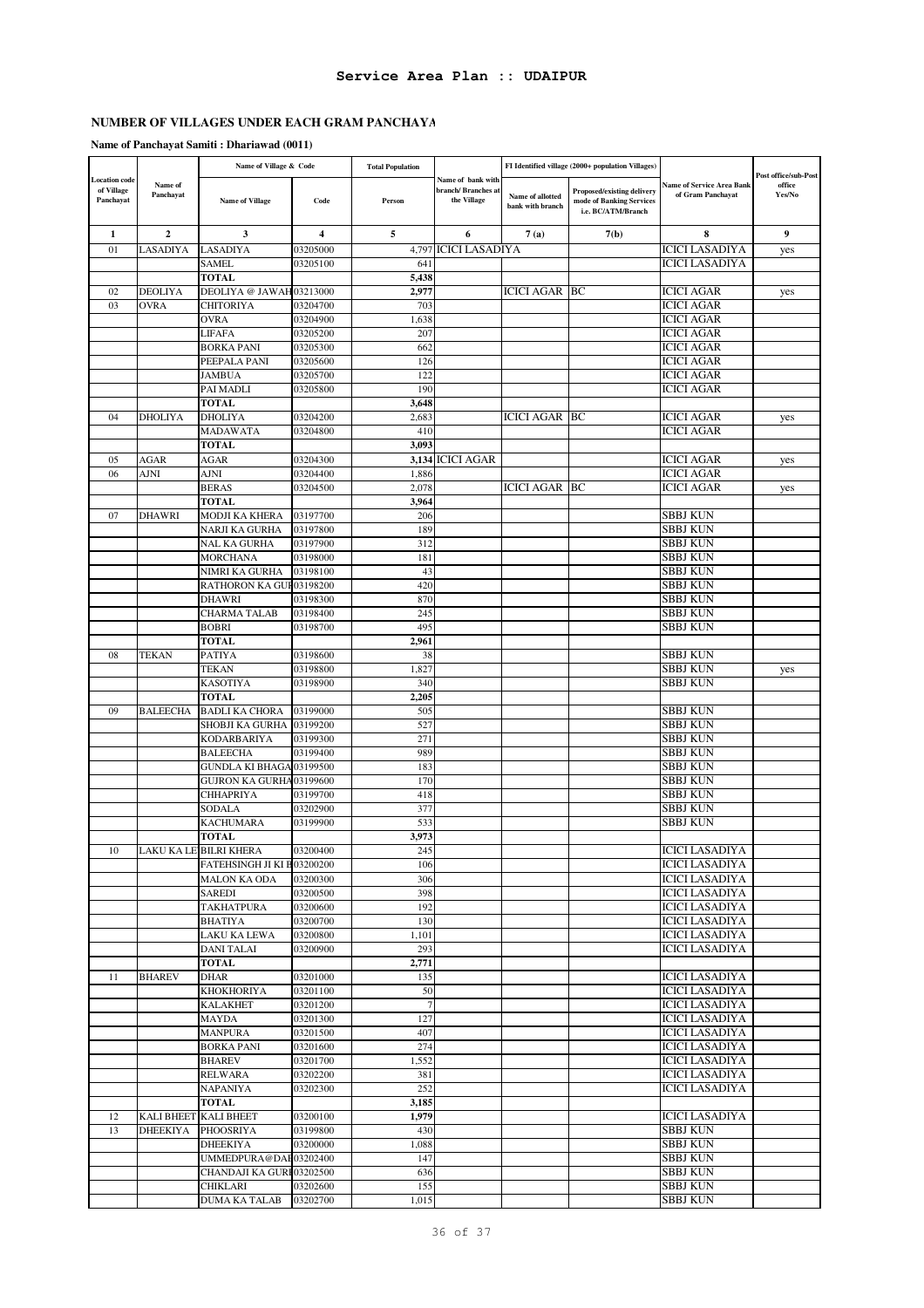# **NUMBER OF VILLAGES UNDER EACH GRAM PANCHAYA**

# **Name of Panchayat Samiti : Dhariawad (0011)**

|                                                 |                      | Name of Village & Code              |                      | <b>Total Population</b> |                                                        | FI Identified village (2000+ population Villages) |                                                                              |                                                |                                          |
|-------------------------------------------------|----------------------|-------------------------------------|----------------------|-------------------------|--------------------------------------------------------|---------------------------------------------------|------------------------------------------------------------------------------|------------------------------------------------|------------------------------------------|
| <b>Location</b> code<br>of Village<br>Panchayat | Name of<br>Panchayat | <b>Name of Village</b>              | Code                 | Person                  | Name of bank with<br>branch/Branches at<br>the Village | Name of allotted<br>bank with branch              | Proposed/existing delivery<br>mode of Banking Services<br>i.e. BC/ATM/Branch | Name of Service Area Bank<br>of Gram Panchayat | Post office/sub-Post<br>office<br>Yes/No |
| 1                                               | $\mathbf{2}$         | 3                                   | 4                    | 5                       | 6                                                      | 7(a)                                              | 7(b)                                                                         | 8                                              | 9                                        |
| 01                                              | LASADIYA             | LASADIYA                            | 03205000             | 4,797                   | <b>ICICI LASADIYA</b>                                  |                                                   |                                                                              | <b>ICICI LASADIYA</b>                          | yes                                      |
|                                                 |                      | <b>SAMEL</b>                        | 03205100             | 64                      |                                                        |                                                   |                                                                              | <b>ICICI LASADIYA</b>                          |                                          |
|                                                 |                      | <b>TOTAL</b>                        |                      | 5,438                   |                                                        |                                                   |                                                                              |                                                |                                          |
| 02                                              | DEOLIYA              | DEOLIYA @ JAWAH03213000             |                      | 2,977                   |                                                        | ICICI AGAR                                        | ВC                                                                           | ICICI AGAR                                     | yes                                      |
| 03                                              | <b>OVRA</b>          | CHITORIYA                           | 03204700             | 703                     |                                                        |                                                   |                                                                              | ICICI AGAR                                     |                                          |
|                                                 |                      | OVRA                                | 03204900             | 1,638<br>207            |                                                        |                                                   |                                                                              | ICICI AGAR                                     |                                          |
|                                                 |                      | <b>LIFAFA</b><br><b>BORKA PANI</b>  | 03205200<br>03205300 | 662                     |                                                        |                                                   |                                                                              | ICICI AGAR<br>ICICI AGAR                       |                                          |
|                                                 |                      | PEEPALA PANI                        | 03205600             | 126                     |                                                        |                                                   |                                                                              | ICICI AGAR                                     |                                          |
|                                                 |                      | JAMBUA                              | 03205700             | 122                     |                                                        |                                                   |                                                                              | <b>ICICI AGAR</b>                              |                                          |
|                                                 |                      | PAI MADLI                           | 03205800             | 190                     |                                                        |                                                   |                                                                              | ICICI AGAR                                     |                                          |
|                                                 |                      | <b>TOTAL</b>                        |                      | 3,648                   |                                                        |                                                   |                                                                              |                                                |                                          |
| 04                                              | <b>DHOLIYA</b>       | <b>DHOLIYA</b>                      | 03204200             | 2,683                   |                                                        | <b>ICICI AGAR BC</b>                              |                                                                              | ICICI AGAR                                     | yes                                      |
|                                                 |                      | <b>MADAWATA</b>                     | 03204800             | 410                     |                                                        |                                                   |                                                                              | ICICI AGAR                                     |                                          |
|                                                 |                      | <b>TOTAL</b>                        |                      | 3,093                   |                                                        |                                                   |                                                                              |                                                |                                          |
| 05                                              | AGAR                 | AGAR                                | 03204300             | 3,134                   | <b>ICICI AGAR</b>                                      |                                                   |                                                                              | ICICI AGAR                                     | yes                                      |
| 06                                              | <b>AJNI</b>          | AJNI<br><b>BERAS</b>                | 03204400<br>03204500 | 1,886<br>2,078          |                                                        | ICICI AGAR                                        | BC                                                                           | <b>ICICI AGAR</b><br>ICICI AGAR                |                                          |
|                                                 |                      | <b>TOTAL</b>                        |                      | 3,964                   |                                                        |                                                   |                                                                              |                                                | yes                                      |
| 07                                              | DHAWRI               | MODJI KA KHERA                      | 03197700             | 206                     |                                                        |                                                   |                                                                              | SBBJ KUN                                       |                                          |
|                                                 |                      | NARJI KA GURHA                      | 03197800             | 189                     |                                                        |                                                   |                                                                              | SBBJ KUN                                       |                                          |
|                                                 |                      | NAL KA GURHA                        | 03197900             | 312                     |                                                        |                                                   |                                                                              | SBBJ KUN                                       |                                          |
|                                                 |                      | <b>MORCHANA</b>                     | 03198000             | 181                     |                                                        |                                                   |                                                                              | SBBJ KUN                                       |                                          |
|                                                 |                      | NIMRI KA GURHA                      | 03198100             | 43                      |                                                        |                                                   |                                                                              | SBBJ KUN                                       |                                          |
|                                                 |                      | RATHORON KA GUF03198200             |                      | 420                     |                                                        |                                                   |                                                                              | SBBJ KUN                                       |                                          |
|                                                 |                      | DHAWRI                              | 03198300             | 870                     |                                                        |                                                   |                                                                              | SBBJ KUN                                       |                                          |
|                                                 |                      | CHARMA TALAB                        | 03198400             | 245                     |                                                        |                                                   |                                                                              | SBBJ KUN                                       |                                          |
|                                                 |                      | <b>BOBRI</b><br><b>TOTAL</b>        | 03198700             | 495<br>2,961            |                                                        |                                                   |                                                                              | SBBJ KUN                                       |                                          |
| 08                                              | <b>TEKAN</b>         | <b>PATIYA</b>                       | 03198600             | 38                      |                                                        |                                                   |                                                                              | SBBJ KUN                                       |                                          |
|                                                 |                      | <b>TEKAN</b>                        | 03198800             | 1,827                   |                                                        |                                                   |                                                                              | SBBJ KUN                                       | yes                                      |
|                                                 |                      | <b>KASOTIYA</b>                     | 03198900             | 340                     |                                                        |                                                   |                                                                              | SBBJ KUN                                       |                                          |
|                                                 |                      | <b>TOTAL</b>                        |                      | 2,205                   |                                                        |                                                   |                                                                              |                                                |                                          |
| 09                                              | <b>BALEECHA</b>      | <b>BADLI KA CHORA</b>               | 03199000             | 505                     |                                                        |                                                   |                                                                              | SBBJ KUN                                       |                                          |
|                                                 |                      | SHOBJI KA GURHA                     | 03199200             | 527                     |                                                        |                                                   |                                                                              | SBBJ KUN                                       |                                          |
|                                                 |                      | <b>KODARBARIYA</b>                  | 03199300             | 271                     |                                                        |                                                   |                                                                              | SBBJ KUN                                       |                                          |
|                                                 |                      | BALEECHA<br><b>GUNDLA KI BHAGA</b>  | 03199400<br>03199500 | 989<br>183              |                                                        |                                                   |                                                                              | SBBJ KUN<br>SBBJ KUN                           |                                          |
|                                                 |                      | GUJRON KA GURHA03199600             |                      | 170                     |                                                        |                                                   |                                                                              | SBBJ KUN                                       |                                          |
|                                                 |                      | CHHAPRIYA                           | 03199700             | 418                     |                                                        |                                                   |                                                                              | SBBJ KUN                                       |                                          |
|                                                 |                      | SODALA                              | 03202900             | 377                     |                                                        |                                                   |                                                                              | SBBJ KUN                                       |                                          |
|                                                 |                      | KACHUMARA                           | 03199900             | 533                     |                                                        |                                                   |                                                                              | SBBJ KUN                                       |                                          |
|                                                 |                      | <b>TOTAL</b>                        |                      | 3,973                   |                                                        |                                                   |                                                                              |                                                |                                          |
| 10                                              |                      | LAKU KA LE BILRI KHERA              | 03200400             | 245                     |                                                        |                                                   |                                                                              | <b>ICICI LASADIYA</b>                          |                                          |
|                                                 |                      | FATEHSINGH JI KI B03200200          |                      | 106                     |                                                        |                                                   |                                                                              | <b>ICICI LASADIYA</b>                          |                                          |
|                                                 |                      | <b>MALON KA ODA</b>                 | 03200300             | 306                     |                                                        |                                                   |                                                                              | <b>ICICI LASADIYA</b>                          |                                          |
|                                                 |                      | SAREDI<br><b>TAKHATPURA</b>         | 03200500<br>03200600 | 398<br>192              |                                                        |                                                   |                                                                              | <b>ICICI LASADIYA</b><br><b>ICICI LASADIYA</b> |                                          |
|                                                 |                      | BHATIYA                             | 03200700             | 130                     |                                                        |                                                   |                                                                              | <b>ICICI LASADIYA</b>                          |                                          |
|                                                 |                      | LAKU KA LEWA                        | 03200800             | 1,101                   |                                                        |                                                   |                                                                              | <b>ICICI LASADIYA</b>                          |                                          |
|                                                 |                      | <b>DANI TALAI</b>                   | 03200900             | 293                     |                                                        |                                                   |                                                                              | <b>ICICI LASADIYA</b>                          |                                          |
|                                                 |                      | <b>TOTAL</b>                        |                      | 2,771                   |                                                        |                                                   |                                                                              |                                                |                                          |
| 11                                              | <b>BHAREV</b>        | DHAR                                | 03201000             | 135                     |                                                        |                                                   |                                                                              | <b>ICICI LASADIYA</b>                          |                                          |
|                                                 |                      | <b>KHOKHORIYA</b>                   | 03201100             | 50                      |                                                        |                                                   |                                                                              | <b>ICICI LASADIYA</b>                          |                                          |
|                                                 |                      | <b>KALAKHET</b>                     | 03201200             | $\overline{7}$          |                                                        |                                                   |                                                                              | <b>ICICI LASADIYA</b>                          |                                          |
|                                                 |                      | MAYDA                               | 03201300             | 127                     |                                                        |                                                   |                                                                              | <b>ICICI LASADIYA</b>                          |                                          |
|                                                 |                      | <b>MANPURA</b><br><b>BORKA PANI</b> | 03201500<br>03201600 | 407<br>274              |                                                        |                                                   |                                                                              | <b>ICICI LASADIYA</b><br><b>ICICI LASADIYA</b> |                                          |
|                                                 |                      | <b>BHAREV</b>                       | 03201700             | 1,552                   |                                                        |                                                   |                                                                              | <b>ICICI LASADIYA</b>                          |                                          |
|                                                 |                      | <b>RELWARA</b>                      | 03202200             | 381                     |                                                        |                                                   |                                                                              | <b>ICICI LASADIYA</b>                          |                                          |
|                                                 |                      | NAPANIYA                            | 03202300             | 252                     |                                                        |                                                   |                                                                              | <b>ICICI LASADIYA</b>                          |                                          |
|                                                 |                      | <b>TOTAL</b>                        |                      | 3,185                   |                                                        |                                                   |                                                                              |                                                |                                          |
| 12                                              |                      | KALI BHEET KALI BHEET               | 03200100             | 1,979                   |                                                        |                                                   |                                                                              | <b>ICICI LASADIYA</b>                          |                                          |
| 13                                              | <b>DHEEKIYA</b>      | PHOOSRIYA                           | 03199800             | 430                     |                                                        |                                                   |                                                                              | <b>SBBJ KUN</b>                                |                                          |
|                                                 |                      | DHEEKIYA                            | 03200000             | 1,088                   |                                                        |                                                   |                                                                              | <b>SBBJ KUN</b>                                |                                          |
|                                                 |                      | UMMEDPURA@DAE03202400               |                      | 147                     |                                                        |                                                   |                                                                              | SBBJ KUN                                       |                                          |
|                                                 |                      | CHANDAJI KA GURI 03202500           |                      | 636                     |                                                        |                                                   |                                                                              | <b>SBBJ KUN</b><br><b>SBBJ KUN</b>             |                                          |
|                                                 |                      | CHIKLARI<br><b>DUMA KA TALAB</b>    | 03202600<br>03202700 | 155<br>1,015            |                                                        |                                                   |                                                                              | <b>SBBJ KUN</b>                                |                                          |
|                                                 |                      |                                     |                      |                         |                                                        |                                                   |                                                                              |                                                |                                          |